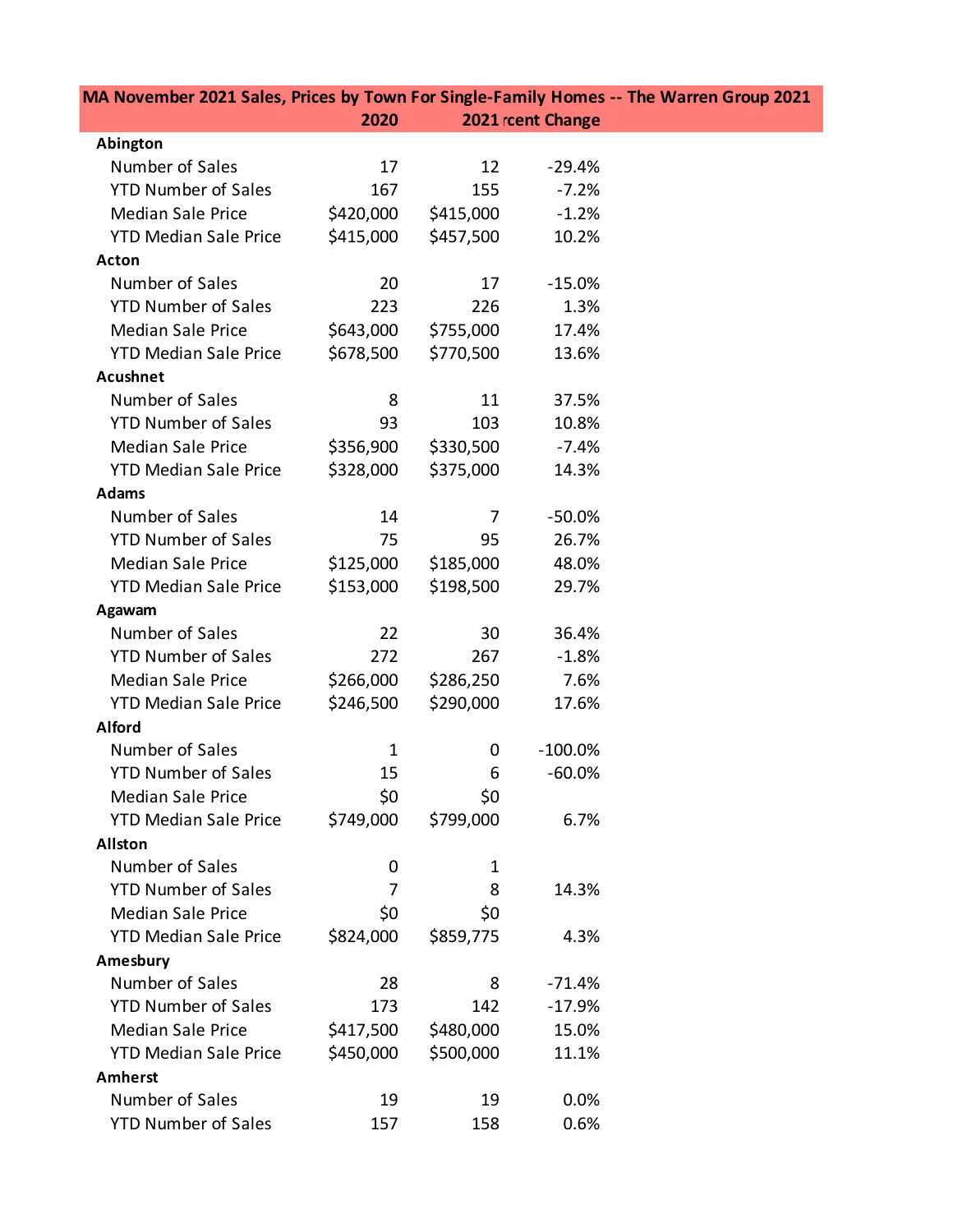| MA November 2021 Sales, Prices by Town For Single-Family Homes -- The Warren Group 2021 |              |           |                   |  |
|-----------------------------------------------------------------------------------------|--------------|-----------|-------------------|--|
|                                                                                         | 2020         |           | 2021 rcent Change |  |
| Abington                                                                                |              |           |                   |  |
| Number of Sales                                                                         | 17           | 12        | $-29.4%$          |  |
| <b>YTD Number of Sales</b>                                                              | 167          | 155       | $-7.2%$           |  |
| <b>Median Sale Price</b>                                                                | \$420,000    | \$415,000 | $-1.2%$           |  |
| <b>YTD Median Sale Price</b>                                                            | \$415,000    | \$457,500 | 10.2%             |  |
| Acton                                                                                   |              |           |                   |  |
| Number of Sales                                                                         | 20           | 17        | $-15.0%$          |  |
| <b>YTD Number of Sales</b>                                                              | 223          | 226       | 1.3%              |  |
| <b>Median Sale Price</b>                                                                | \$643,000    | \$755,000 | 17.4%             |  |
| <b>YTD Median Sale Price</b>                                                            | \$678,500    | \$770,500 | 13.6%             |  |
| <b>Acushnet</b>                                                                         |              |           |                   |  |
| Number of Sales                                                                         | 8            | 11        | 37.5%             |  |
| <b>YTD Number of Sales</b>                                                              | 93           | 103       | 10.8%             |  |
| <b>Median Sale Price</b>                                                                | \$356,900    | \$330,500 | $-7.4%$           |  |
| <b>YTD Median Sale Price</b>                                                            | \$328,000    | \$375,000 | 14.3%             |  |
| <b>Adams</b>                                                                            |              |           |                   |  |
| Number of Sales                                                                         | 14           | 7         | $-50.0%$          |  |
| <b>YTD Number of Sales</b>                                                              | 75           | 95        | 26.7%             |  |
| <b>Median Sale Price</b>                                                                | \$125,000    | \$185,000 | 48.0%             |  |
| <b>YTD Median Sale Price</b>                                                            | \$153,000    | \$198,500 | 29.7%             |  |
| Agawam                                                                                  |              |           |                   |  |
| Number of Sales                                                                         | 22           | 30        | 36.4%             |  |
| <b>YTD Number of Sales</b>                                                              | 272          | 267       | $-1.8%$           |  |
| <b>Median Sale Price</b>                                                                | \$266,000    | \$286,250 | 7.6%              |  |
| <b>YTD Median Sale Price</b>                                                            | \$246,500    | \$290,000 | 17.6%             |  |
| <b>Alford</b>                                                                           |              |           |                   |  |
| Number of Sales                                                                         | $\mathbf{1}$ | 0         | $-100.0\%$        |  |
| <b>YTD Number of Sales</b>                                                              | 15           | 6         | $-60.0%$          |  |
| <b>Median Sale Price</b>                                                                | \$0          | \$0       |                   |  |
| <b>YTD Median Sale Price</b>                                                            | \$749,000    | \$799,000 | 6.7%              |  |
| <b>Allston</b>                                                                          |              |           |                   |  |
| Number of Sales                                                                         | 0            | 1         |                   |  |
| <b>YTD Number of Sales</b>                                                              | 7            | 8         | 14.3%             |  |
| <b>Median Sale Price</b>                                                                | \$0          | \$0       |                   |  |
| <b>YTD Median Sale Price</b>                                                            | \$824,000    | \$859,775 | 4.3%              |  |
| Amesbury                                                                                |              |           |                   |  |
| Number of Sales                                                                         | 28           | 8         | $-71.4%$          |  |
| <b>YTD Number of Sales</b>                                                              | 173          | 142       | $-17.9%$          |  |
| <b>Median Sale Price</b>                                                                | \$417,500    | \$480,000 | 15.0%             |  |
| <b>YTD Median Sale Price</b>                                                            | \$450,000    | \$500,000 | 11.1%             |  |
| <b>Amherst</b>                                                                          |              |           |                   |  |
| Number of Sales                                                                         | 19           | 19        | 0.0%              |  |
| <b>YTD Number of Sales</b>                                                              | 157          | 158       | 0.6%              |  |
|                                                                                         |              |           |                   |  |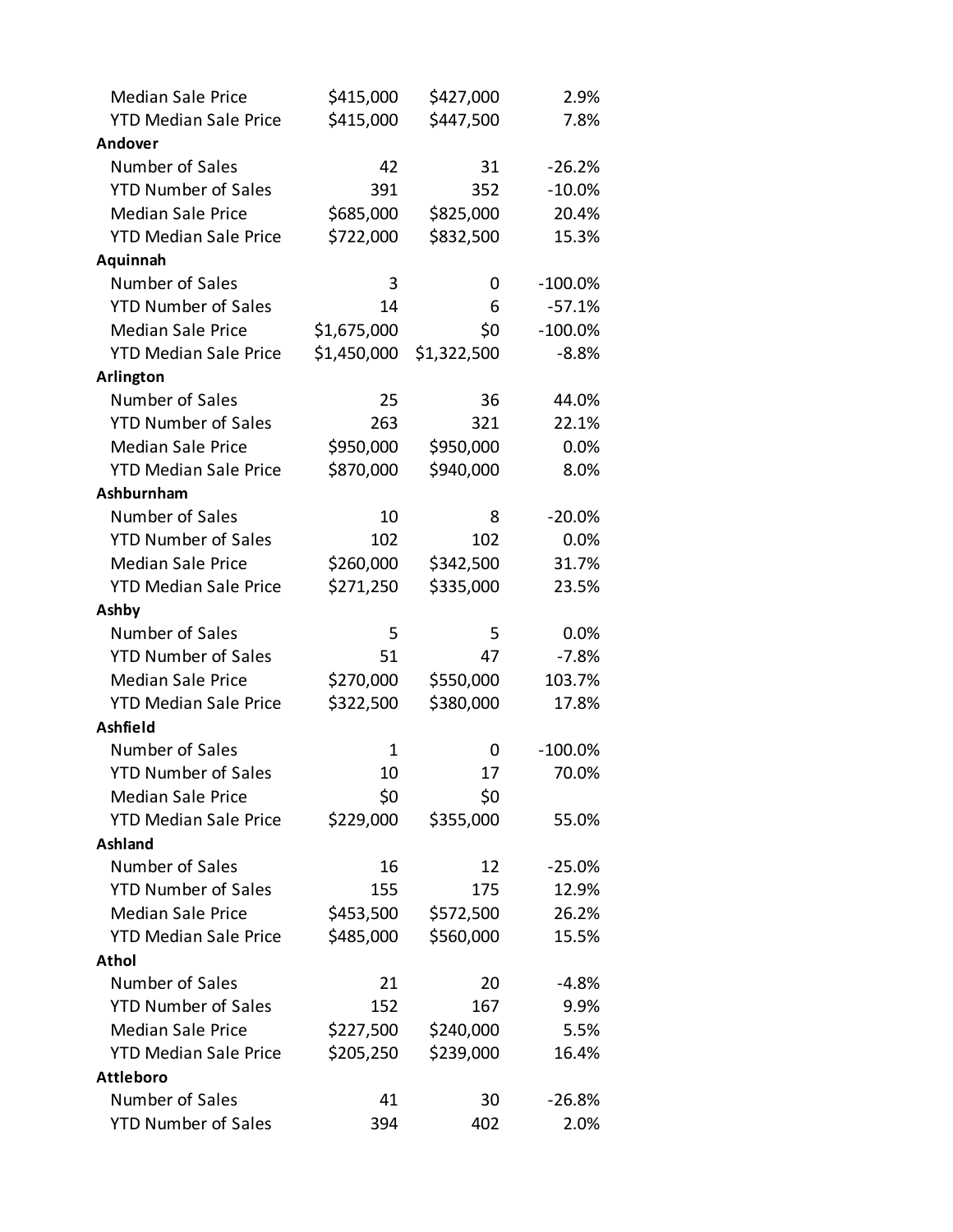| <b>Median Sale Price</b>     | \$415,000   | \$427,000   | 2.9%       |
|------------------------------|-------------|-------------|------------|
| <b>YTD Median Sale Price</b> | \$415,000   | \$447,500   | 7.8%       |
| Andover                      |             |             |            |
| Number of Sales              | 42          | 31          | $-26.2%$   |
| <b>YTD Number of Sales</b>   | 391         | 352         | $-10.0%$   |
| <b>Median Sale Price</b>     | \$685,000   | \$825,000   | 20.4%      |
| <b>YTD Median Sale Price</b> | \$722,000   | \$832,500   | 15.3%      |
| Aquinnah                     |             |             |            |
| Number of Sales              | 3           | 0           | $-100.0\%$ |
| <b>YTD Number of Sales</b>   | 14          | 6           | $-57.1%$   |
| <b>Median Sale Price</b>     | \$1,675,000 | \$0         | $-100.0%$  |
| <b>YTD Median Sale Price</b> | \$1,450,000 | \$1,322,500 | $-8.8%$    |
| Arlington                    |             |             |            |
| Number of Sales              | 25          | 36          | 44.0%      |
| <b>YTD Number of Sales</b>   | 263         | 321         | 22.1%      |
| <b>Median Sale Price</b>     | \$950,000   | \$950,000   | 0.0%       |
| <b>YTD Median Sale Price</b> | \$870,000   | \$940,000   | 8.0%       |
| Ashburnham                   |             |             |            |
| Number of Sales              | 10          | 8           | $-20.0%$   |
| <b>YTD Number of Sales</b>   | 102         | 102         | 0.0%       |
| <b>Median Sale Price</b>     | \$260,000   | \$342,500   | 31.7%      |
| <b>YTD Median Sale Price</b> | \$271,250   | \$335,000   | 23.5%      |
| Ashby                        |             |             |            |
| Number of Sales              | 5           | 5           | 0.0%       |
| <b>YTD Number of Sales</b>   | 51          | 47          | $-7.8%$    |
| <b>Median Sale Price</b>     | \$270,000   | \$550,000   | 103.7%     |
| <b>YTD Median Sale Price</b> | \$322,500   | \$380,000   | 17.8%      |
| Ashfield                     |             |             |            |
| Number of Sales              | 1           | 0           | $-100.0\%$ |
| <b>YTD Number of Sales</b>   | 10          | 17          | 70.0%      |
| <b>Median Sale Price</b>     | \$0         | \$0         |            |
| <b>YTD Median Sale Price</b> | \$229,000   | \$355,000   | 55.0%      |
| Ashland                      |             |             |            |
| Number of Sales              | 16          | 12          | $-25.0%$   |
| <b>YTD Number of Sales</b>   | 155         | 175         | 12.9%      |
| <b>Median Sale Price</b>     | \$453,500   | \$572,500   | 26.2%      |
| <b>YTD Median Sale Price</b> | \$485,000   | \$560,000   | 15.5%      |
| <b>Athol</b>                 |             |             |            |
| Number of Sales              | 21          | 20          | -4.8%      |
| <b>YTD Number of Sales</b>   | 152         | 167         | 9.9%       |
| <b>Median Sale Price</b>     | \$227,500   | \$240,000   | 5.5%       |
| <b>YTD Median Sale Price</b> | \$205,250   | \$239,000   | 16.4%      |
| <b>Attleboro</b>             |             |             |            |
| Number of Sales              | 41          | 30          | $-26.8%$   |
| <b>YTD Number of Sales</b>   | 394         | 402         | 2.0%       |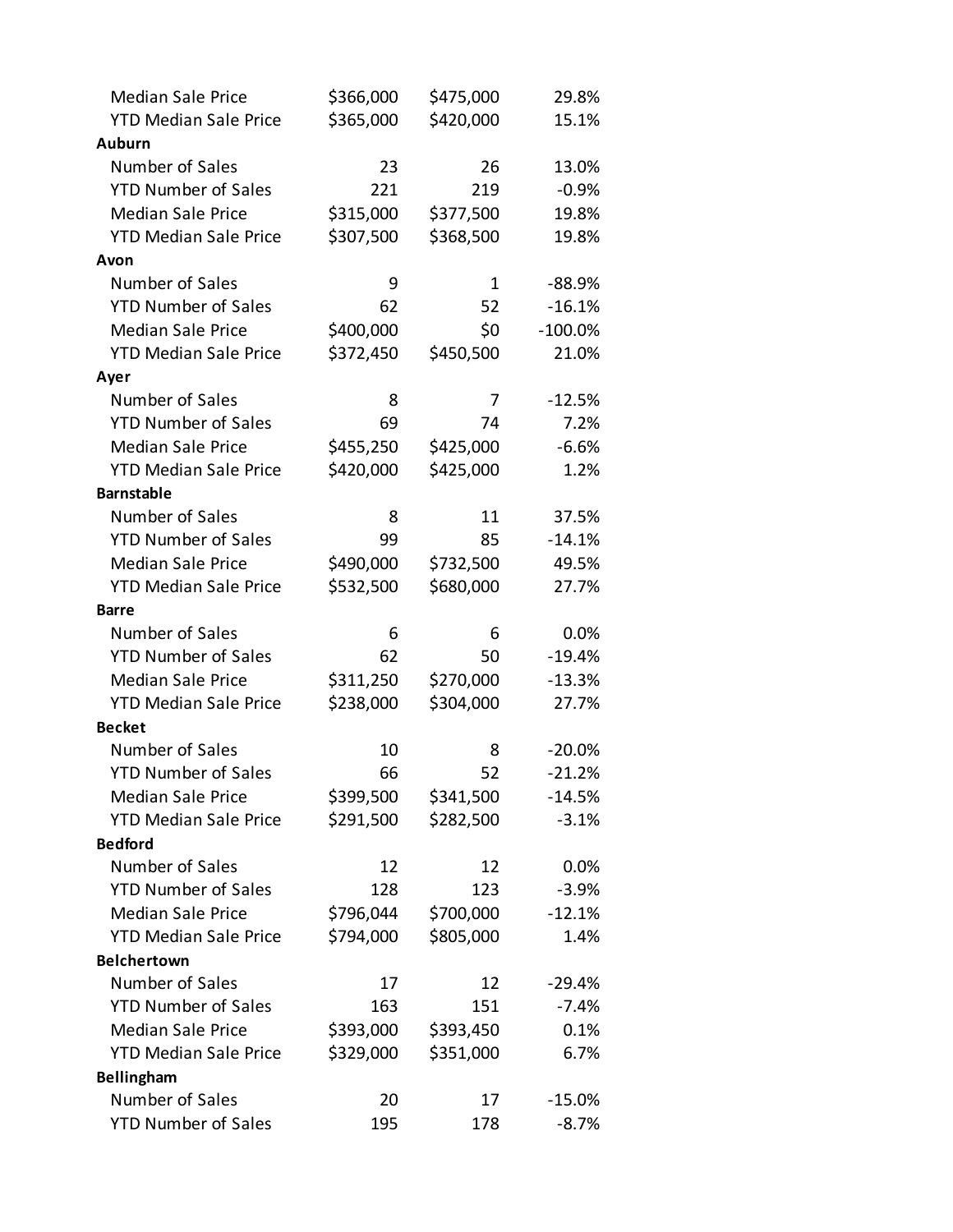| <b>Median Sale Price</b>     | \$366,000 | \$475,000 | 29.8%     |
|------------------------------|-----------|-----------|-----------|
| <b>YTD Median Sale Price</b> | \$365,000 | \$420,000 | 15.1%     |
| <b>Auburn</b>                |           |           |           |
| Number of Sales              | 23        | 26        | 13.0%     |
| <b>YTD Number of Sales</b>   | 221       | 219       | $-0.9%$   |
| <b>Median Sale Price</b>     | \$315,000 | \$377,500 | 19.8%     |
| <b>YTD Median Sale Price</b> | \$307,500 | \$368,500 | 19.8%     |
| Avon                         |           |           |           |
| Number of Sales              | 9         | 1         | $-88.9%$  |
| <b>YTD Number of Sales</b>   | 62        | 52        | $-16.1%$  |
| <b>Median Sale Price</b>     | \$400,000 | \$0       | $-100.0%$ |
| <b>YTD Median Sale Price</b> | \$372,450 | \$450,500 | 21.0%     |
| Ayer                         |           |           |           |
| Number of Sales              | 8         | 7         | $-12.5%$  |
| <b>YTD Number of Sales</b>   | 69        | 74        | 7.2%      |
| <b>Median Sale Price</b>     | \$455,250 | \$425,000 | $-6.6%$   |
| <b>YTD Median Sale Price</b> | \$420,000 | \$425,000 | 1.2%      |
| <b>Barnstable</b>            |           |           |           |
| Number of Sales              | 8         | 11        | 37.5%     |
| <b>YTD Number of Sales</b>   | 99        | 85        | $-14.1%$  |
| <b>Median Sale Price</b>     | \$490,000 | \$732,500 | 49.5%     |
| <b>YTD Median Sale Price</b> | \$532,500 | \$680,000 | 27.7%     |
| <b>Barre</b>                 |           |           |           |
| Number of Sales              | 6         | 6         | 0.0%      |
| <b>YTD Number of Sales</b>   | 62        | 50        | $-19.4%$  |
| <b>Median Sale Price</b>     | \$311,250 | \$270,000 | $-13.3%$  |
| <b>YTD Median Sale Price</b> | \$238,000 | \$304,000 | 27.7%     |
| <b>Becket</b>                |           |           |           |
| Number of Sales              | 10        | 8         | $-20.0%$  |
| <b>YTD Number of Sales</b>   | 66        | 52        | $-21.2%$  |
| <b>Median Sale Price</b>     | \$399,500 | \$341,500 | $-14.5%$  |
| <b>YTD Median Sale Price</b> | \$291,500 | \$282,500 | $-3.1%$   |
| <b>Bedford</b>               |           |           |           |
| Number of Sales              | 12        | 12        | 0.0%      |
| <b>YTD Number of Sales</b>   | 128       | 123       | $-3.9%$   |
| <b>Median Sale Price</b>     | \$796,044 | \$700,000 | $-12.1%$  |
| <b>YTD Median Sale Price</b> | \$794,000 | \$805,000 | 1.4%      |
| <b>Belchertown</b>           |           |           |           |
| Number of Sales              | 17        | 12        | $-29.4%$  |
| <b>YTD Number of Sales</b>   | 163       | 151       | $-7.4%$   |
| <b>Median Sale Price</b>     | \$393,000 | \$393,450 | 0.1%      |
| <b>YTD Median Sale Price</b> | \$329,000 | \$351,000 | 6.7%      |
| <b>Bellingham</b>            |           |           |           |
| Number of Sales              | 20        | 17        | $-15.0%$  |
| <b>YTD Number of Sales</b>   | 195       | 178       | $-8.7%$   |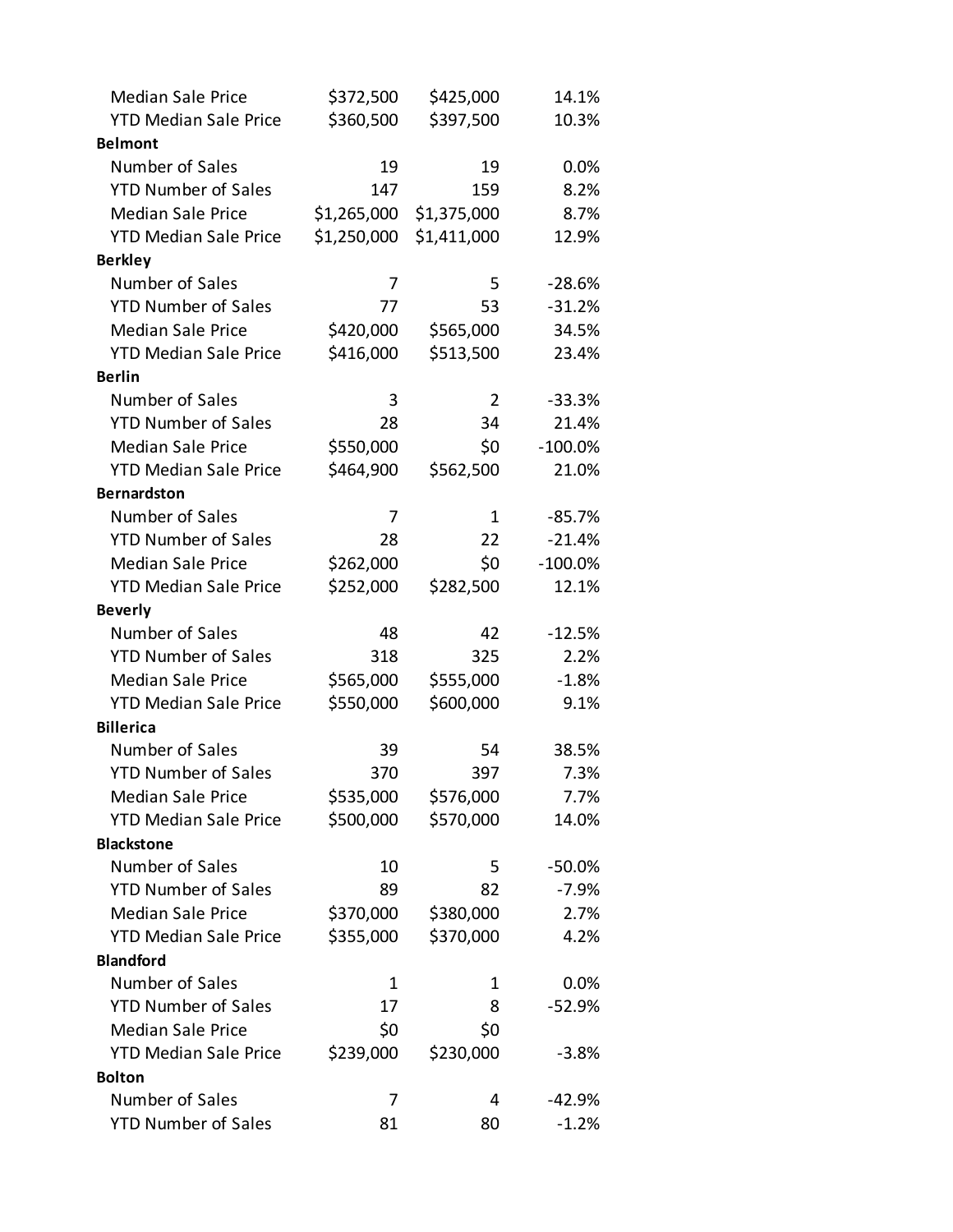| <b>Median Sale Price</b>     | \$372,500   | \$425,000   | 14.1%     |
|------------------------------|-------------|-------------|-----------|
| <b>YTD Median Sale Price</b> | \$360,500   | \$397,500   | 10.3%     |
| <b>Belmont</b>               |             |             |           |
| Number of Sales              | 19          | 19          | 0.0%      |
| <b>YTD Number of Sales</b>   | 147         | 159         | 8.2%      |
| <b>Median Sale Price</b>     | \$1,265,000 | \$1,375,000 | 8.7%      |
| <b>YTD Median Sale Price</b> | \$1,250,000 | \$1,411,000 | 12.9%     |
| <b>Berkley</b>               |             |             |           |
| Number of Sales              | 7           | 5           | $-28.6%$  |
| <b>YTD Number of Sales</b>   | 77          | 53          | $-31.2%$  |
| <b>Median Sale Price</b>     | \$420,000   | \$565,000   | 34.5%     |
| <b>YTD Median Sale Price</b> | \$416,000   | \$513,500   | 23.4%     |
| <b>Berlin</b>                |             |             |           |
| Number of Sales              | 3           | 2           | $-33.3%$  |
| <b>YTD Number of Sales</b>   | 28          | 34          | 21.4%     |
| <b>Median Sale Price</b>     | \$550,000   | \$0         | $-100.0%$ |
| <b>YTD Median Sale Price</b> | \$464,900   | \$562,500   | 21.0%     |
| <b>Bernardston</b>           |             |             |           |
| Number of Sales              | 7           | 1           | $-85.7%$  |
| <b>YTD Number of Sales</b>   | 28          | 22          | $-21.4%$  |
| <b>Median Sale Price</b>     | \$262,000   | \$0         | $-100.0%$ |
| <b>YTD Median Sale Price</b> | \$252,000   | \$282,500   | 12.1%     |
| <b>Beverly</b>               |             |             |           |
| Number of Sales              | 48          | 42          | $-12.5%$  |
| <b>YTD Number of Sales</b>   | 318         | 325         | 2.2%      |
| <b>Median Sale Price</b>     | \$565,000   | \$555,000   | $-1.8%$   |
| <b>YTD Median Sale Price</b> | \$550,000   | \$600,000   | 9.1%      |
| <b>Billerica</b>             |             |             |           |
| Number of Sales              | 39          | 54          | 38.5%     |
| <b>YTD Number of Sales</b>   | 370         | 397         | 7.3%      |
| <b>Median Sale Price</b>     | \$535,000   | \$576,000   | 7.7%      |
| <b>YTD Median Sale Price</b> | \$500,000   | \$570,000   | 14.0%     |
| <b>Blackstone</b>            |             |             |           |
| Number of Sales              | 10          | 5           | $-50.0%$  |
| <b>YTD Number of Sales</b>   | 89          | 82          | $-7.9%$   |
| <b>Median Sale Price</b>     | \$370,000   | \$380,000   | 2.7%      |
| <b>YTD Median Sale Price</b> | \$355,000   | \$370,000   | 4.2%      |
| <b>Blandford</b>             |             |             |           |
| Number of Sales              | 1           | 1           | 0.0%      |
| <b>YTD Number of Sales</b>   | 17          | 8           | $-52.9%$  |
| <b>Median Sale Price</b>     | \$0         | \$0         |           |
| <b>YTD Median Sale Price</b> | \$239,000   | \$230,000   | $-3.8%$   |
| <b>Bolton</b>                |             |             |           |
| Number of Sales              | 7           | 4           | $-42.9%$  |
| <b>YTD Number of Sales</b>   | 81          | 80          | $-1.2%$   |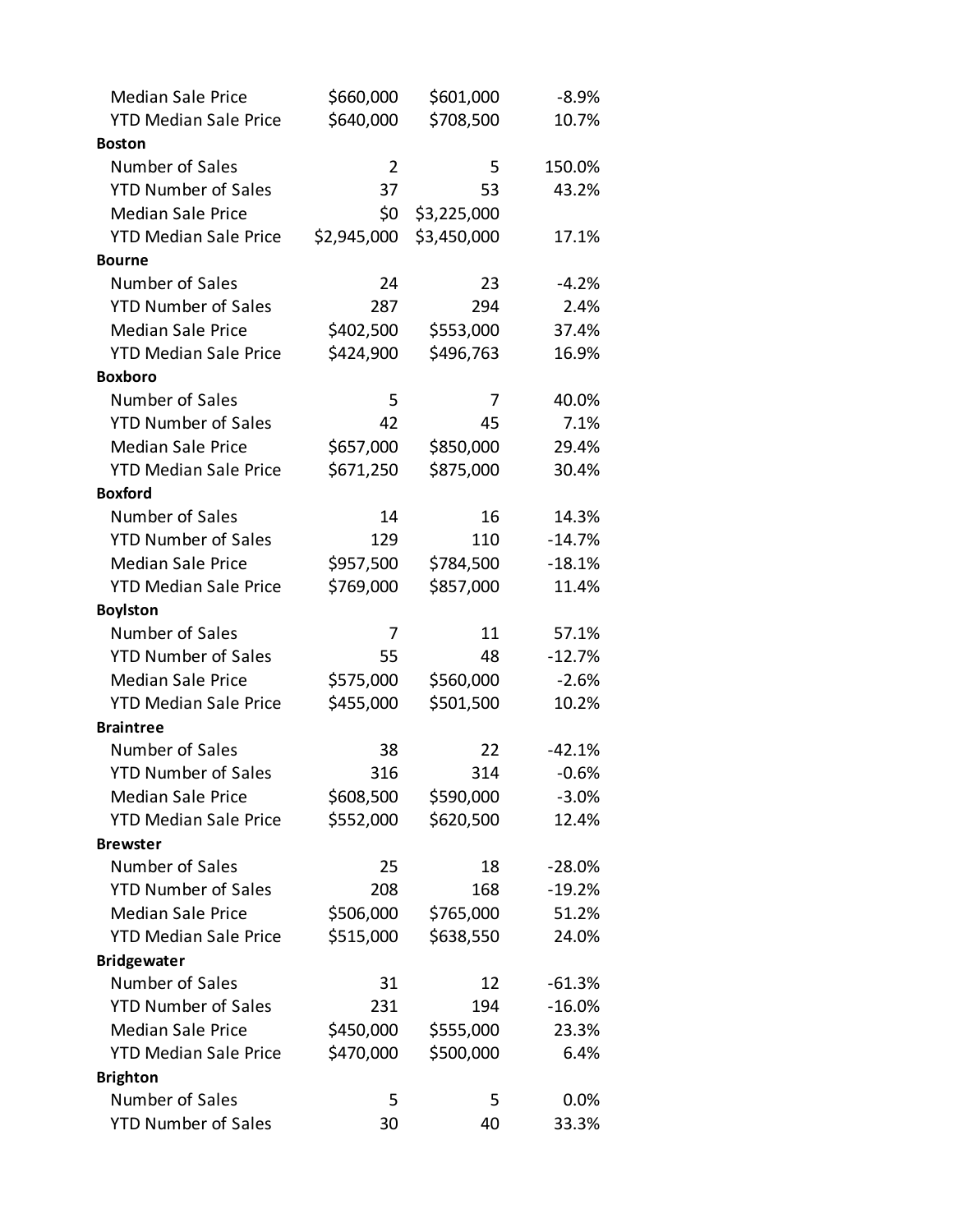| <b>Median Sale Price</b>     | \$660,000      | \$601,000   | $-8.9%$  |
|------------------------------|----------------|-------------|----------|
| <b>YTD Median Sale Price</b> | \$640,000      | \$708,500   | 10.7%    |
| <b>Boston</b>                |                |             |          |
| Number of Sales              | $\overline{2}$ | 5           | 150.0%   |
| <b>YTD Number of Sales</b>   | 37             | 53          | 43.2%    |
| <b>Median Sale Price</b>     | \$0            | \$3,225,000 |          |
| <b>YTD Median Sale Price</b> | \$2,945,000    | \$3,450,000 | 17.1%    |
| <b>Bourne</b>                |                |             |          |
| Number of Sales              | 24             | 23          | $-4.2%$  |
| <b>YTD Number of Sales</b>   | 287            | 294         | 2.4%     |
| <b>Median Sale Price</b>     | \$402,500      | \$553,000   | 37.4%    |
| <b>YTD Median Sale Price</b> | \$424,900      | \$496,763   | 16.9%    |
| <b>Boxboro</b>               |                |             |          |
| Number of Sales              | 5              | 7           | 40.0%    |
| <b>YTD Number of Sales</b>   | 42             | 45          | 7.1%     |
| <b>Median Sale Price</b>     | \$657,000      | \$850,000   | 29.4%    |
| <b>YTD Median Sale Price</b> | \$671,250      | \$875,000   | 30.4%    |
| <b>Boxford</b>               |                |             |          |
| Number of Sales              | 14             | 16          | 14.3%    |
| <b>YTD Number of Sales</b>   | 129            | 110         | $-14.7%$ |
| <b>Median Sale Price</b>     | \$957,500      | \$784,500   | $-18.1%$ |
| <b>YTD Median Sale Price</b> | \$769,000      | \$857,000   | 11.4%    |
| <b>Boylston</b>              |                |             |          |
| Number of Sales              | 7              | 11          | 57.1%    |
| <b>YTD Number of Sales</b>   | 55             | 48          | $-12.7%$ |
| <b>Median Sale Price</b>     | \$575,000      | \$560,000   | $-2.6%$  |
| <b>YTD Median Sale Price</b> | \$455,000      | \$501,500   | 10.2%    |
| <b>Braintree</b>             |                |             |          |
| Number of Sales              | 38             | 22          | $-42.1%$ |
| <b>YTD Number of Sales</b>   | 316            | 314         | $-0.6%$  |
| <b>Median Sale Price</b>     | \$608,500      | \$590,000   | $-3.0%$  |
| <b>YTD Median Sale Price</b> | \$552,000      | \$620,500   | 12.4%    |
| <b>Brewster</b>              |                |             |          |
| Number of Sales              | 25             | 18          | $-28.0%$ |
| <b>YTD Number of Sales</b>   | 208            | 168         | $-19.2%$ |
| <b>Median Sale Price</b>     | \$506,000      | \$765,000   | 51.2%    |
| <b>YTD Median Sale Price</b> | \$515,000      | \$638,550   | 24.0%    |
| <b>Bridgewater</b>           |                |             |          |
| Number of Sales              | 31             | 12          | $-61.3%$ |
| <b>YTD Number of Sales</b>   | 231            | 194         | $-16.0%$ |
| <b>Median Sale Price</b>     | \$450,000      | \$555,000   | 23.3%    |
| <b>YTD Median Sale Price</b> | \$470,000      | \$500,000   | 6.4%     |
| <b>Brighton</b>              |                |             |          |
| Number of Sales              | 5              | 5           | 0.0%     |
| <b>YTD Number of Sales</b>   | 30             | 40          | 33.3%    |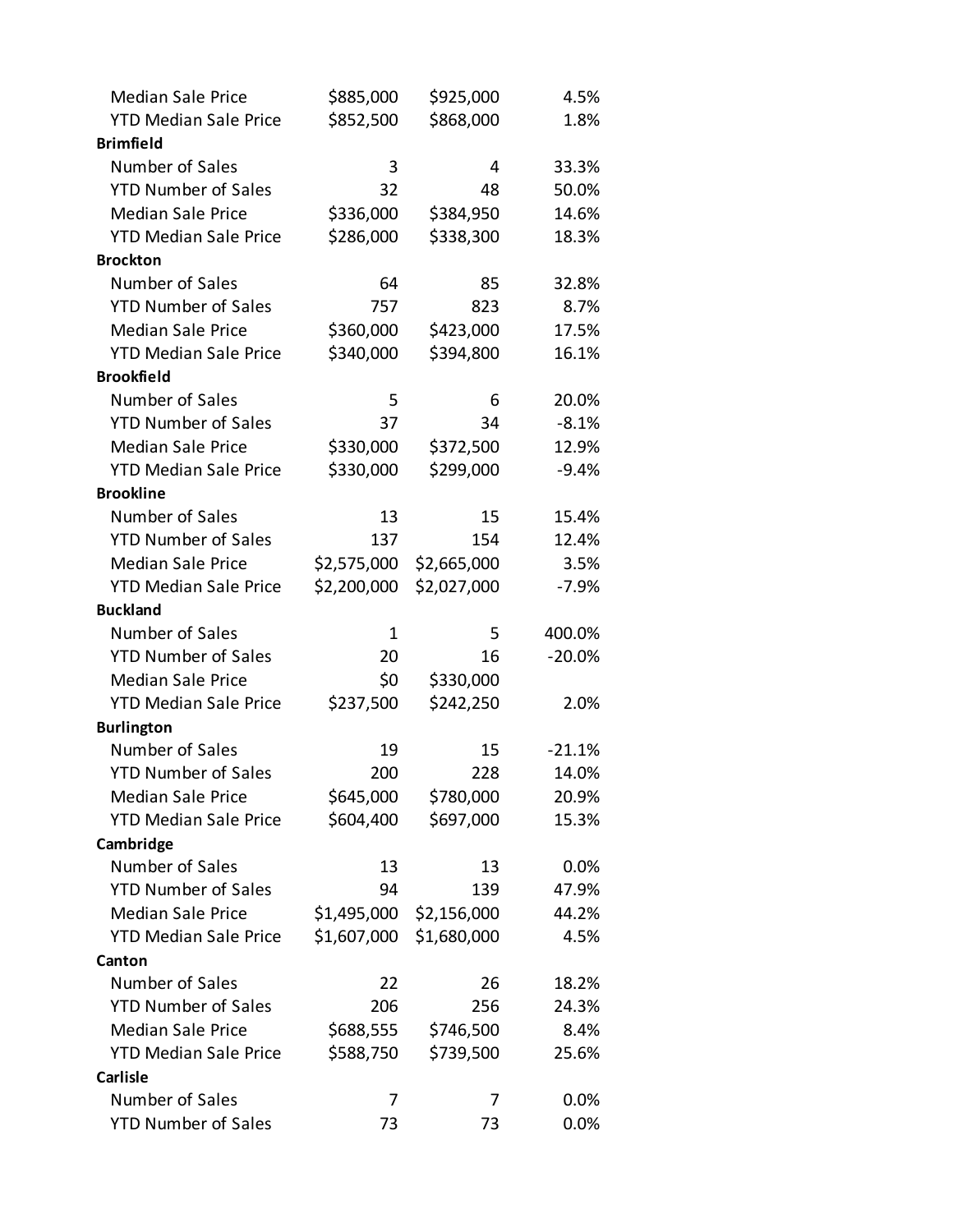| <b>Median Sale Price</b>             | \$885,000              | \$925,000              | 4.5%     |
|--------------------------------------|------------------------|------------------------|----------|
| <b>YTD Median Sale Price</b>         | \$852,500              | \$868,000              | 1.8%     |
| <b>Brimfield</b>                     |                        |                        |          |
| Number of Sales                      | 3                      | 4                      | 33.3%    |
| <b>YTD Number of Sales</b>           | 32                     | 48                     | 50.0%    |
| <b>Median Sale Price</b>             | \$336,000              | \$384,950              | 14.6%    |
| <b>YTD Median Sale Price</b>         | \$286,000              | \$338,300              | 18.3%    |
| <b>Brockton</b>                      |                        |                        |          |
| Number of Sales                      | 64                     | 85                     | 32.8%    |
| <b>YTD Number of Sales</b>           | 757                    | 823                    | 8.7%     |
| <b>Median Sale Price</b>             | \$360,000              | \$423,000              | 17.5%    |
| <b>YTD Median Sale Price</b>         | \$340,000              | \$394,800              | 16.1%    |
| <b>Brookfield</b>                    |                        |                        |          |
| Number of Sales                      | 5                      | 6                      | 20.0%    |
| <b>YTD Number of Sales</b>           | 37                     | 34                     | $-8.1%$  |
| <b>Median Sale Price</b>             | \$330,000              | \$372,500              | 12.9%    |
| <b>YTD Median Sale Price</b>         | \$330,000              | \$299,000              | $-9.4%$  |
| <b>Brookline</b>                     |                        |                        |          |
| Number of Sales                      | 13                     | 15                     | 15.4%    |
| <b>YTD Number of Sales</b>           | 137                    | 154                    | 12.4%    |
| <b>Median Sale Price</b>             | \$2,575,000            | \$2,665,000            | 3.5%     |
| <b>YTD Median Sale Price</b>         | \$2,200,000            | \$2,027,000            | $-7.9%$  |
|                                      |                        |                        |          |
| <b>Buckland</b>                      |                        |                        |          |
| Number of Sales                      | $\mathbf 1$            | 5                      | 400.0%   |
| <b>YTD Number of Sales</b>           | 20                     | 16                     | $-20.0%$ |
| <b>Median Sale Price</b>             | \$0                    |                        |          |
| <b>YTD Median Sale Price</b>         |                        | \$330,000              | 2.0%     |
|                                      | \$237,500              | \$242,250              |          |
| <b>Burlington</b><br>Number of Sales | 19                     | 15                     | $-21.1%$ |
| <b>YTD Number of Sales</b>           | 200                    | 228                    | 14.0%    |
| <b>Median Sale Price</b>             |                        |                        | 20.9%    |
| <b>YTD Median Sale Price</b>         | \$645,000<br>\$604,400 | \$780,000<br>\$697,000 | 15.3%    |
| Cambridge                            |                        |                        |          |
| Number of Sales                      | 13                     | 13                     | 0.0%     |
| <b>YTD Number of Sales</b>           | 94                     | 139                    | 47.9%    |
| <b>Median Sale Price</b>             | \$1,495,000            | \$2,156,000            | 44.2%    |
| <b>YTD Median Sale Price</b>         | \$1,607,000            | \$1,680,000            | 4.5%     |
| Canton                               |                        |                        |          |
| Number of Sales                      | 22                     | 26                     | 18.2%    |
| <b>YTD Number of Sales</b>           | 206                    | 256                    | 24.3%    |
| <b>Median Sale Price</b>             | \$688,555              | \$746,500              | 8.4%     |
| <b>YTD Median Sale Price</b>         | \$588,750              | \$739,500              | 25.6%    |
| <b>Carlisle</b>                      |                        |                        |          |
| Number of Sales                      | 7                      | 7                      | 0.0%     |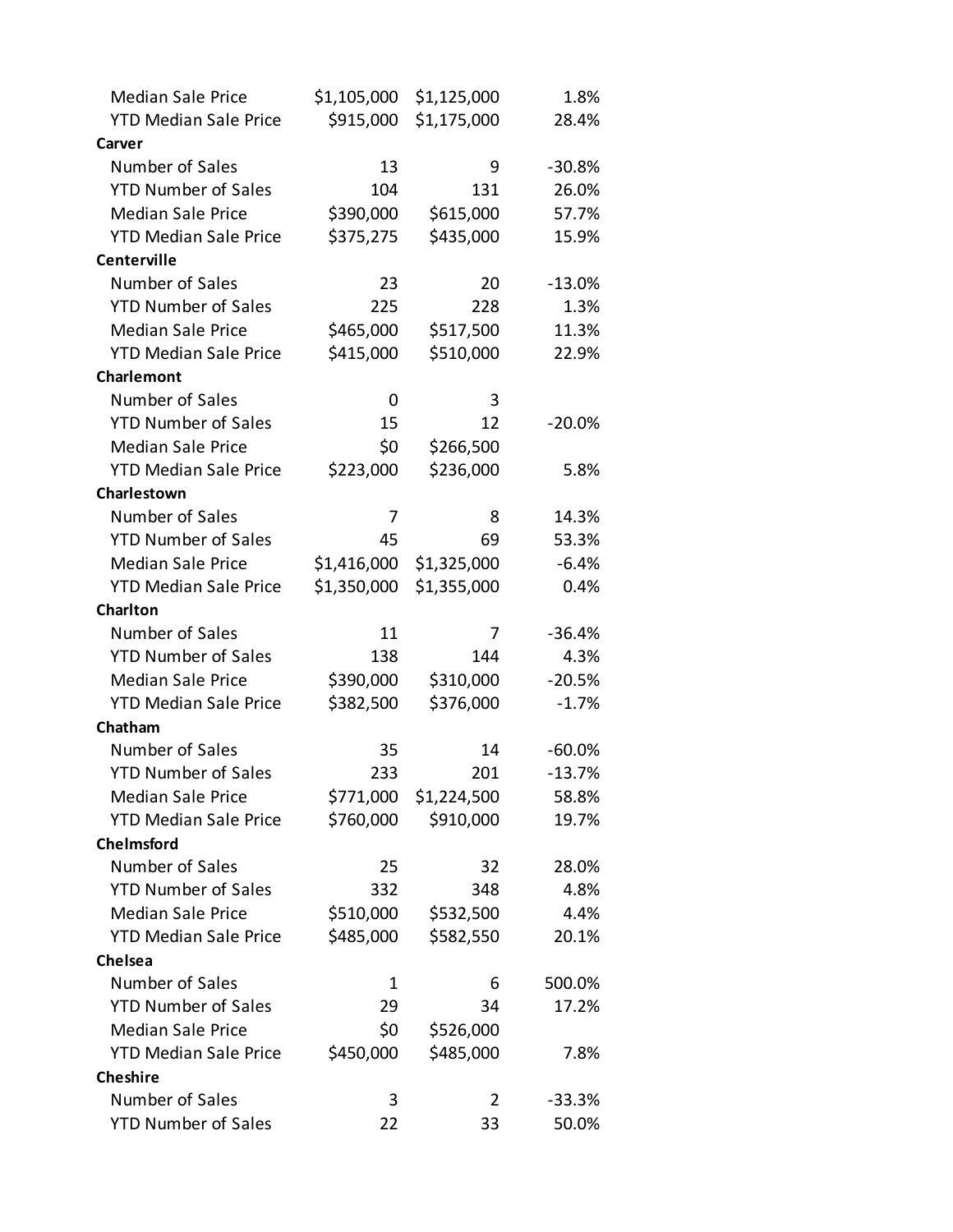| <b>Median Sale Price</b>     | \$1,105,000 | \$1,125,000 | 1.8%     |
|------------------------------|-------------|-------------|----------|
| <b>YTD Median Sale Price</b> | \$915,000   | \$1,175,000 | 28.4%    |
| Carver                       |             |             |          |
| Number of Sales              | 13          | 9           | $-30.8%$ |
| <b>YTD Number of Sales</b>   | 104         | 131         | 26.0%    |
| <b>Median Sale Price</b>     | \$390,000   | \$615,000   | 57.7%    |
| <b>YTD Median Sale Price</b> | \$375,275   | \$435,000   | 15.9%    |
| <b>Centerville</b>           |             |             |          |
| Number of Sales              | 23          | 20          | $-13.0%$ |
| <b>YTD Number of Sales</b>   | 225         | 228         | 1.3%     |
| <b>Median Sale Price</b>     | \$465,000   | \$517,500   | 11.3%    |
| <b>YTD Median Sale Price</b> | \$415,000   | \$510,000   | 22.9%    |
| Charlemont                   |             |             |          |
| Number of Sales              | 0           | 3           |          |
| <b>YTD Number of Sales</b>   | 15          | 12          | $-20.0%$ |
| <b>Median Sale Price</b>     | \$0         | \$266,500   |          |
| <b>YTD Median Sale Price</b> | \$223,000   | \$236,000   | 5.8%     |
| Charlestown                  |             |             |          |
| Number of Sales              | 7           | 8           | 14.3%    |
| <b>YTD Number of Sales</b>   | 45          | 69          | 53.3%    |
| <b>Median Sale Price</b>     | \$1,416,000 | \$1,325,000 | $-6.4%$  |
| <b>YTD Median Sale Price</b> | \$1,350,000 | \$1,355,000 | 0.4%     |
| <b>Charlton</b>              |             |             |          |
| Number of Sales              | 11          | 7           | $-36.4%$ |
| <b>YTD Number of Sales</b>   | 138         | 144         | 4.3%     |
| <b>Median Sale Price</b>     | \$390,000   | \$310,000   | $-20.5%$ |
| <b>YTD Median Sale Price</b> | \$382,500   | \$376,000   | $-1.7%$  |
| Chatham                      |             |             |          |
| Number of Sales              | 35          | 14          | $-60.0%$ |
| <b>YTD Number of Sales</b>   | 233         | 201         | $-13.7%$ |
| <b>Median Sale Price</b>     | \$771,000   | \$1,224,500 | 58.8%    |
| <b>YTD Median Sale Price</b> | \$760,000   | \$910,000   | 19.7%    |
| <b>Chelmsford</b>            |             |             |          |
| Number of Sales              | 25          | 32          | 28.0%    |
| <b>YTD Number of Sales</b>   | 332         | 348         | 4.8%     |
| <b>Median Sale Price</b>     | \$510,000   | \$532,500   | 4.4%     |
| <b>YTD Median Sale Price</b> | \$485,000   | \$582,550   | 20.1%    |
| Chelsea                      |             |             |          |
| Number of Sales              | 1           | 6           | 500.0%   |
| <b>YTD Number of Sales</b>   | 29          | 34          | 17.2%    |
| <b>Median Sale Price</b>     | \$0         | \$526,000   |          |
| <b>YTD Median Sale Price</b> | \$450,000   | \$485,000   | 7.8%     |
| <b>Cheshire</b>              |             |             |          |
| Number of Sales              |             |             |          |
|                              | 3           | 2           | $-33.3%$ |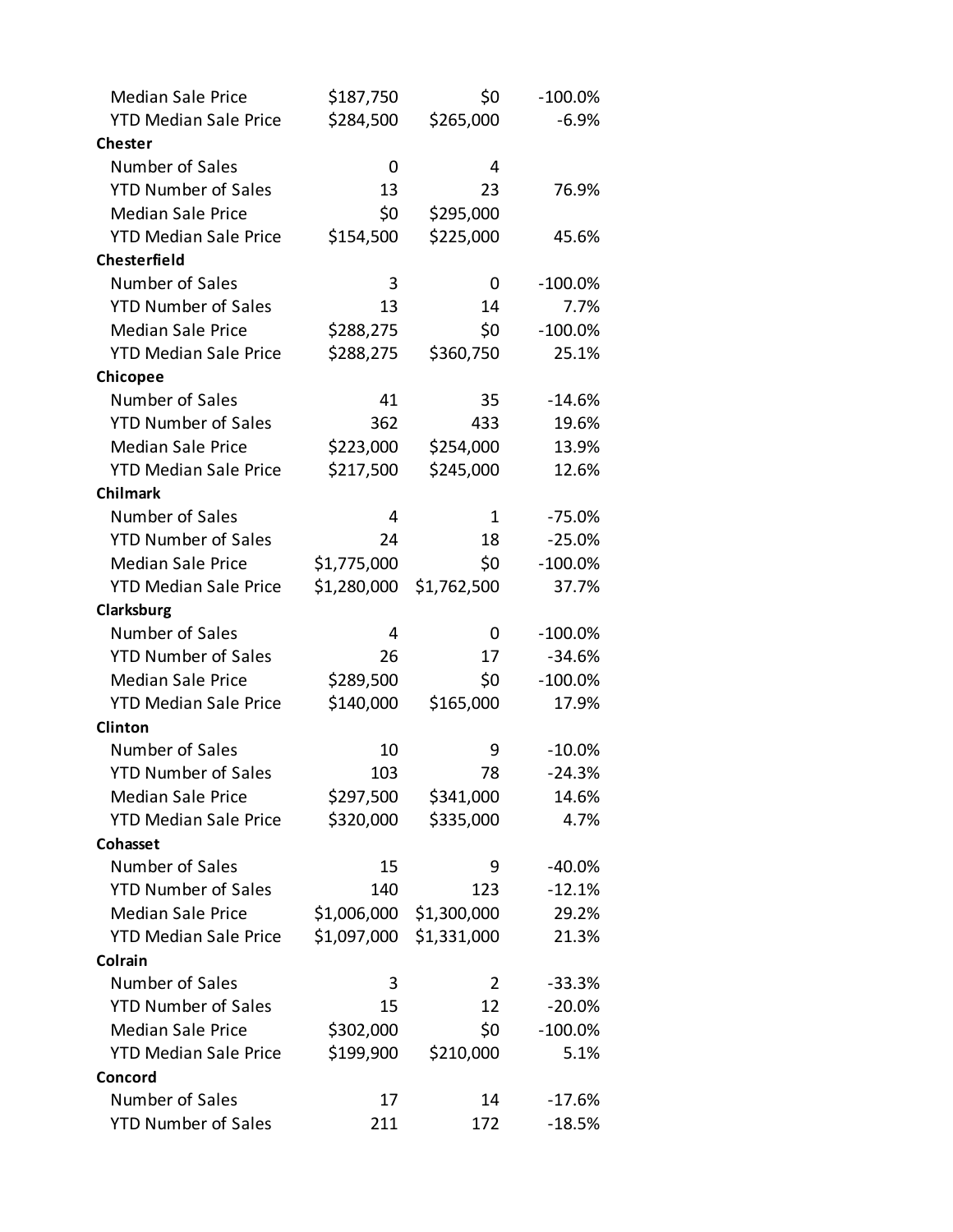| <b>Median Sale Price</b>     | \$187,750   | \$0            | $-100.0%$  |
|------------------------------|-------------|----------------|------------|
| <b>YTD Median Sale Price</b> | \$284,500   | \$265,000      | $-6.9%$    |
| <b>Chester</b>               |             |                |            |
| Number of Sales              | 0           | 4              |            |
| <b>YTD Number of Sales</b>   | 13          | 23             | 76.9%      |
| <b>Median Sale Price</b>     | \$0         | \$295,000      |            |
| <b>YTD Median Sale Price</b> | \$154,500   | \$225,000      | 45.6%      |
| <b>Chesterfield</b>          |             |                |            |
| Number of Sales              | 3           | 0              | -100.0%    |
| <b>YTD Number of Sales</b>   | 13          | 14             | 7.7%       |
| <b>Median Sale Price</b>     | \$288,275   | \$0            | $-100.0\%$ |
| <b>YTD Median Sale Price</b> | \$288,275   | \$360,750      | 25.1%      |
| Chicopee                     |             |                |            |
| Number of Sales              | 41          | 35             | $-14.6%$   |
| <b>YTD Number of Sales</b>   | 362         | 433            | 19.6%      |
| <b>Median Sale Price</b>     | \$223,000   | \$254,000      | 13.9%      |
| <b>YTD Median Sale Price</b> | \$217,500   | \$245,000      | 12.6%      |
| <b>Chilmark</b>              |             |                |            |
| Number of Sales              | 4           | 1              | $-75.0%$   |
| <b>YTD Number of Sales</b>   | 24          | 18             | $-25.0%$   |
| <b>Median Sale Price</b>     | \$1,775,000 | \$0            | $-100.0\%$ |
| <b>YTD Median Sale Price</b> | \$1,280,000 | \$1,762,500    | 37.7%      |
| Clarksburg                   |             |                |            |
| Number of Sales              | 4           | 0              | $-100.0\%$ |
| <b>YTD Number of Sales</b>   | 26          | 17             | $-34.6%$   |
| <b>Median Sale Price</b>     | \$289,500   | \$0            | $-100.0%$  |
| <b>YTD Median Sale Price</b> | \$140,000   | \$165,000      | 17.9%      |
| Clinton                      |             |                |            |
| Number of Sales              | 10          | 9              | $-10.0%$   |
| <b>YTD Number of Sales</b>   | 103         | 78             | $-24.3%$   |
| <b>Median Sale Price</b>     | \$297,500   | \$341,000      | 14.6%      |
| <b>YTD Median Sale Price</b> | \$320,000   | \$335,000      | 4.7%       |
| Cohasset                     |             |                |            |
| Number of Sales              | 15          | 9              | $-40.0\%$  |
| <b>YTD Number of Sales</b>   | 140         | 123            | $-12.1%$   |
| <b>Median Sale Price</b>     | \$1,006,000 | \$1,300,000    | 29.2%      |
| <b>YTD Median Sale Price</b> | \$1,097,000 | \$1,331,000    | 21.3%      |
| Colrain                      |             |                |            |
| Number of Sales              | 3           | $\overline{2}$ | $-33.3%$   |
| <b>YTD Number of Sales</b>   | 15          | 12             | $-20.0%$   |
| <b>Median Sale Price</b>     | \$302,000   | \$0            | $-100.0\%$ |
| <b>YTD Median Sale Price</b> | \$199,900   | \$210,000      | 5.1%       |
| Concord                      |             |                |            |
| Number of Sales              | 17          | 14             | $-17.6%$   |
| <b>YTD Number of Sales</b>   | 211         | 172            | $-18.5%$   |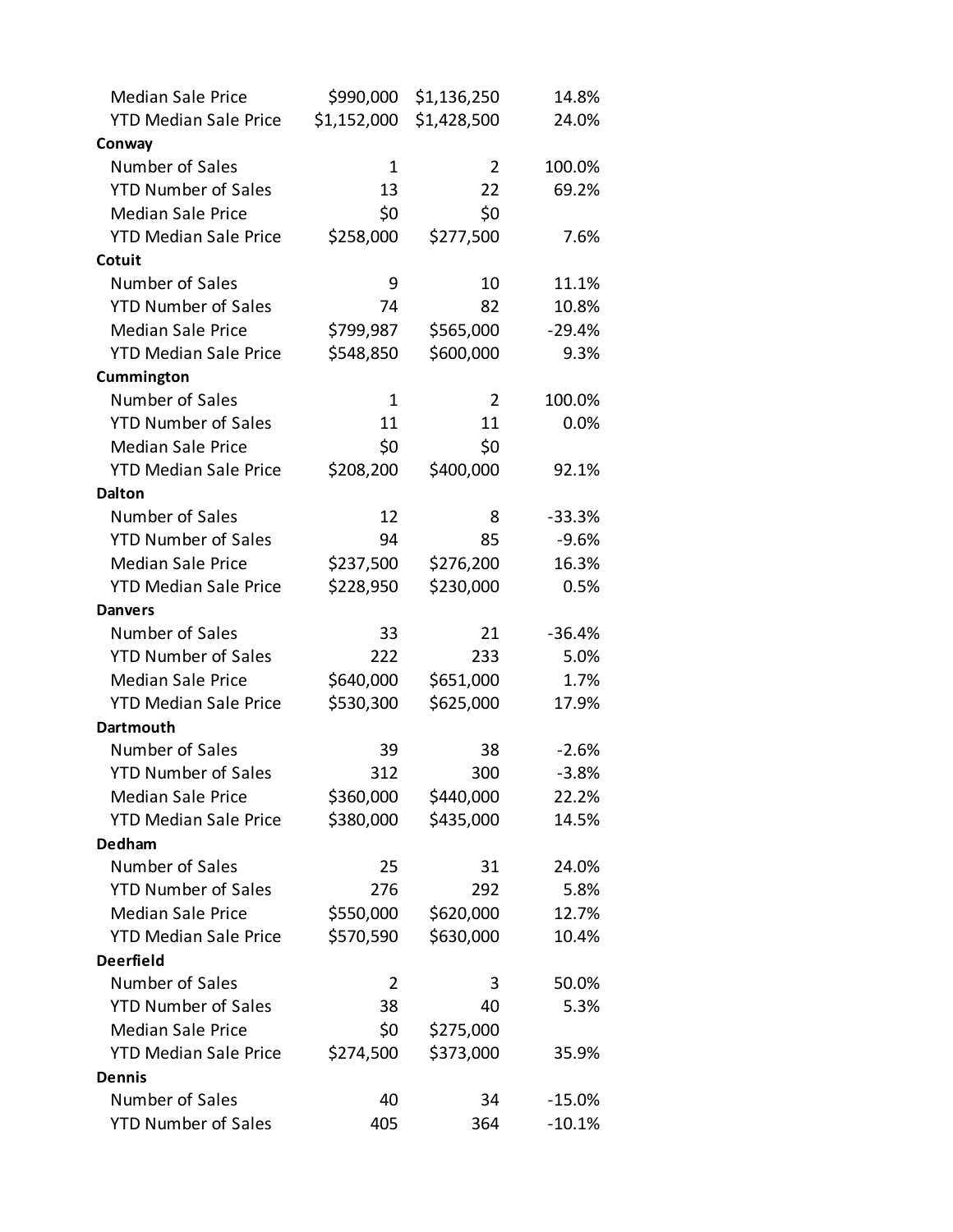| <b>Median Sale Price</b>     | \$990,000   | \$1,136,250    | 14.8%    |
|------------------------------|-------------|----------------|----------|
| <b>YTD Median Sale Price</b> | \$1,152,000 | \$1,428,500    | 24.0%    |
| Conway                       |             |                |          |
| Number of Sales              | 1           | $\overline{2}$ | 100.0%   |
| <b>YTD Number of Sales</b>   | 13          | 22             | 69.2%    |
| <b>Median Sale Price</b>     | \$0         | \$0            |          |
| <b>YTD Median Sale Price</b> | \$258,000   | \$277,500      | 7.6%     |
| Cotuit                       |             |                |          |
| Number of Sales              | 9           | 10             | 11.1%    |
| <b>YTD Number of Sales</b>   | 74          | 82             | 10.8%    |
| <b>Median Sale Price</b>     | \$799,987   | \$565,000      | $-29.4%$ |
| <b>YTD Median Sale Price</b> | \$548,850   | \$600,000      | 9.3%     |
| Cummington                   |             |                |          |
| Number of Sales              | 1           | 2              | 100.0%   |
| <b>YTD Number of Sales</b>   | 11          | 11             | 0.0%     |
| <b>Median Sale Price</b>     | \$0         | \$0            |          |
| <b>YTD Median Sale Price</b> | \$208,200   | \$400,000      | 92.1%    |
| <b>Dalton</b>                |             |                |          |
| Number of Sales              | 12          | 8              | $-33.3%$ |
| <b>YTD Number of Sales</b>   | 94          | 85             | $-9.6%$  |
| <b>Median Sale Price</b>     | \$237,500   | \$276,200      | 16.3%    |
| <b>YTD Median Sale Price</b> | \$228,950   | \$230,000      | 0.5%     |
| <b>Danvers</b>               |             |                |          |
| Number of Sales              | 33          | 21             | $-36.4%$ |
| <b>YTD Number of Sales</b>   | 222         | 233            | 5.0%     |
| <b>Median Sale Price</b>     | \$640,000   | \$651,000      | 1.7%     |
| <b>YTD Median Sale Price</b> | \$530,300   | \$625,000      | 17.9%    |
| <b>Dartmouth</b>             |             |                |          |
| Number of Sales              | 39          | 38             | $-2.6%$  |
| <b>YTD Number of Sales</b>   | 312         | 300            | $-3.8%$  |
| <b>Median Sale Price</b>     | \$360,000   | \$440,000      | 22.2%    |
| <b>YTD Median Sale Price</b> | \$380,000   | \$435,000      | 14.5%    |
| Dedham                       |             |                |          |
| Number of Sales              | 25          | 31             | 24.0%    |
| <b>YTD Number of Sales</b>   | 276         | 292            | 5.8%     |
| <b>Median Sale Price</b>     | \$550,000   | \$620,000      | 12.7%    |
| <b>YTD Median Sale Price</b> | \$570,590   | \$630,000      | 10.4%    |
| <b>Deerfield</b>             |             |                |          |
| Number of Sales              | 2           | 3              | 50.0%    |
| <b>YTD Number of Sales</b>   | 38          | 40             | 5.3%     |
| <b>Median Sale Price</b>     | \$0         | \$275,000      |          |
| <b>YTD Median Sale Price</b> | \$274,500   | \$373,000      | 35.9%    |
| <b>Dennis</b>                |             |                |          |
| Number of Sales              | 40          | 34             | $-15.0%$ |
| <b>YTD Number of Sales</b>   | 405         | 364            | $-10.1%$ |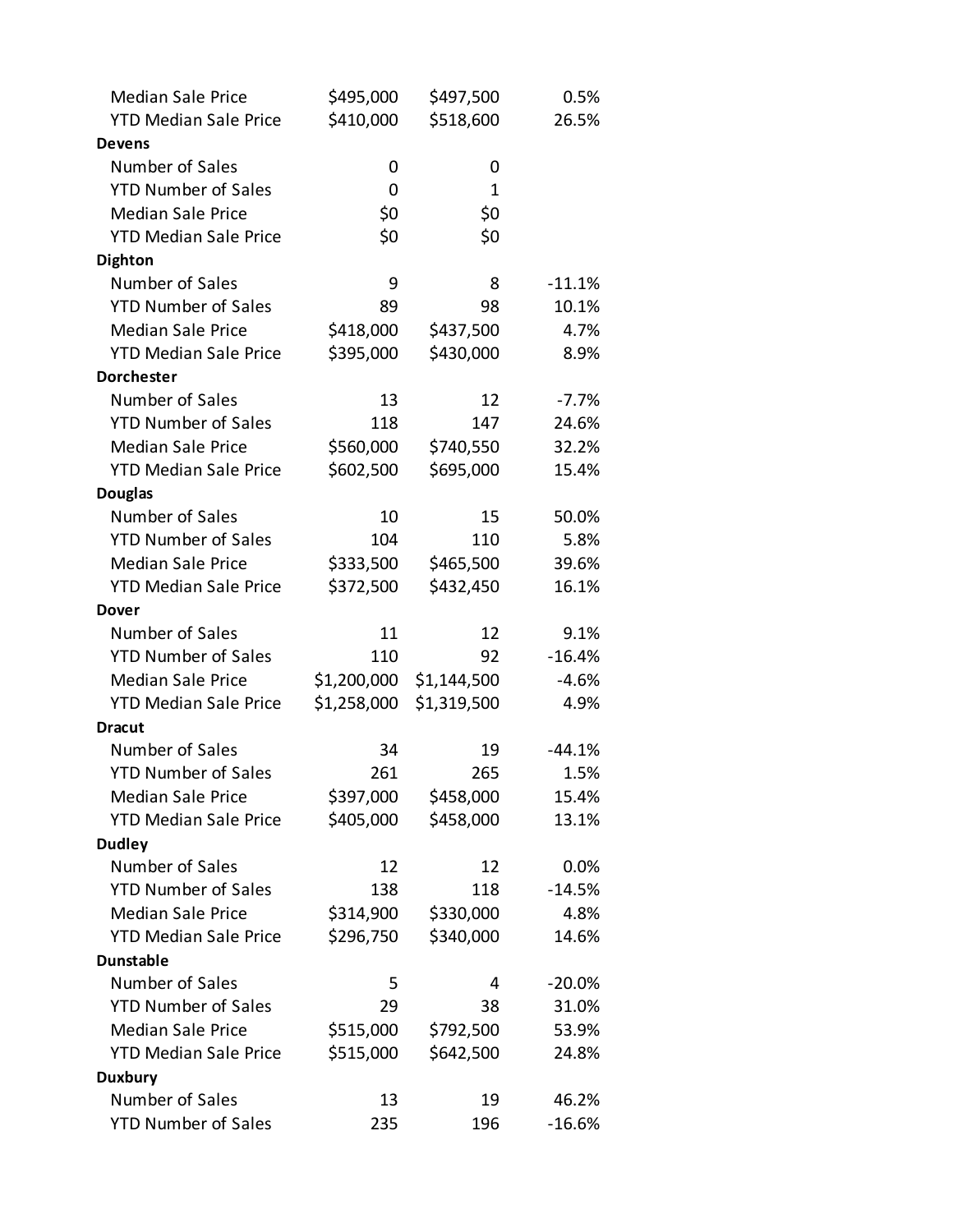| <b>Median Sale Price</b>     | \$495,000   | \$497,500   | 0.5%     |
|------------------------------|-------------|-------------|----------|
| <b>YTD Median Sale Price</b> | \$410,000   | \$518,600   | 26.5%    |
| Devens                       |             |             |          |
| Number of Sales              | 0           | 0           |          |
| <b>YTD Number of Sales</b>   | 0           | 1           |          |
| <b>Median Sale Price</b>     | \$0         | \$0         |          |
| <b>YTD Median Sale Price</b> | \$0         | \$0         |          |
| <b>Dighton</b>               |             |             |          |
| Number of Sales              | 9           | 8           | $-11.1%$ |
| <b>YTD Number of Sales</b>   | 89          | 98          | 10.1%    |
| <b>Median Sale Price</b>     | \$418,000   | \$437,500   | 4.7%     |
| <b>YTD Median Sale Price</b> | \$395,000   | \$430,000   | 8.9%     |
| <b>Dorchester</b>            |             |             |          |
| Number of Sales              | 13          | 12          | $-7.7%$  |
| <b>YTD Number of Sales</b>   | 118         | 147         | 24.6%    |
| <b>Median Sale Price</b>     | \$560,000   | \$740,550   | 32.2%    |
| <b>YTD Median Sale Price</b> | \$602,500   | \$695,000   | 15.4%    |
| <b>Douglas</b>               |             |             |          |
| Number of Sales              | 10          | 15          | 50.0%    |
| <b>YTD Number of Sales</b>   | 104         | 110         | 5.8%     |
| <b>Median Sale Price</b>     | \$333,500   | \$465,500   | 39.6%    |
| <b>YTD Median Sale Price</b> | \$372,500   | \$432,450   | 16.1%    |
| Dover                        |             |             |          |
| Number of Sales              | 11          | 12          | 9.1%     |
| <b>YTD Number of Sales</b>   | 110         | 92          | $-16.4%$ |
| <b>Median Sale Price</b>     | \$1,200,000 | \$1,144,500 | $-4.6%$  |
| <b>YTD Median Sale Price</b> | \$1,258,000 | \$1,319,500 | 4.9%     |
| <b>Dracut</b>                |             |             |          |
| Number of Sales              | 34          | 19          | $-44.1%$ |
| <b>YTD Number of Sales</b>   | 261         | 265         | 1.5%     |
| <b>Median Sale Price</b>     | \$397,000   | \$458,000   | 15.4%    |
| <b>YTD Median Sale Price</b> | \$405,000   | \$458,000   | 13.1%    |
| <b>Dudley</b>                |             |             |          |
| Number of Sales              | 12          | 12          | 0.0%     |
| <b>YTD Number of Sales</b>   | 138         | 118         | $-14.5%$ |
| <b>Median Sale Price</b>     | \$314,900   | \$330,000   | 4.8%     |
| <b>YTD Median Sale Price</b> | \$296,750   | \$340,000   | 14.6%    |
| <b>Dunstable</b>             |             |             |          |
| Number of Sales              | 5           | 4           | $-20.0%$ |
| <b>YTD Number of Sales</b>   | 29          | 38          | 31.0%    |
| <b>Median Sale Price</b>     | \$515,000   | \$792,500   | 53.9%    |
| <b>YTD Median Sale Price</b> | \$515,000   | \$642,500   | 24.8%    |
| <b>Duxbury</b>               |             |             |          |
| Number of Sales              | 13          | 19          | 46.2%    |
| <b>YTD Number of Sales</b>   | 235         | 196         | $-16.6%$ |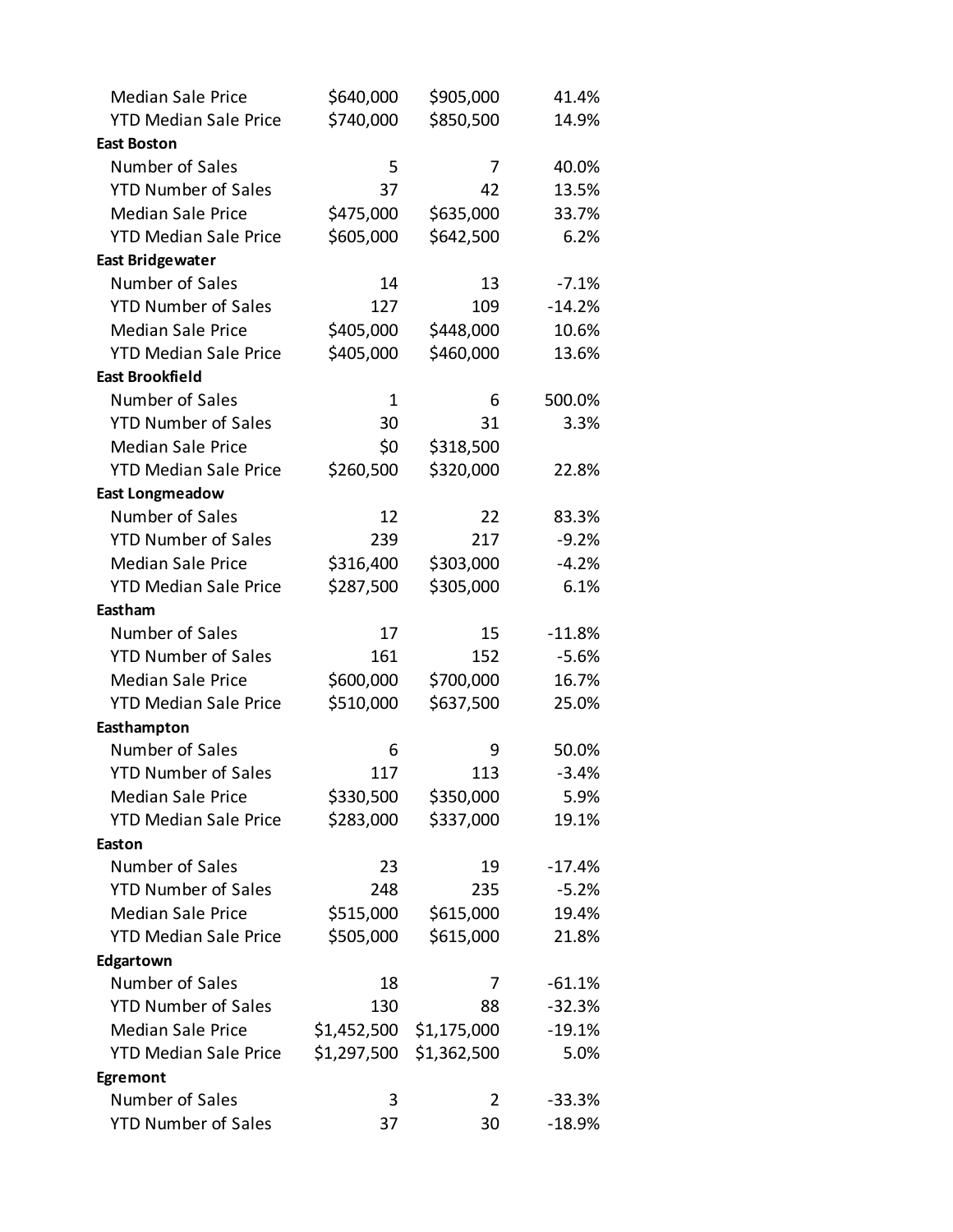| <b>Median Sale Price</b>     | \$640,000   | \$905,000   | 41.4%    |
|------------------------------|-------------|-------------|----------|
| <b>YTD Median Sale Price</b> | \$740,000   | \$850,500   | 14.9%    |
| <b>East Boston</b>           |             |             |          |
| Number of Sales              | 5           | 7           | 40.0%    |
| <b>YTD Number of Sales</b>   | 37          | 42          | 13.5%    |
| <b>Median Sale Price</b>     | \$475,000   | \$635,000   | 33.7%    |
| <b>YTD Median Sale Price</b> | \$605,000   | \$642,500   | 6.2%     |
| <b>East Bridgewater</b>      |             |             |          |
| Number of Sales              | 14          | 13          | $-7.1%$  |
| <b>YTD Number of Sales</b>   | 127         | 109         | $-14.2%$ |
| <b>Median Sale Price</b>     | \$405,000   | \$448,000   | 10.6%    |
| <b>YTD Median Sale Price</b> | \$405,000   | \$460,000   | 13.6%    |
| <b>East Brookfield</b>       |             |             |          |
| Number of Sales              | 1           | 6           | 500.0%   |
| <b>YTD Number of Sales</b>   | 30          | 31          | 3.3%     |
| <b>Median Sale Price</b>     | \$0         | \$318,500   |          |
| <b>YTD Median Sale Price</b> | \$260,500   | \$320,000   | 22.8%    |
| <b>East Longmeadow</b>       |             |             |          |
| Number of Sales              | 12          | 22          | 83.3%    |
| <b>YTD Number of Sales</b>   | 239         | 217         | $-9.2%$  |
| <b>Median Sale Price</b>     | \$316,400   | \$303,000   | $-4.2%$  |
| <b>YTD Median Sale Price</b> | \$287,500   | \$305,000   | 6.1%     |
| Eastham                      |             |             |          |
| Number of Sales              | 17          | 15          | $-11.8%$ |
| <b>YTD Number of Sales</b>   | 161         | 152         | $-5.6%$  |
| <b>Median Sale Price</b>     | \$600,000   | \$700,000   | 16.7%    |
| <b>YTD Median Sale Price</b> | \$510,000   | \$637,500   | 25.0%    |
| Easthampton                  |             |             |          |
| Number of Sales              | 6           | 9           | 50.0%    |
| <b>YTD Number of Sales</b>   | 117         | 113         | $-3.4%$  |
| <b>Median Sale Price</b>     | \$330,500   | \$350,000   | 5.9%     |
| <b>YTD Median Sale Price</b> | \$283,000   | \$337,000   | 19.1%    |
| Easton                       |             |             |          |
| Number of Sales              | 23          | 19          | $-17.4%$ |
| <b>YTD Number of Sales</b>   | 248         | 235         | $-5.2%$  |
| <b>Median Sale Price</b>     | \$515,000   | \$615,000   | 19.4%    |
| <b>YTD Median Sale Price</b> | \$505,000   | \$615,000   | 21.8%    |
| Edgartown                    |             |             |          |
| Number of Sales              | 18          | 7           | $-61.1%$ |
| <b>YTD Number of Sales</b>   | 130         | 88          | $-32.3%$ |
| <b>Median Sale Price</b>     | \$1,452,500 | \$1,175,000 | $-19.1%$ |
| <b>YTD Median Sale Price</b> | \$1,297,500 | \$1,362,500 | 5.0%     |
| Egremont                     |             |             |          |
| Number of Sales              | 3           | 2           | $-33.3%$ |
| <b>YTD Number of Sales</b>   | 37          | 30          | $-18.9%$ |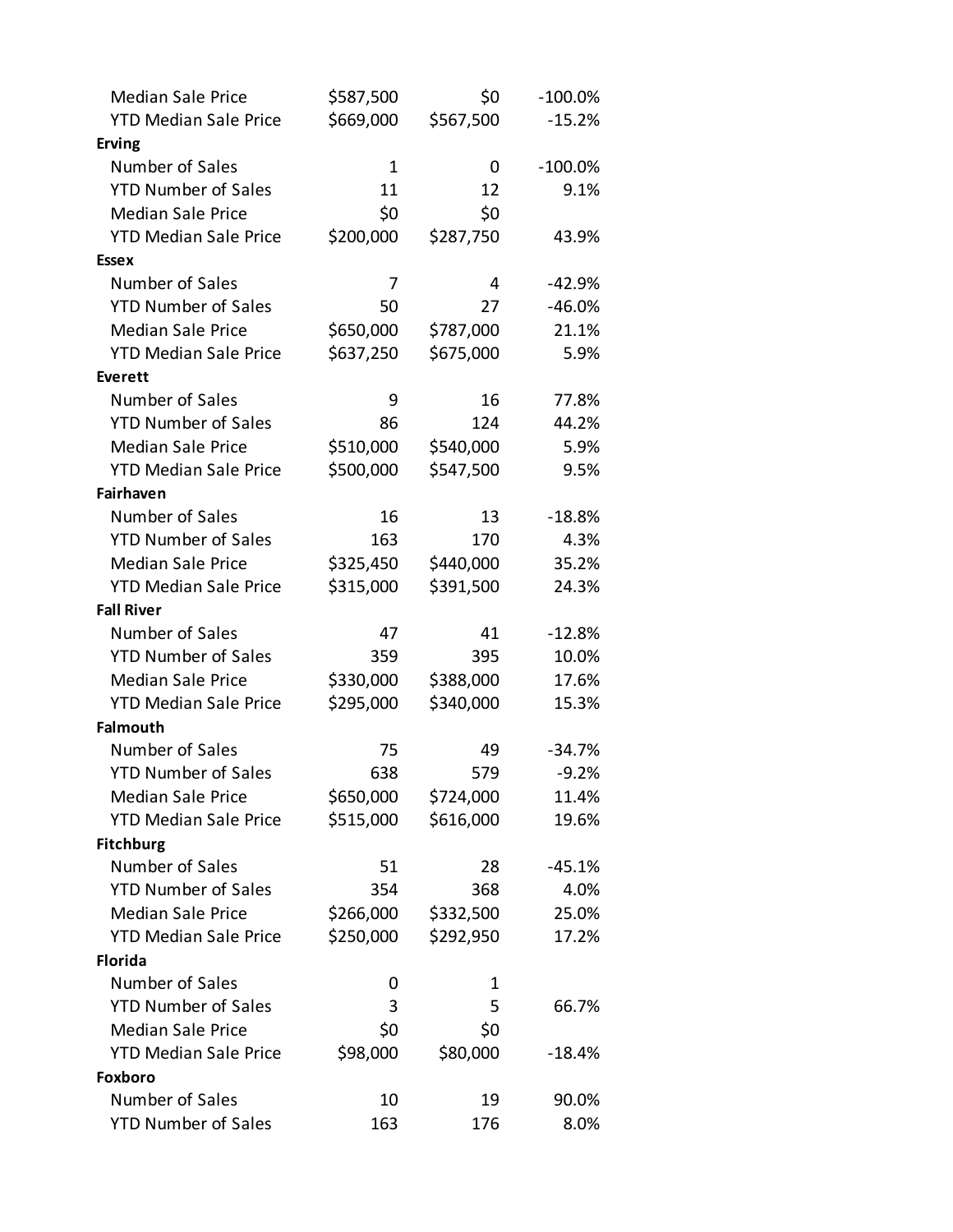| <b>Median Sale Price</b>     | \$587,500   | \$0       | $-100.0\%$ |
|------------------------------|-------------|-----------|------------|
| <b>YTD Median Sale Price</b> | \$669,000   | \$567,500 | $-15.2%$   |
| <b>Erving</b>                |             |           |            |
| Number of Sales              | $\mathbf 1$ | 0         | $-100.0\%$ |
| <b>YTD Number of Sales</b>   | 11          | 12        | 9.1%       |
| <b>Median Sale Price</b>     | \$0         | \$0       |            |
| <b>YTD Median Sale Price</b> | \$200,000   | \$287,750 | 43.9%      |
| <b>Essex</b>                 |             |           |            |
| Number of Sales              | 7           | 4         | $-42.9%$   |
| <b>YTD Number of Sales</b>   | 50          | 27        | $-46.0%$   |
| <b>Median Sale Price</b>     | \$650,000   | \$787,000 | 21.1%      |
| <b>YTD Median Sale Price</b> | \$637,250   | \$675,000 | 5.9%       |
| <b>Everett</b>               |             |           |            |
| Number of Sales              | 9           | 16        | 77.8%      |
| <b>YTD Number of Sales</b>   | 86          | 124       | 44.2%      |
| <b>Median Sale Price</b>     | \$510,000   | \$540,000 | 5.9%       |
| <b>YTD Median Sale Price</b> | \$500,000   | \$547,500 | 9.5%       |
| Fairhaven                    |             |           |            |
| Number of Sales              | 16          | 13        | $-18.8%$   |
| <b>YTD Number of Sales</b>   | 163         | 170       | 4.3%       |
| <b>Median Sale Price</b>     | \$325,450   | \$440,000 | 35.2%      |
| <b>YTD Median Sale Price</b> | \$315,000   | \$391,500 | 24.3%      |
| <b>Fall River</b>            |             |           |            |
| Number of Sales              | 47          | 41        | $-12.8%$   |
| <b>YTD Number of Sales</b>   | 359         | 395       | 10.0%      |
| <b>Median Sale Price</b>     | \$330,000   | \$388,000 | 17.6%      |
| <b>YTD Median Sale Price</b> | \$295,000   | \$340,000 | 15.3%      |
| <b>Falmouth</b>              |             |           |            |
| Number of Sales              | 75          | 49        | $-34.7%$   |
| <b>YTD Number of Sales</b>   | 638         | 579       | $-9.2%$    |
| <b>Median Sale Price</b>     | \$650,000   | \$724,000 | 11.4%      |
| <b>YTD Median Sale Price</b> | \$515,000   | \$616,000 | 19.6%      |
| <b>Fitchburg</b>             |             |           |            |
| Number of Sales              | 51          | 28        | $-45.1%$   |
| <b>YTD Number of Sales</b>   | 354         | 368       | 4.0%       |
| <b>Median Sale Price</b>     | \$266,000   | \$332,500 | 25.0%      |
| <b>YTD Median Sale Price</b> | \$250,000   | \$292,950 | 17.2%      |
| <b>Florida</b>               |             |           |            |
| Number of Sales              | 0           | 1         |            |
| <b>YTD Number of Sales</b>   | 3           | 5         | 66.7%      |
| <b>Median Sale Price</b>     | \$0         | \$0       |            |
| <b>YTD Median Sale Price</b> | \$98,000    | \$80,000  | $-18.4%$   |
| <b>Foxboro</b>               |             |           |            |
| Number of Sales              | 10          | 19        | 90.0%      |
| <b>YTD Number of Sales</b>   | 163         | 176       | 8.0%       |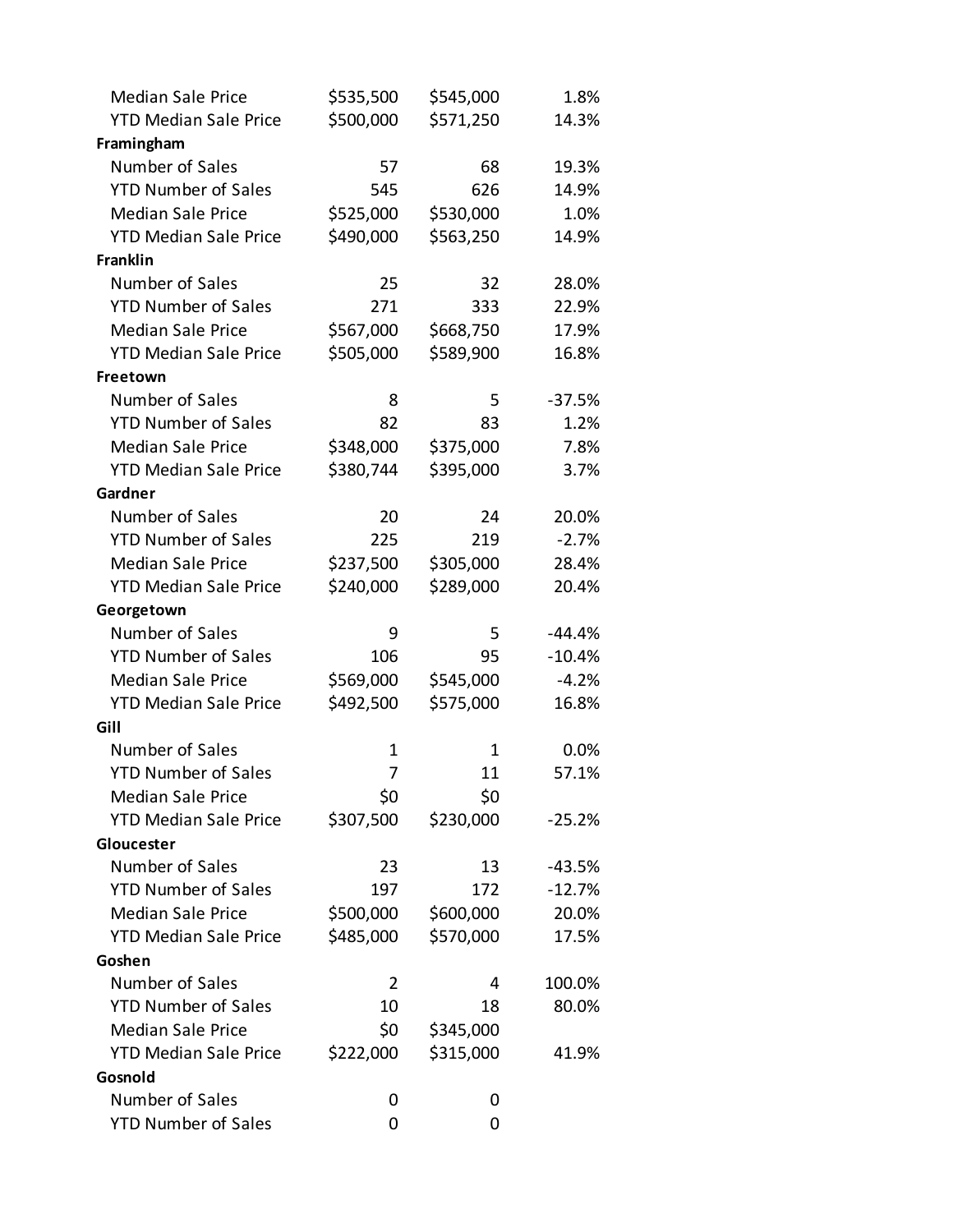| <b>Median Sale Price</b>     | \$535,500 | \$545,000 | 1.8%     |
|------------------------------|-----------|-----------|----------|
| <b>YTD Median Sale Price</b> | \$500,000 | \$571,250 | 14.3%    |
| Framingham                   |           |           |          |
| Number of Sales              | 57        | 68        | 19.3%    |
| <b>YTD Number of Sales</b>   | 545       | 626       | 14.9%    |
| <b>Median Sale Price</b>     | \$525,000 | \$530,000 | 1.0%     |
| <b>YTD Median Sale Price</b> | \$490,000 | \$563,250 | 14.9%    |
| <b>Franklin</b>              |           |           |          |
| Number of Sales              | 25        | 32        | 28.0%    |
| <b>YTD Number of Sales</b>   | 271       | 333       | 22.9%    |
| <b>Median Sale Price</b>     | \$567,000 | \$668,750 | 17.9%    |
| <b>YTD Median Sale Price</b> | \$505,000 | \$589,900 | 16.8%    |
| Freetown                     |           |           |          |
| Number of Sales              | 8         | 5         | $-37.5%$ |
| <b>YTD Number of Sales</b>   | 82        | 83        | 1.2%     |
| <b>Median Sale Price</b>     | \$348,000 | \$375,000 | 7.8%     |
| <b>YTD Median Sale Price</b> | \$380,744 | \$395,000 | 3.7%     |
| Gardner                      |           |           |          |
| Number of Sales              | 20        | 24        | 20.0%    |
| <b>YTD Number of Sales</b>   | 225       | 219       | $-2.7%$  |
| <b>Median Sale Price</b>     | \$237,500 | \$305,000 | 28.4%    |
| <b>YTD Median Sale Price</b> | \$240,000 | \$289,000 | 20.4%    |
| Georgetown                   |           |           |          |
| Number of Sales              | 9         | 5         | $-44.4%$ |
| <b>YTD Number of Sales</b>   | 106       | 95        | $-10.4%$ |
| <b>Median Sale Price</b>     | \$569,000 | \$545,000 | $-4.2%$  |
| <b>YTD Median Sale Price</b> | \$492,500 | \$575,000 | 16.8%    |
| Gill                         |           |           |          |
| Number of Sales              | 1         | 1         | 0.0%     |
| <b>YTD Number of Sales</b>   | 7         | 11        | 57.1%    |
| <b>Median Sale Price</b>     | \$0       | \$0       |          |
| <b>YTD Median Sale Price</b> | \$307,500 | \$230,000 | $-25.2%$ |
| Gloucester                   |           |           |          |
| Number of Sales              | 23        | 13        | $-43.5%$ |
| <b>YTD Number of Sales</b>   | 197       | 172       | $-12.7%$ |
| <b>Median Sale Price</b>     | \$500,000 | \$600,000 | 20.0%    |
| <b>YTD Median Sale Price</b> | \$485,000 | \$570,000 | 17.5%    |
| Goshen                       |           |           |          |
| Number of Sales              | 2         | 4         | 100.0%   |
| <b>YTD Number of Sales</b>   | 10        | 18        | 80.0%    |
| <b>Median Sale Price</b>     | \$0       | \$345,000 |          |
| <b>YTD Median Sale Price</b> | \$222,000 | \$315,000 | 41.9%    |
| Gosnold                      |           |           |          |
| Number of Sales              | 0         | 0         |          |
| <b>YTD Number of Sales</b>   | 0         | 0         |          |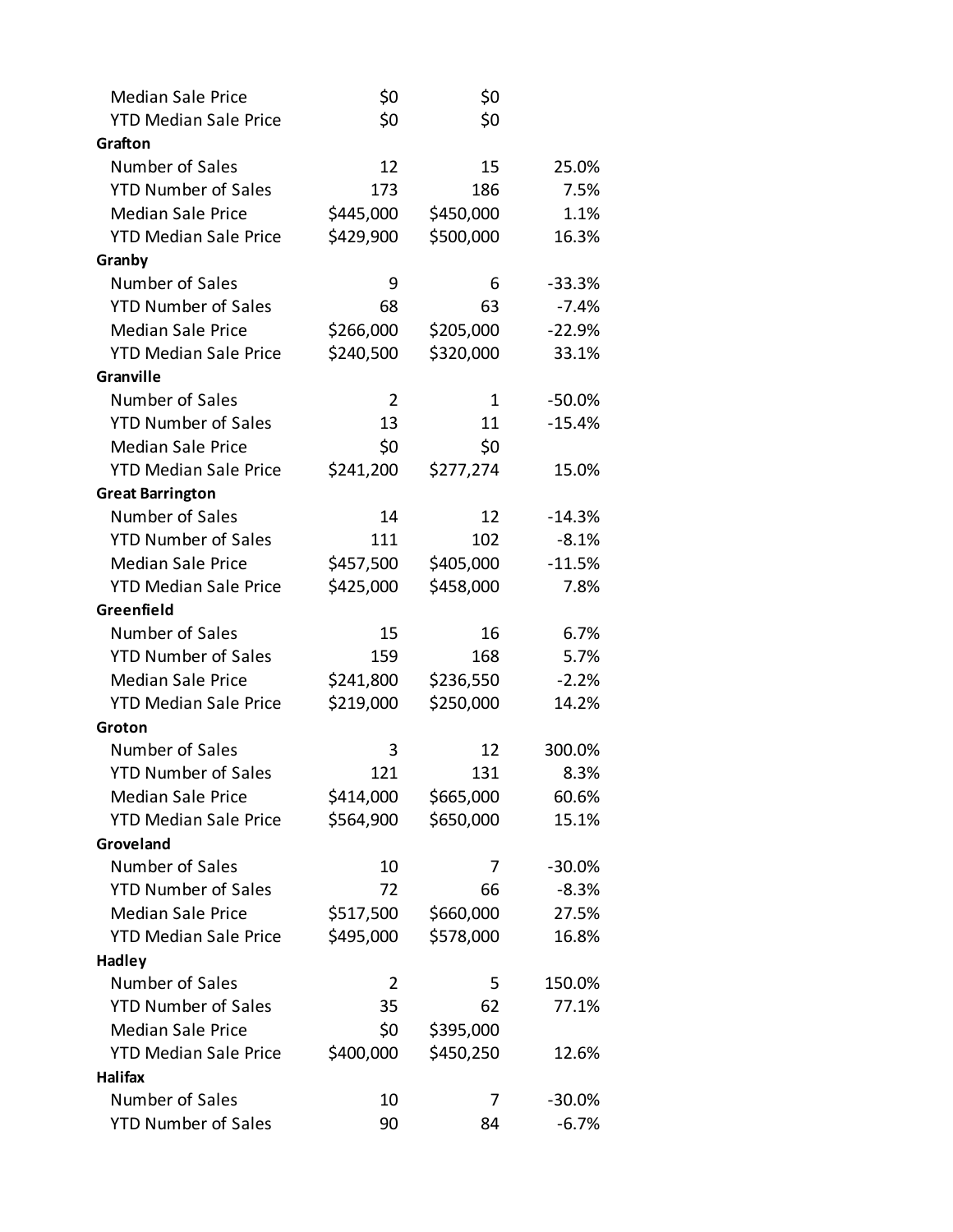| <b>Median Sale Price</b>     | \$0       | \$0       |           |
|------------------------------|-----------|-----------|-----------|
| <b>YTD Median Sale Price</b> | \$0       | \$0       |           |
| Grafton                      |           |           |           |
| Number of Sales              | 12        | 15        | 25.0%     |
| <b>YTD Number of Sales</b>   | 173       | 186       | 7.5%      |
| <b>Median Sale Price</b>     | \$445,000 | \$450,000 | 1.1%      |
| <b>YTD Median Sale Price</b> | \$429,900 | \$500,000 | 16.3%     |
| Granby                       |           |           |           |
| Number of Sales              | 9         | 6         | $-33.3%$  |
| <b>YTD Number of Sales</b>   | 68        | 63        | $-7.4%$   |
| <b>Median Sale Price</b>     | \$266,000 | \$205,000 | $-22.9%$  |
| <b>YTD Median Sale Price</b> | \$240,500 | \$320,000 | 33.1%     |
| Granville                    |           |           |           |
| Number of Sales              | 2         | 1         | $-50.0%$  |
| <b>YTD Number of Sales</b>   | 13        | 11        | $-15.4%$  |
| <b>Median Sale Price</b>     | \$0       | \$0       |           |
| <b>YTD Median Sale Price</b> | \$241,200 | \$277,274 | 15.0%     |
| <b>Great Barrington</b>      |           |           |           |
| Number of Sales              | 14        | 12        | $-14.3%$  |
| <b>YTD Number of Sales</b>   | 111       | 102       | $-8.1%$   |
| <b>Median Sale Price</b>     | \$457,500 | \$405,000 | $-11.5%$  |
| <b>YTD Median Sale Price</b> | \$425,000 | \$458,000 | 7.8%      |
| Greenfield                   |           |           |           |
| Number of Sales              | 15        | 16        | 6.7%      |
| <b>YTD Number of Sales</b>   | 159       | 168       | 5.7%      |
| <b>Median Sale Price</b>     | \$241,800 | \$236,550 | $-2.2%$   |
| <b>YTD Median Sale Price</b> | \$219,000 | \$250,000 | 14.2%     |
| Groton                       |           |           |           |
| Number of Sales              | 3         | 12        | 300.0%    |
| <b>YTD Number of Sales</b>   | 121       | 131       | 8.3%      |
| <b>Median Sale Price</b>     | \$414,000 | \$665,000 | 60.6%     |
| <b>YTD Median Sale Price</b> | \$564,900 | \$650,000 | 15.1%     |
| Groveland                    |           |           |           |
| Number of Sales              | 10        | 7         | $-30.0%$  |
| <b>YTD Number of Sales</b>   | 72        | 66        | $-8.3%$   |
| <b>Median Sale Price</b>     | \$517,500 | \$660,000 | 27.5%     |
| <b>YTD Median Sale Price</b> | \$495,000 | \$578,000 | 16.8%     |
| <b>Hadley</b>                |           |           |           |
| Number of Sales              | 2         | 5         | 150.0%    |
| <b>YTD Number of Sales</b>   | 35        | 62        | 77.1%     |
| <b>Median Sale Price</b>     | \$0       | \$395,000 |           |
| <b>YTD Median Sale Price</b> | \$400,000 | \$450,250 | 12.6%     |
| Halifax                      |           |           |           |
| Number of Sales              | 10        | 7         | $-30.0\%$ |
| <b>YTD Number of Sales</b>   | 90        | 84        | $-6.7%$   |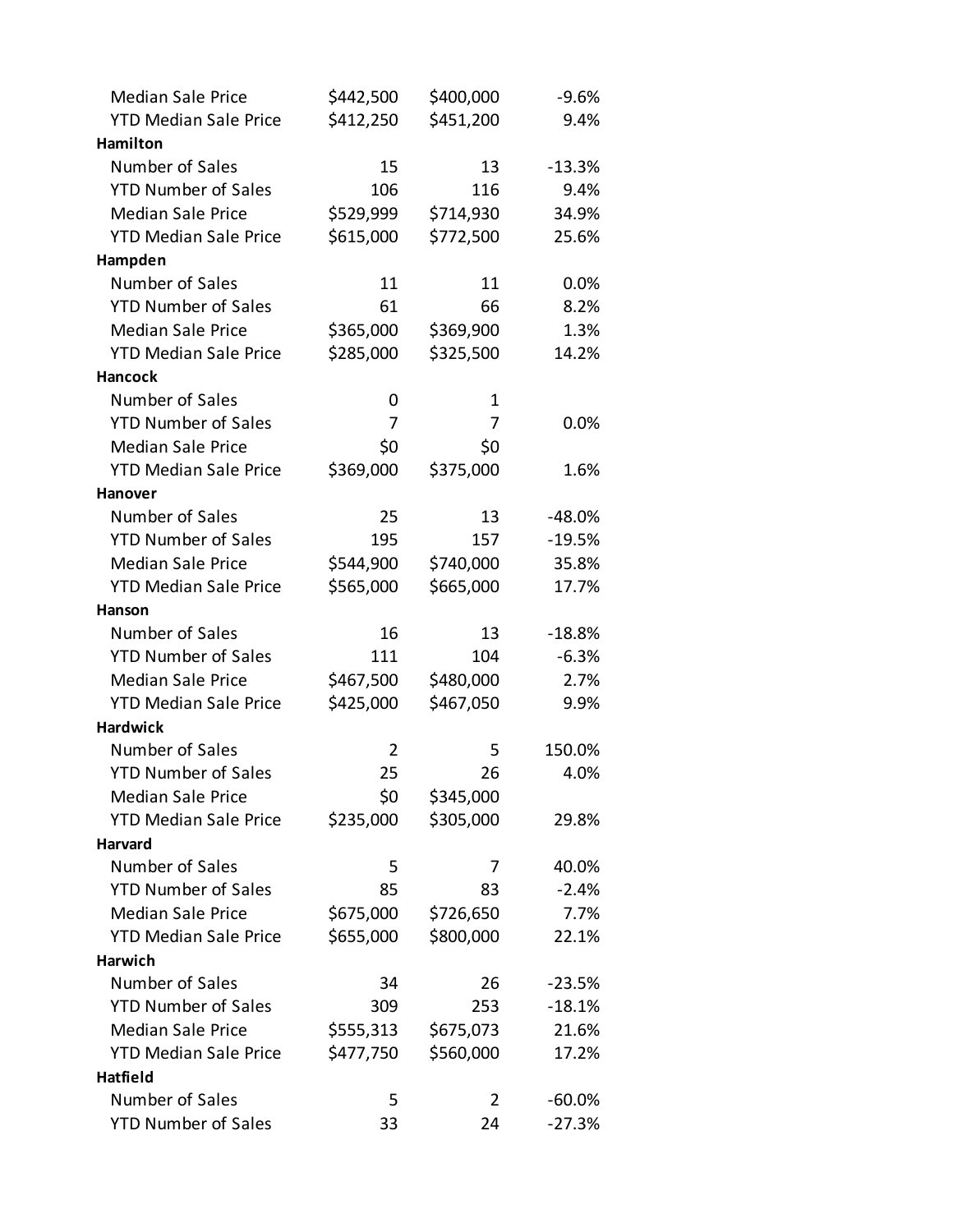| <b>Median Sale Price</b>     | \$442,500 | \$400,000 | $-9.6%$   |
|------------------------------|-----------|-----------|-----------|
| <b>YTD Median Sale Price</b> | \$412,250 | \$451,200 | 9.4%      |
| Hamilton                     |           |           |           |
| Number of Sales              | 15        | 13        | $-13.3%$  |
| <b>YTD Number of Sales</b>   | 106       | 116       | 9.4%      |
| <b>Median Sale Price</b>     | \$529,999 | \$714,930 | 34.9%     |
| <b>YTD Median Sale Price</b> | \$615,000 | \$772,500 | 25.6%     |
| Hampden                      |           |           |           |
| Number of Sales              | 11        | 11        | 0.0%      |
| <b>YTD Number of Sales</b>   | 61        | 66        | 8.2%      |
| <b>Median Sale Price</b>     | \$365,000 | \$369,900 | 1.3%      |
| <b>YTD Median Sale Price</b> | \$285,000 | \$325,500 | 14.2%     |
| <b>Hancock</b>               |           |           |           |
| Number of Sales              | 0         | 1         |           |
| <b>YTD Number of Sales</b>   | 7         | 7         | 0.0%      |
| <b>Median Sale Price</b>     | \$0       | \$0       |           |
| <b>YTD Median Sale Price</b> | \$369,000 | \$375,000 | 1.6%      |
| <b>Hanover</b>               |           |           |           |
| Number of Sales              | 25        | 13        | $-48.0%$  |
| <b>YTD Number of Sales</b>   | 195       | 157       | $-19.5%$  |
| <b>Median Sale Price</b>     | \$544,900 | \$740,000 | 35.8%     |
| <b>YTD Median Sale Price</b> | \$565,000 | \$665,000 | 17.7%     |
| Hanson                       |           |           |           |
| Number of Sales              | 16        | 13        | $-18.8%$  |
| <b>YTD Number of Sales</b>   | 111       | 104       | $-6.3%$   |
| <b>Median Sale Price</b>     | \$467,500 | \$480,000 | 2.7%      |
| <b>YTD Median Sale Price</b> | \$425,000 | \$467,050 | 9.9%      |
| <b>Hardwick</b>              |           |           |           |
| Number of Sales              | 2         | 5         | 150.0%    |
| <b>YTD Number of Sales</b>   | 25        | 26        | 4.0%      |
| <b>Median Sale Price</b>     | \$0       | \$345,000 |           |
| <b>YTD Median Sale Price</b> | \$235,000 | \$305,000 | 29.8%     |
| <b>Harvard</b>               |           |           |           |
| Number of Sales              | 5         | 7         | 40.0%     |
| <b>YTD Number of Sales</b>   | 85        | 83        | $-2.4%$   |
| <b>Median Sale Price</b>     | \$675,000 | \$726,650 | 7.7%      |
| <b>YTD Median Sale Price</b> | \$655,000 | \$800,000 | 22.1%     |
| <b>Harwich</b>               |           |           |           |
| Number of Sales              | 34        | 26        | $-23.5%$  |
| <b>YTD Number of Sales</b>   | 309       | 253       | $-18.1%$  |
| <b>Median Sale Price</b>     | \$555,313 | \$675,073 | 21.6%     |
| <b>YTD Median Sale Price</b> | \$477,750 | \$560,000 | 17.2%     |
| Hatfield                     |           |           |           |
| Number of Sales              | 5         | 2         | $-60.0\%$ |
| <b>YTD Number of Sales</b>   | 33        | 24        | $-27.3%$  |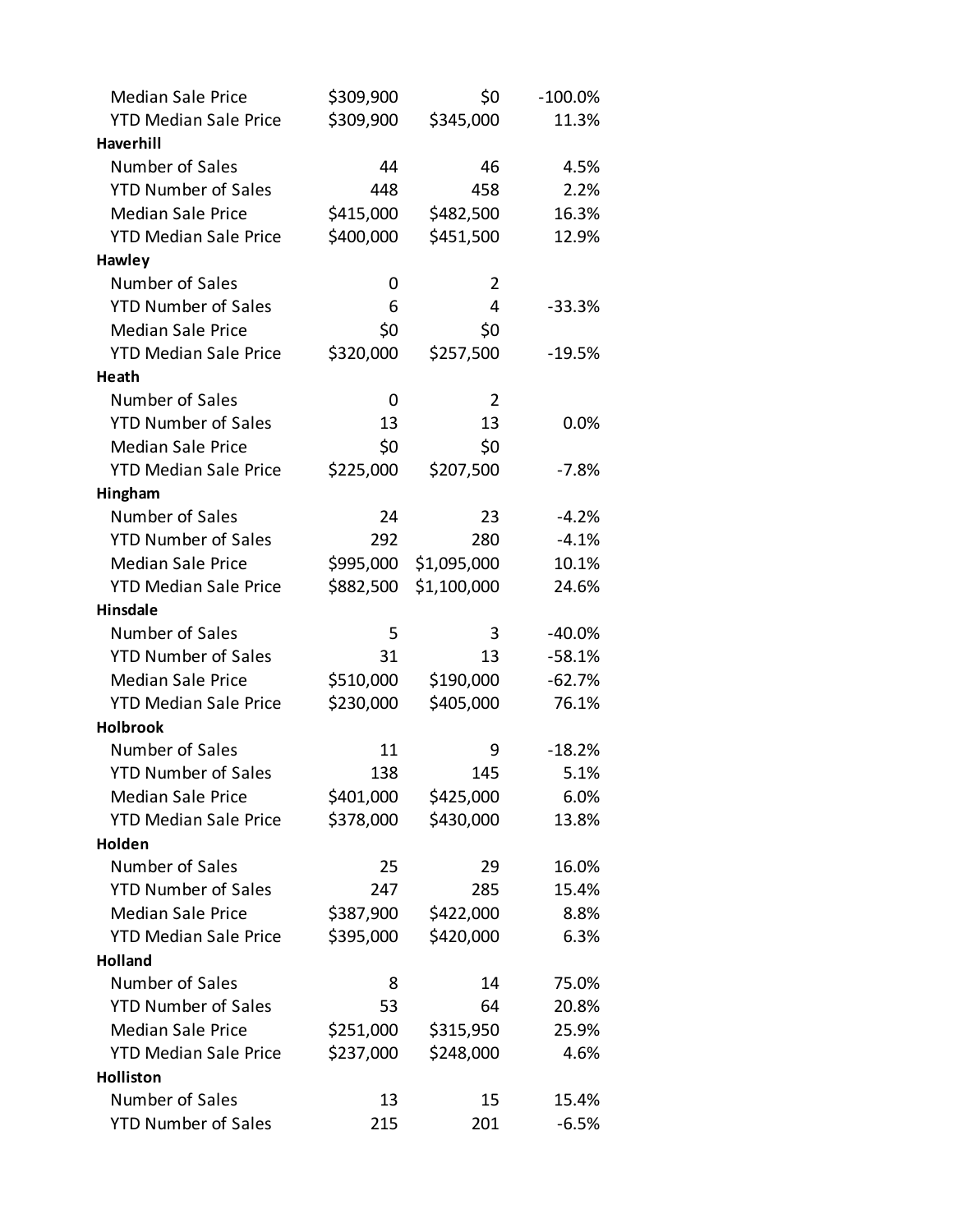| <b>Median Sale Price</b>                      | \$309,900 | \$0            | $-100.0\%$ |
|-----------------------------------------------|-----------|----------------|------------|
| <b>YTD Median Sale Price</b>                  | \$309,900 | \$345,000      | 11.3%      |
| <b>Haverhill</b>                              |           |                |            |
| Number of Sales                               | 44        | 46             | 4.5%       |
| <b>YTD Number of Sales</b>                    | 448       | 458            | 2.2%       |
| <b>Median Sale Price</b>                      | \$415,000 | \$482,500      | 16.3%      |
| <b>YTD Median Sale Price</b>                  | \$400,000 | \$451,500      | 12.9%      |
| Hawley                                        |           |                |            |
| Number of Sales                               | 0         | $\overline{2}$ |            |
| <b>YTD Number of Sales</b>                    | 6         | 4              | $-33.3%$   |
| <b>Median Sale Price</b>                      | \$0       | \$0            |            |
| <b>YTD Median Sale Price</b>                  | \$320,000 | \$257,500      | $-19.5%$   |
| Heath                                         |           |                |            |
| Number of Sales                               | 0         | 2              |            |
| <b>YTD Number of Sales</b>                    | 13        | 13             | 0.0%       |
| <b>Median Sale Price</b>                      | \$0       | \$0            |            |
| <b>YTD Median Sale Price</b>                  | \$225,000 | \$207,500      | -7.8%      |
| Hingham                                       |           |                |            |
| Number of Sales                               | 24        | 23             | $-4.2%$    |
| <b>YTD Number of Sales</b>                    | 292       | 280            | $-4.1%$    |
| <b>Median Sale Price</b>                      | \$995,000 | \$1,095,000    | 10.1%      |
| <b>YTD Median Sale Price</b>                  | \$882,500 | \$1,100,000    | 24.6%      |
| <b>Hinsdale</b>                               |           |                |            |
| Number of Sales                               | 5         | 3              | $-40.0%$   |
| <b>YTD Number of Sales</b>                    | 31        | 13             | $-58.1%$   |
| <b>Median Sale Price</b>                      | \$510,000 | \$190,000      | $-62.7%$   |
| <b>YTD Median Sale Price</b>                  | \$230,000 | \$405,000      | 76.1%      |
| <b>Holbrook</b>                               |           |                |            |
| Number of Sales                               | 11        | 9              | $-18.2%$   |
| <b>YTD Number of Sales</b>                    | 138       | 145            | 5.1%       |
| <b>Median Sale Price</b>                      | \$401,000 | \$425,000      | 6.0%       |
| <b>YTD Median Sale Price</b>                  | \$378,000 | \$430,000      | 13.8%      |
| Holden                                        |           |                |            |
| Number of Sales                               | 25        | 29             | 16.0%      |
| <b>YTD Number of Sales</b>                    |           |                |            |
|                                               | 247       | 285            | 15.4%      |
| <b>Median Sale Price</b>                      | \$387,900 | \$422,000      | 8.8%       |
| <b>YTD Median Sale Price</b>                  | \$395,000 | \$420,000      | 6.3%       |
| <b>Holland</b>                                |           |                |            |
| Number of Sales                               | 8         | 14             | 75.0%      |
| <b>YTD Number of Sales</b>                    | 53        | 64             | 20.8%      |
| <b>Median Sale Price</b>                      | \$251,000 | \$315,950      | 25.9%      |
| <b>YTD Median Sale Price</b>                  | \$237,000 | \$248,000      | 4.6%       |
| <b>Holliston</b>                              |           |                |            |
| Number of Sales<br><b>YTD Number of Sales</b> | 13        | 15             | 15.4%      |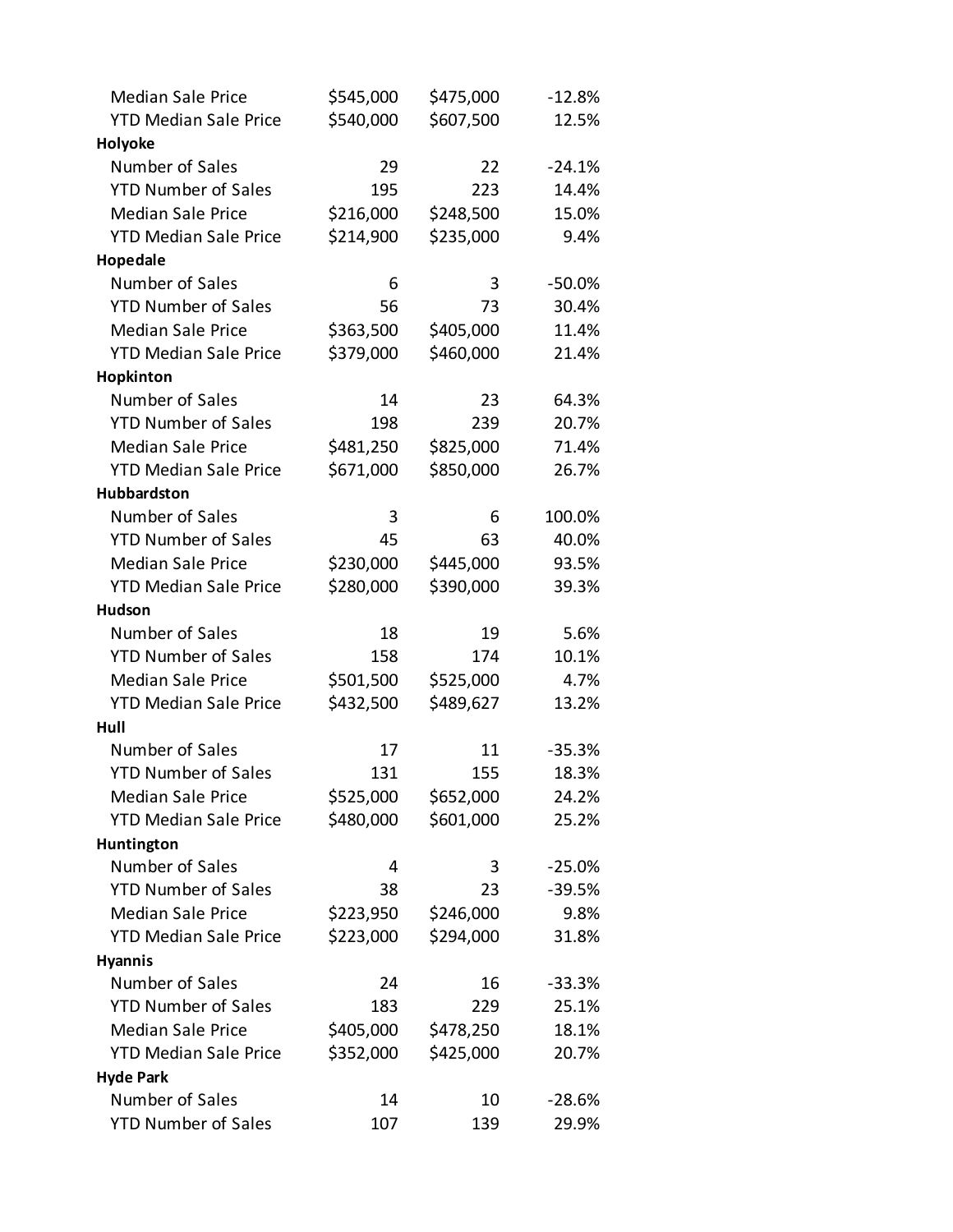| <b>Median Sale Price</b>     | \$545,000 | \$475,000 | $-12.8%$ |
|------------------------------|-----------|-----------|----------|
| <b>YTD Median Sale Price</b> | \$540,000 | \$607,500 | 12.5%    |
| Holyoke                      |           |           |          |
| Number of Sales              | 29        | 22        | $-24.1%$ |
| <b>YTD Number of Sales</b>   | 195       | 223       | 14.4%    |
| <b>Median Sale Price</b>     | \$216,000 | \$248,500 | 15.0%    |
| <b>YTD Median Sale Price</b> | \$214,900 | \$235,000 | 9.4%     |
| Hopedale                     |           |           |          |
| Number of Sales              | 6         | 3         | $-50.0%$ |
| <b>YTD Number of Sales</b>   | 56        | 73        | 30.4%    |
| <b>Median Sale Price</b>     | \$363,500 | \$405,000 | 11.4%    |
| <b>YTD Median Sale Price</b> | \$379,000 | \$460,000 | 21.4%    |
| Hopkinton                    |           |           |          |
| Number of Sales              | 14        | 23        | 64.3%    |
| <b>YTD Number of Sales</b>   | 198       | 239       | 20.7%    |
| <b>Median Sale Price</b>     | \$481,250 | \$825,000 | 71.4%    |
| <b>YTD Median Sale Price</b> | \$671,000 | \$850,000 | 26.7%    |
| <b>Hubbardston</b>           |           |           |          |
| Number of Sales              | 3         | 6         | 100.0%   |
| <b>YTD Number of Sales</b>   | 45        | 63        | 40.0%    |
| <b>Median Sale Price</b>     | \$230,000 | \$445,000 | 93.5%    |
| <b>YTD Median Sale Price</b> | \$280,000 | \$390,000 | 39.3%    |
| <b>Hudson</b>                |           |           |          |
| Number of Sales              | 18        | 19        | 5.6%     |
| <b>YTD Number of Sales</b>   | 158       | 174       | 10.1%    |
| <b>Median Sale Price</b>     | \$501,500 | \$525,000 | 4.7%     |
| <b>YTD Median Sale Price</b> | \$432,500 | \$489,627 | 13.2%    |
| Hull                         |           |           |          |
| Number of Sales              | 17        | 11        | $-35.3%$ |
| <b>YTD Number of Sales</b>   | 131       | 155       | 18.3%    |
| <b>Median Sale Price</b>     | \$525,000 | \$652,000 | 24.2%    |
| <b>YTD Median Sale Price</b> | \$480,000 | \$601,000 | 25.2%    |
| Huntington                   |           |           |          |
| Number of Sales              | 4         | 3         | $-25.0%$ |
| <b>YTD Number of Sales</b>   | 38        | 23        | $-39.5%$ |
| <b>Median Sale Price</b>     | \$223,950 | \$246,000 | 9.8%     |
| <b>YTD Median Sale Price</b> | \$223,000 | \$294,000 | 31.8%    |
| <b>Hyannis</b>               |           |           |          |
| Number of Sales              | 24        | 16        | $-33.3%$ |
| <b>YTD Number of Sales</b>   | 183       | 229       | 25.1%    |
| <b>Median Sale Price</b>     | \$405,000 | \$478,250 | 18.1%    |
| <b>YTD Median Sale Price</b> | \$352,000 | \$425,000 | 20.7%    |
| <b>Hyde Park</b>             |           |           |          |
| Number of Sales              | 14        | 10        | $-28.6%$ |
| <b>YTD Number of Sales</b>   | 107       | 139       | 29.9%    |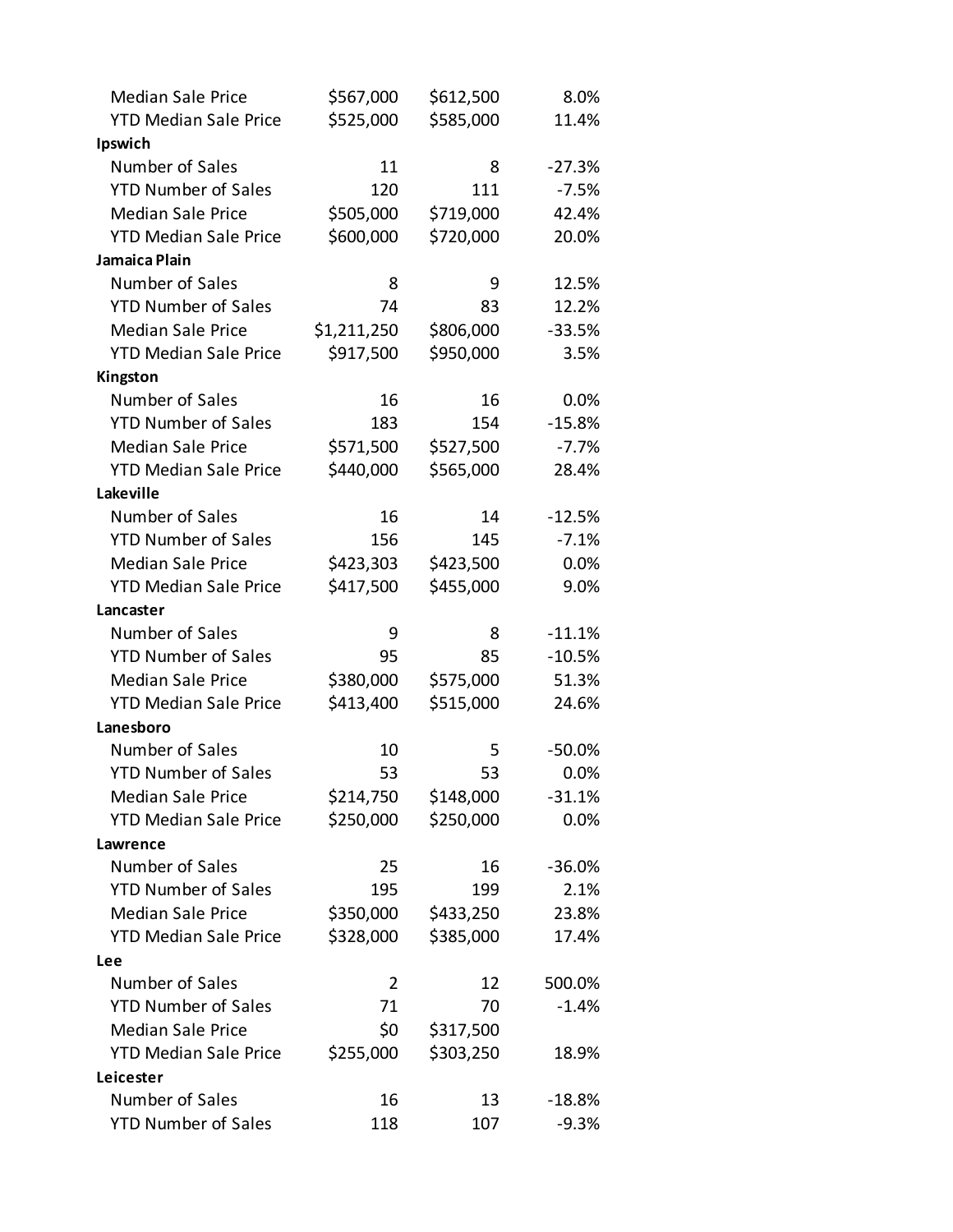| <b>Median Sale Price</b>     | \$567,000   | \$612,500 | 8.0%     |
|------------------------------|-------------|-----------|----------|
| <b>YTD Median Sale Price</b> | \$525,000   | \$585,000 | 11.4%    |
| Ipswich                      |             |           |          |
| Number of Sales              | 11          | 8         | $-27.3%$ |
| <b>YTD Number of Sales</b>   | 120         | 111       | $-7.5%$  |
| <b>Median Sale Price</b>     | \$505,000   | \$719,000 | 42.4%    |
| <b>YTD Median Sale Price</b> | \$600,000   | \$720,000 | 20.0%    |
| Jamaica Plain                |             |           |          |
| Number of Sales              | 8           | 9         | 12.5%    |
| <b>YTD Number of Sales</b>   | 74          | 83        | 12.2%    |
| <b>Median Sale Price</b>     | \$1,211,250 | \$806,000 | $-33.5%$ |
| <b>YTD Median Sale Price</b> | \$917,500   | \$950,000 | 3.5%     |
| Kingston                     |             |           |          |
| Number of Sales              | 16          | 16        | 0.0%     |
| <b>YTD Number of Sales</b>   | 183         | 154       | $-15.8%$ |
| <b>Median Sale Price</b>     | \$571,500   | \$527,500 | $-7.7%$  |
| <b>YTD Median Sale Price</b> | \$440,000   | \$565,000 | 28.4%    |
| Lakeville                    |             |           |          |
| Number of Sales              | 16          | 14        | $-12.5%$ |
| <b>YTD Number of Sales</b>   | 156         | 145       | $-7.1%$  |
| <b>Median Sale Price</b>     | \$423,303   | \$423,500 | 0.0%     |
| <b>YTD Median Sale Price</b> | \$417,500   | \$455,000 | 9.0%     |
| Lancaster                    |             |           |          |
| Number of Sales              | 9           | 8         | $-11.1%$ |
| <b>YTD Number of Sales</b>   | 95          | 85        | $-10.5%$ |
| <b>Median Sale Price</b>     | \$380,000   | \$575,000 | 51.3%    |
| <b>YTD Median Sale Price</b> | \$413,400   | \$515,000 | 24.6%    |
| Lanesboro                    |             |           |          |
| Number of Sales              | 10          | 5         | $-50.0%$ |
| <b>YTD Number of Sales</b>   | 53          | 53        | 0.0%     |
| <b>Median Sale Price</b>     | \$214,750   | \$148,000 | $-31.1%$ |
| <b>YTD Median Sale Price</b> | \$250,000   | \$250,000 | 0.0%     |
| Lawrence                     |             |           |          |
| Number of Sales              | 25          | 16        | $-36.0%$ |
| <b>YTD Number of Sales</b>   | 195         | 199       | 2.1%     |
| <b>Median Sale Price</b>     | \$350,000   | \$433,250 | 23.8%    |
| <b>YTD Median Sale Price</b> | \$328,000   | \$385,000 | 17.4%    |
| Lee                          |             |           |          |
| Number of Sales              | 2           | 12        | 500.0%   |
| <b>YTD Number of Sales</b>   | 71          | 70        | $-1.4%$  |
| <b>Median Sale Price</b>     | \$0         | \$317,500 |          |
| <b>YTD Median Sale Price</b> | \$255,000   | \$303,250 | 18.9%    |
| Leicester                    |             |           |          |
| Number of Sales              | 16          | 13        | $-18.8%$ |
| <b>YTD Number of Sales</b>   | 118         | 107       | $-9.3%$  |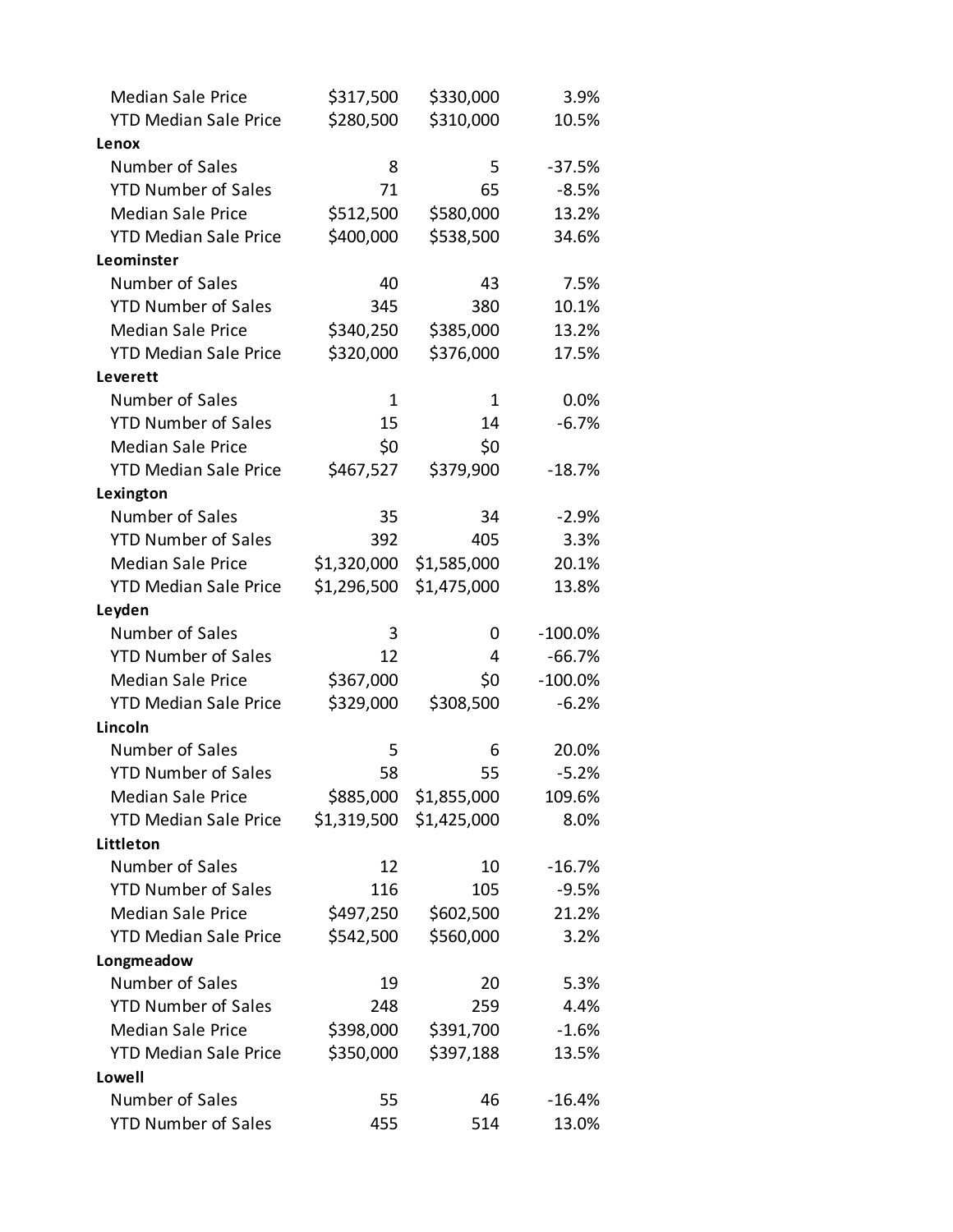| <b>Median Sale Price</b>     | \$317,500   | \$330,000   | 3.9%       |
|------------------------------|-------------|-------------|------------|
| <b>YTD Median Sale Price</b> | \$280,500   | \$310,000   | 10.5%      |
| Lenox                        |             |             |            |
| Number of Sales              | 8           | 5           | $-37.5%$   |
| <b>YTD Number of Sales</b>   | 71          | 65          | $-8.5%$    |
| <b>Median Sale Price</b>     | \$512,500   | \$580,000   | 13.2%      |
| <b>YTD Median Sale Price</b> | \$400,000   | \$538,500   | 34.6%      |
| Leominster                   |             |             |            |
| Number of Sales              | 40          | 43          | 7.5%       |
| <b>YTD Number of Sales</b>   | 345         | 380         | 10.1%      |
| <b>Median Sale Price</b>     | \$340,250   | \$385,000   | 13.2%      |
| <b>YTD Median Sale Price</b> | \$320,000   | \$376,000   | 17.5%      |
| Leverett                     |             |             |            |
| Number of Sales              | $\mathbf 1$ | 1           | 0.0%       |
| <b>YTD Number of Sales</b>   | 15          | 14          | $-6.7%$    |
| <b>Median Sale Price</b>     | \$0         | \$0         |            |
| <b>YTD Median Sale Price</b> | \$467,527   | \$379,900   | $-18.7%$   |
| Lexington                    |             |             |            |
| Number of Sales              | 35          | 34          | $-2.9%$    |
| <b>YTD Number of Sales</b>   | 392         | 405         | 3.3%       |
| <b>Median Sale Price</b>     | \$1,320,000 | \$1,585,000 | 20.1%      |
| <b>YTD Median Sale Price</b> | \$1,296,500 | \$1,475,000 | 13.8%      |
| Leyden                       |             |             |            |
| Number of Sales              | 3           | 0           | $-100.0\%$ |
|                              |             |             |            |
| <b>YTD Number of Sales</b>   | 12          | 4           | $-66.7%$   |
| <b>Median Sale Price</b>     | \$367,000   | \$0         | $-100.0%$  |
| <b>YTD Median Sale Price</b> | \$329,000   | \$308,500   | $-6.2%$    |
| Lincoln                      |             |             |            |
| Number of Sales              | 5           | 6           | 20.0%      |
| <b>YTD Number of Sales</b>   | 58          | 55          | $-5.2%$    |
| <b>Median Sale Price</b>     | \$885,000   | \$1,855,000 | 109.6%     |
| <b>YTD Median Sale Price</b> | \$1,319,500 | \$1,425,000 | 8.0%       |
| Littleton                    |             |             |            |
| Number of Sales              | 12          | 10          | $-16.7%$   |
| <b>YTD Number of Sales</b>   | 116         | 105         | $-9.5%$    |
| <b>Median Sale Price</b>     | \$497,250   | \$602,500   | 21.2%      |
| <b>YTD Median Sale Price</b> | \$542,500   | \$560,000   | 3.2%       |
| Longmeadow                   |             |             |            |
| Number of Sales              | 19          | 20          | 5.3%       |
| <b>YTD Number of Sales</b>   | 248         | 259         | 4.4%       |
| <b>Median Sale Price</b>     | \$398,000   | \$391,700   | $-1.6%$    |
| <b>YTD Median Sale Price</b> | \$350,000   | \$397,188   | 13.5%      |
| Lowell                       |             |             |            |
| Number of Sales              | 55          | 46          | $-16.4%$   |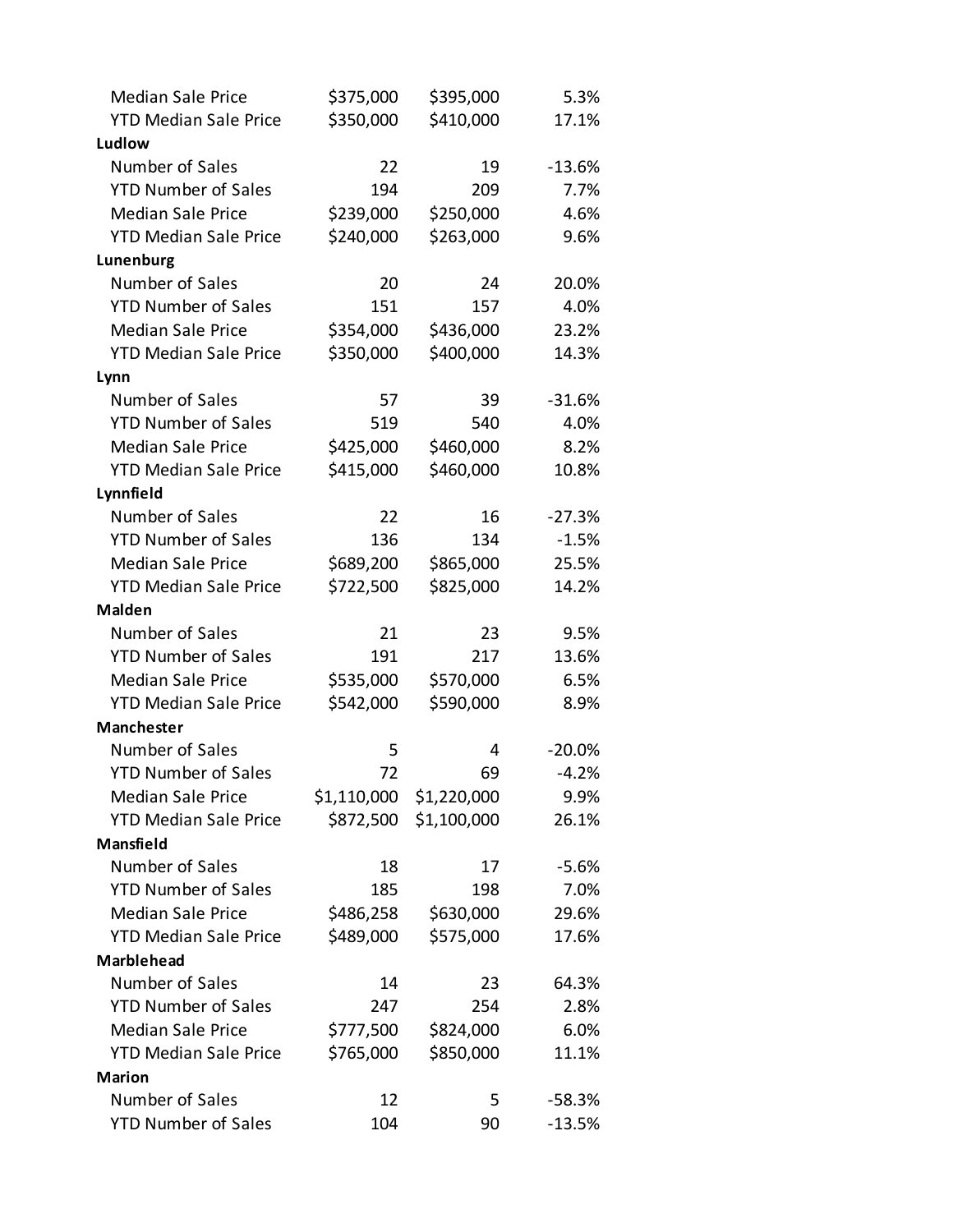| <b>Median Sale Price</b>     | \$375,000 | \$395,000               | 5.3%     |
|------------------------------|-----------|-------------------------|----------|
| <b>YTD Median Sale Price</b> | \$350,000 | \$410,000               | 17.1%    |
| Ludlow                       |           |                         |          |
| Number of Sales              | 22        | 19                      | $-13.6%$ |
| <b>YTD Number of Sales</b>   | 194       | 209                     | 7.7%     |
| <b>Median Sale Price</b>     | \$239,000 | \$250,000               | 4.6%     |
| <b>YTD Median Sale Price</b> | \$240,000 | \$263,000               | 9.6%     |
| Lunenburg                    |           |                         |          |
| Number of Sales              | 20        | 24                      | 20.0%    |
| <b>YTD Number of Sales</b>   | 151       | 157                     | 4.0%     |
| <b>Median Sale Price</b>     | \$354,000 | \$436,000               | 23.2%    |
| <b>YTD Median Sale Price</b> | \$350,000 | \$400,000               | 14.3%    |
| Lynn                         |           |                         |          |
| Number of Sales              | 57        | 39                      | $-31.6%$ |
| <b>YTD Number of Sales</b>   | 519       | 540                     | 4.0%     |
| <b>Median Sale Price</b>     | \$425,000 | \$460,000               | 8.2%     |
| <b>YTD Median Sale Price</b> | \$415,000 | \$460,000               | 10.8%    |
| Lynnfield                    |           |                         |          |
| Number of Sales              | 22        | 16                      | $-27.3%$ |
| <b>YTD Number of Sales</b>   | 136       | 134                     | $-1.5%$  |
| <b>Median Sale Price</b>     | \$689,200 | \$865,000               | 25.5%    |
| <b>YTD Median Sale Price</b> | \$722,500 | \$825,000               | 14.2%    |
| <b>Malden</b>                |           |                         |          |
| Number of Sales              | 21        | 23                      | 9.5%     |
| <b>YTD Number of Sales</b>   | 191       | 217                     | 13.6%    |
| <b>Median Sale Price</b>     | \$535,000 | \$570,000               | 6.5%     |
| <b>YTD Median Sale Price</b> | \$542,000 | \$590,000               | 8.9%     |
| <b>Manchester</b>            |           |                         |          |
| Number of Sales              | 5         | 4                       | $-20.0%$ |
| <b>YTD Number of Sales</b>   | 72        | 69                      | $-4.2%$  |
| <b>Median Sale Price</b>     |           | \$1,110,000 \$1,220,000 | 9.9%     |
| <b>YTD Median Sale Price</b> | \$872,500 | \$1,100,000             | 26.1%    |
| Mansfield                    |           |                         |          |
| Number of Sales              | 18        | 17                      | $-5.6%$  |
| <b>YTD Number of Sales</b>   | 185       | 198                     | 7.0%     |
| <b>Median Sale Price</b>     | \$486,258 | \$630,000               | 29.6%    |
| <b>YTD Median Sale Price</b> | \$489,000 | \$575,000               | 17.6%    |
| <b>Marblehead</b>            |           |                         |          |
| Number of Sales              | 14        | 23                      | 64.3%    |
| <b>YTD Number of Sales</b>   | 247       | 254                     | 2.8%     |
| <b>Median Sale Price</b>     | \$777,500 | \$824,000               | 6.0%     |
| <b>YTD Median Sale Price</b> | \$765,000 | \$850,000               | 11.1%    |
| <b>Marion</b>                |           |                         |          |
| Number of Sales              | 12        | 5                       | $-58.3%$ |
| <b>YTD Number of Sales</b>   | 104       | 90                      | $-13.5%$ |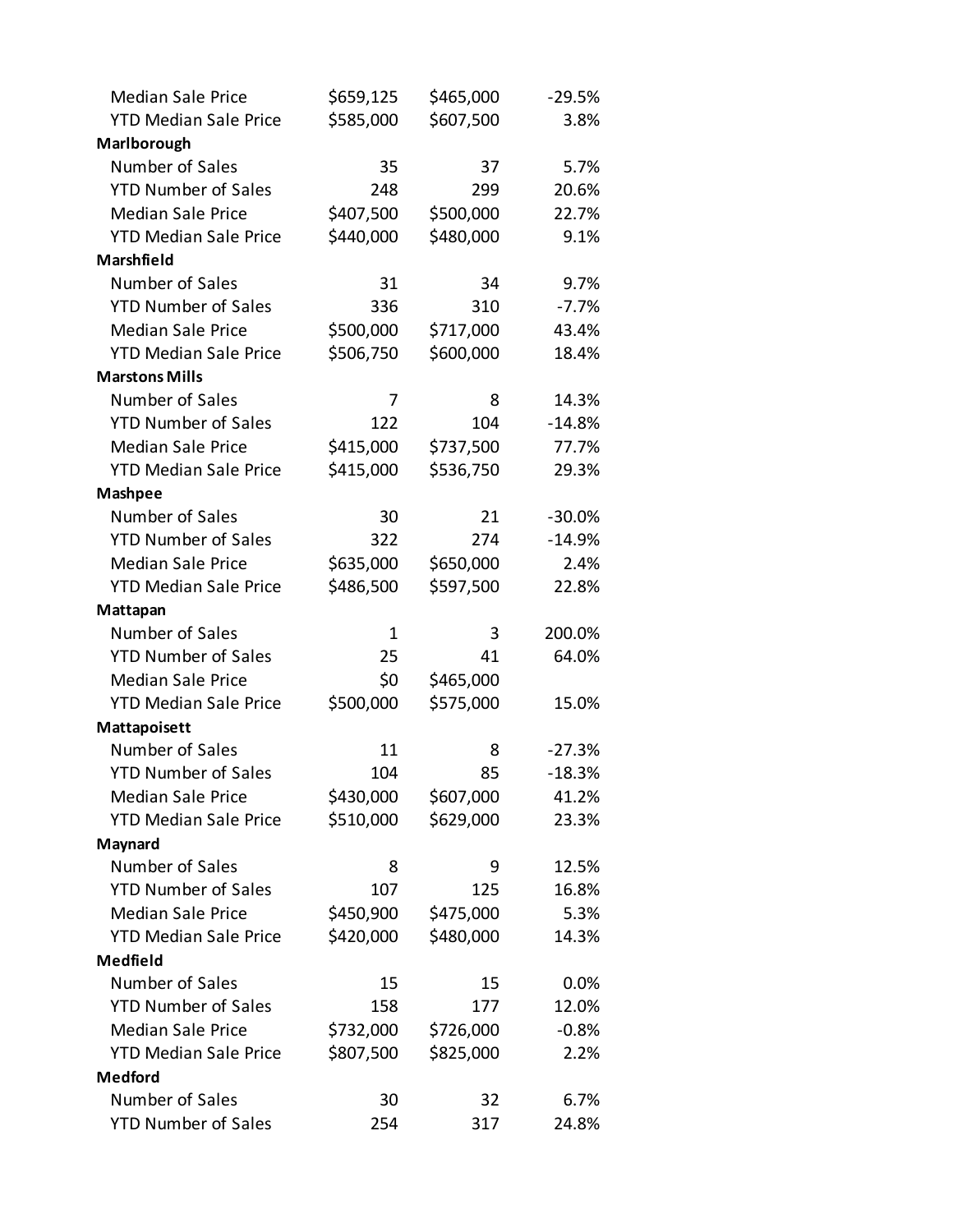| <b>Median Sale Price</b>     | \$659,125   | \$465,000 | $-29.5%$ |
|------------------------------|-------------|-----------|----------|
| <b>YTD Median Sale Price</b> | \$585,000   | \$607,500 | 3.8%     |
| Marlborough                  |             |           |          |
| Number of Sales              | 35          | 37        | 5.7%     |
| <b>YTD Number of Sales</b>   | 248         | 299       | 20.6%    |
| <b>Median Sale Price</b>     | \$407,500   | \$500,000 | 22.7%    |
| <b>YTD Median Sale Price</b> | \$440,000   | \$480,000 | 9.1%     |
| <b>Marshfield</b>            |             |           |          |
| Number of Sales              | 31          | 34        | 9.7%     |
| <b>YTD Number of Sales</b>   | 336         | 310       | $-7.7%$  |
| <b>Median Sale Price</b>     | \$500,000   | \$717,000 | 43.4%    |
| <b>YTD Median Sale Price</b> | \$506,750   | \$600,000 | 18.4%    |
| <b>Marstons Mills</b>        |             |           |          |
| Number of Sales              | 7           | 8         | 14.3%    |
| <b>YTD Number of Sales</b>   | 122         | 104       | $-14.8%$ |
| <b>Median Sale Price</b>     | \$415,000   | \$737,500 | 77.7%    |
| <b>YTD Median Sale Price</b> | \$415,000   | \$536,750 | 29.3%    |
| <b>Mashpee</b>               |             |           |          |
| Number of Sales              | 30          | 21        | $-30.0%$ |
| <b>YTD Number of Sales</b>   | 322         | 274       | $-14.9%$ |
| <b>Median Sale Price</b>     | \$635,000   | \$650,000 | 2.4%     |
| <b>YTD Median Sale Price</b> | \$486,500   | \$597,500 | 22.8%    |
| Mattapan                     |             |           |          |
| Number of Sales              | $\mathbf 1$ | 3         | 200.0%   |
| <b>YTD Number of Sales</b>   | 25          | 41        | 64.0%    |
| <b>Median Sale Price</b>     | \$0         | \$465,000 |          |
| <b>YTD Median Sale Price</b> | \$500,000   | \$575,000 | 15.0%    |
| Mattapoisett                 |             |           |          |
| Number of Sales              | 11          | 8         | $-27.3%$ |
| <b>YTD Number of Sales</b>   | 104         | 85        | $-18.3%$ |
| <b>Median Sale Price</b>     | \$430,000   | \$607,000 | 41.2%    |
| <b>YTD Median Sale Price</b> | \$510,000   | \$629,000 | 23.3%    |
| Maynard                      |             |           |          |
| Number of Sales              | 8           | 9         | 12.5%    |
| <b>YTD Number of Sales</b>   | 107         | 125       | 16.8%    |
| <b>Median Sale Price</b>     | \$450,900   | \$475,000 | 5.3%     |
| <b>YTD Median Sale Price</b> | \$420,000   | \$480,000 | 14.3%    |
| <b>Medfield</b>              |             |           |          |
| Number of Sales              | 15          | 15        | 0.0%     |
| <b>YTD Number of Sales</b>   | 158         | 177       | 12.0%    |
| <b>Median Sale Price</b>     | \$732,000   | \$726,000 | $-0.8%$  |
| <b>YTD Median Sale Price</b> | \$807,500   | \$825,000 | 2.2%     |
| <b>Medford</b>               |             |           |          |
| Number of Sales              | 30          | 32        | 6.7%     |
| <b>YTD Number of Sales</b>   | 254         | 317       | 24.8%    |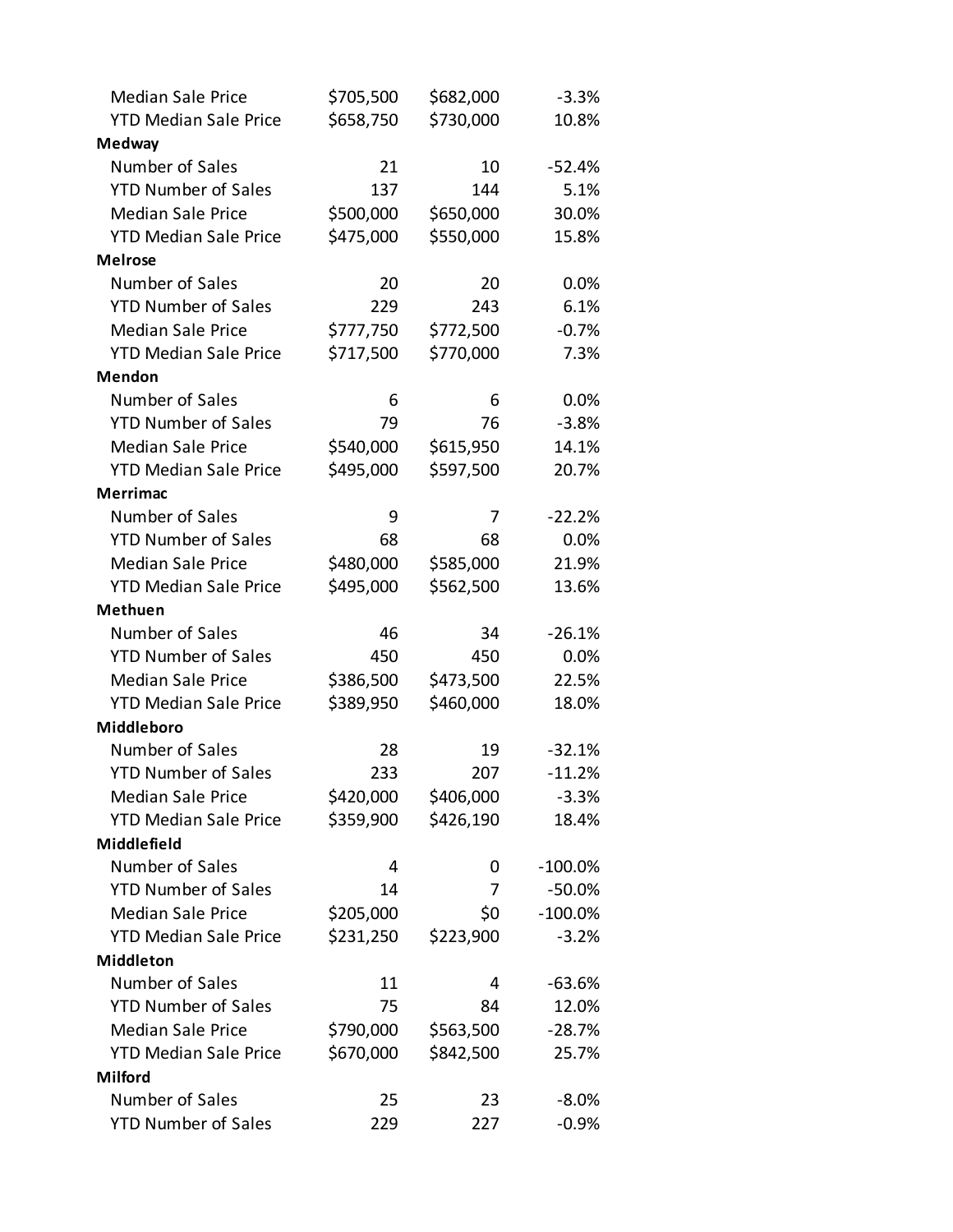| <b>Median Sale Price</b>     | \$705,500 | \$682,000 | $-3.3%$    |
|------------------------------|-----------|-----------|------------|
| <b>YTD Median Sale Price</b> | \$658,750 | \$730,000 | 10.8%      |
| <b>Medway</b>                |           |           |            |
| Number of Sales              | 21        | 10        | $-52.4%$   |
| <b>YTD Number of Sales</b>   | 137       | 144       | 5.1%       |
| <b>Median Sale Price</b>     | \$500,000 | \$650,000 | 30.0%      |
| <b>YTD Median Sale Price</b> | \$475,000 | \$550,000 | 15.8%      |
| <b>Melrose</b>               |           |           |            |
| Number of Sales              | 20        | 20        | 0.0%       |
| <b>YTD Number of Sales</b>   | 229       | 243       | 6.1%       |
| <b>Median Sale Price</b>     | \$777,750 | \$772,500 | $-0.7%$    |
| <b>YTD Median Sale Price</b> | \$717,500 | \$770,000 | 7.3%       |
| Mendon                       |           |           |            |
| Number of Sales              | 6         | 6         | 0.0%       |
| <b>YTD Number of Sales</b>   | 79        | 76        | $-3.8%$    |
| <b>Median Sale Price</b>     | \$540,000 | \$615,950 | 14.1%      |
| <b>YTD Median Sale Price</b> | \$495,000 | \$597,500 | 20.7%      |
| <b>Merrimac</b>              |           |           |            |
| Number of Sales              | 9         | 7         | $-22.2%$   |
| <b>YTD Number of Sales</b>   | 68        | 68        | 0.0%       |
| <b>Median Sale Price</b>     | \$480,000 | \$585,000 | 21.9%      |
| <b>YTD Median Sale Price</b> | \$495,000 | \$562,500 | 13.6%      |
| <b>Methuen</b>               |           |           |            |
| Number of Sales              | 46        | 34        | $-26.1%$   |
| <b>YTD Number of Sales</b>   | 450       | 450       | 0.0%       |
| <b>Median Sale Price</b>     | \$386,500 | \$473,500 | 22.5%      |
| <b>YTD Median Sale Price</b> | \$389,950 | \$460,000 | 18.0%      |
| Middleboro                   |           |           |            |
| Number of Sales              | 28        | 19        | $-32.1%$   |
| <b>YTD Number of Sales</b>   | 233       | 207       | $-11.2%$   |
| <b>Median Sale Price</b>     | \$420,000 | \$406,000 | $-3.3%$    |
| <b>YTD Median Sale Price</b> | \$359,900 | \$426,190 | 18.4%      |
| Middlefield                  |           |           |            |
| Number of Sales              | 4         | 0         | $-100.0\%$ |
| <b>YTD Number of Sales</b>   | 14        | 7         | $-50.0%$   |
| <b>Median Sale Price</b>     | \$205,000 | \$0       | $-100.0\%$ |
| <b>YTD Median Sale Price</b> | \$231,250 | \$223,900 | $-3.2%$    |
| <b>Middleton</b>             |           |           |            |
| Number of Sales              | 11        | 4         | $-63.6%$   |
| <b>YTD Number of Sales</b>   | 75        | 84        | 12.0%      |
| <b>Median Sale Price</b>     | \$790,000 | \$563,500 | $-28.7%$   |
| <b>YTD Median Sale Price</b> | \$670,000 | \$842,500 | 25.7%      |
| <b>Milford</b>               |           |           |            |
| Number of Sales              | 25        | 23        | $-8.0\%$   |
| <b>YTD Number of Sales</b>   | 229       | 227       | $-0.9%$    |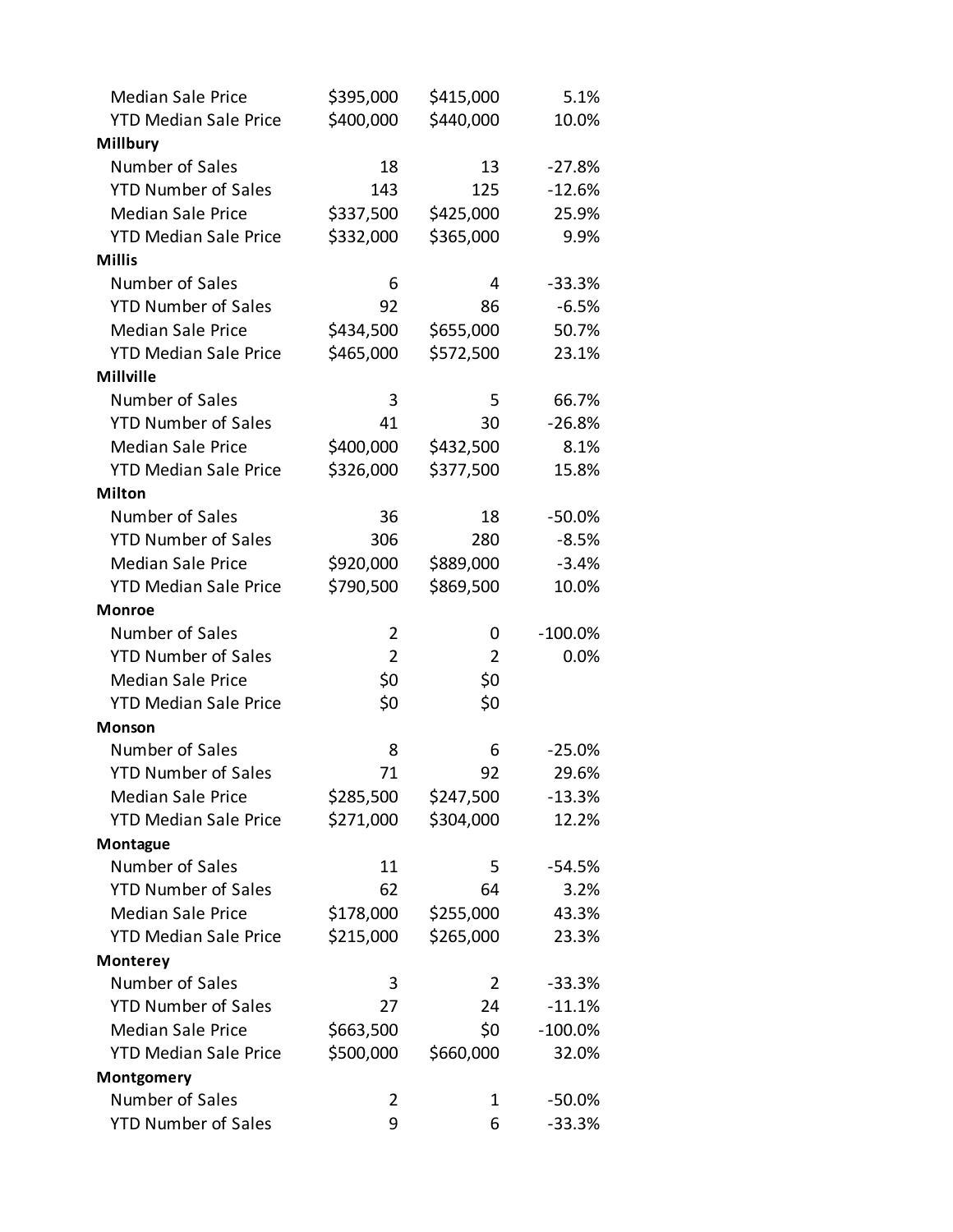| <b>Median Sale Price</b>     | \$395,000      | \$415,000      | 5.1%       |
|------------------------------|----------------|----------------|------------|
| <b>YTD Median Sale Price</b> | \$400,000      | \$440,000      | 10.0%      |
| <b>Millbury</b>              |                |                |            |
| Number of Sales              | 18             | 13             | $-27.8%$   |
| <b>YTD Number of Sales</b>   | 143            | 125            | $-12.6%$   |
| <b>Median Sale Price</b>     | \$337,500      | \$425,000      | 25.9%      |
| <b>YTD Median Sale Price</b> | \$332,000      | \$365,000      | 9.9%       |
| <b>Millis</b>                |                |                |            |
| Number of Sales              | 6              | 4              | $-33.3%$   |
| <b>YTD Number of Sales</b>   | 92             | 86             | $-6.5%$    |
| <b>Median Sale Price</b>     | \$434,500      | \$655,000      | 50.7%      |
| <b>YTD Median Sale Price</b> | \$465,000      | \$572,500      | 23.1%      |
| <b>Millville</b>             |                |                |            |
| Number of Sales              | 3              | 5              | 66.7%      |
| <b>YTD Number of Sales</b>   | 41             | 30             | $-26.8%$   |
| <b>Median Sale Price</b>     | \$400,000      | \$432,500      | 8.1%       |
| <b>YTD Median Sale Price</b> | \$326,000      | \$377,500      | 15.8%      |
| <b>Milton</b>                |                |                |            |
| Number of Sales              | 36             | 18             | $-50.0%$   |
| <b>YTD Number of Sales</b>   | 306            | 280            | $-8.5%$    |
| <b>Median Sale Price</b>     | \$920,000      | \$889,000      | $-3.4%$    |
| <b>YTD Median Sale Price</b> | \$790,500      | \$869,500      | 10.0%      |
| <b>Monroe</b>                |                |                |            |
| Number of Sales              | 2              | 0              | $-100.0\%$ |
| <b>YTD Number of Sales</b>   | $\overline{2}$ | 2              | 0.0%       |
| <b>Median Sale Price</b>     | \$0            | \$0            |            |
| <b>YTD Median Sale Price</b> | \$0            | \$0            |            |
| <b>Monson</b>                |                |                |            |
| Number of Sales              | 8              | 6              | $-25.0%$   |
| <b>YTD Number of Sales</b>   | 71             | 92             | 29.6%      |
| <b>Median Sale Price</b>     | \$285,500      | \$247,500      | $-13.3%$   |
| <b>YTD Median Sale Price</b> | \$271,000      | \$304,000      | 12.2%      |
| Montague                     |                |                |            |
| Number of Sales              |                |                |            |
|                              | 11             | 5              | $-54.5%$   |
| <b>YTD Number of Sales</b>   | 62             | 64             | 3.2%       |
| <b>Median Sale Price</b>     | \$178,000      | \$255,000      | 43.3%      |
| <b>YTD Median Sale Price</b> | \$215,000      | \$265,000      | 23.3%      |
| <b>Monterey</b>              |                |                |            |
| Number of Sales              | 3              | $\overline{2}$ | $-33.3%$   |
| <b>YTD Number of Sales</b>   | 27             | 24             | $-11.1%$   |
| <b>Median Sale Price</b>     | \$663,500      | \$0            | $-100.0%$  |
| <b>YTD Median Sale Price</b> | \$500,000      | \$660,000      | 32.0%      |
| Montgomery                   |                |                |            |
| Number of Sales              | 2              | 1              | $-50.0%$   |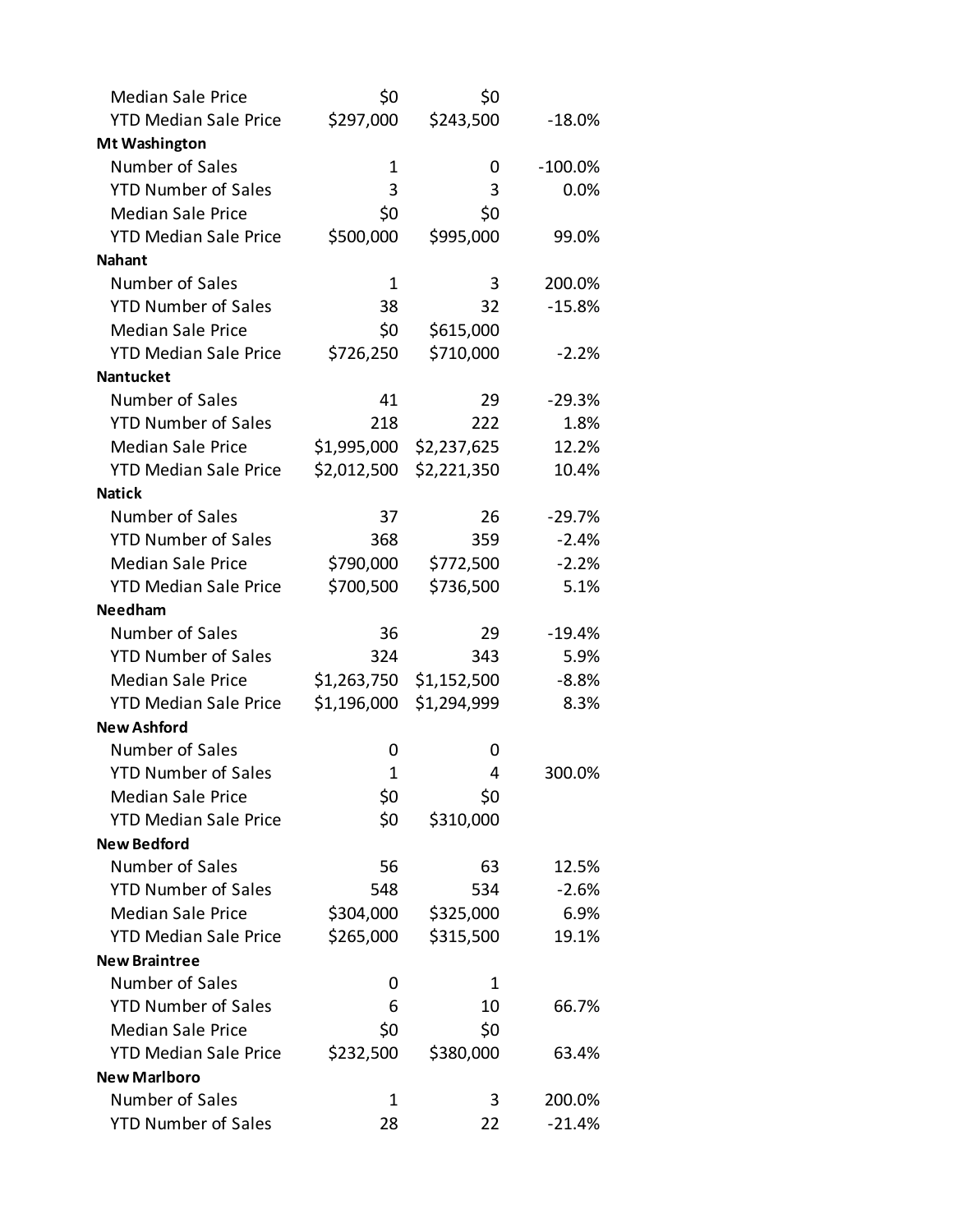| <b>Median Sale Price</b>     | \$0         | \$0         |           |
|------------------------------|-------------|-------------|-----------|
| <b>YTD Median Sale Price</b> | \$297,000   | \$243,500   | $-18.0\%$ |
| Mt Washington                |             |             |           |
| Number of Sales              | 1           | 0           | $-100.0%$ |
| <b>YTD Number of Sales</b>   | 3           | 3           | 0.0%      |
| <b>Median Sale Price</b>     | \$0         | \$0         |           |
| <b>YTD Median Sale Price</b> | \$500,000   | \$995,000   | 99.0%     |
| <b>Nahant</b>                |             |             |           |
| Number of Sales              | 1           | 3           | 200.0%    |
| <b>YTD Number of Sales</b>   | 38          | 32          | $-15.8%$  |
| <b>Median Sale Price</b>     | \$0         | \$615,000   |           |
| <b>YTD Median Sale Price</b> | \$726,250   | \$710,000   | $-2.2%$   |
| <b>Nantucket</b>             |             |             |           |
| Number of Sales              | 41          | 29          | $-29.3%$  |
| <b>YTD Number of Sales</b>   | 218         | 222         | 1.8%      |
| <b>Median Sale Price</b>     | \$1,995,000 | \$2,237,625 | 12.2%     |
| <b>YTD Median Sale Price</b> | \$2,012,500 | \$2,221,350 | 10.4%     |
| <b>Natick</b>                |             |             |           |
| Number of Sales              | 37          | 26          | $-29.7%$  |
| <b>YTD Number of Sales</b>   | 368         | 359         | $-2.4%$   |
| <b>Median Sale Price</b>     | \$790,000   | \$772,500   | $-2.2%$   |
| <b>YTD Median Sale Price</b> | \$700,500   | \$736,500   | 5.1%      |
| Needham                      |             |             |           |
| Number of Sales              | 36          | 29          | $-19.4%$  |
| <b>YTD Number of Sales</b>   | 324         | 343         | 5.9%      |
| <b>Median Sale Price</b>     | \$1,263,750 | \$1,152,500 | $-8.8%$   |
| <b>YTD Median Sale Price</b> | \$1,196,000 | \$1,294,999 | 8.3%      |
| <b>New Ashford</b>           |             |             |           |
| Number of Sales              | O           | 0           |           |
| <b>YTD Number of Sales</b>   | 1           | 4           | 300.0%    |
| <b>Median Sale Price</b>     | \$0         | \$0         |           |
| <b>YTD Median Sale Price</b> | \$0         | \$310,000   |           |
| <b>New Bedford</b>           |             |             |           |
| Number of Sales              | 56          | 63          | 12.5%     |
| <b>YTD Number of Sales</b>   | 548         | 534         | $-2.6%$   |
| <b>Median Sale Price</b>     | \$304,000   | \$325,000   | 6.9%      |
| <b>YTD Median Sale Price</b> | \$265,000   | \$315,500   | 19.1%     |
| <b>New Braintree</b>         |             |             |           |
| Number of Sales              | O           | 1           |           |
| <b>YTD Number of Sales</b>   | 6           | 10          | 66.7%     |
| <b>Median Sale Price</b>     | \$0         | \$0         |           |
| <b>YTD Median Sale Price</b> | \$232,500   | \$380,000   | 63.4%     |
| <b>New Marlboro</b>          |             |             |           |
| Number of Sales              | 1           | 3           | 200.0%    |
| <b>YTD Number of Sales</b>   | 28          | 22          | $-21.4%$  |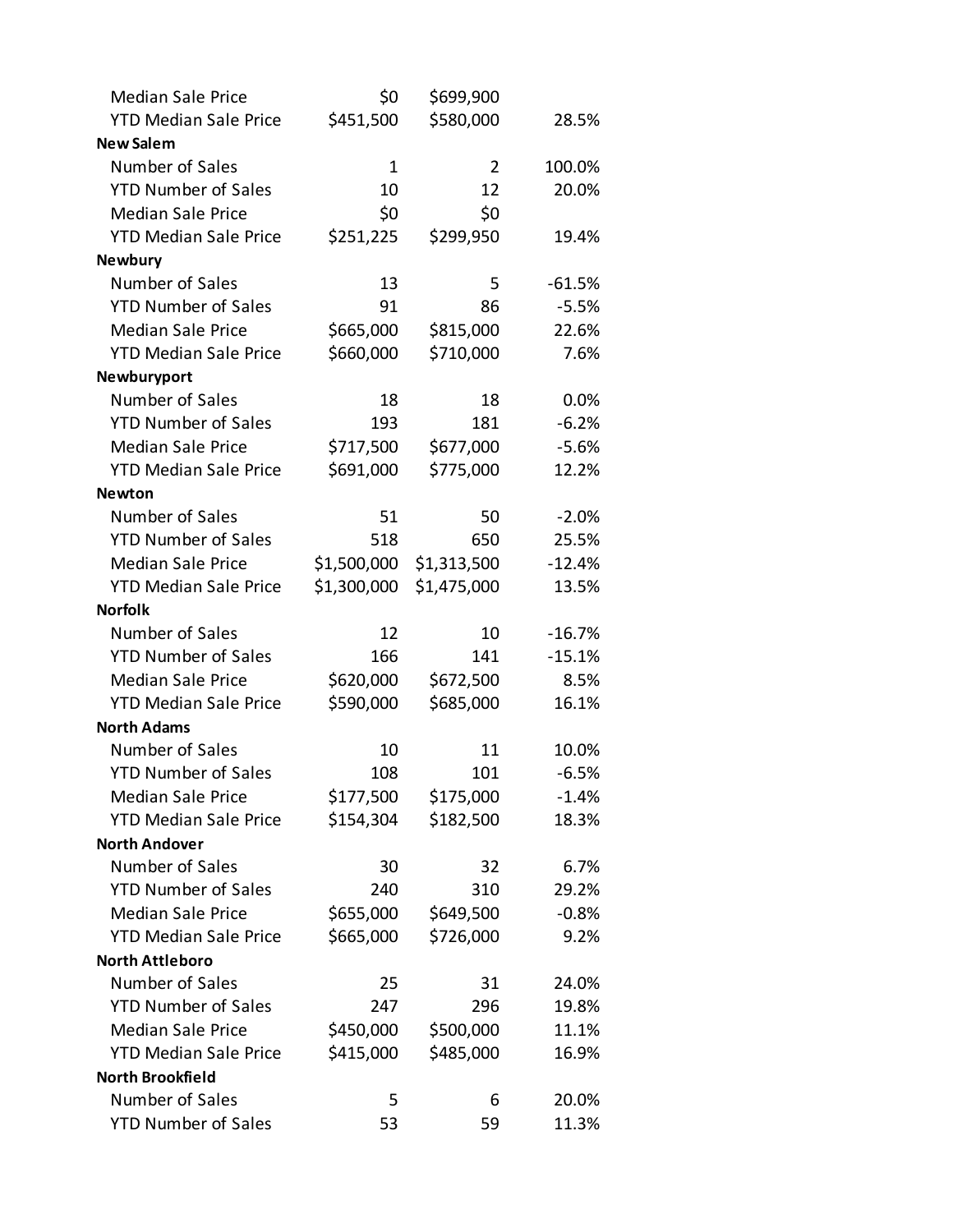| <b>Median Sale Price</b>     | \$0         | \$699,900      |          |
|------------------------------|-------------|----------------|----------|
| <b>YTD Median Sale Price</b> | \$451,500   | \$580,000      | 28.5%    |
| <b>New Salem</b>             |             |                |          |
| Number of Sales              | $\mathbf 1$ | $\overline{2}$ | 100.0%   |
| <b>YTD Number of Sales</b>   | 10          | 12             | 20.0%    |
| <b>Median Sale Price</b>     | \$0         | \$0            |          |
| <b>YTD Median Sale Price</b> | \$251,225   | \$299,950      | 19.4%    |
| <b>Newbury</b>               |             |                |          |
| Number of Sales              | 13          | 5              | $-61.5%$ |
| <b>YTD Number of Sales</b>   | 91          | 86             | $-5.5%$  |
| <b>Median Sale Price</b>     | \$665,000   | \$815,000      | 22.6%    |
| <b>YTD Median Sale Price</b> | \$660,000   | \$710,000      | 7.6%     |
| Newburyport                  |             |                |          |
| Number of Sales              | 18          | 18             | 0.0%     |
| <b>YTD Number of Sales</b>   | 193         | 181            | $-6.2%$  |
| <b>Median Sale Price</b>     | \$717,500   | \$677,000      | $-5.6%$  |
| <b>YTD Median Sale Price</b> | \$691,000   | \$775,000      | 12.2%    |
| <b>Newton</b>                |             |                |          |
| Number of Sales              | 51          | 50             | $-2.0%$  |
| <b>YTD Number of Sales</b>   | 518         | 650            | 25.5%    |
| <b>Median Sale Price</b>     | \$1,500,000 | \$1,313,500    | $-12.4%$ |
| <b>YTD Median Sale Price</b> | \$1,300,000 | \$1,475,000    | 13.5%    |
| <b>Norfolk</b>               |             |                |          |
| Number of Sales              | 12          | 10             | $-16.7%$ |
| <b>YTD Number of Sales</b>   | 166         | 141            | $-15.1%$ |
| <b>Median Sale Price</b>     | \$620,000   | \$672,500      | 8.5%     |
| <b>YTD Median Sale Price</b> | \$590,000   | \$685,000      | 16.1%    |
| <b>North Adams</b>           |             |                |          |
| Number of Sales              | 10          | 11             | 10.0%    |
| <b>YTD Number of Sales</b>   | 108         | 101            | $-6.5%$  |
| <b>Median Sale Price</b>     | \$177,500   | \$175,000      | $-1.4%$  |
| <b>YTD Median Sale Price</b> | \$154,304   | \$182,500      | 18.3%    |
| <b>North Andover</b>         |             |                |          |
| Number of Sales              | 30          | 32             | 6.7%     |
| <b>YTD Number of Sales</b>   | 240         | 310            | 29.2%    |
| <b>Median Sale Price</b>     | \$655,000   | \$649,500      | $-0.8%$  |
| <b>YTD Median Sale Price</b> | \$665,000   | \$726,000      | 9.2%     |
| <b>North Attleboro</b>       |             |                |          |
| Number of Sales              | 25          | 31             | 24.0%    |
| <b>YTD Number of Sales</b>   | 247         | 296            | 19.8%    |
| <b>Median Sale Price</b>     | \$450,000   | \$500,000      | 11.1%    |
| <b>YTD Median Sale Price</b> | \$415,000   | \$485,000      | 16.9%    |
| North Brookfield             |             |                |          |
| Number of Sales              | 5           | 6              | 20.0%    |
| <b>YTD Number of Sales</b>   | 53          | 59             | 11.3%    |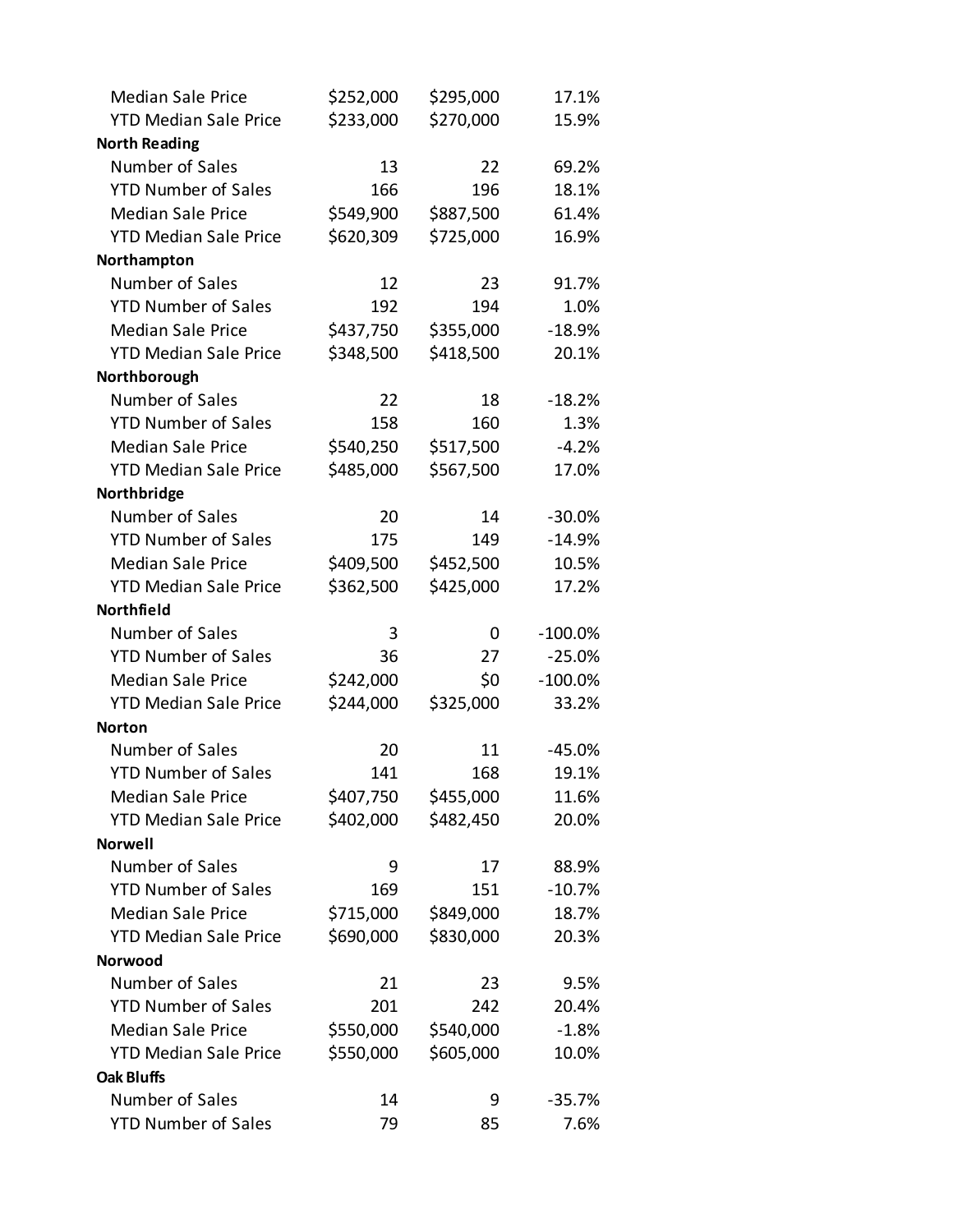| <b>Median Sale Price</b>     | \$252,000 | \$295,000 | 17.1%     |
|------------------------------|-----------|-----------|-----------|
| <b>YTD Median Sale Price</b> | \$233,000 | \$270,000 | 15.9%     |
| <b>North Reading</b>         |           |           |           |
| Number of Sales              | 13        | 22        | 69.2%     |
| <b>YTD Number of Sales</b>   | 166       | 196       | 18.1%     |
| <b>Median Sale Price</b>     | \$549,900 | \$887,500 | 61.4%     |
| <b>YTD Median Sale Price</b> | \$620,309 | \$725,000 | 16.9%     |
| Northampton                  |           |           |           |
| Number of Sales              | 12        | 23        | 91.7%     |
| <b>YTD Number of Sales</b>   | 192       | 194       | 1.0%      |
| <b>Median Sale Price</b>     | \$437,750 | \$355,000 | $-18.9%$  |
| <b>YTD Median Sale Price</b> | \$348,500 | \$418,500 | 20.1%     |
| Northborough                 |           |           |           |
| Number of Sales              | 22        | 18        | $-18.2%$  |
| <b>YTD Number of Sales</b>   | 158       | 160       | 1.3%      |
| <b>Median Sale Price</b>     | \$540,250 | \$517,500 | $-4.2%$   |
| <b>YTD Median Sale Price</b> | \$485,000 | \$567,500 | 17.0%     |
| Northbridge                  |           |           |           |
| Number of Sales              | 20        | 14        | $-30.0%$  |
| <b>YTD Number of Sales</b>   | 175       | 149       | $-14.9%$  |
| <b>Median Sale Price</b>     | \$409,500 | \$452,500 | 10.5%     |
| <b>YTD Median Sale Price</b> | \$362,500 | \$425,000 | 17.2%     |
| Northfield                   |           |           |           |
| Number of Sales              | 3         | 0         | $-100.0%$ |
| <b>YTD Number of Sales</b>   | 36        | 27        | $-25.0%$  |
| <b>Median Sale Price</b>     | \$242,000 | \$0       | $-100.0%$ |
| <b>YTD Median Sale Price</b> | \$244,000 | \$325,000 | 33.2%     |
| <b>Norton</b>                |           |           |           |
| Number of Sales              | 20        | 11        | $-45.0%$  |
| <b>YTD Number of Sales</b>   | 141       | 168       | 19.1%     |
| <b>Median Sale Price</b>     | \$407,750 | \$455,000 | 11.6%     |
| <b>YTD Median Sale Price</b> | \$402,000 | \$482,450 | 20.0%     |
| <b>Norwell</b>               |           |           |           |
| Number of Sales              | 9         | 17        | 88.9%     |
| <b>YTD Number of Sales</b>   | 169       | 151       | $-10.7%$  |
| <b>Median Sale Price</b>     | \$715,000 | \$849,000 | 18.7%     |
| <b>YTD Median Sale Price</b> | \$690,000 | \$830,000 | 20.3%     |
| Norwood                      |           |           |           |
| Number of Sales              | 21        | 23        | 9.5%      |
| <b>YTD Number of Sales</b>   | 201       | 242       | 20.4%     |
| <b>Median Sale Price</b>     | \$550,000 | \$540,000 | $-1.8%$   |
| <b>YTD Median Sale Price</b> | \$550,000 | \$605,000 | 10.0%     |
| <b>Oak Bluffs</b>            |           |           |           |
| Number of Sales              | 14        | 9         | $-35.7%$  |
| <b>YTD Number of Sales</b>   | 79        | 85        | 7.6%      |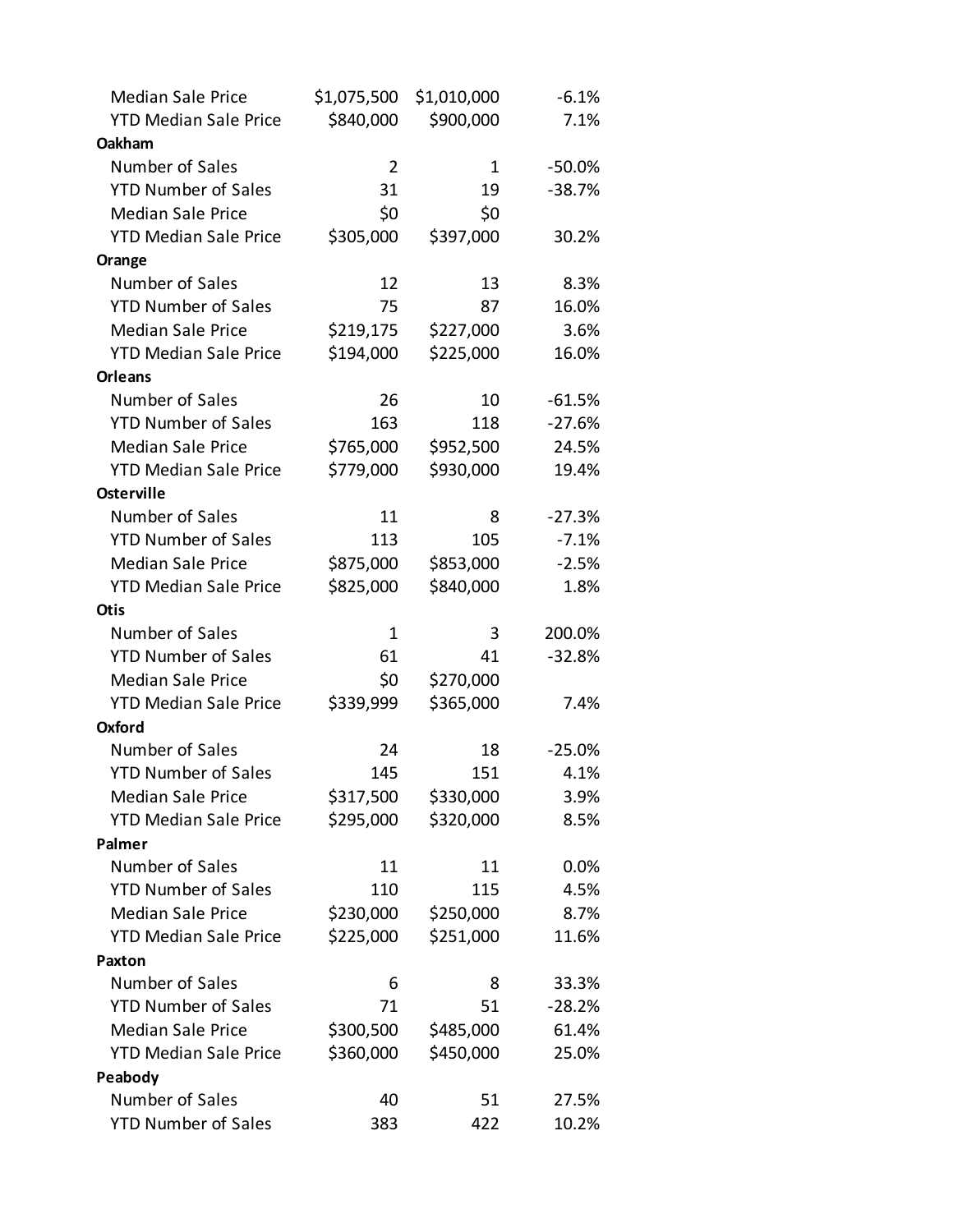| <b>Median Sale Price</b>     | \$1,075,500 | \$1,010,000 | $-6.1%$  |
|------------------------------|-------------|-------------|----------|
| <b>YTD Median Sale Price</b> | \$840,000   | \$900,000   | 7.1%     |
| Oakham                       |             |             |          |
| Number of Sales              | 2           | 1           | $-50.0%$ |
| <b>YTD Number of Sales</b>   | 31          | 19          | $-38.7%$ |
| <b>Median Sale Price</b>     | \$0         | \$0         |          |
| <b>YTD Median Sale Price</b> | \$305,000   | \$397,000   | 30.2%    |
| Orange                       |             |             |          |
| Number of Sales              | 12          | 13          | 8.3%     |
| <b>YTD Number of Sales</b>   | 75          | 87          | 16.0%    |
| <b>Median Sale Price</b>     | \$219,175   | \$227,000   | 3.6%     |
| <b>YTD Median Sale Price</b> | \$194,000   | \$225,000   | 16.0%    |
| <b>Orleans</b>               |             |             |          |
| Number of Sales              | 26          | 10          | $-61.5%$ |
| <b>YTD Number of Sales</b>   | 163         | 118         | $-27.6%$ |
| <b>Median Sale Price</b>     | \$765,000   | \$952,500   | 24.5%    |
| <b>YTD Median Sale Price</b> | \$779,000   | \$930,000   | 19.4%    |
| <b>Osterville</b>            |             |             |          |
| Number of Sales              | 11          | 8           | $-27.3%$ |
| <b>YTD Number of Sales</b>   | 113         | 105         | $-7.1%$  |
| <b>Median Sale Price</b>     | \$875,000   | \$853,000   | $-2.5%$  |
| <b>YTD Median Sale Price</b> | \$825,000   | \$840,000   | 1.8%     |
| <b>Otis</b>                  |             |             |          |
| Number of Sales              | $\mathbf 1$ | 3           | 200.0%   |
| <b>YTD Number of Sales</b>   | 61          | 41          | $-32.8%$ |
| <b>Median Sale Price</b>     | \$0         | \$270,000   |          |
| <b>YTD Median Sale Price</b> | \$339,999   | \$365,000   | 7.4%     |
| Oxford                       |             |             |          |
| Number of Sales              | 24          | 18          | $-25.0%$ |
| <b>YTD Number of Sales</b>   | 145         | 151         | 4.1%     |
| <b>Median Sale Price</b>     | \$317,500   | \$330,000   | 3.9%     |
| <b>YTD Median Sale Price</b> | \$295,000   | \$320,000   | 8.5%     |
| Palmer                       |             |             |          |
| Number of Sales              | 11          | 11          | 0.0%     |
| <b>YTD Number of Sales</b>   | 110         | 115         | 4.5%     |
| <b>Median Sale Price</b>     | \$230,000   | \$250,000   | 8.7%     |
| <b>YTD Median Sale Price</b> | \$225,000   | \$251,000   | 11.6%    |
| <b>Paxton</b>                |             |             |          |
| Number of Sales              | 6           | 8           | 33.3%    |
| <b>YTD Number of Sales</b>   | 71          | 51          | $-28.2%$ |
| <b>Median Sale Price</b>     | \$300,500   | \$485,000   | 61.4%    |
| <b>YTD Median Sale Price</b> | \$360,000   | \$450,000   | 25.0%    |
| Peabody                      |             |             |          |
| Number of Sales              | 40          | 51          | 27.5%    |
| <b>YTD Number of Sales</b>   | 383         | 422         | 10.2%    |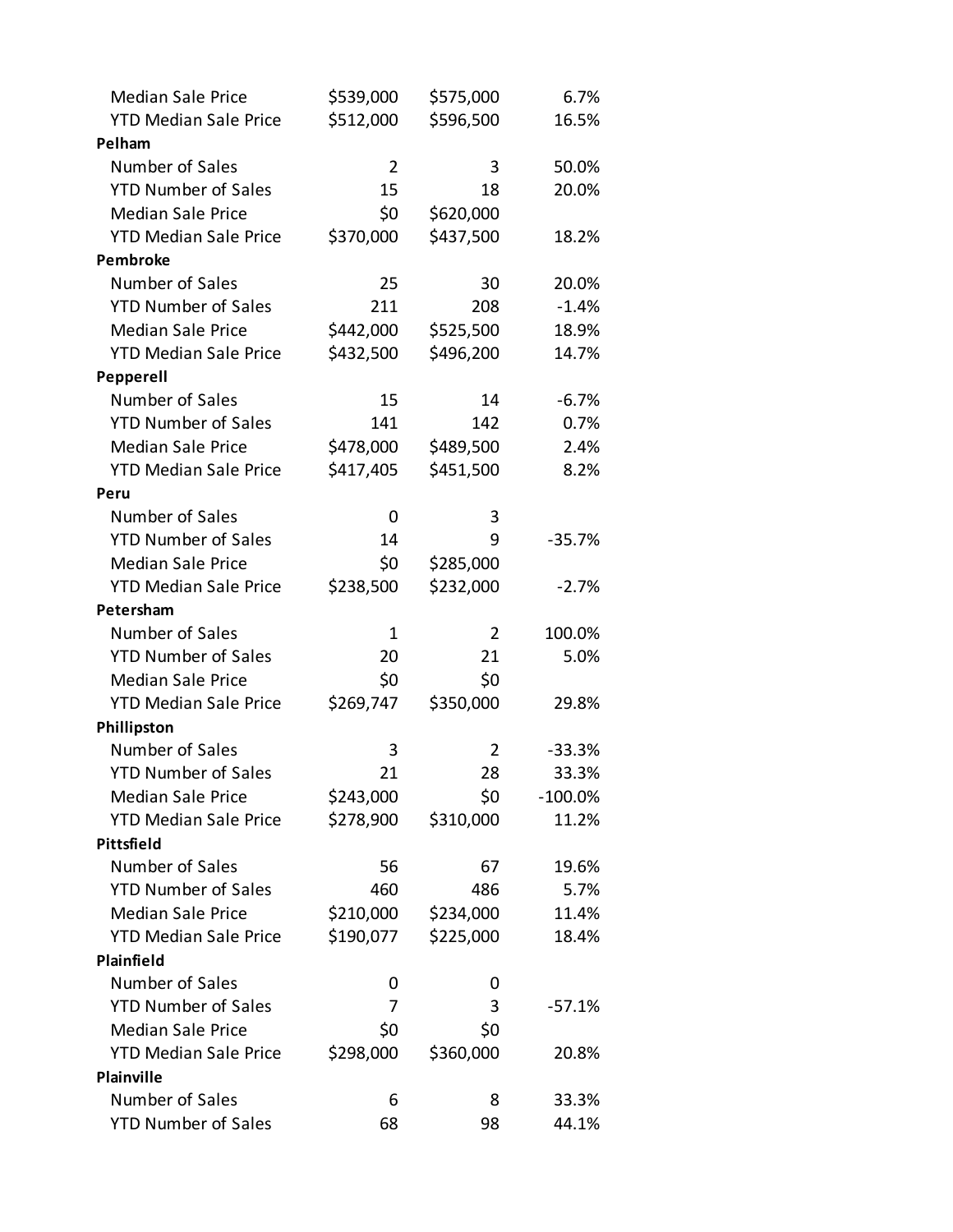| <b>Median Sale Price</b>     | \$539,000 | \$575,000 | 6.7%       |
|------------------------------|-----------|-----------|------------|
| <b>YTD Median Sale Price</b> | \$512,000 | \$596,500 | 16.5%      |
| Pelham                       |           |           |            |
| Number of Sales              | 2         | 3         | 50.0%      |
| <b>YTD Number of Sales</b>   | 15        | 18        | 20.0%      |
| <b>Median Sale Price</b>     | \$0       | \$620,000 |            |
| <b>YTD Median Sale Price</b> | \$370,000 | \$437,500 | 18.2%      |
| <b>Pembroke</b>              |           |           |            |
| Number of Sales              | 25        | 30        | 20.0%      |
| <b>YTD Number of Sales</b>   | 211       | 208       | $-1.4%$    |
| <b>Median Sale Price</b>     | \$442,000 | \$525,500 | 18.9%      |
| <b>YTD Median Sale Price</b> | \$432,500 | \$496,200 | 14.7%      |
| Pepperell                    |           |           |            |
| Number of Sales              | 15        | 14        | $-6.7%$    |
| <b>YTD Number of Sales</b>   | 141       | 142       | 0.7%       |
| <b>Median Sale Price</b>     | \$478,000 | \$489,500 | 2.4%       |
| <b>YTD Median Sale Price</b> | \$417,405 | \$451,500 | 8.2%       |
| Peru                         |           |           |            |
| Number of Sales              | 0         | 3         |            |
| <b>YTD Number of Sales</b>   | 14        | 9         | $-35.7%$   |
| <b>Median Sale Price</b>     | \$0       | \$285,000 |            |
| <b>YTD Median Sale Price</b> | \$238,500 | \$232,000 | $-2.7%$    |
| Petersham                    |           |           |            |
| Number of Sales              | 1         | 2         | 100.0%     |
| <b>YTD Number of Sales</b>   | 20        | 21        | 5.0%       |
| <b>Median Sale Price</b>     | \$0       | \$0       |            |
| <b>YTD Median Sale Price</b> | \$269,747 | \$350,000 | 29.8%      |
| Phillipston                  |           |           |            |
| Number of Sales              | 3         | 2         | $-33.3%$   |
| <b>YTD Number of Sales</b>   | 21        | 28        | 33.3%      |
| <b>Median Sale Price</b>     | \$243,000 | \$0       | $-100.0\%$ |
| <b>YTD Median Sale Price</b> | \$278,900 | \$310,000 | 11.2%      |
| Pittsfield                   |           |           |            |
| Number of Sales              | 56        | 67        | 19.6%      |
| <b>YTD Number of Sales</b>   | 460       | 486       | 5.7%       |
| <b>Median Sale Price</b>     | \$210,000 | \$234,000 | 11.4%      |
| <b>YTD Median Sale Price</b> | \$190,077 | \$225,000 | 18.4%      |
| Plainfield                   |           |           |            |
| Number of Sales              | 0         | 0         |            |
| <b>YTD Number of Sales</b>   | 7         | 3         | $-57.1%$   |
| <b>Median Sale Price</b>     | \$0       | \$0       |            |
| <b>YTD Median Sale Price</b> | \$298,000 | \$360,000 | 20.8%      |
| <b>Plainville</b>            |           |           |            |
| Number of Sales              | 6         | 8         | 33.3%      |
| <b>YTD Number of Sales</b>   | 68        | 98        | 44.1%      |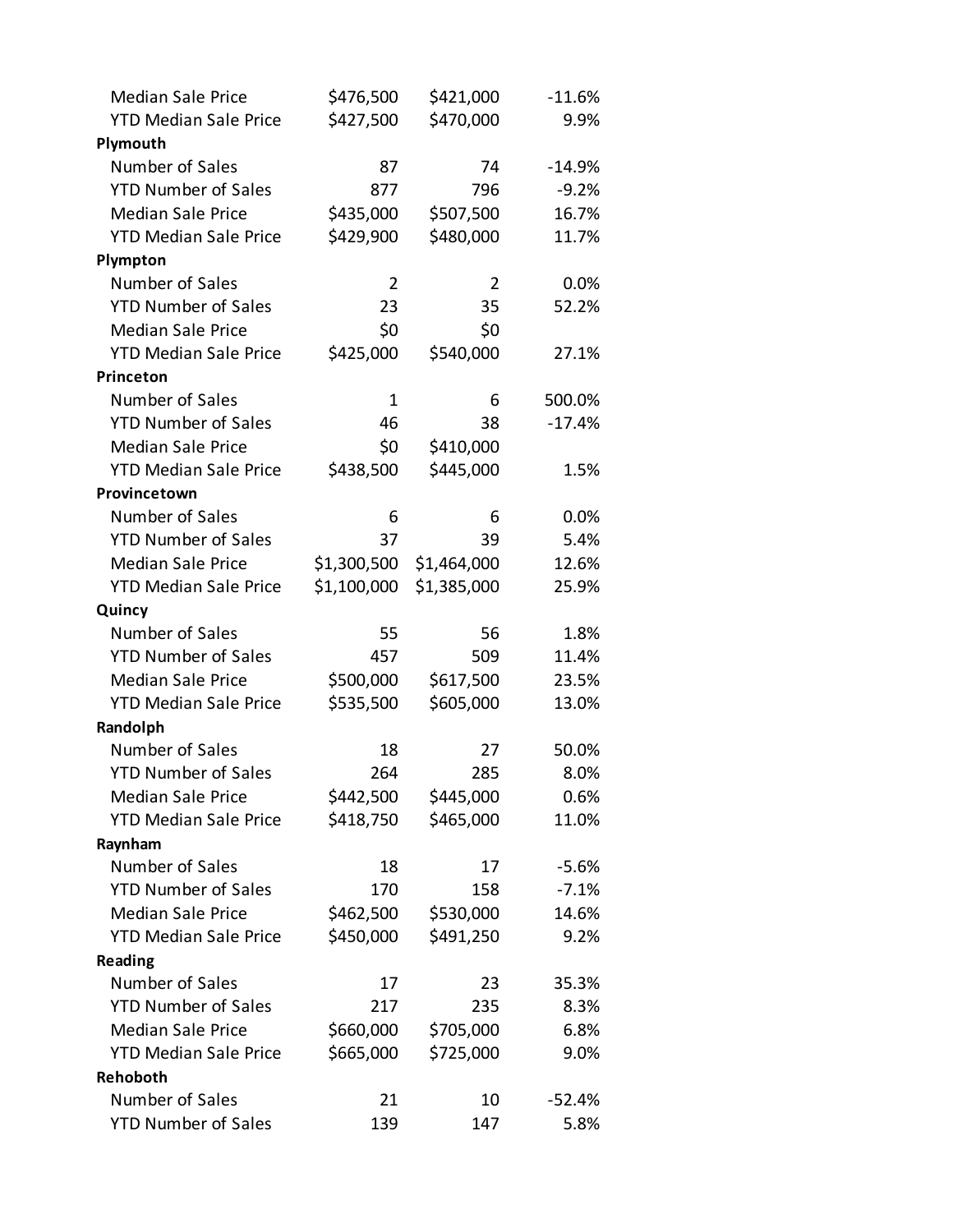| <b>Median Sale Price</b>     | \$476,500      | \$421,000      | $-11.6%$ |
|------------------------------|----------------|----------------|----------|
| <b>YTD Median Sale Price</b> | \$427,500      | \$470,000      | 9.9%     |
| Plymouth                     |                |                |          |
| Number of Sales              | 87             | 74             | $-14.9%$ |
| <b>YTD Number of Sales</b>   | 877            | 796            | $-9.2%$  |
| <b>Median Sale Price</b>     | \$435,000      | \$507,500      | 16.7%    |
| <b>YTD Median Sale Price</b> | \$429,900      | \$480,000      | 11.7%    |
| Plympton                     |                |                |          |
| Number of Sales              | $\overline{2}$ | $\overline{2}$ | 0.0%     |
| <b>YTD Number of Sales</b>   | 23             | 35             | 52.2%    |
| <b>Median Sale Price</b>     | \$0            | \$0            |          |
| <b>YTD Median Sale Price</b> | \$425,000      | \$540,000      | 27.1%    |
| <b>Princeton</b>             |                |                |          |
| Number of Sales              | $\mathbf 1$    | 6              | 500.0%   |
| <b>YTD Number of Sales</b>   | 46             | 38             | $-17.4%$ |
| <b>Median Sale Price</b>     | \$0            | \$410,000      |          |
| <b>YTD Median Sale Price</b> | \$438,500      | \$445,000      | 1.5%     |
| Provincetown                 |                |                |          |
| Number of Sales              | 6              | 6              | 0.0%     |
| <b>YTD Number of Sales</b>   | 37             | 39             | 5.4%     |
| <b>Median Sale Price</b>     | \$1,300,500    | \$1,464,000    | 12.6%    |
| <b>YTD Median Sale Price</b> | \$1,100,000    | \$1,385,000    | 25.9%    |
| Quincy                       |                |                |          |
| Number of Sales              | 55             | 56             | 1.8%     |
| <b>YTD Number of Sales</b>   | 457            | 509            | 11.4%    |
| <b>Median Sale Price</b>     | \$500,000      | \$617,500      | 23.5%    |
| <b>YTD Median Sale Price</b> | \$535,500      | \$605,000      | 13.0%    |
| Randolph                     |                |                |          |
| Number of Sales              | 18             | 27             | 50.0%    |
| <b>YTD Number of Sales</b>   | 264            | 285            | 8.0%     |
| <b>Median Sale Price</b>     | \$442,500      | \$445,000      | 0.6%     |
| <b>YTD Median Sale Price</b> | \$418,750      | \$465,000      | 11.0%    |
| Raynham                      |                |                |          |
| Number of Sales              | 18             | 17             | $-5.6%$  |
| <b>YTD Number of Sales</b>   | 170            | 158            | $-7.1%$  |
| <b>Median Sale Price</b>     | \$462,500      | \$530,000      | 14.6%    |
| <b>YTD Median Sale Price</b> | \$450,000      | \$491,250      | 9.2%     |
| Reading                      |                |                |          |
| Number of Sales              | 17             | 23             | 35.3%    |
| <b>YTD Number of Sales</b>   | 217            | 235            | 8.3%     |
| <b>Median Sale Price</b>     | \$660,000      | \$705,000      | 6.8%     |
| <b>YTD Median Sale Price</b> | \$665,000      | \$725,000      | 9.0%     |
| Rehoboth                     |                |                |          |
| Number of Sales              | 21             | 10             | $-52.4%$ |
| <b>YTD Number of Sales</b>   | 139            | 147            | 5.8%     |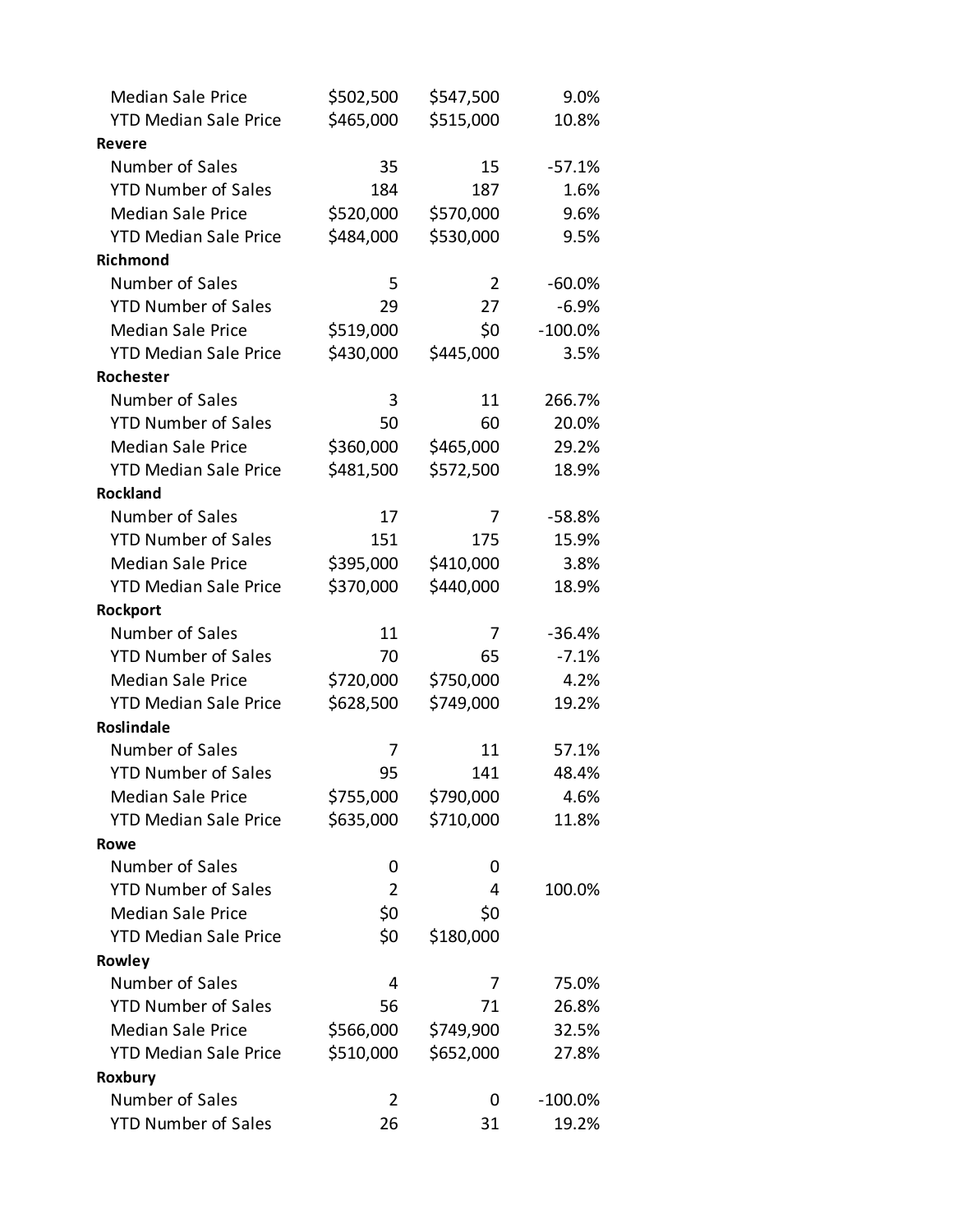| <b>Median Sale Price</b>     | \$502,500 | \$547,500      | 9.0%       |
|------------------------------|-----------|----------------|------------|
| <b>YTD Median Sale Price</b> | \$465,000 | \$515,000      | 10.8%      |
| <b>Revere</b>                |           |                |            |
| Number of Sales              | 35        | 15             | $-57.1%$   |
| <b>YTD Number of Sales</b>   | 184       | 187            | 1.6%       |
| <b>Median Sale Price</b>     | \$520,000 | \$570,000      | 9.6%       |
| <b>YTD Median Sale Price</b> | \$484,000 | \$530,000      | 9.5%       |
| <b>Richmond</b>              |           |                |            |
| Number of Sales              | 5         | $\overline{2}$ | $-60.0%$   |
| <b>YTD Number of Sales</b>   | 29        | 27             | $-6.9%$    |
| <b>Median Sale Price</b>     | \$519,000 | \$0            | $-100.0%$  |
| <b>YTD Median Sale Price</b> | \$430,000 | \$445,000      | 3.5%       |
| Rochester                    |           |                |            |
| Number of Sales              | 3         | 11             | 266.7%     |
| <b>YTD Number of Sales</b>   | 50        | 60             | 20.0%      |
| <b>Median Sale Price</b>     | \$360,000 | \$465,000      | 29.2%      |
| <b>YTD Median Sale Price</b> | \$481,500 | \$572,500      | 18.9%      |
| <b>Rockland</b>              |           |                |            |
| Number of Sales              | 17        | 7              | $-58.8%$   |
| <b>YTD Number of Sales</b>   | 151       | 175            | 15.9%      |
| <b>Median Sale Price</b>     | \$395,000 | \$410,000      | 3.8%       |
| <b>YTD Median Sale Price</b> | \$370,000 | \$440,000      | 18.9%      |
| Rockport                     |           |                |            |
| Number of Sales              | 11        | 7              | $-36.4%$   |
| <b>YTD Number of Sales</b>   | 70        | 65             | $-7.1%$    |
| <b>Median Sale Price</b>     | \$720,000 | \$750,000      | 4.2%       |
| <b>YTD Median Sale Price</b> | \$628,500 | \$749,000      | 19.2%      |
| <b>Roslindale</b>            |           |                |            |
| Number of Sales              | 7         | 11             | 57.1%      |
| <b>YTD Number of Sales</b>   | 95        | 141            | 48.4%      |
| <b>Median Sale Price</b>     | \$755,000 | \$790,000      | 4.6%       |
| <b>YTD Median Sale Price</b> | \$635,000 | \$710,000      | 11.8%      |
| Rowe                         |           |                |            |
| Number of Sales              | 0         | 0              |            |
| <b>YTD Number of Sales</b>   | 2         | 4              | 100.0%     |
| <b>Median Sale Price</b>     | \$0       | \$0            |            |
| <b>YTD Median Sale Price</b> | \$0       | \$180,000      |            |
| Rowley                       |           |                |            |
| Number of Sales              | 4         | 7              | 75.0%      |
| <b>YTD Number of Sales</b>   | 56        | 71             | 26.8%      |
| <b>Median Sale Price</b>     | \$566,000 | \$749,900      | 32.5%      |
| <b>YTD Median Sale Price</b> | \$510,000 | \$652,000      | 27.8%      |
| Roxbury                      |           |                |            |
| Number of Sales              | 2         | 0              | $-100.0\%$ |
| <b>YTD Number of Sales</b>   | 26        | 31             | 19.2%      |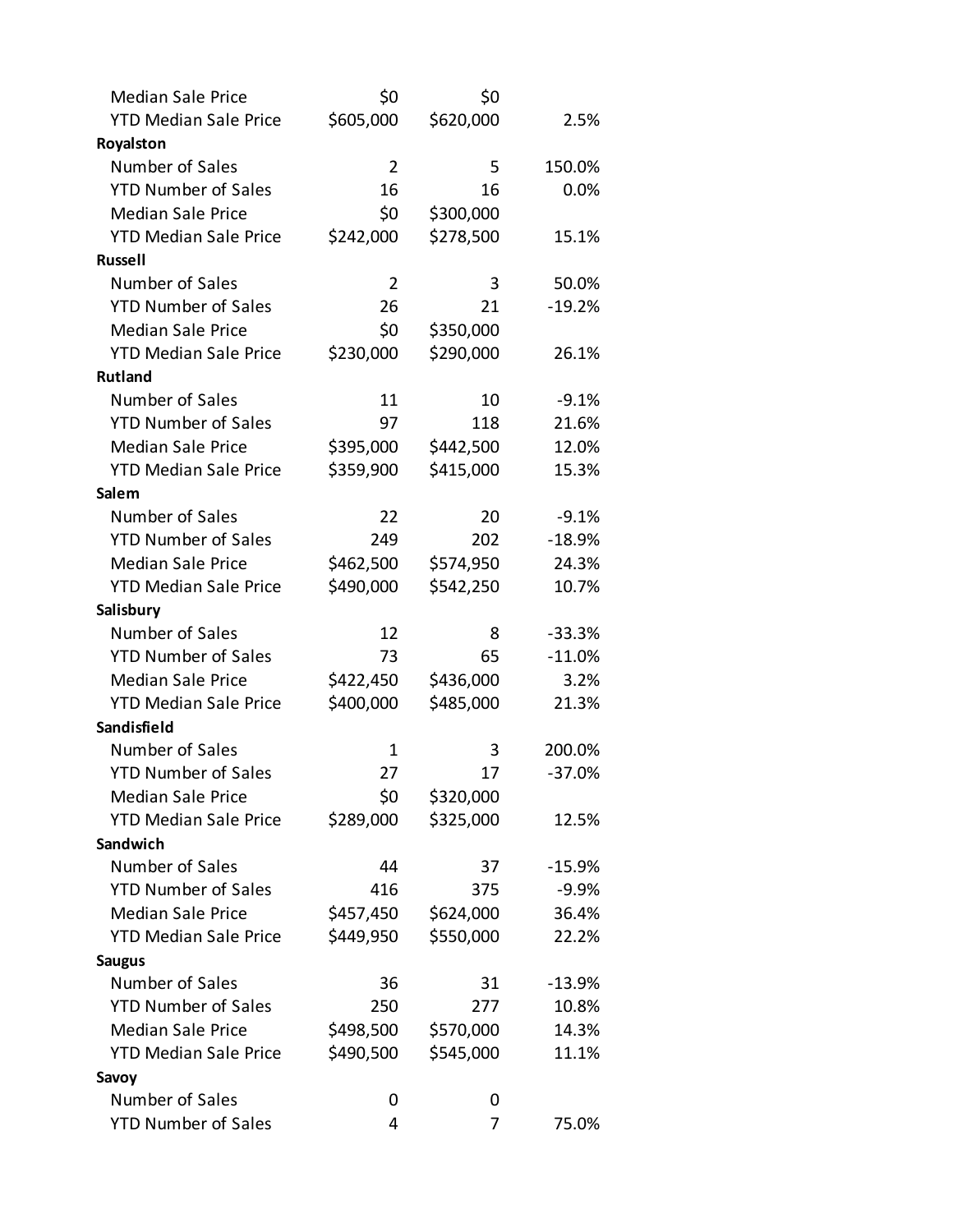| <b>Median Sale Price</b>     | \$0            | \$0       |          |
|------------------------------|----------------|-----------|----------|
| <b>YTD Median Sale Price</b> | \$605,000      | \$620,000 | 2.5%     |
| Royalston                    |                |           |          |
| Number of Sales              | $\overline{2}$ | 5         | 150.0%   |
| <b>YTD Number of Sales</b>   | 16             | 16        | 0.0%     |
| <b>Median Sale Price</b>     | \$0            | \$300,000 |          |
| <b>YTD Median Sale Price</b> | \$242,000      | \$278,500 | 15.1%    |
| <b>Russell</b>               |                |           |          |
| Number of Sales              | $\overline{2}$ | 3         | 50.0%    |
| <b>YTD Number of Sales</b>   | 26             | 21        | $-19.2%$ |
| <b>Median Sale Price</b>     | \$0            | \$350,000 |          |
| <b>YTD Median Sale Price</b> | \$230,000      | \$290,000 | 26.1%    |
| <b>Rutland</b>               |                |           |          |
| Number of Sales              | 11             | 10        | $-9.1%$  |
| <b>YTD Number of Sales</b>   | 97             | 118       | 21.6%    |
| <b>Median Sale Price</b>     | \$395,000      | \$442,500 | 12.0%    |
| <b>YTD Median Sale Price</b> | \$359,900      | \$415,000 | 15.3%    |
| Salem                        |                |           |          |
| Number of Sales              | 22             | 20        | $-9.1%$  |
| <b>YTD Number of Sales</b>   | 249            | 202       | $-18.9%$ |
| <b>Median Sale Price</b>     | \$462,500      | \$574,950 | 24.3%    |
| <b>YTD Median Sale Price</b> | \$490,000      | \$542,250 | 10.7%    |
| Salisbury                    |                |           |          |
| Number of Sales              | 12             | 8         | $-33.3%$ |
| <b>YTD Number of Sales</b>   | 73             | 65        | $-11.0%$ |
| <b>Median Sale Price</b>     | \$422,450      | \$436,000 | 3.2%     |
| <b>YTD Median Sale Price</b> | \$400,000      | \$485,000 | 21.3%    |
| Sandisfield                  |                |           |          |
| Number of Sales              | 1              | 3         | 200.0%   |
| <b>YTD Number of Sales</b>   | 27             | 17        | $-37.0%$ |
| <b>Median Sale Price</b>     | \$0            | \$320,000 |          |
| <b>YTD Median Sale Price</b> | \$289,000      | \$325,000 | 12.5%    |
| Sandwich                     |                |           |          |
| Number of Sales              | 44             | 37        | $-15.9%$ |
| <b>YTD Number of Sales</b>   | 416            | 375       | $-9.9%$  |
| <b>Median Sale Price</b>     | \$457,450      | \$624,000 | 36.4%    |
| <b>YTD Median Sale Price</b> | \$449,950      | \$550,000 | 22.2%    |
| <b>Saugus</b>                |                |           |          |
| Number of Sales              | 36             | 31        | $-13.9%$ |
| <b>YTD Number of Sales</b>   | 250            | 277       | 10.8%    |
| <b>Median Sale Price</b>     | \$498,500      | \$570,000 | 14.3%    |
| <b>YTD Median Sale Price</b> | \$490,500      | \$545,000 | 11.1%    |
| Savoy                        |                |           |          |
| Number of Sales              | 0              | 0         |          |
| <b>YTD Number of Sales</b>   | 4              | 7         | 75.0%    |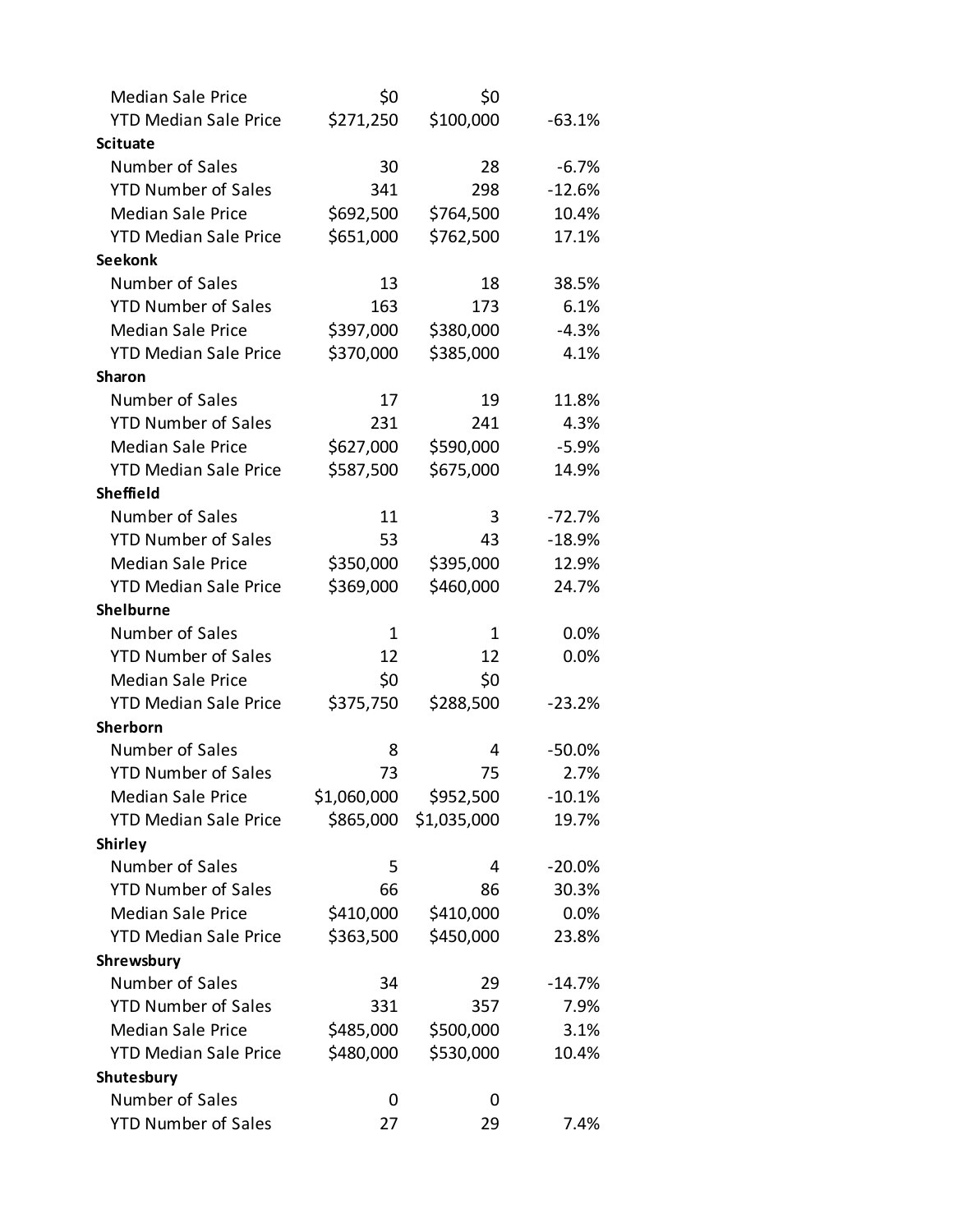| <b>Median Sale Price</b>     | \$0         | \$0         |           |
|------------------------------|-------------|-------------|-----------|
| <b>YTD Median Sale Price</b> | \$271,250   | \$100,000   | $-63.1%$  |
| <b>Scituate</b>              |             |             |           |
| Number of Sales              | 30          | 28          | $-6.7%$   |
| <b>YTD Number of Sales</b>   | 341         | 298         | $-12.6%$  |
| <b>Median Sale Price</b>     | \$692,500   | \$764,500   | 10.4%     |
| <b>YTD Median Sale Price</b> | \$651,000   | \$762,500   | 17.1%     |
| <b>Seekonk</b>               |             |             |           |
| Number of Sales              | 13          | 18          | 38.5%     |
| <b>YTD Number of Sales</b>   | 163         | 173         | 6.1%      |
| <b>Median Sale Price</b>     | \$397,000   | \$380,000   | $-4.3%$   |
| <b>YTD Median Sale Price</b> | \$370,000   | \$385,000   | 4.1%      |
| <b>Sharon</b>                |             |             |           |
| Number of Sales              | 17          | 19          | 11.8%     |
| <b>YTD Number of Sales</b>   | 231         | 241         | 4.3%      |
| <b>Median Sale Price</b>     | \$627,000   | \$590,000   | $-5.9%$   |
| <b>YTD Median Sale Price</b> | \$587,500   | \$675,000   | 14.9%     |
| <b>Sheffield</b>             |             |             |           |
| Number of Sales              | 11          | 3           | $-72.7%$  |
| <b>YTD Number of Sales</b>   | 53          | 43          | $-18.9%$  |
| <b>Median Sale Price</b>     | \$350,000   | \$395,000   | 12.9%     |
| <b>YTD Median Sale Price</b> | \$369,000   | \$460,000   | 24.7%     |
| <b>Shelburne</b>             |             |             |           |
| Number of Sales              | 1           | 1           | 0.0%      |
| <b>YTD Number of Sales</b>   | 12          | 12          | 0.0%      |
| <b>Median Sale Price</b>     | \$0         | \$0         |           |
| <b>YTD Median Sale Price</b> | \$375,750   | \$288,500   | $-23.2%$  |
| Sherborn                     |             |             |           |
| Number of Sales              | 8           | 4           | $-50.0\%$ |
| <b>YTD Number of Sales</b>   | 73          | 75          | 2.7%      |
| <b>Median Sale Price</b>     | \$1,060,000 | \$952,500   | $-10.1%$  |
| <b>YTD Median Sale Price</b> | \$865,000   | \$1,035,000 | 19.7%     |
| <b>Shirley</b>               |             |             |           |
| Number of Sales              | 5           | 4           | $-20.0%$  |
| <b>YTD Number of Sales</b>   | 66          | 86          | 30.3%     |
| <b>Median Sale Price</b>     | \$410,000   | \$410,000   | 0.0%      |
| <b>YTD Median Sale Price</b> | \$363,500   | \$450,000   | 23.8%     |
| Shrewsbury                   |             |             |           |
| Number of Sales              | 34          | 29          | $-14.7%$  |
| <b>YTD Number of Sales</b>   | 331         | 357         | 7.9%      |
| <b>Median Sale Price</b>     | \$485,000   | \$500,000   | 3.1%      |
| <b>YTD Median Sale Price</b> | \$480,000   | \$530,000   | 10.4%     |
| Shutesbury                   |             |             |           |
| Number of Sales              | 0           | 0           |           |
| <b>YTD Number of Sales</b>   | 27          | 29          | 7.4%      |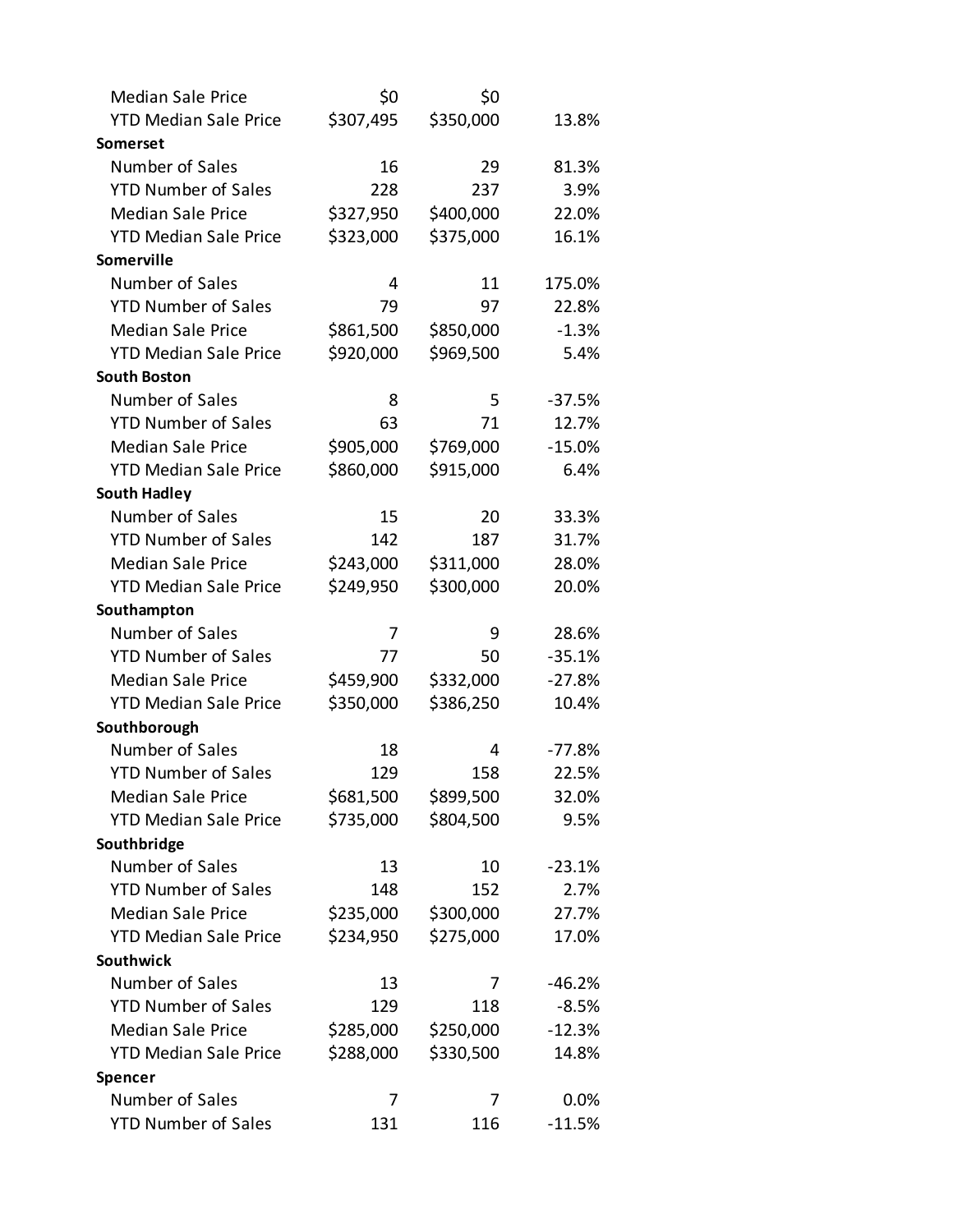| <b>Median Sale Price</b>                      | \$0       | \$0       |                  |
|-----------------------------------------------|-----------|-----------|------------------|
| <b>YTD Median Sale Price</b>                  | \$307,495 | \$350,000 | 13.8%            |
| Somerset                                      |           |           |                  |
| Number of Sales                               | 16        | 29        | 81.3%            |
| <b>YTD Number of Sales</b>                    | 228       | 237       | 3.9%             |
| <b>Median Sale Price</b>                      | \$327,950 | \$400,000 | 22.0%            |
| <b>YTD Median Sale Price</b>                  | \$323,000 | \$375,000 | 16.1%            |
| Somerville                                    |           |           |                  |
| Number of Sales                               | 4         | 11        | 175.0%           |
| <b>YTD Number of Sales</b>                    | 79        | 97        | 22.8%            |
| <b>Median Sale Price</b>                      | \$861,500 | \$850,000 | $-1.3%$          |
| <b>YTD Median Sale Price</b>                  | \$920,000 | \$969,500 | 5.4%             |
| <b>South Boston</b>                           |           |           |                  |
| Number of Sales                               | 8         | 5         | $-37.5%$         |
| <b>YTD Number of Sales</b>                    | 63        | 71        | 12.7%            |
| <b>Median Sale Price</b>                      | \$905,000 | \$769,000 | $-15.0%$         |
| <b>YTD Median Sale Price</b>                  | \$860,000 | \$915,000 | 6.4%             |
| <b>South Hadley</b>                           |           |           |                  |
| Number of Sales                               | 15        | 20        | 33.3%            |
| <b>YTD Number of Sales</b>                    | 142       | 187       | 31.7%            |
| <b>Median Sale Price</b>                      | \$243,000 | \$311,000 | 28.0%            |
| <b>YTD Median Sale Price</b>                  | \$249,950 | \$300,000 | 20.0%            |
| Southampton                                   |           |           |                  |
| Number of Sales                               | 7         | 9         | 28.6%            |
| <b>YTD Number of Sales</b>                    | 77        | 50        | $-35.1%$         |
| <b>Median Sale Price</b>                      | \$459,900 | \$332,000 | $-27.8%$         |
| <b>YTD Median Sale Price</b>                  | \$350,000 | \$386,250 | 10.4%            |
| Southborough                                  |           |           |                  |
| Number of Sales                               | 18        | 4         | $-77.8%$         |
| <b>YTD Number of Sales</b>                    | 129       | 158       | 22.5%            |
| <b>Median Sale Price</b>                      | \$681,500 | \$899,500 | 32.0%            |
| <b>YTD Median Sale Price</b>                  | \$735,000 | \$804,500 | 9.5%             |
| Southbridge                                   |           |           |                  |
| Number of Sales                               | 13        | 10        | $-23.1%$         |
| <b>YTD Number of Sales</b>                    | 148       | 152       | 2.7%             |
| <b>Median Sale Price</b>                      | \$235,000 | \$300,000 | 27.7%            |
| <b>YTD Median Sale Price</b>                  | \$234,950 | \$275,000 | 17.0%            |
| <b>Southwick</b>                              |           |           |                  |
| Number of Sales                               |           |           |                  |
|                                               | 13        | 7         | $-46.2%$         |
| <b>YTD Number of Sales</b>                    | 129       | 118       | $-8.5%$          |
| <b>Median Sale Price</b>                      | \$285,000 | \$250,000 | $-12.3%$         |
| <b>YTD Median Sale Price</b>                  | \$288,000 | \$330,500 | 14.8%            |
| Spencer                                       |           |           |                  |
| Number of Sales<br><b>YTD Number of Sales</b> | 7<br>131  | 7<br>116  | 0.0%<br>$-11.5%$ |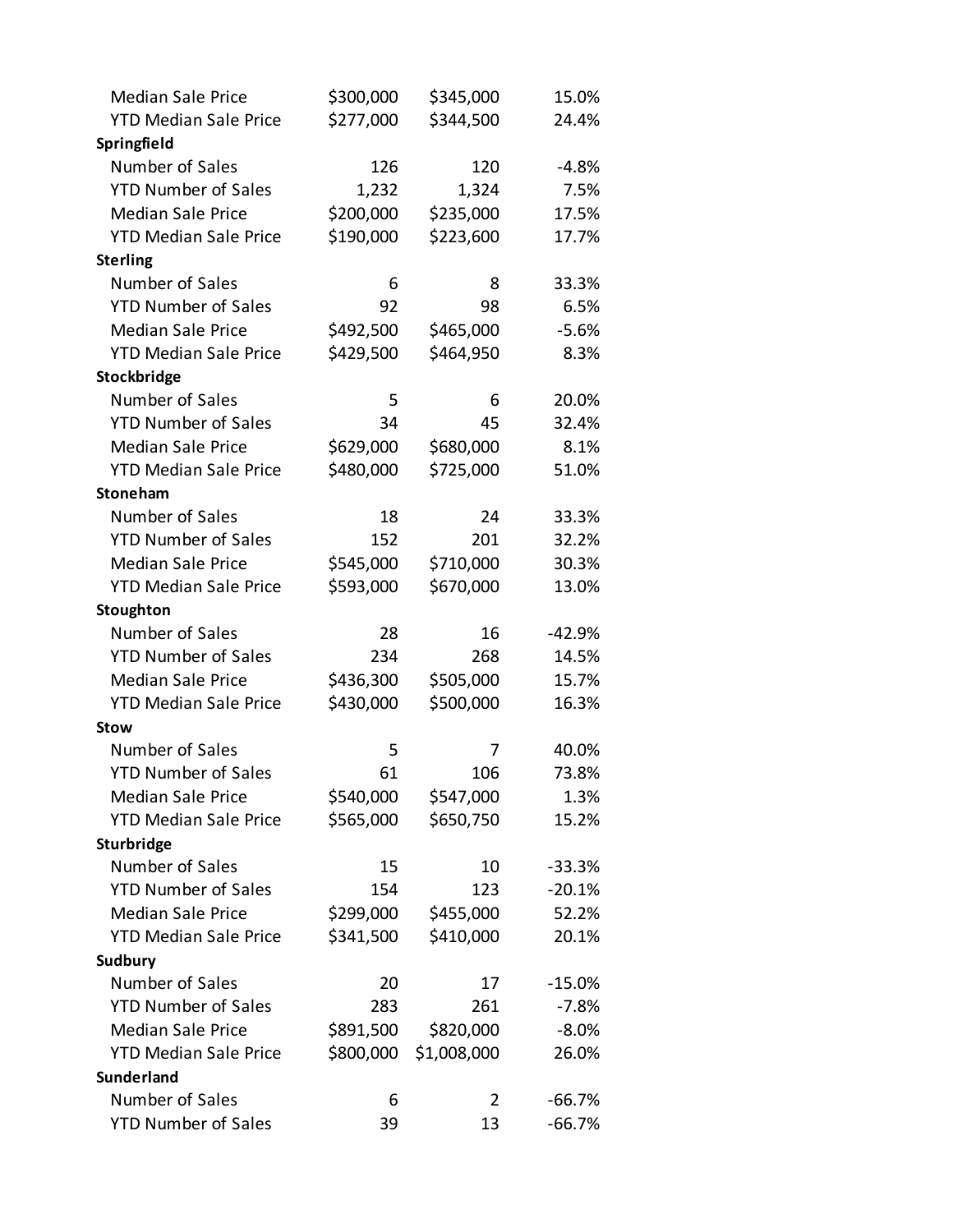| <b>Median Sale Price</b>     | \$300,000 | \$345,000   | 15.0%    |
|------------------------------|-----------|-------------|----------|
| <b>YTD Median Sale Price</b> | \$277,000 | \$344,500   | 24.4%    |
| Springfield                  |           |             |          |
| Number of Sales              | 126       | 120         | $-4.8%$  |
| <b>YTD Number of Sales</b>   | 1,232     | 1,324       | 7.5%     |
| <b>Median Sale Price</b>     | \$200,000 | \$235,000   | 17.5%    |
| <b>YTD Median Sale Price</b> | \$190,000 | \$223,600   | 17.7%    |
| <b>Sterling</b>              |           |             |          |
| Number of Sales              | 6         | 8           | 33.3%    |
| <b>YTD Number of Sales</b>   | 92        | 98          | 6.5%     |
| <b>Median Sale Price</b>     | \$492,500 | \$465,000   | $-5.6%$  |
| <b>YTD Median Sale Price</b> | \$429,500 | \$464,950   | 8.3%     |
| Stockbridge                  |           |             |          |
| Number of Sales              | 5         | 6           | 20.0%    |
| <b>YTD Number of Sales</b>   | 34        | 45          | 32.4%    |
| <b>Median Sale Price</b>     | \$629,000 | \$680,000   | 8.1%     |
| <b>YTD Median Sale Price</b> | \$480,000 | \$725,000   | 51.0%    |
| Stoneham                     |           |             |          |
| Number of Sales              | 18        | 24          | 33.3%    |
| <b>YTD Number of Sales</b>   | 152       | 201         | 32.2%    |
| <b>Median Sale Price</b>     | \$545,000 | \$710,000   | 30.3%    |
| <b>YTD Median Sale Price</b> | \$593,000 | \$670,000   | 13.0%    |
| Stoughton                    |           |             |          |
| Number of Sales              | 28        | 16          | $-42.9%$ |
| <b>YTD Number of Sales</b>   | 234       | 268         | 14.5%    |
| <b>Median Sale Price</b>     | \$436,300 | \$505,000   | 15.7%    |
| <b>YTD Median Sale Price</b> | \$430,000 | \$500,000   | 16.3%    |
| <b>Stow</b>                  |           |             |          |
| Number of Sales              | 5         | 7           | 40.0%    |
| <b>YTD Number of Sales</b>   | 61        | 106         | 73.8%    |
| <b>Median Sale Price</b>     | \$540,000 | \$547,000   | 1.3%     |
| <b>YTD Median Sale Price</b> | \$565,000 | \$650,750   | 15.2%    |
| Sturbridge                   |           |             |          |
| Number of Sales              | 15        | 10          | $-33.3%$ |
| <b>YTD Number of Sales</b>   | 154       | 123         | $-20.1%$ |
| <b>Median Sale Price</b>     | \$299,000 | \$455,000   | 52.2%    |
| <b>YTD Median Sale Price</b> | \$341,500 | \$410,000   | 20.1%    |
| <b>Sudbury</b>               |           |             |          |
| Number of Sales              | 20        | 17          | $-15.0%$ |
| <b>YTD Number of Sales</b>   | 283       | 261         | $-7.8%$  |
| <b>Median Sale Price</b>     | \$891,500 | \$820,000   | $-8.0%$  |
| <b>YTD Median Sale Price</b> | \$800,000 | \$1,008,000 | 26.0%    |
| <b>Sunderland</b>            |           |             |          |
| Number of Sales              | 6         | 2           | $-66.7%$ |
| <b>YTD Number of Sales</b>   | 39        | 13          | $-66.7%$ |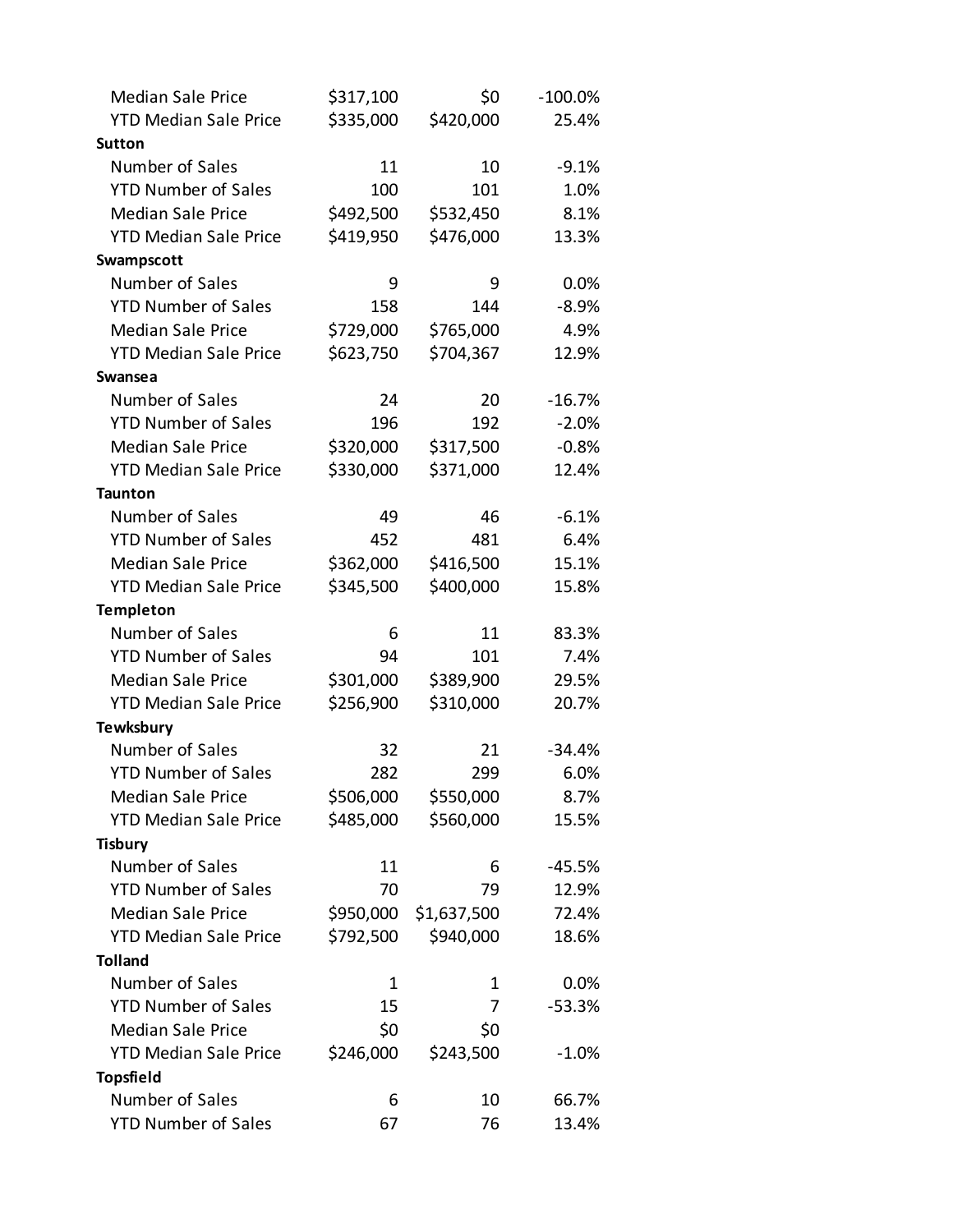| <b>Median Sale Price</b>     | \$317,100 | \$0         | $-100.0\%$ |
|------------------------------|-----------|-------------|------------|
| <b>YTD Median Sale Price</b> | \$335,000 | \$420,000   | 25.4%      |
| <b>Sutton</b>                |           |             |            |
| Number of Sales              | 11        | 10          | $-9.1%$    |
| <b>YTD Number of Sales</b>   | 100       | 101         | 1.0%       |
| <b>Median Sale Price</b>     | \$492,500 | \$532,450   | 8.1%       |
| <b>YTD Median Sale Price</b> | \$419,950 | \$476,000   | 13.3%      |
| Swampscott                   |           |             |            |
| Number of Sales              | 9         | 9           | 0.0%       |
| <b>YTD Number of Sales</b>   | 158       | 144         | $-8.9%$    |
| <b>Median Sale Price</b>     | \$729,000 | \$765,000   | 4.9%       |
| <b>YTD Median Sale Price</b> | \$623,750 | \$704,367   | 12.9%      |
| <b>Swansea</b>               |           |             |            |
| Number of Sales              | 24        | 20          | $-16.7%$   |
| <b>YTD Number of Sales</b>   | 196       | 192         | $-2.0%$    |
| <b>Median Sale Price</b>     | \$320,000 | \$317,500   | $-0.8%$    |
| <b>YTD Median Sale Price</b> | \$330,000 | \$371,000   | 12.4%      |
| <b>Taunton</b>               |           |             |            |
| Number of Sales              | 49        | 46          | $-6.1%$    |
| <b>YTD Number of Sales</b>   | 452       | 481         | 6.4%       |
| <b>Median Sale Price</b>     | \$362,000 | \$416,500   | 15.1%      |
| <b>YTD Median Sale Price</b> | \$345,500 | \$400,000   | 15.8%      |
| <b>Templeton</b>             |           |             |            |
| Number of Sales              | 6         | 11          | 83.3%      |
| <b>YTD Number of Sales</b>   | 94        | 101         | 7.4%       |
| <b>Median Sale Price</b>     | \$301,000 | \$389,900   | 29.5%      |
| <b>YTD Median Sale Price</b> | \$256,900 | \$310,000   | 20.7%      |
| <b>Tewksbury</b>             |           |             |            |
| Number of Sales              | 32        | 21          | $-34.4%$   |
| <b>YTD Number of Sales</b>   | 282       | 299         | 6.0%       |
| <b>Median Sale Price</b>     | \$506,000 | \$550,000   | 8.7%       |
| <b>YTD Median Sale Price</b> | \$485,000 | \$560,000   | 15.5%      |
| <b>Tisbury</b>               |           |             |            |
| Number of Sales              | 11        | 6           | -45.5%     |
| <b>YTD Number of Sales</b>   | 70        | 79          | 12.9%      |
| <b>Median Sale Price</b>     | \$950,000 | \$1,637,500 | 72.4%      |
| <b>YTD Median Sale Price</b> | \$792,500 | \$940,000   | 18.6%      |
| <b>Tolland</b>               |           |             |            |
| Number of Sales              | 1         | 1           | $0.0\%$    |
| <b>YTD Number of Sales</b>   | 15        | 7           | $-53.3%$   |
| <b>Median Sale Price</b>     | \$0       | \$0         |            |
| <b>YTD Median Sale Price</b> | \$246,000 | \$243,500   | $-1.0%$    |
| <b>Topsfield</b>             |           |             |            |
| Number of Sales              | 6         | 10          | 66.7%      |
| <b>YTD Number of Sales</b>   | 67        | 76          | 13.4%      |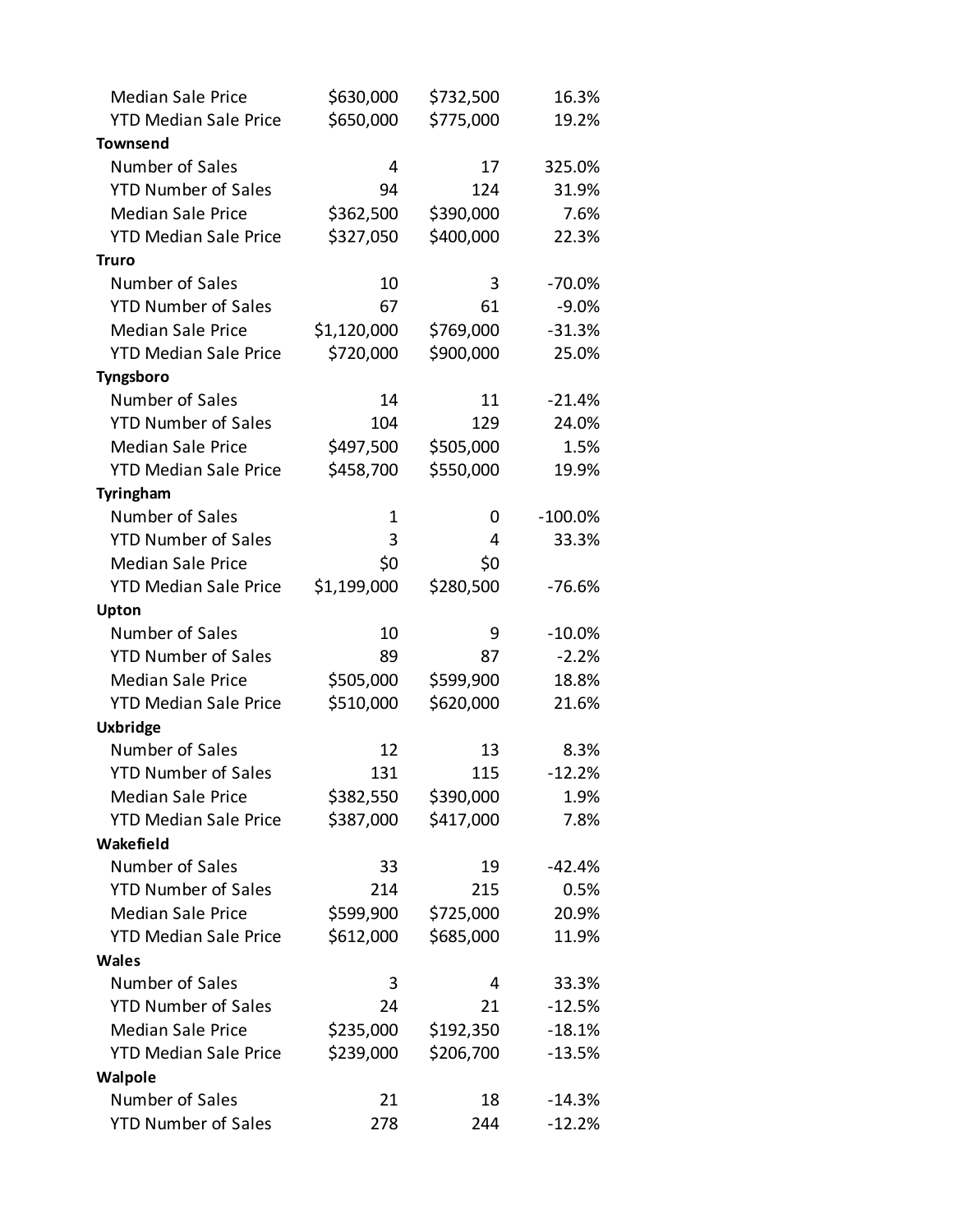| <b>Median Sale Price</b>     | \$630,000   | \$732,500 | 16.3%      |
|------------------------------|-------------|-----------|------------|
| <b>YTD Median Sale Price</b> | \$650,000   | \$775,000 | 19.2%      |
| <b>Townsend</b>              |             |           |            |
| Number of Sales              | 4           | 17        | 325.0%     |
| <b>YTD Number of Sales</b>   | 94          | 124       | 31.9%      |
| <b>Median Sale Price</b>     | \$362,500   | \$390,000 | 7.6%       |
| <b>YTD Median Sale Price</b> | \$327,050   | \$400,000 | 22.3%      |
| <b>Truro</b>                 |             |           |            |
| Number of Sales              | 10          | 3         | $-70.0%$   |
| <b>YTD Number of Sales</b>   | 67          | 61        | $-9.0%$    |
| <b>Median Sale Price</b>     | \$1,120,000 | \$769,000 | $-31.3%$   |
| <b>YTD Median Sale Price</b> | \$720,000   | \$900,000 | 25.0%      |
| Tyngsboro                    |             |           |            |
| Number of Sales              | 14          | 11        | $-21.4%$   |
| <b>YTD Number of Sales</b>   | 104         | 129       | 24.0%      |
| <b>Median Sale Price</b>     | \$497,500   | \$505,000 | 1.5%       |
| <b>YTD Median Sale Price</b> | \$458,700   | \$550,000 | 19.9%      |
| Tyringham                    |             |           |            |
| Number of Sales              | 1           | 0         | $-100.0\%$ |
| <b>YTD Number of Sales</b>   | 3           | 4         | 33.3%      |
| <b>Median Sale Price</b>     | \$0         | \$0       |            |
| <b>YTD Median Sale Price</b> | \$1,199,000 | \$280,500 | $-76.6%$   |
| Upton                        |             |           |            |
| Number of Sales              | 10          | 9         | $-10.0\%$  |
| <b>YTD Number of Sales</b>   | 89          | 87        | $-2.2%$    |
| <b>Median Sale Price</b>     | \$505,000   | \$599,900 | 18.8%      |
| <b>YTD Median Sale Price</b> | \$510,000   | \$620,000 | 21.6%      |
| <b>Uxbridge</b>              |             |           |            |
| Number of Sales              | 12          | 13        | 8.3%       |
| <b>YTD Number of Sales</b>   | 131         | 115       | $-12.2%$   |
| <b>Median Sale Price</b>     | \$382,550   | \$390,000 | 1.9%       |
| <b>YTD Median Sale Price</b> | \$387,000   | \$417,000 | 7.8%       |
| Wakefield                    |             |           |            |
| Number of Sales              | 33          | 19        | -42.4%     |
| <b>YTD Number of Sales</b>   | 214         | 215       | 0.5%       |
| <b>Median Sale Price</b>     | \$599,900   | \$725,000 | 20.9%      |
| <b>YTD Median Sale Price</b> | \$612,000   | \$685,000 | 11.9%      |
| <b>Wales</b>                 |             |           |            |
| Number of Sales              | 3           | 4         | 33.3%      |
| <b>YTD Number of Sales</b>   | 24          | 21        | $-12.5%$   |
| <b>Median Sale Price</b>     | \$235,000   | \$192,350 | $-18.1%$   |
| <b>YTD Median Sale Price</b> | \$239,000   | \$206,700 | $-13.5%$   |
| Walpole                      |             |           |            |
| Number of Sales              | 21          | 18        | $-14.3%$   |
| <b>YTD Number of Sales</b>   | 278         | 244       | $-12.2%$   |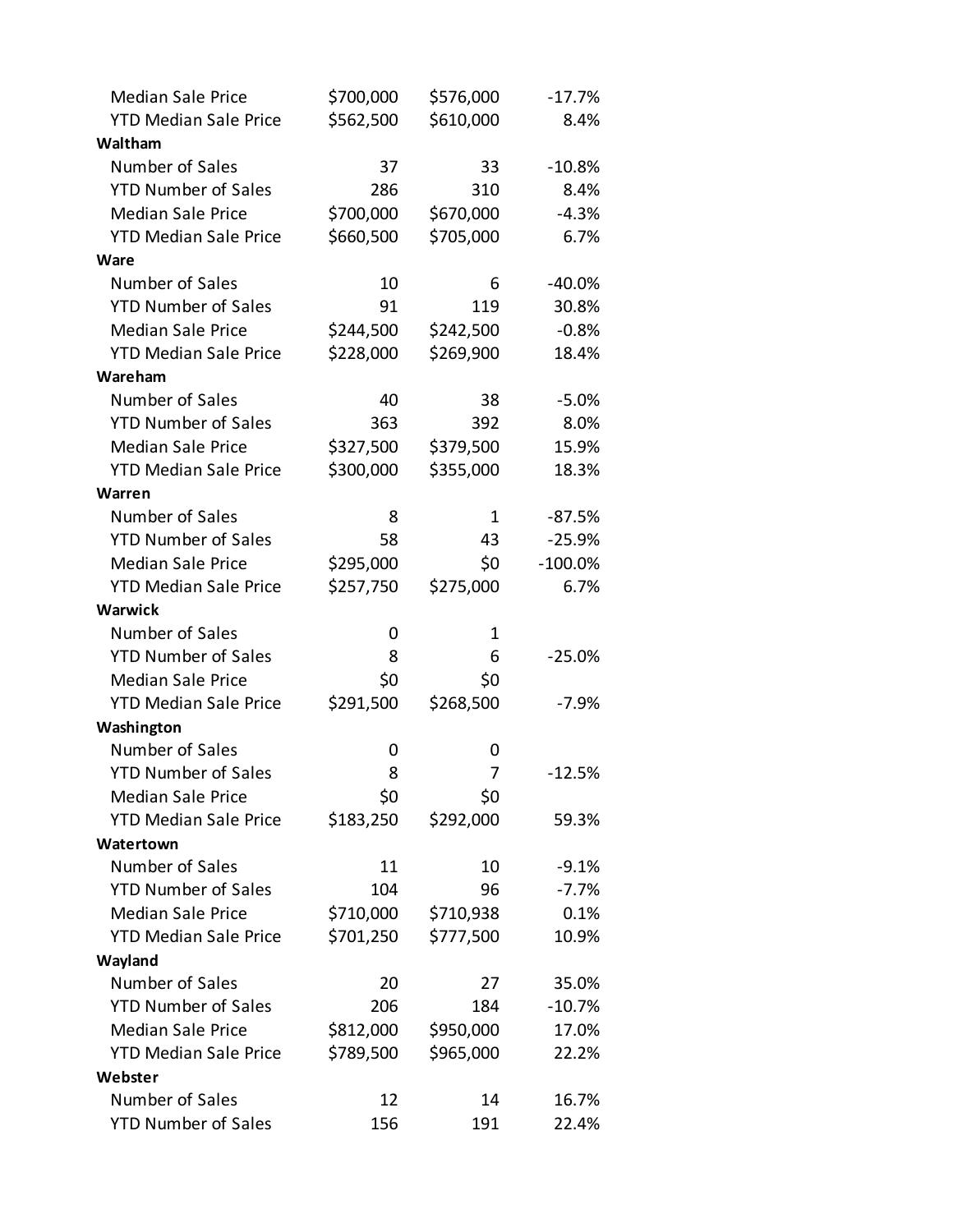| <b>Median Sale Price</b>     | \$700,000 | \$576,000 | $-17.7%$  |
|------------------------------|-----------|-----------|-----------|
| <b>YTD Median Sale Price</b> | \$562,500 | \$610,000 | 8.4%      |
| Waltham                      |           |           |           |
| Number of Sales              | 37        | 33        | $-10.8%$  |
| <b>YTD Number of Sales</b>   | 286       | 310       | 8.4%      |
| <b>Median Sale Price</b>     | \$700,000 | \$670,000 | $-4.3%$   |
| <b>YTD Median Sale Price</b> | \$660,500 | \$705,000 | 6.7%      |
| Ware                         |           |           |           |
| Number of Sales              | 10        | 6         | $-40.0%$  |
| <b>YTD Number of Sales</b>   | 91        | 119       | 30.8%     |
| <b>Median Sale Price</b>     | \$244,500 | \$242,500 | $-0.8%$   |
| <b>YTD Median Sale Price</b> | \$228,000 | \$269,900 | 18.4%     |
| Wareham                      |           |           |           |
| Number of Sales              | 40        | 38        | $-5.0%$   |
| <b>YTD Number of Sales</b>   | 363       | 392       | 8.0%      |
| <b>Median Sale Price</b>     | \$327,500 | \$379,500 | 15.9%     |
| <b>YTD Median Sale Price</b> | \$300,000 | \$355,000 | 18.3%     |
| Warren                       |           |           |           |
| Number of Sales              | 8         | 1         | $-87.5%$  |
| <b>YTD Number of Sales</b>   | 58        | 43        | $-25.9%$  |
| <b>Median Sale Price</b>     | \$295,000 | \$0       | $-100.0%$ |
| <b>YTD Median Sale Price</b> | \$257,750 | \$275,000 | 6.7%      |
| <b>Warwick</b>               |           |           |           |
| Number of Sales              | 0         | 1         |           |
| <b>YTD Number of Sales</b>   | 8         | 6         | $-25.0%$  |
| <b>Median Sale Price</b>     | \$0       | \$0       |           |
| <b>YTD Median Sale Price</b> | \$291,500 | \$268,500 | $-7.9%$   |
| Washington                   |           |           |           |
| Number of Sales              |           |           |           |
|                              | 0         | 0         |           |
| <b>YTD Number of Sales</b>   | 8         | 7         | $-12.5%$  |
| <b>Median Sale Price</b>     | \$0       | \$0       |           |
| <b>YTD Median Sale Price</b> | \$183,250 | \$292,000 | 59.3%     |
| Watertown                    |           |           |           |
| Number of Sales              | 11        | 10        | $-9.1%$   |
| <b>YTD Number of Sales</b>   | 104       | 96        | $-7.7%$   |
| <b>Median Sale Price</b>     | \$710,000 | \$710,938 | 0.1%      |
| <b>YTD Median Sale Price</b> | \$701,250 | \$777,500 | 10.9%     |
| Wayland                      |           |           |           |
| Number of Sales              | 20        | 27        | 35.0%     |
| <b>YTD Number of Sales</b>   | 206       | 184       | $-10.7%$  |
| <b>Median Sale Price</b>     | \$812,000 | \$950,000 | 17.0%     |
| <b>YTD Median Sale Price</b> | \$789,500 | \$965,000 | 22.2%     |
| Webster                      |           |           |           |
| Number of Sales              | 12        | 14        | 16.7%     |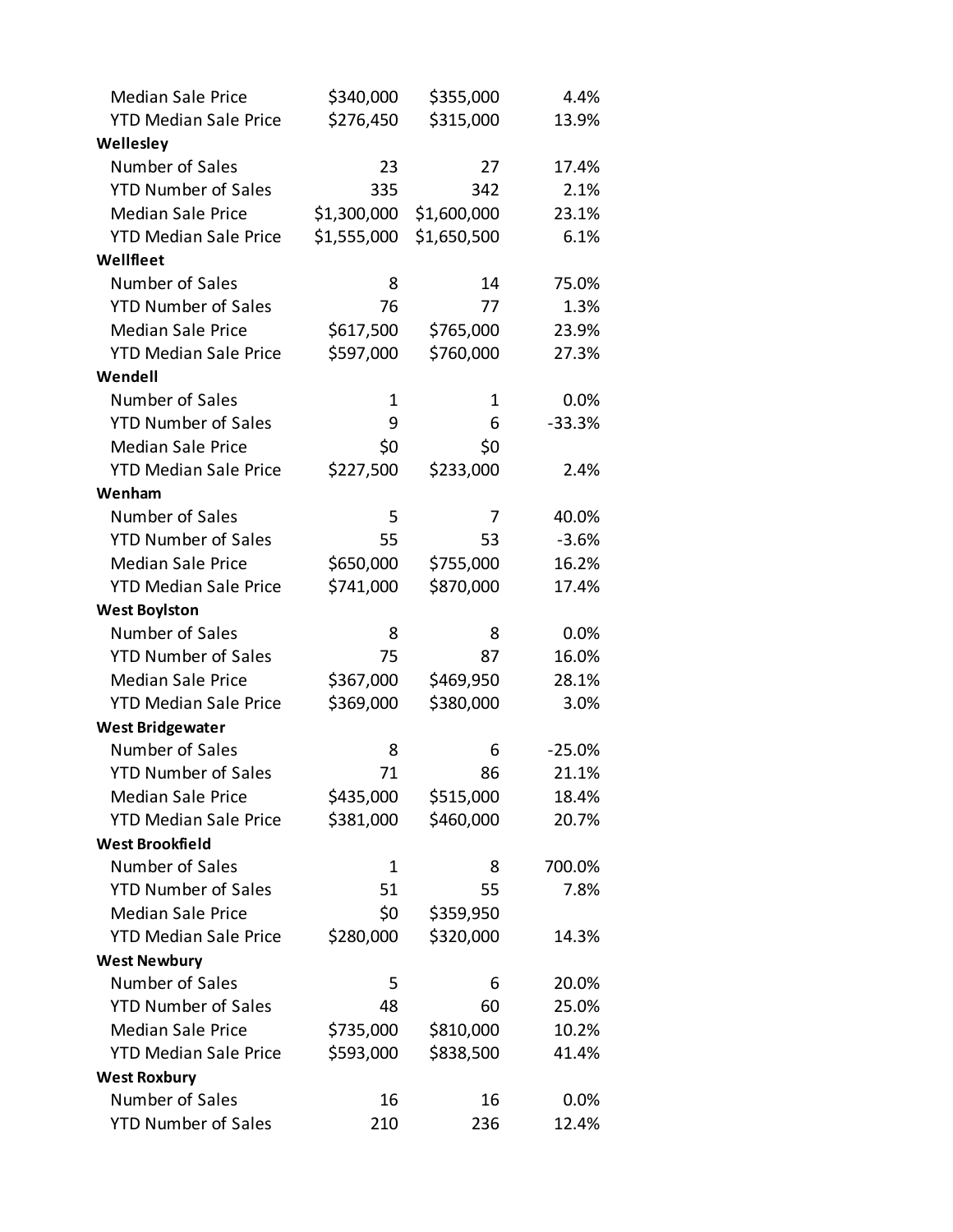| <b>Median Sale Price</b>     | \$340,000   | \$355,000   | 4.4%     |
|------------------------------|-------------|-------------|----------|
| <b>YTD Median Sale Price</b> | \$276,450   | \$315,000   | 13.9%    |
| Wellesley                    |             |             |          |
| Number of Sales              | 23          | 27          | 17.4%    |
| <b>YTD Number of Sales</b>   | 335         | 342         | 2.1%     |
| <b>Median Sale Price</b>     | \$1,300,000 | \$1,600,000 | 23.1%    |
| <b>YTD Median Sale Price</b> | \$1,555,000 | \$1,650,500 | 6.1%     |
| Wellfleet                    |             |             |          |
| Number of Sales              | 8           | 14          | 75.0%    |
| <b>YTD Number of Sales</b>   | 76          | 77          | 1.3%     |
| <b>Median Sale Price</b>     | \$617,500   | \$765,000   | 23.9%    |
| <b>YTD Median Sale Price</b> | \$597,000   | \$760,000   | 27.3%    |
| Wendell                      |             |             |          |
| Number of Sales              | 1           | 1           | 0.0%     |
| <b>YTD Number of Sales</b>   | 9           | 6           | $-33.3%$ |
| <b>Median Sale Price</b>     | \$0         | \$0         |          |
| <b>YTD Median Sale Price</b> | \$227,500   | \$233,000   | 2.4%     |
| Wenham                       |             |             |          |
| Number of Sales              | 5           | 7           | 40.0%    |
| <b>YTD Number of Sales</b>   | 55          | 53          | $-3.6%$  |
| <b>Median Sale Price</b>     | \$650,000   | \$755,000   | 16.2%    |
| <b>YTD Median Sale Price</b> | \$741,000   | \$870,000   | 17.4%    |
| <b>West Boylston</b>         |             |             |          |
| Number of Sales              | 8           | 8           | 0.0%     |
| <b>YTD Number of Sales</b>   | 75          | 87          | 16.0%    |
| <b>Median Sale Price</b>     | \$367,000   | \$469,950   | 28.1%    |
| <b>YTD Median Sale Price</b> | \$369,000   | \$380,000   | 3.0%     |
| <b>West Bridgewater</b>      |             |             |          |
| Number of Sales              | 8           | 6           | $-25.0%$ |
| <b>YTD Number of Sales</b>   | 71          | 86          | 21.1%    |
| <b>Median Sale Price</b>     | \$435,000   | \$515,000   | 18.4%    |
| <b>YTD Median Sale Price</b> | \$381,000   | \$460,000   | 20.7%    |
| <b>West Brookfield</b>       |             |             |          |
| Number of Sales              | 1           | 8           | 700.0%   |
| <b>YTD Number of Sales</b>   | 51          | 55          | 7.8%     |
| <b>Median Sale Price</b>     | \$0         | \$359,950   |          |
| <b>YTD Median Sale Price</b> | \$280,000   | \$320,000   | 14.3%    |
| <b>West Newbury</b>          |             |             |          |
| Number of Sales              | 5           | 6           | 20.0%    |
| <b>YTD Number of Sales</b>   | 48          | 60          | 25.0%    |
| <b>Median Sale Price</b>     | \$735,000   | \$810,000   | 10.2%    |
| <b>YTD Median Sale Price</b> | \$593,000   | \$838,500   | 41.4%    |
| <b>West Roxbury</b>          |             |             |          |
| Number of Sales              | 16          | 16          | 0.0%     |
| <b>YTD Number of Sales</b>   | 210         | 236         | 12.4%    |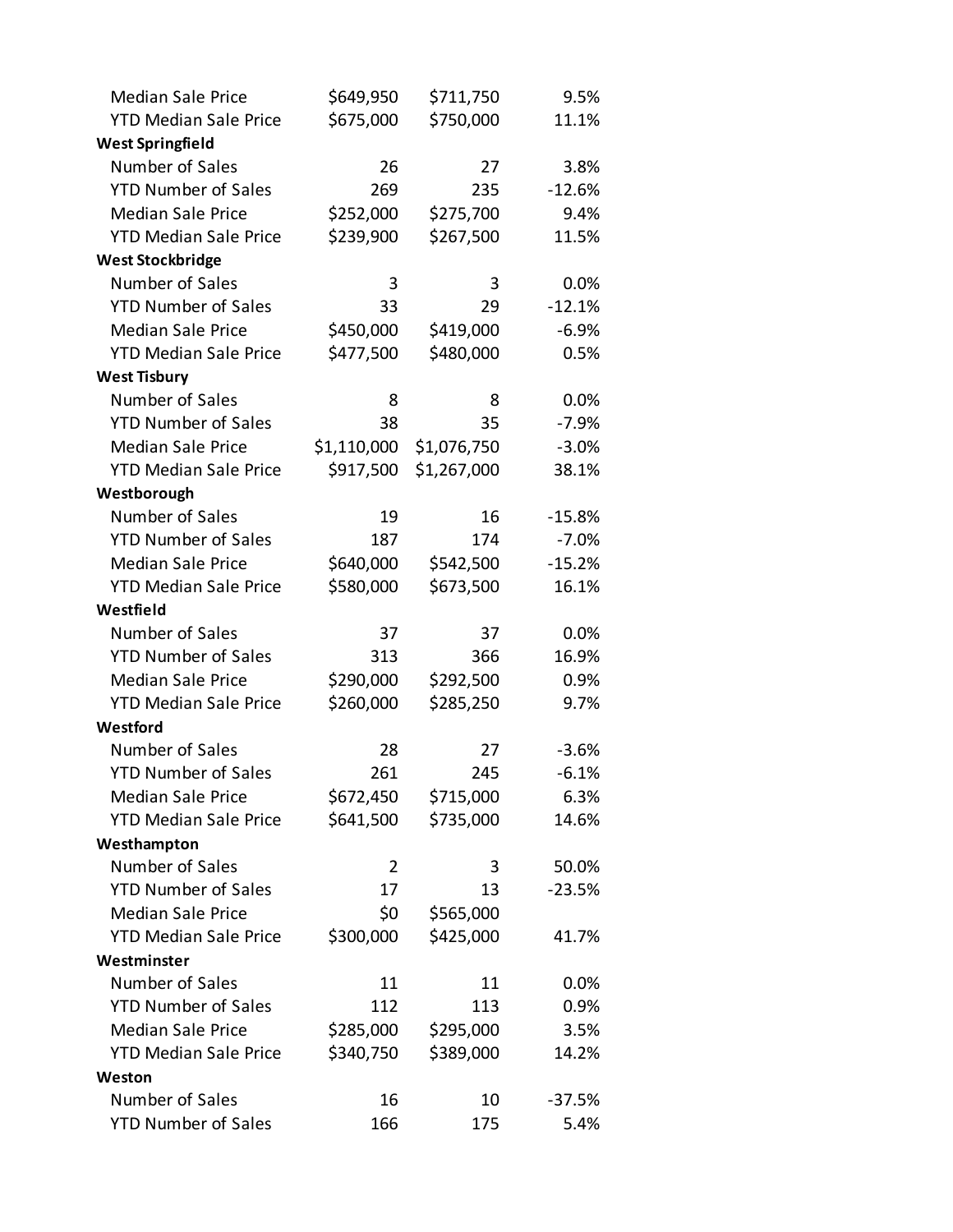| <b>Median Sale Price</b>     | \$649,950   | \$711,750   | 9.5%     |
|------------------------------|-------------|-------------|----------|
| <b>YTD Median Sale Price</b> | \$675,000   | \$750,000   | 11.1%    |
| <b>West Springfield</b>      |             |             |          |
| Number of Sales              | 26          | 27          | 3.8%     |
| <b>YTD Number of Sales</b>   | 269         | 235         | $-12.6%$ |
| <b>Median Sale Price</b>     | \$252,000   | \$275,700   | 9.4%     |
| <b>YTD Median Sale Price</b> | \$239,900   | \$267,500   | 11.5%    |
| <b>West Stockbridge</b>      |             |             |          |
| Number of Sales              | 3           | 3           | 0.0%     |
| <b>YTD Number of Sales</b>   | 33          | 29          | $-12.1%$ |
| <b>Median Sale Price</b>     | \$450,000   | \$419,000   | $-6.9%$  |
| <b>YTD Median Sale Price</b> | \$477,500   | \$480,000   | 0.5%     |
| <b>West Tisbury</b>          |             |             |          |
| Number of Sales              | 8           | 8           | 0.0%     |
| <b>YTD Number of Sales</b>   | 38          | 35          | $-7.9%$  |
| <b>Median Sale Price</b>     | \$1,110,000 | \$1,076,750 | $-3.0%$  |
| <b>YTD Median Sale Price</b> | \$917,500   | \$1,267,000 | 38.1%    |
| Westborough                  |             |             |          |
| Number of Sales              | 19          | 16          | $-15.8%$ |
| <b>YTD Number of Sales</b>   | 187         | 174         | $-7.0%$  |
| <b>Median Sale Price</b>     | \$640,000   | \$542,500   | $-15.2%$ |
| <b>YTD Median Sale Price</b> | \$580,000   | \$673,500   | 16.1%    |
| Westfield                    |             |             |          |
| Number of Sales              | 37          | 37          | 0.0%     |
| <b>YTD Number of Sales</b>   | 313         | 366         | 16.9%    |
| <b>Median Sale Price</b>     | \$290,000   | \$292,500   | 0.9%     |
| <b>YTD Median Sale Price</b> | \$260,000   | \$285,250   | 9.7%     |
| Westford                     |             |             |          |
| Number of Sales              | 28          | 27          | $-3.6%$  |
| <b>YTD Number of Sales</b>   | 261         | 245         | $-6.1%$  |
| <b>Median Sale Price</b>     | \$672,450   | \$715,000   | 6.3%     |
| <b>YTD Median Sale Price</b> | \$641,500   | \$735,000   | 14.6%    |
| Westhampton                  |             |             |          |
| Number of Sales              | 2           | 3           | 50.0%    |
| <b>YTD Number of Sales</b>   | 17          | 13          | $-23.5%$ |
| <b>Median Sale Price</b>     | \$0         | \$565,000   |          |
| <b>YTD Median Sale Price</b> | \$300,000   | \$425,000   | 41.7%    |
| Westminster                  |             |             |          |
| Number of Sales              | 11          | 11          | 0.0%     |
| <b>YTD Number of Sales</b>   | 112         | 113         | 0.9%     |
| <b>Median Sale Price</b>     | \$285,000   | \$295,000   | 3.5%     |
| <b>YTD Median Sale Price</b> | \$340,750   | \$389,000   | 14.2%    |
| Weston                       |             |             |          |
| Number of Sales              | 16          | 10          | $-37.5%$ |
| <b>YTD Number of Sales</b>   | 166         | 175         | 5.4%     |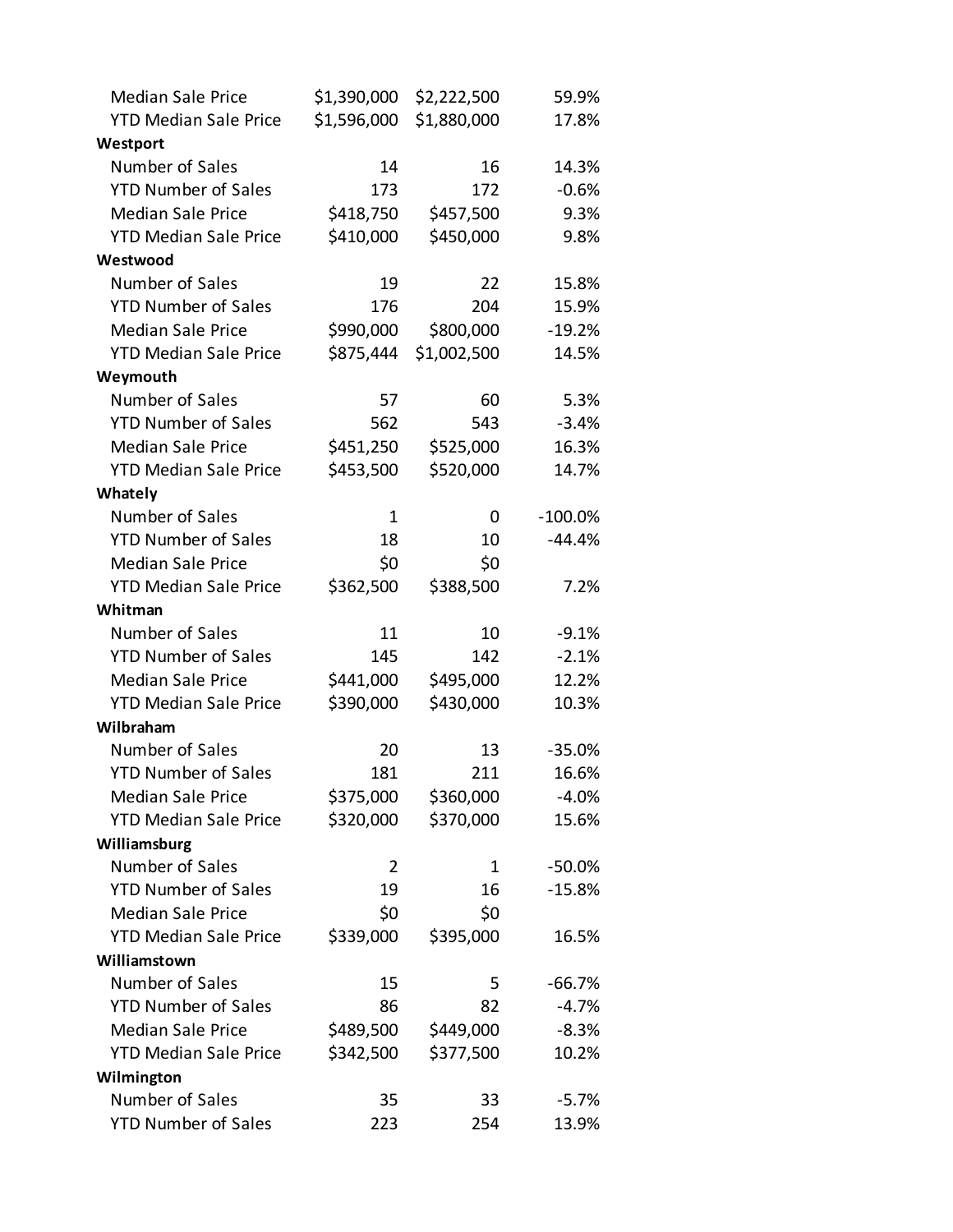| <b>Median Sale Price</b>     | \$1,390,000 | \$2,222,500 | 59.9%      |
|------------------------------|-------------|-------------|------------|
| <b>YTD Median Sale Price</b> | \$1,596,000 | \$1,880,000 | 17.8%      |
| Westport                     |             |             |            |
| Number of Sales              | 14          | 16          | 14.3%      |
| <b>YTD Number of Sales</b>   | 173         | 172         | $-0.6%$    |
| <b>Median Sale Price</b>     | \$418,750   | \$457,500   | 9.3%       |
| <b>YTD Median Sale Price</b> | \$410,000   | \$450,000   | 9.8%       |
| Westwood                     |             |             |            |
| Number of Sales              | 19          | 22          | 15.8%      |
| <b>YTD Number of Sales</b>   | 176         | 204         | 15.9%      |
| <b>Median Sale Price</b>     | \$990,000   | \$800,000   | $-19.2%$   |
| <b>YTD Median Sale Price</b> | \$875,444   | \$1,002,500 | 14.5%      |
| Weymouth                     |             |             |            |
| Number of Sales              | 57          | 60          | 5.3%       |
| <b>YTD Number of Sales</b>   | 562         | 543         | $-3.4%$    |
| <b>Median Sale Price</b>     | \$451,250   | \$525,000   | 16.3%      |
| <b>YTD Median Sale Price</b> | \$453,500   | \$520,000   | 14.7%      |
| Whately                      |             |             |            |
| Number of Sales              | 1           | 0           | $-100.0\%$ |
| <b>YTD Number of Sales</b>   | 18          | 10          | $-44.4%$   |
| <b>Median Sale Price</b>     | \$0         | \$0         |            |
| <b>YTD Median Sale Price</b> | \$362,500   | \$388,500   | 7.2%       |
| Whitman                      |             |             |            |
| Number of Sales              | 11          | 10          | $-9.1%$    |
| <b>YTD Number of Sales</b>   | 145         | 142         | $-2.1%$    |
| <b>Median Sale Price</b>     | \$441,000   | \$495,000   | 12.2%      |
| <b>YTD Median Sale Price</b> | \$390,000   | \$430,000   | 10.3%      |
| Wilbraham                    |             |             |            |
| Number of Sales              | 20          | 13          | $-35.0%$   |
| <b>YTD Number of Sales</b>   | 181         | 211         | 16.6%      |
| <b>Median Sale Price</b>     | \$375,000   | \$360,000   | $-4.0%$    |
| <b>YTD Median Sale Price</b> | \$320,000   | \$370,000   | 15.6%      |
| Williamsburg                 |             |             |            |
| Number of Sales              | 2           | 1           | $-50.0%$   |
| <b>YTD Number of Sales</b>   | 19          | 16          | $-15.8%$   |
| <b>Median Sale Price</b>     | \$0         | \$0         |            |
| <b>YTD Median Sale Price</b> | \$339,000   | \$395,000   | 16.5%      |
| Williamstown                 |             |             |            |
| Number of Sales              | 15          | 5           | $-66.7%$   |
| <b>YTD Number of Sales</b>   | 86          | 82          | $-4.7%$    |
| <b>Median Sale Price</b>     | \$489,500   | \$449,000   | $-8.3%$    |
| <b>YTD Median Sale Price</b> | \$342,500   | \$377,500   | 10.2%      |
| Wilmington                   |             |             |            |
| Number of Sales              | 35          | 33          | $-5.7%$    |
| <b>YTD Number of Sales</b>   | 223         | 254         | 13.9%      |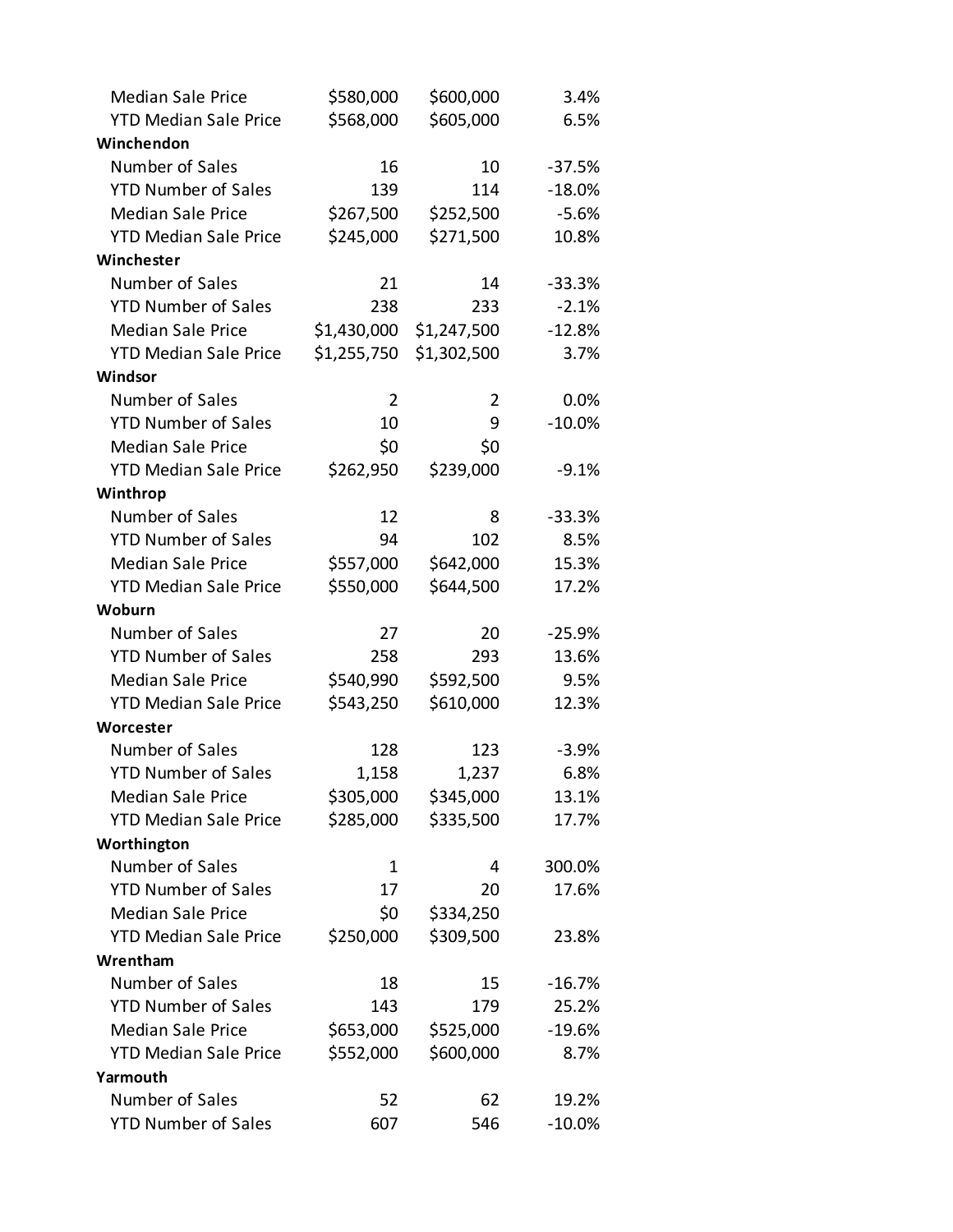| <b>Median Sale Price</b>     | \$580,000   | \$600,000   | 3.4%     |
|------------------------------|-------------|-------------|----------|
| <b>YTD Median Sale Price</b> | \$568,000   | \$605,000   | 6.5%     |
| Winchendon                   |             |             |          |
| Number of Sales              | 16          | 10          | $-37.5%$ |
| <b>YTD Number of Sales</b>   | 139         | 114         | $-18.0%$ |
| <b>Median Sale Price</b>     | \$267,500   | \$252,500   | $-5.6%$  |
| <b>YTD Median Sale Price</b> | \$245,000   | \$271,500   | 10.8%    |
| Winchester                   |             |             |          |
| Number of Sales              | 21          | 14          | $-33.3%$ |
| <b>YTD Number of Sales</b>   | 238         | 233         | $-2.1%$  |
| <b>Median Sale Price</b>     | \$1,430,000 | \$1,247,500 | $-12.8%$ |
| <b>YTD Median Sale Price</b> | \$1,255,750 | \$1,302,500 | 3.7%     |
| Windsor                      |             |             |          |
| Number of Sales              | 2           | 2           | 0.0%     |
| <b>YTD Number of Sales</b>   | 10          | 9           | $-10.0%$ |
| <b>Median Sale Price</b>     | \$0         | \$0         |          |
| <b>YTD Median Sale Price</b> | \$262,950   | \$239,000   | $-9.1%$  |
| Winthrop                     |             |             |          |
| Number of Sales              | 12          | 8           | $-33.3%$ |
| <b>YTD Number of Sales</b>   | 94          | 102         | 8.5%     |
| <b>Median Sale Price</b>     | \$557,000   | \$642,000   | 15.3%    |
| <b>YTD Median Sale Price</b> | \$550,000   | \$644,500   | 17.2%    |
| Woburn                       |             |             |          |
| Number of Sales              | 27          | 20          | $-25.9%$ |
| <b>YTD Number of Sales</b>   | 258         | 293         | 13.6%    |
| <b>Median Sale Price</b>     | \$540,990   | \$592,500   | 9.5%     |
| <b>YTD Median Sale Price</b> | \$543,250   | \$610,000   | 12.3%    |
| Worcester                    |             |             |          |
| Number of Sales              | 128         | 123         | $-3.9%$  |
| <b>YTD Number of Sales</b>   | 1,158       | 1,237       | 6.8%     |
| <b>Median Sale Price</b>     | \$305,000   | \$345,000   | 13.1%    |
| <b>YTD Median Sale Price</b> | \$285,000   | \$335,500   | 17.7%    |
| Worthington                  |             |             |          |
| Number of Sales              | 1           | 4           | 300.0%   |
| <b>YTD Number of Sales</b>   | 17          | 20          | 17.6%    |
| <b>Median Sale Price</b>     | \$0         | \$334,250   |          |
| <b>YTD Median Sale Price</b> | \$250,000   | \$309,500   | 23.8%    |
| Wrentham                     |             |             |          |
| Number of Sales              | 18          | 15          | $-16.7%$ |
| <b>YTD Number of Sales</b>   | 143         | 179         | 25.2%    |
| <b>Median Sale Price</b>     | \$653,000   | \$525,000   | $-19.6%$ |
| <b>YTD Median Sale Price</b> | \$552,000   | \$600,000   | 8.7%     |
| Yarmouth                     |             |             |          |
| Number of Sales              | 52          | 62          | 19.2%    |
| <b>YTD Number of Sales</b>   | 607         | 546         | $-10.0%$ |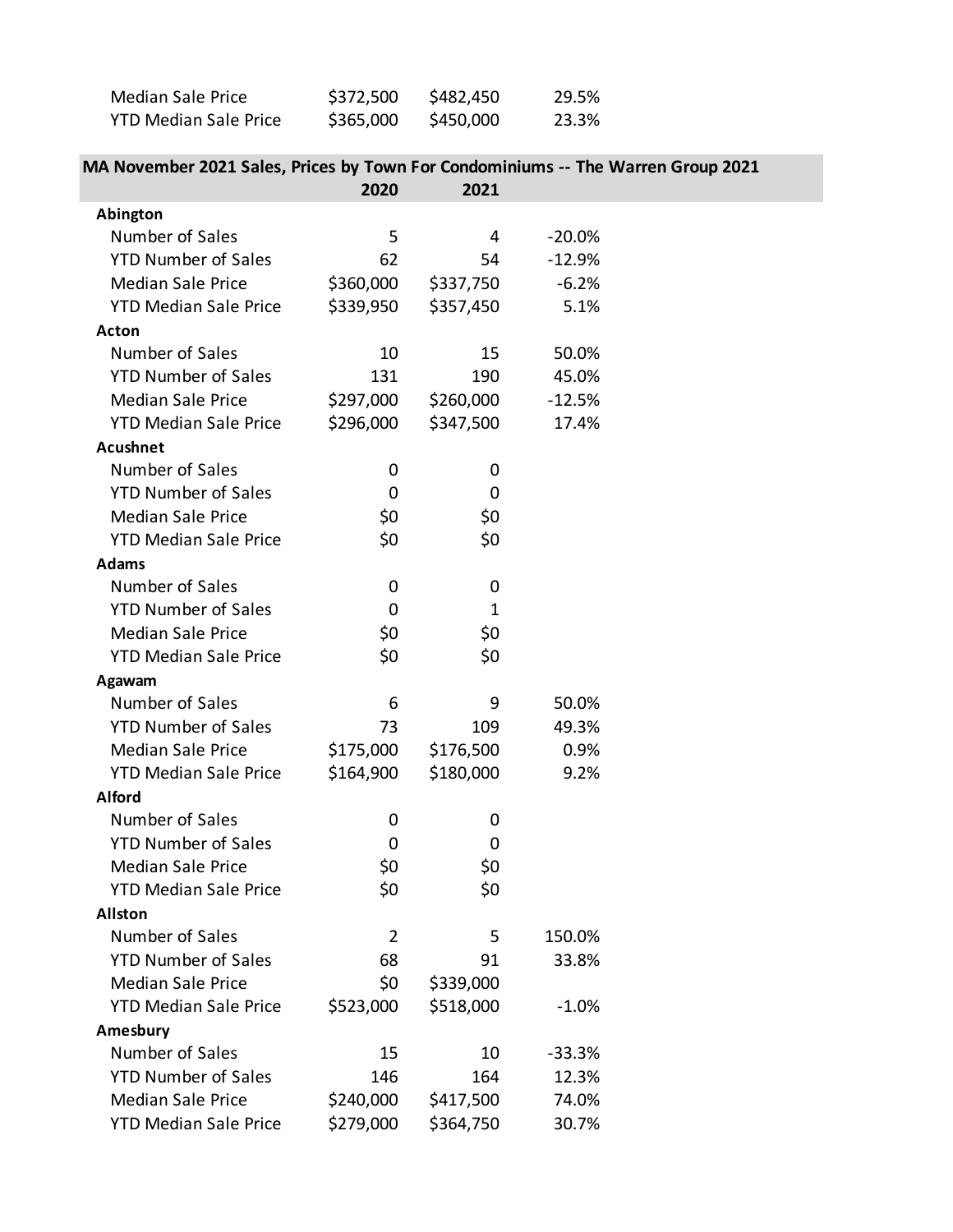| Median Sale Price            | \$372,500 | \$482,450 | 29.5% |
|------------------------------|-----------|-----------|-------|
| <b>YTD Median Sale Price</b> | \$365,000 | \$450,000 | 23.3% |

## **MA November 2021 Sales, Prices by Town For Condominiums -- The Warren Group 2021**

|                              | 2020      | 2021      |          |  |
|------------------------------|-----------|-----------|----------|--|
| Abington                     |           |           |          |  |
| Number of Sales              | 5         | 4         | $-20.0%$ |  |
| <b>YTD Number of Sales</b>   | 62        | 54        | $-12.9%$ |  |
| <b>Median Sale Price</b>     | \$360,000 | \$337,750 | $-6.2%$  |  |
| <b>YTD Median Sale Price</b> | \$339,950 | \$357,450 | 5.1%     |  |
| Acton                        |           |           |          |  |
| Number of Sales              | 10        | 15        | 50.0%    |  |
| <b>YTD Number of Sales</b>   | 131       | 190       | 45.0%    |  |
| <b>Median Sale Price</b>     | \$297,000 | \$260,000 | $-12.5%$ |  |
| <b>YTD Median Sale Price</b> | \$296,000 | \$347,500 | 17.4%    |  |
| <b>Acushnet</b>              |           |           |          |  |
| Number of Sales              | 0         | 0         |          |  |
| <b>YTD Number of Sales</b>   | 0         | 0         |          |  |
| <b>Median Sale Price</b>     | \$0       | \$0       |          |  |
| <b>YTD Median Sale Price</b> | \$0       | \$0       |          |  |
| <b>Adams</b>                 |           |           |          |  |
| Number of Sales              | 0         | 0         |          |  |
| <b>YTD Number of Sales</b>   | 0         | 1         |          |  |
| <b>Median Sale Price</b>     | \$0       | \$0       |          |  |
| <b>YTD Median Sale Price</b> | \$0       | \$0       |          |  |
| Agawam                       |           |           |          |  |
| Number of Sales              | 6         | 9         | 50.0%    |  |
| <b>YTD Number of Sales</b>   | 73        | 109       | 49.3%    |  |
| <b>Median Sale Price</b>     | \$175,000 | \$176,500 | 0.9%     |  |
| <b>YTD Median Sale Price</b> | \$164,900 | \$180,000 | 9.2%     |  |
| <b>Alford</b>                |           |           |          |  |
| Number of Sales              | 0         | 0         |          |  |
| <b>YTD Number of Sales</b>   | 0         | 0         |          |  |
| <b>Median Sale Price</b>     | \$0       | \$0       |          |  |
| <b>YTD Median Sale Price</b> | \$0       | \$0       |          |  |
| <b>Allston</b>               |           |           |          |  |
| Number of Sales              | 2         | 5         | 150.0%   |  |
| <b>YTD Number of Sales</b>   | 68        | 91        | 33.8%    |  |
| <b>Median Sale Price</b>     | \$0       | \$339,000 |          |  |
| <b>YTD Median Sale Price</b> | \$523,000 | \$518,000 | $-1.0%$  |  |
| Amesbury                     |           |           |          |  |
| Number of Sales              | 15        | 10        | $-33.3%$ |  |
| <b>YTD Number of Sales</b>   | 146       | 164       | 12.3%    |  |
| <b>Median Sale Price</b>     | \$240,000 | \$417,500 | 74.0%    |  |
| <b>YTD Median Sale Price</b> | \$279,000 | \$364,750 | 30.7%    |  |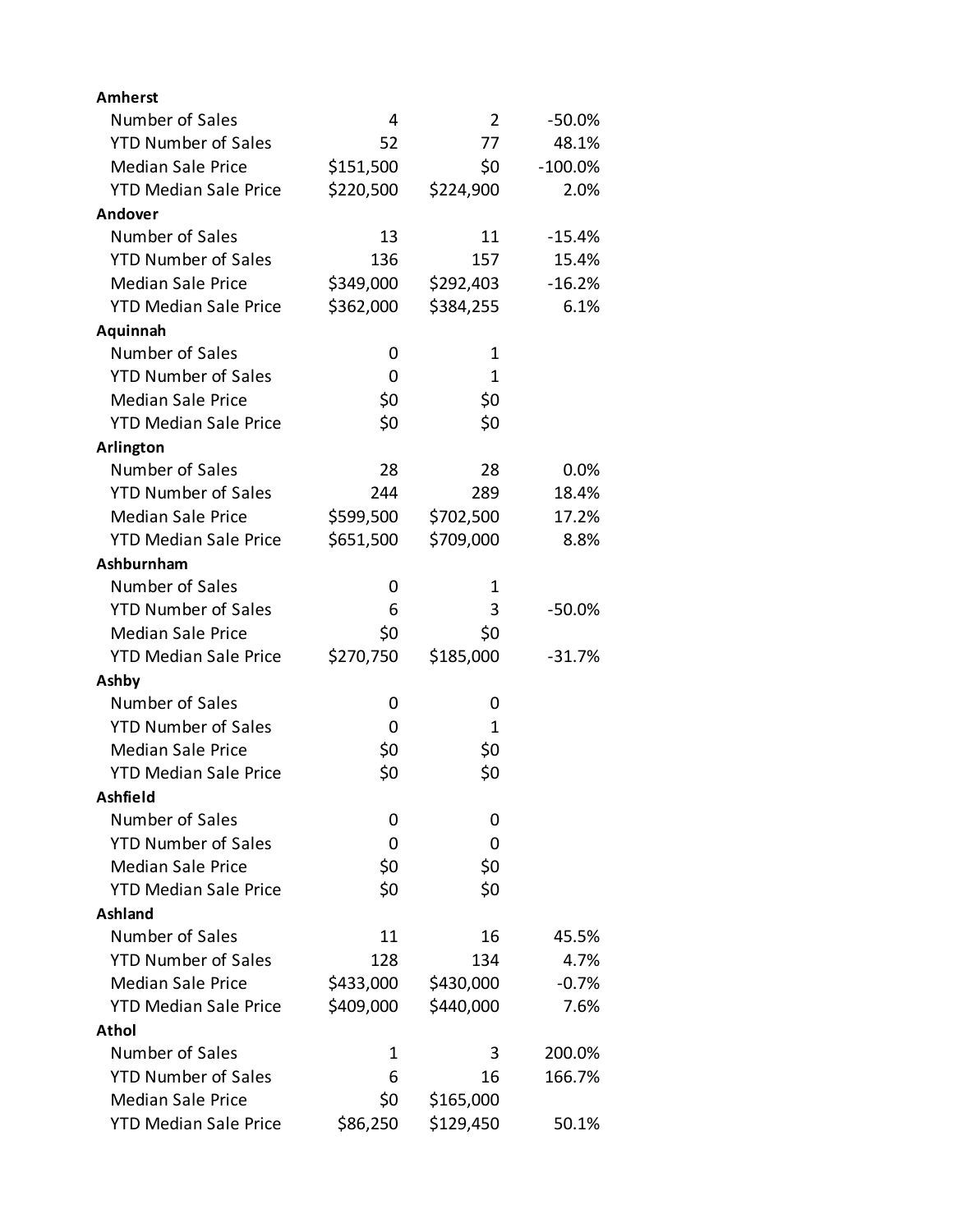| <b>Amherst</b>               |           |           |           |
|------------------------------|-----------|-----------|-----------|
| Number of Sales              | 4         | 2         | $-50.0%$  |
| <b>YTD Number of Sales</b>   | 52        | 77        | 48.1%     |
| <b>Median Sale Price</b>     | \$151,500 | \$0       | $-100.0%$ |
| <b>YTD Median Sale Price</b> | \$220,500 | \$224,900 | 2.0%      |
| Andover                      |           |           |           |
| Number of Sales              | 13        | 11        | $-15.4%$  |
| <b>YTD Number of Sales</b>   | 136       | 157       | 15.4%     |
| <b>Median Sale Price</b>     | \$349,000 | \$292,403 | $-16.2%$  |
| <b>YTD Median Sale Price</b> | \$362,000 | \$384,255 | 6.1%      |
| Aquinnah                     |           |           |           |
| Number of Sales              | 0         | 1         |           |
| <b>YTD Number of Sales</b>   | 0         | 1         |           |
| <b>Median Sale Price</b>     | \$0       | \$0       |           |
| <b>YTD Median Sale Price</b> | \$0       | \$0       |           |
| Arlington                    |           |           |           |
| Number of Sales              | 28        | 28        | $0.0\%$   |
| <b>YTD Number of Sales</b>   | 244       | 289       | 18.4%     |
| <b>Median Sale Price</b>     | \$599,500 | \$702,500 | 17.2%     |
| <b>YTD Median Sale Price</b> | \$651,500 | \$709,000 | 8.8%      |
| Ashburnham                   |           |           |           |
| Number of Sales              | 0         | 1         |           |
| <b>YTD Number of Sales</b>   | 6         | 3         | $-50.0%$  |
| <b>Median Sale Price</b>     | \$0       | \$0       |           |
| <b>YTD Median Sale Price</b> | \$270,750 | \$185,000 | $-31.7%$  |
| Ashby                        |           |           |           |
| Number of Sales              | 0         | 0         |           |
| <b>YTD Number of Sales</b>   | 0         | 1         |           |
| <b>Median Sale Price</b>     | \$0       | \$0       |           |
| <b>YTD Median Sale Price</b> | \$0       | \$0       |           |
| Ashfield                     |           |           |           |
| Number of Sales              | 0         | 0         |           |
| <b>YTD Number of Sales</b>   | 0         | 0         |           |
| <b>Median Sale Price</b>     | \$0       | \$0       |           |
| <b>YTD Median Sale Price</b> | \$0       | \$0       |           |
| <b>Ashland</b>               |           |           |           |
| Number of Sales              | 11        | 16        | 45.5%     |
| <b>YTD Number of Sales</b>   | 128       | 134       | 4.7%      |
| <b>Median Sale Price</b>     | \$433,000 | \$430,000 | $-0.7%$   |
| <b>YTD Median Sale Price</b> | \$409,000 | \$440,000 | 7.6%      |
| Athol                        |           |           |           |
| Number of Sales              | 1         | 3         | 200.0%    |
| <b>YTD Number of Sales</b>   | 6         | 16        | 166.7%    |
| <b>Median Sale Price</b>     | \$0       | \$165,000 |           |
| <b>YTD Median Sale Price</b> | \$86,250  | \$129,450 | 50.1%     |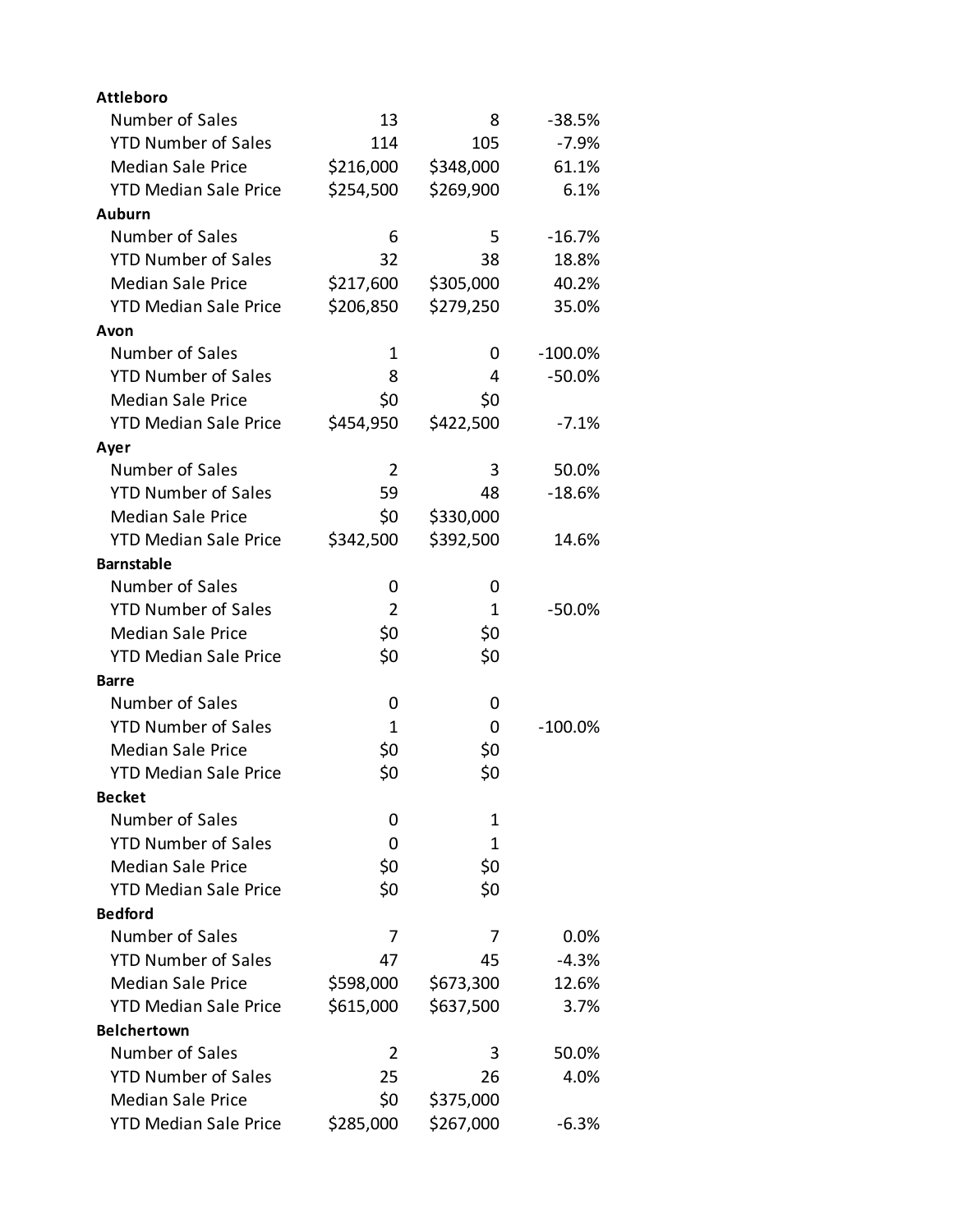| <b>Attleboro</b>             |                |           |           |
|------------------------------|----------------|-----------|-----------|
| Number of Sales              | 13             | 8         | $-38.5%$  |
| <b>YTD Number of Sales</b>   | 114            | 105       | $-7.9%$   |
| <b>Median Sale Price</b>     | \$216,000      | \$348,000 | 61.1%     |
| <b>YTD Median Sale Price</b> | \$254,500      | \$269,900 | 6.1%      |
| Auburn                       |                |           |           |
| Number of Sales              | 6              | 5         | $-16.7%$  |
| <b>YTD Number of Sales</b>   | 32             | 38        | 18.8%     |
| <b>Median Sale Price</b>     | \$217,600      | \$305,000 | 40.2%     |
| <b>YTD Median Sale Price</b> | \$206,850      | \$279,250 | 35.0%     |
| Avon                         |                |           |           |
| Number of Sales              | 1              | 0         | $-100.0%$ |
| <b>YTD Number of Sales</b>   | 8              | 4         | $-50.0%$  |
| <b>Median Sale Price</b>     | \$0            | \$0       |           |
| <b>YTD Median Sale Price</b> | \$454,950      | \$422,500 | $-7.1%$   |
| Ayer                         |                |           |           |
| Number of Sales              | $\overline{2}$ | 3         | 50.0%     |
| <b>YTD Number of Sales</b>   | 59             | 48        | $-18.6%$  |
| <b>Median Sale Price</b>     | \$0            | \$330,000 |           |
| <b>YTD Median Sale Price</b> | \$342,500      | \$392,500 | 14.6%     |
| <b>Barnstable</b>            |                |           |           |
| Number of Sales              | 0              | 0         |           |
| <b>YTD Number of Sales</b>   | $\overline{2}$ | 1         | $-50.0%$  |
| <b>Median Sale Price</b>     | \$0            | \$0       |           |
| <b>YTD Median Sale Price</b> | \$0            | \$0       |           |
| <b>Barre</b>                 |                |           |           |
| Number of Sales              | 0              | 0         |           |
| <b>YTD Number of Sales</b>   | 1              | 0         | $-100.0%$ |
| <b>Median Sale Price</b>     | \$0            | \$0       |           |
| <b>YTD Median Sale Price</b> | \$0            | \$0       |           |
| <b>Becket</b>                |                |           |           |
| Number of Sales              | 0              | 1         |           |
| <b>YTD Number of Sales</b>   | 0              | 1         |           |
| <b>Median Sale Price</b>     | \$0            | \$0       |           |
| <b>YTD Median Sale Price</b> | \$0            | \$0       |           |
| <b>Bedford</b>               |                |           |           |
| Number of Sales              | 7              | 7         | $0.0\%$   |
| <b>YTD Number of Sales</b>   | 47             | 45        | $-4.3%$   |
| <b>Median Sale Price</b>     | \$598,000      | \$673,300 | 12.6%     |
| <b>YTD Median Sale Price</b> | \$615,000      | \$637,500 | 3.7%      |
| <b>Belchertown</b>           |                |           |           |
| Number of Sales              | 2              | 3         | 50.0%     |
| <b>YTD Number of Sales</b>   | 25             | 26        | 4.0%      |
| <b>Median Sale Price</b>     | \$0            | \$375,000 |           |
| <b>YTD Median Sale Price</b> | \$285,000      | \$267,000 | $-6.3%$   |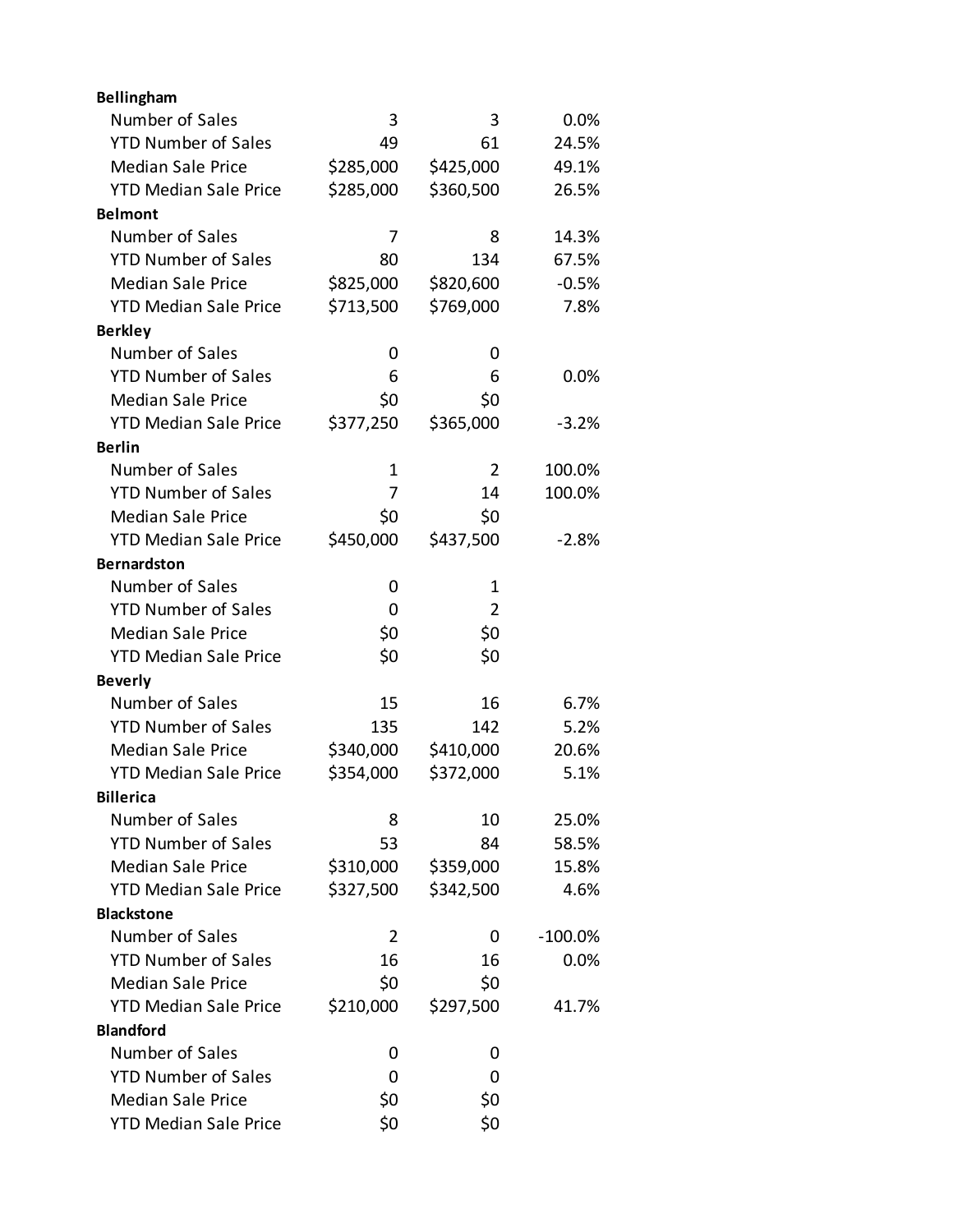| Bellingham                   |             |                |           |
|------------------------------|-------------|----------------|-----------|
| Number of Sales              | 3           | 3              | 0.0%      |
| <b>YTD Number of Sales</b>   | 49          | 61             | 24.5%     |
| <b>Median Sale Price</b>     | \$285,000   | \$425,000      | 49.1%     |
| <b>YTD Median Sale Price</b> | \$285,000   | \$360,500      | 26.5%     |
| <b>Belmont</b>               |             |                |           |
| Number of Sales              | 7           | 8              | 14.3%     |
| <b>YTD Number of Sales</b>   | 80          | 134            | 67.5%     |
| <b>Median Sale Price</b>     | \$825,000   | \$820,600      | $-0.5%$   |
| <b>YTD Median Sale Price</b> | \$713,500   | \$769,000      | 7.8%      |
| <b>Berkley</b>               |             |                |           |
| Number of Sales              | 0           | 0              |           |
| <b>YTD Number of Sales</b>   | 6           | 6              | $0.0\%$   |
| <b>Median Sale Price</b>     | \$0         | \$0            |           |
| <b>YTD Median Sale Price</b> | \$377,250   | \$365,000      | $-3.2%$   |
| <b>Berlin</b>                |             |                |           |
| Number of Sales              | $\mathbf 1$ | $\overline{2}$ | 100.0%    |
| <b>YTD Number of Sales</b>   | 7           | 14             | 100.0%    |
| <b>Median Sale Price</b>     | \$0         | \$0            |           |
| <b>YTD Median Sale Price</b> | \$450,000   | \$437,500      | $-2.8%$   |
| <b>Bernardston</b>           |             |                |           |
| Number of Sales              | 0           | 1              |           |
| <b>YTD Number of Sales</b>   | 0           | $\overline{2}$ |           |
| <b>Median Sale Price</b>     | \$0         | \$0            |           |
| <b>YTD Median Sale Price</b> | \$0         | \$0            |           |
| <b>Beverly</b>               |             |                |           |
| Number of Sales              | 15          | 16             | 6.7%      |
| <b>YTD Number of Sales</b>   | 135         | 142            | 5.2%      |
| <b>Median Sale Price</b>     | \$340,000   | \$410,000      | 20.6%     |
| <b>YTD Median Sale Price</b> | \$354,000   | \$372,000      | 5.1%      |
| <b>Billerica</b>             |             |                |           |
| Number of Sales              | 8           | 10             | 25.0%     |
| <b>YTD Number of Sales</b>   | 53          | 84             | 58.5%     |
| <b>Median Sale Price</b>     | \$310,000   | \$359,000      | 15.8%     |
| <b>YTD Median Sale Price</b> | \$327,500   | \$342,500      | 4.6%      |
| <b>Blackstone</b>            |             |                |           |
| Number of Sales              | 2           | 0              | $-100.0%$ |
| <b>YTD Number of Sales</b>   | 16          | 16             | 0.0%      |
| <b>Median Sale Price</b>     | \$0         | \$0            |           |
| <b>YTD Median Sale Price</b> | \$210,000   | \$297,500      | 41.7%     |
| <b>Blandford</b>             |             |                |           |
| Number of Sales              | 0           | 0              |           |
| <b>YTD Number of Sales</b>   | 0           | 0              |           |
| <b>Median Sale Price</b>     | \$0         | \$0            |           |
| <b>YTD Median Sale Price</b> | \$0         | \$0            |           |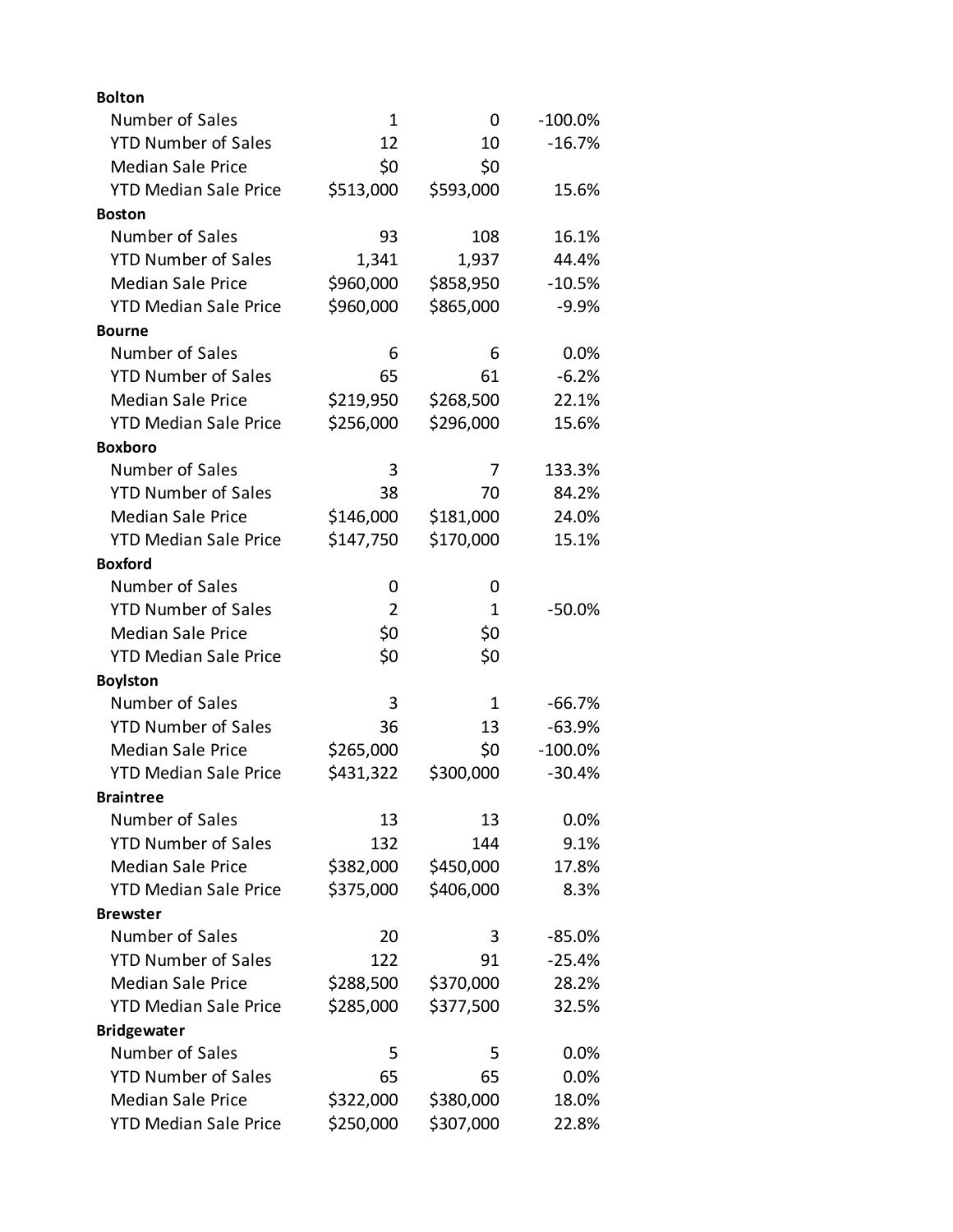| <b>Bolton</b>                |                |           |           |
|------------------------------|----------------|-----------|-----------|
| Number of Sales              | 1              | 0         | $-100.0%$ |
| <b>YTD Number of Sales</b>   | 12             | 10        | $-16.7%$  |
| <b>Median Sale Price</b>     | \$0            | \$0       |           |
| <b>YTD Median Sale Price</b> | \$513,000      | \$593,000 | 15.6%     |
| <b>Boston</b>                |                |           |           |
| Number of Sales              | 93             | 108       | 16.1%     |
| <b>YTD Number of Sales</b>   | 1,341          | 1,937     | 44.4%     |
| <b>Median Sale Price</b>     | \$960,000      | \$858,950 | $-10.5%$  |
| <b>YTD Median Sale Price</b> | \$960,000      | \$865,000 | $-9.9%$   |
| <b>Bourne</b>                |                |           |           |
| Number of Sales              | 6              | 6         | 0.0%      |
| <b>YTD Number of Sales</b>   | 65             | 61        | $-6.2%$   |
| <b>Median Sale Price</b>     | \$219,950      | \$268,500 | 22.1%     |
| <b>YTD Median Sale Price</b> | \$256,000      | \$296,000 | 15.6%     |
| <b>Boxboro</b>               |                |           |           |
| Number of Sales              | 3              | 7         | 133.3%    |
| <b>YTD Number of Sales</b>   | 38             | 70        | 84.2%     |
| <b>Median Sale Price</b>     | \$146,000      | \$181,000 | 24.0%     |
| <b>YTD Median Sale Price</b> | \$147,750      | \$170,000 | 15.1%     |
| <b>Boxford</b>               |                |           |           |
| Number of Sales              | O              | 0         |           |
| <b>YTD Number of Sales</b>   | $\overline{2}$ | 1         | $-50.0%$  |
| <b>Median Sale Price</b>     | \$0            | \$0       |           |
| <b>YTD Median Sale Price</b> | \$0            | \$0       |           |
| <b>Boylston</b>              |                |           |           |
| Number of Sales              | 3              | 1         | $-66.7%$  |
| <b>YTD Number of Sales</b>   | 36             | 13        | $-63.9%$  |
| <b>Median Sale Price</b>     | \$265,000      | \$0       | $-100.0%$ |
| <b>YTD Median Sale Price</b> | \$431,322      | \$300,000 | $-30.4%$  |
| <b>Braintree</b>             |                |           |           |
| Number of Sales              | 13             | 13        | 0.0%      |
| <b>YTD Number of Sales</b>   | 132            | 144       | 9.1%      |
| <b>Median Sale Price</b>     | \$382,000      | \$450,000 | 17.8%     |
| <b>YTD Median Sale Price</b> | \$375,000      | \$406,000 | 8.3%      |
| <b>Brewster</b>              |                |           |           |
| Number of Sales              | 20             | 3         | $-85.0%$  |
| <b>YTD Number of Sales</b>   | 122            | 91        | $-25.4%$  |
| <b>Median Sale Price</b>     | \$288,500      | \$370,000 | 28.2%     |
| <b>YTD Median Sale Price</b> | \$285,000      | \$377,500 | 32.5%     |
| <b>Bridgewater</b>           |                |           |           |
| Number of Sales              | 5              | 5         | 0.0%      |
| <b>YTD Number of Sales</b>   | 65             | 65        | 0.0%      |
| <b>Median Sale Price</b>     | \$322,000      | \$380,000 | 18.0%     |
| <b>YTD Median Sale Price</b> | \$250,000      | \$307,000 | 22.8%     |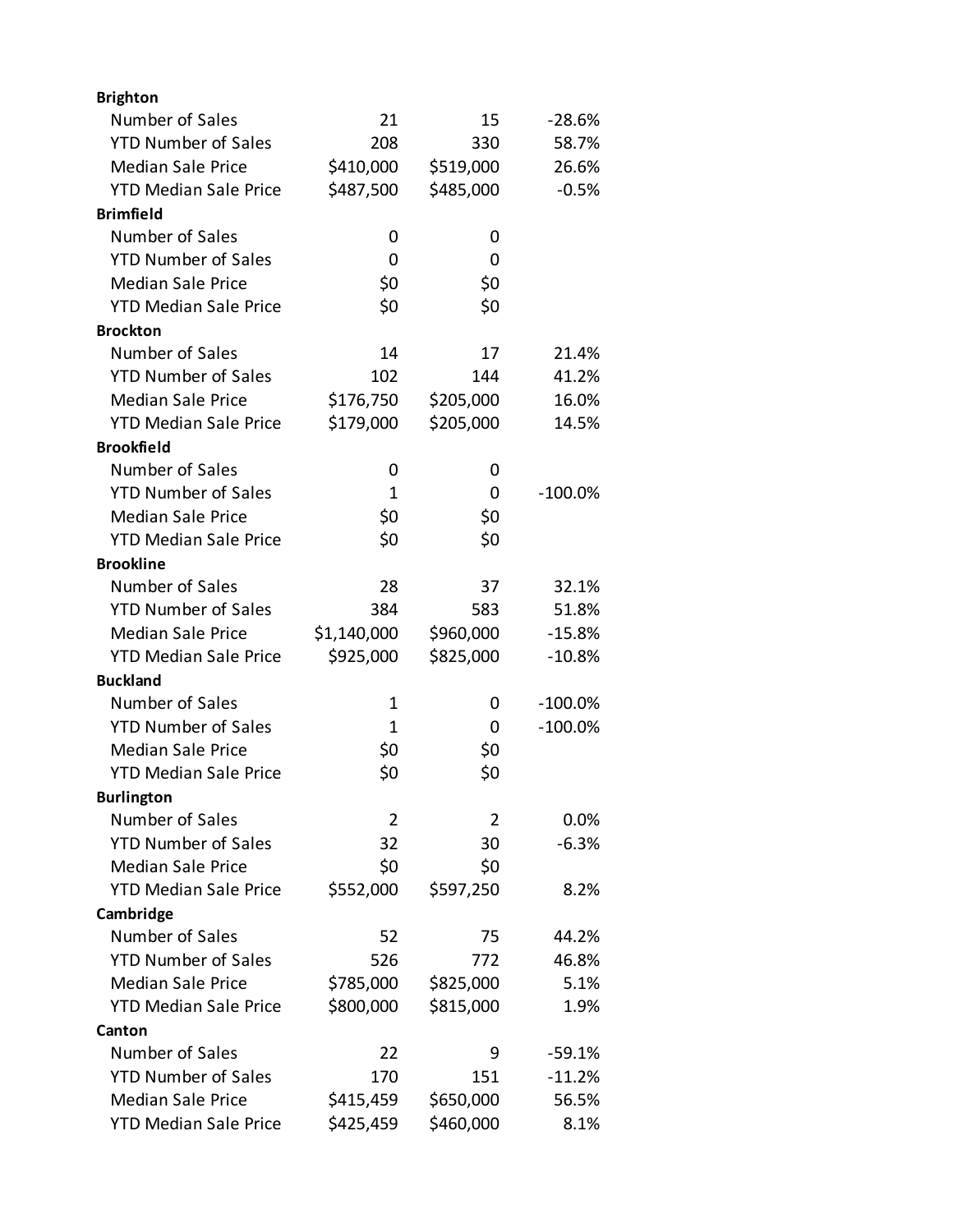| <b>Brighton</b>              |                |           |           |
|------------------------------|----------------|-----------|-----------|
| Number of Sales              | 21             | 15        | $-28.6%$  |
| <b>YTD Number of Sales</b>   | 208            | 330       | 58.7%     |
| <b>Median Sale Price</b>     | \$410,000      | \$519,000 | 26.6%     |
| <b>YTD Median Sale Price</b> | \$487,500      | \$485,000 | $-0.5%$   |
| <b>Brimfield</b>             |                |           |           |
| Number of Sales              | 0              | 0         |           |
| <b>YTD Number of Sales</b>   | 0              | 0         |           |
| <b>Median Sale Price</b>     | \$0            | \$0       |           |
| <b>YTD Median Sale Price</b> | \$0            | \$0       |           |
| <b>Brockton</b>              |                |           |           |
| Number of Sales              | 14             | 17        | 21.4%     |
| <b>YTD Number of Sales</b>   | 102            | 144       | 41.2%     |
| <b>Median Sale Price</b>     | \$176,750      | \$205,000 | 16.0%     |
| <b>YTD Median Sale Price</b> | \$179,000      | \$205,000 | 14.5%     |
| <b>Brookfield</b>            |                |           |           |
| Number of Sales              | 0              | 0         |           |
| <b>YTD Number of Sales</b>   | 1              | 0         | $-100.0%$ |
| <b>Median Sale Price</b>     | \$0            | \$0       |           |
| <b>YTD Median Sale Price</b> | \$0            | \$0       |           |
| <b>Brookline</b>             |                |           |           |
| Number of Sales              | 28             | 37        | 32.1%     |
| <b>YTD Number of Sales</b>   | 384            | 583       | 51.8%     |
| <b>Median Sale Price</b>     | \$1,140,000    | \$960,000 | $-15.8%$  |
| <b>YTD Median Sale Price</b> | \$925,000      | \$825,000 | $-10.8%$  |
| <b>Buckland</b>              |                |           |           |
| Number of Sales              | 1              | 0         | $-100.0%$ |
| <b>YTD Number of Sales</b>   | 1              | 0         | $-100.0%$ |
| <b>Median Sale Price</b>     | \$0            | \$0       |           |
| <b>YTD Median Sale Price</b> | \$0            | \$0       |           |
| <b>Burlington</b>            |                |           |           |
| Number of Sales              | $\overline{2}$ | 2         | 0.0%      |
| <b>YTD Number of Sales</b>   | 32             | 30        | $-6.3%$   |
| <b>Median Sale Price</b>     | \$0            | \$0       |           |
| <b>YTD Median Sale Price</b> | \$552,000      | \$597,250 | 8.2%      |
| Cambridge                    |                |           |           |
| Number of Sales              | 52             | 75        | 44.2%     |
| <b>YTD Number of Sales</b>   | 526            | 772       | 46.8%     |
| <b>Median Sale Price</b>     | \$785,000      | \$825,000 | 5.1%      |
| <b>YTD Median Sale Price</b> | \$800,000      | \$815,000 | 1.9%      |
| Canton                       |                |           |           |
| Number of Sales              | 22             | 9         | $-59.1%$  |
| <b>YTD Number of Sales</b>   | 170            | 151       | $-11.2%$  |
| <b>Median Sale Price</b>     | \$415,459      | \$650,000 | 56.5%     |
| <b>YTD Median Sale Price</b> | \$425,459      | \$460,000 | 8.1%      |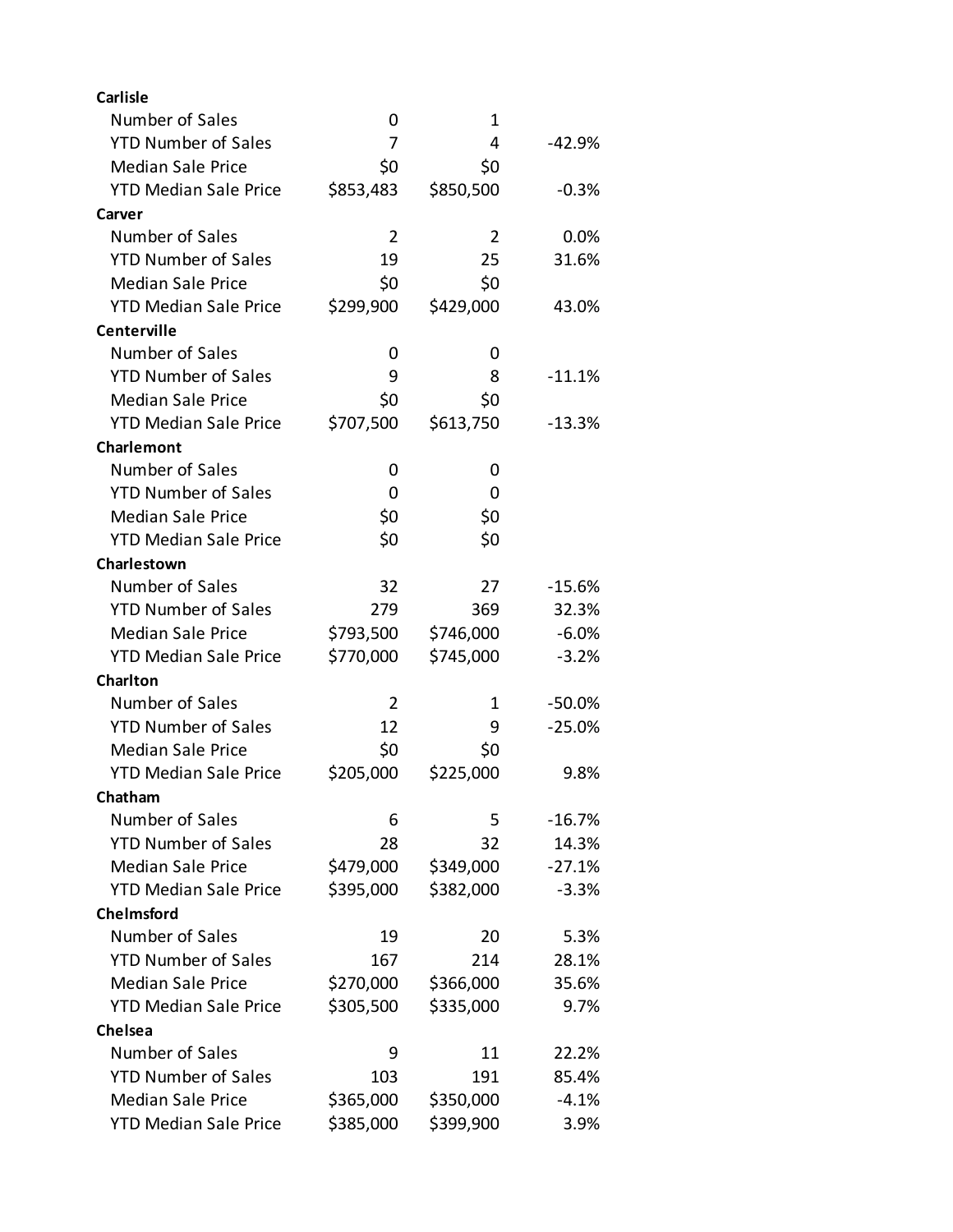| <b>Carlisle</b>              |           |           |          |
|------------------------------|-----------|-----------|----------|
| Number of Sales              | 0         | 1         |          |
| <b>YTD Number of Sales</b>   | 7         | 4         | -42.9%   |
| <b>Median Sale Price</b>     | \$0       | \$0       |          |
| <b>YTD Median Sale Price</b> | \$853,483 | \$850,500 | $-0.3%$  |
| Carver                       |           |           |          |
| Number of Sales              | 2         | 2         | 0.0%     |
| <b>YTD Number of Sales</b>   | 19        | 25        | 31.6%    |
| <b>Median Sale Price</b>     | \$0       | \$0       |          |
| <b>YTD Median Sale Price</b> | \$299,900 | \$429,000 | 43.0%    |
| Centerville                  |           |           |          |
| Number of Sales              | 0         | 0         |          |
| <b>YTD Number of Sales</b>   | 9         | 8         | $-11.1%$ |
| <b>Median Sale Price</b>     | \$0       | \$0       |          |
| <b>YTD Median Sale Price</b> | \$707,500 | \$613,750 | $-13.3%$ |
| Charlemont                   |           |           |          |
| Number of Sales              | 0         | 0         |          |
| <b>YTD Number of Sales</b>   | 0         | 0         |          |
| <b>Median Sale Price</b>     | \$0       | \$0       |          |
| <b>YTD Median Sale Price</b> | \$0       | \$0       |          |
| Charlestown                  |           |           |          |
| Number of Sales              | 32        | 27        | $-15.6%$ |
| <b>YTD Number of Sales</b>   | 279       | 369       | 32.3%    |
| <b>Median Sale Price</b>     | \$793,500 | \$746,000 | $-6.0%$  |
| <b>YTD Median Sale Price</b> | \$770,000 | \$745,000 | $-3.2%$  |
| <b>Charlton</b>              |           |           |          |
| Number of Sales              | 2         | 1         | $-50.0%$ |
| <b>YTD Number of Sales</b>   | 12        | 9         | $-25.0%$ |
| <b>Median Sale Price</b>     | \$0       | \$0       |          |
| <b>YTD Median Sale Price</b> | \$205,000 | \$225,000 | 9.8%     |
| Chatham                      |           |           |          |
| Number of Sales              | 6         | 5         | $-16.7%$ |
| <b>YTD Number of Sales</b>   | 28        | 32        | 14.3%    |
| <b>Median Sale Price</b>     | \$479,000 | \$349,000 | $-27.1%$ |
| <b>YTD Median Sale Price</b> | \$395,000 | \$382,000 | $-3.3%$  |
| <b>Chelmsford</b>            |           |           |          |
| Number of Sales              | 19        | 20        | 5.3%     |
| <b>YTD Number of Sales</b>   | 167       | 214       | 28.1%    |
| <b>Median Sale Price</b>     | \$270,000 | \$366,000 | 35.6%    |
| <b>YTD Median Sale Price</b> | \$305,500 | \$335,000 | 9.7%     |
| Chelsea                      |           |           |          |
| Number of Sales              | 9         | 11        | 22.2%    |
| <b>YTD Number of Sales</b>   | 103       | 191       | 85.4%    |
| <b>Median Sale Price</b>     | \$365,000 | \$350,000 | $-4.1%$  |
| <b>YTD Median Sale Price</b> | \$385,000 | \$399,900 | 3.9%     |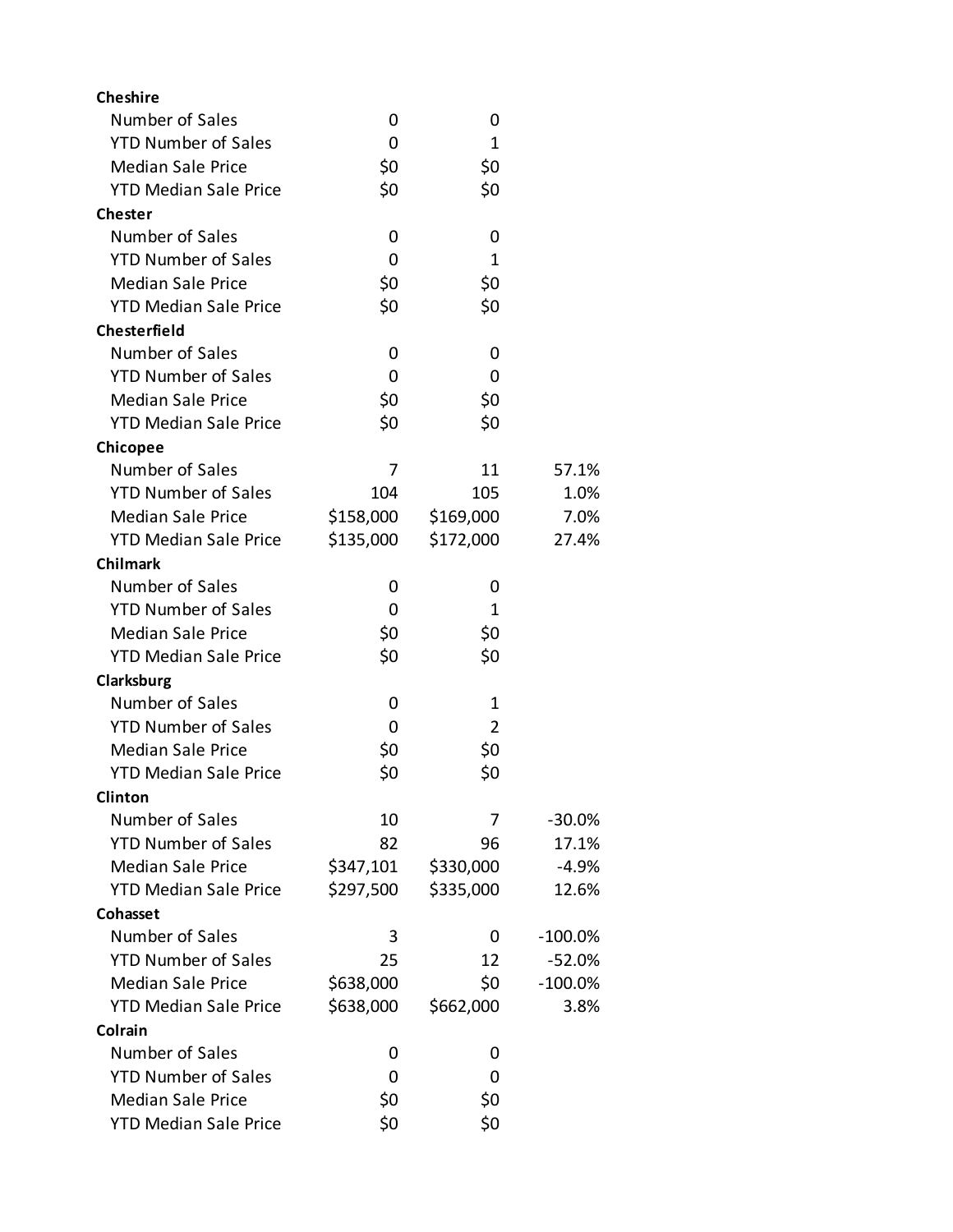| Number of Sales<br>0<br>0<br><b>YTD Number of Sales</b><br>1<br>0<br>\$0<br><b>Median Sale Price</b><br>\$0<br>\$0<br><b>YTD Median Sale Price</b><br>\$0<br><b>Chester</b><br>Number of Sales<br>0<br>0<br><b>YTD Number of Sales</b><br>1<br>0<br>\$0<br><b>Median Sale Price</b><br>\$0<br>\$0<br>\$0<br><b>YTD Median Sale Price</b><br><b>Chesterfield</b><br>Number of Sales<br>0<br>0<br><b>YTD Number of Sales</b><br>0<br>0<br><b>Median Sale Price</b><br>\$0<br>\$0<br>\$0<br><b>YTD Median Sale Price</b><br>\$0<br>Chicopee<br>Number of Sales<br>11<br>7<br>57.1%<br><b>YTD Number of Sales</b><br>104<br>105<br>1.0%<br><b>Median Sale Price</b><br>\$158,000<br>\$169,000<br>7.0%<br><b>YTD Median Sale Price</b><br>\$135,000<br>\$172,000<br>27.4%<br><b>Chilmark</b><br>Number of Sales<br>0<br>0<br><b>YTD Number of Sales</b><br>0<br>1<br><b>Median Sale Price</b><br>\$0<br>\$0<br>\$0<br>\$0<br><b>YTD Median Sale Price</b><br>Clarksburg<br>Number of Sales<br>1<br>0<br><b>YTD Number of Sales</b><br>$\overline{2}$<br>0<br><b>Median Sale Price</b><br>\$0<br>\$0<br>\$0<br>\$0<br><b>YTD Median Sale Price</b><br><b>Clinton</b><br>Number of Sales<br>10<br>$-30.0%$<br>7<br><b>YTD Number of Sales</b><br>82<br>17.1%<br>96<br><b>Median Sale Price</b><br>\$347,101<br>\$330,000<br>$-4.9%$ |
|------------------------------------------------------------------------------------------------------------------------------------------------------------------------------------------------------------------------------------------------------------------------------------------------------------------------------------------------------------------------------------------------------------------------------------------------------------------------------------------------------------------------------------------------------------------------------------------------------------------------------------------------------------------------------------------------------------------------------------------------------------------------------------------------------------------------------------------------------------------------------------------------------------------------------------------------------------------------------------------------------------------------------------------------------------------------------------------------------------------------------------------------------------------------------------------------------------------------------------------------------------------------------------------------------------------------------|
|                                                                                                                                                                                                                                                                                                                                                                                                                                                                                                                                                                                                                                                                                                                                                                                                                                                                                                                                                                                                                                                                                                                                                                                                                                                                                                                              |
|                                                                                                                                                                                                                                                                                                                                                                                                                                                                                                                                                                                                                                                                                                                                                                                                                                                                                                                                                                                                                                                                                                                                                                                                                                                                                                                              |
|                                                                                                                                                                                                                                                                                                                                                                                                                                                                                                                                                                                                                                                                                                                                                                                                                                                                                                                                                                                                                                                                                                                                                                                                                                                                                                                              |
|                                                                                                                                                                                                                                                                                                                                                                                                                                                                                                                                                                                                                                                                                                                                                                                                                                                                                                                                                                                                                                                                                                                                                                                                                                                                                                                              |
|                                                                                                                                                                                                                                                                                                                                                                                                                                                                                                                                                                                                                                                                                                                                                                                                                                                                                                                                                                                                                                                                                                                                                                                                                                                                                                                              |
|                                                                                                                                                                                                                                                                                                                                                                                                                                                                                                                                                                                                                                                                                                                                                                                                                                                                                                                                                                                                                                                                                                                                                                                                                                                                                                                              |
|                                                                                                                                                                                                                                                                                                                                                                                                                                                                                                                                                                                                                                                                                                                                                                                                                                                                                                                                                                                                                                                                                                                                                                                                                                                                                                                              |
|                                                                                                                                                                                                                                                                                                                                                                                                                                                                                                                                                                                                                                                                                                                                                                                                                                                                                                                                                                                                                                                                                                                                                                                                                                                                                                                              |
|                                                                                                                                                                                                                                                                                                                                                                                                                                                                                                                                                                                                                                                                                                                                                                                                                                                                                                                                                                                                                                                                                                                                                                                                                                                                                                                              |
|                                                                                                                                                                                                                                                                                                                                                                                                                                                                                                                                                                                                                                                                                                                                                                                                                                                                                                                                                                                                                                                                                                                                                                                                                                                                                                                              |
|                                                                                                                                                                                                                                                                                                                                                                                                                                                                                                                                                                                                                                                                                                                                                                                                                                                                                                                                                                                                                                                                                                                                                                                                                                                                                                                              |
|                                                                                                                                                                                                                                                                                                                                                                                                                                                                                                                                                                                                                                                                                                                                                                                                                                                                                                                                                                                                                                                                                                                                                                                                                                                                                                                              |
|                                                                                                                                                                                                                                                                                                                                                                                                                                                                                                                                                                                                                                                                                                                                                                                                                                                                                                                                                                                                                                                                                                                                                                                                                                                                                                                              |
|                                                                                                                                                                                                                                                                                                                                                                                                                                                                                                                                                                                                                                                                                                                                                                                                                                                                                                                                                                                                                                                                                                                                                                                                                                                                                                                              |
|                                                                                                                                                                                                                                                                                                                                                                                                                                                                                                                                                                                                                                                                                                                                                                                                                                                                                                                                                                                                                                                                                                                                                                                                                                                                                                                              |
|                                                                                                                                                                                                                                                                                                                                                                                                                                                                                                                                                                                                                                                                                                                                                                                                                                                                                                                                                                                                                                                                                                                                                                                                                                                                                                                              |
|                                                                                                                                                                                                                                                                                                                                                                                                                                                                                                                                                                                                                                                                                                                                                                                                                                                                                                                                                                                                                                                                                                                                                                                                                                                                                                                              |
|                                                                                                                                                                                                                                                                                                                                                                                                                                                                                                                                                                                                                                                                                                                                                                                                                                                                                                                                                                                                                                                                                                                                                                                                                                                                                                                              |
|                                                                                                                                                                                                                                                                                                                                                                                                                                                                                                                                                                                                                                                                                                                                                                                                                                                                                                                                                                                                                                                                                                                                                                                                                                                                                                                              |
|                                                                                                                                                                                                                                                                                                                                                                                                                                                                                                                                                                                                                                                                                                                                                                                                                                                                                                                                                                                                                                                                                                                                                                                                                                                                                                                              |
|                                                                                                                                                                                                                                                                                                                                                                                                                                                                                                                                                                                                                                                                                                                                                                                                                                                                                                                                                                                                                                                                                                                                                                                                                                                                                                                              |
|                                                                                                                                                                                                                                                                                                                                                                                                                                                                                                                                                                                                                                                                                                                                                                                                                                                                                                                                                                                                                                                                                                                                                                                                                                                                                                                              |
|                                                                                                                                                                                                                                                                                                                                                                                                                                                                                                                                                                                                                                                                                                                                                                                                                                                                                                                                                                                                                                                                                                                                                                                                                                                                                                                              |
|                                                                                                                                                                                                                                                                                                                                                                                                                                                                                                                                                                                                                                                                                                                                                                                                                                                                                                                                                                                                                                                                                                                                                                                                                                                                                                                              |
|                                                                                                                                                                                                                                                                                                                                                                                                                                                                                                                                                                                                                                                                                                                                                                                                                                                                                                                                                                                                                                                                                                                                                                                                                                                                                                                              |
|                                                                                                                                                                                                                                                                                                                                                                                                                                                                                                                                                                                                                                                                                                                                                                                                                                                                                                                                                                                                                                                                                                                                                                                                                                                                                                                              |
|                                                                                                                                                                                                                                                                                                                                                                                                                                                                                                                                                                                                                                                                                                                                                                                                                                                                                                                                                                                                                                                                                                                                                                                                                                                                                                                              |
|                                                                                                                                                                                                                                                                                                                                                                                                                                                                                                                                                                                                                                                                                                                                                                                                                                                                                                                                                                                                                                                                                                                                                                                                                                                                                                                              |
|                                                                                                                                                                                                                                                                                                                                                                                                                                                                                                                                                                                                                                                                                                                                                                                                                                                                                                                                                                                                                                                                                                                                                                                                                                                                                                                              |
|                                                                                                                                                                                                                                                                                                                                                                                                                                                                                                                                                                                                                                                                                                                                                                                                                                                                                                                                                                                                                                                                                                                                                                                                                                                                                                                              |
|                                                                                                                                                                                                                                                                                                                                                                                                                                                                                                                                                                                                                                                                                                                                                                                                                                                                                                                                                                                                                                                                                                                                                                                                                                                                                                                              |
|                                                                                                                                                                                                                                                                                                                                                                                                                                                                                                                                                                                                                                                                                                                                                                                                                                                                                                                                                                                                                                                                                                                                                                                                                                                                                                                              |
|                                                                                                                                                                                                                                                                                                                                                                                                                                                                                                                                                                                                                                                                                                                                                                                                                                                                                                                                                                                                                                                                                                                                                                                                                                                                                                                              |
| <b>YTD Median Sale Price</b><br>\$297,500<br>\$335,000<br>12.6%                                                                                                                                                                                                                                                                                                                                                                                                                                                                                                                                                                                                                                                                                                                                                                                                                                                                                                                                                                                                                                                                                                                                                                                                                                                              |
| Cohasset                                                                                                                                                                                                                                                                                                                                                                                                                                                                                                                                                                                                                                                                                                                                                                                                                                                                                                                                                                                                                                                                                                                                                                                                                                                                                                                     |
| Number of Sales<br>3<br>$-100.0%$<br>0                                                                                                                                                                                                                                                                                                                                                                                                                                                                                                                                                                                                                                                                                                                                                                                                                                                                                                                                                                                                                                                                                                                                                                                                                                                                                       |
| <b>YTD Number of Sales</b><br>25<br>12<br>$-52.0%$                                                                                                                                                                                                                                                                                                                                                                                                                                                                                                                                                                                                                                                                                                                                                                                                                                                                                                                                                                                                                                                                                                                                                                                                                                                                           |
| <b>Median Sale Price</b><br>\$638,000<br>\$0<br>$-100.0%$                                                                                                                                                                                                                                                                                                                                                                                                                                                                                                                                                                                                                                                                                                                                                                                                                                                                                                                                                                                                                                                                                                                                                                                                                                                                    |
| \$638,000<br><b>YTD Median Sale Price</b><br>\$662,000<br>3.8%                                                                                                                                                                                                                                                                                                                                                                                                                                                                                                                                                                                                                                                                                                                                                                                                                                                                                                                                                                                                                                                                                                                                                                                                                                                               |
| Colrain                                                                                                                                                                                                                                                                                                                                                                                                                                                                                                                                                                                                                                                                                                                                                                                                                                                                                                                                                                                                                                                                                                                                                                                                                                                                                                                      |
| Number of Sales<br>0<br>0                                                                                                                                                                                                                                                                                                                                                                                                                                                                                                                                                                                                                                                                                                                                                                                                                                                                                                                                                                                                                                                                                                                                                                                                                                                                                                    |
| <b>YTD Number of Sales</b><br>0<br>0                                                                                                                                                                                                                                                                                                                                                                                                                                                                                                                                                                                                                                                                                                                                                                                                                                                                                                                                                                                                                                                                                                                                                                                                                                                                                         |
| <b>Median Sale Price</b><br>\$0<br>\$0                                                                                                                                                                                                                                                                                                                                                                                                                                                                                                                                                                                                                                                                                                                                                                                                                                                                                                                                                                                                                                                                                                                                                                                                                                                                                       |
| \$0<br>\$0<br><b>YTD Median Sale Price</b>                                                                                                                                                                                                                                                                                                                                                                                                                                                                                                                                                                                                                                                                                                                                                                                                                                                                                                                                                                                                                                                                                                                                                                                                                                                                                   |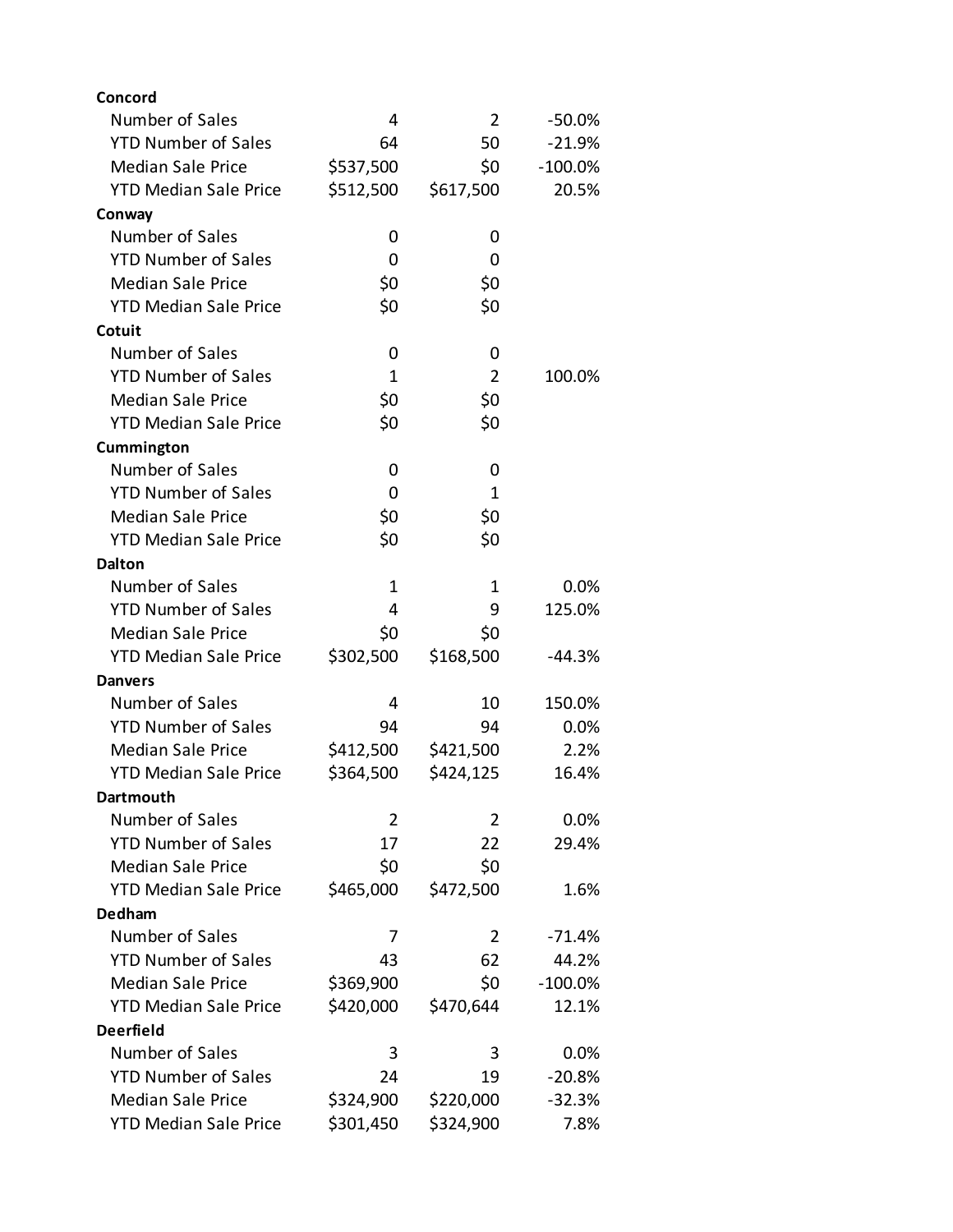| Concord                      |                |                |           |
|------------------------------|----------------|----------------|-----------|
| Number of Sales              | 4              | 2              | $-50.0%$  |
| <b>YTD Number of Sales</b>   | 64             | 50             | $-21.9%$  |
| <b>Median Sale Price</b>     | \$537,500      | \$0            | $-100.0%$ |
| <b>YTD Median Sale Price</b> | \$512,500      | \$617,500      | 20.5%     |
| Conway                       |                |                |           |
| Number of Sales              | 0              | 0              |           |
| <b>YTD Number of Sales</b>   | 0              | 0              |           |
| <b>Median Sale Price</b>     | \$0            | \$0            |           |
| <b>YTD Median Sale Price</b> | \$0            | \$0            |           |
| Cotuit                       |                |                |           |
| Number of Sales              | 0              | 0              |           |
| <b>YTD Number of Sales</b>   | $\mathbf{1}$   | $\overline{2}$ | 100.0%    |
| <b>Median Sale Price</b>     | \$0            | \$0            |           |
| <b>YTD Median Sale Price</b> | \$0            | \$0            |           |
| Cummington                   |                |                |           |
| Number of Sales              | 0              | 0              |           |
| <b>YTD Number of Sales</b>   | 0              | 1              |           |
| <b>Median Sale Price</b>     | \$0            | \$0            |           |
| <b>YTD Median Sale Price</b> | \$0            | \$0            |           |
| <b>Dalton</b>                |                |                |           |
| Number of Sales              | 1              | 1              | 0.0%      |
| <b>YTD Number of Sales</b>   | 4              | 9              | 125.0%    |
| <b>Median Sale Price</b>     | \$0            | \$0            |           |
| <b>YTD Median Sale Price</b> | \$302,500      | \$168,500      | -44.3%    |
| Danvers                      |                |                |           |
| Number of Sales              | 4              | 10             | 150.0%    |
| <b>YTD Number of Sales</b>   | 94             | 94             | 0.0%      |
| <b>Median Sale Price</b>     | \$412,500      | \$421,500      | 2.2%      |
| <b>YTD Median Sale Price</b> | \$364,500      | \$424,125      | 16.4%     |
| Dartmouth                    |                |                |           |
| Number of Sales              | $\overline{2}$ | 2              | 0.0%      |
| <b>YTD Number of Sales</b>   | 17             | 22             | 29.4%     |
| <b>Median Sale Price</b>     | \$0            | \$0            |           |
| <b>YTD Median Sale Price</b> | \$465,000      | \$472,500      | 1.6%      |
| Dedham                       |                |                |           |
| Number of Sales              | 7              | 2              | $-71.4%$  |
| <b>YTD Number of Sales</b>   | 43             | 62             | 44.2%     |
| <b>Median Sale Price</b>     | \$369,900      | \$0            | $-100.0%$ |
| <b>YTD Median Sale Price</b> | \$420,000      | \$470,644      | 12.1%     |
| <b>Deerfield</b>             |                |                |           |
| Number of Sales              | 3              | 3              | 0.0%      |
| <b>YTD Number of Sales</b>   | 24             | 19             | $-20.8%$  |
| <b>Median Sale Price</b>     | \$324,900      | \$220,000      | $-32.3%$  |
| <b>YTD Median Sale Price</b> | \$301,450      | \$324,900      | 7.8%      |
|                              |                |                |           |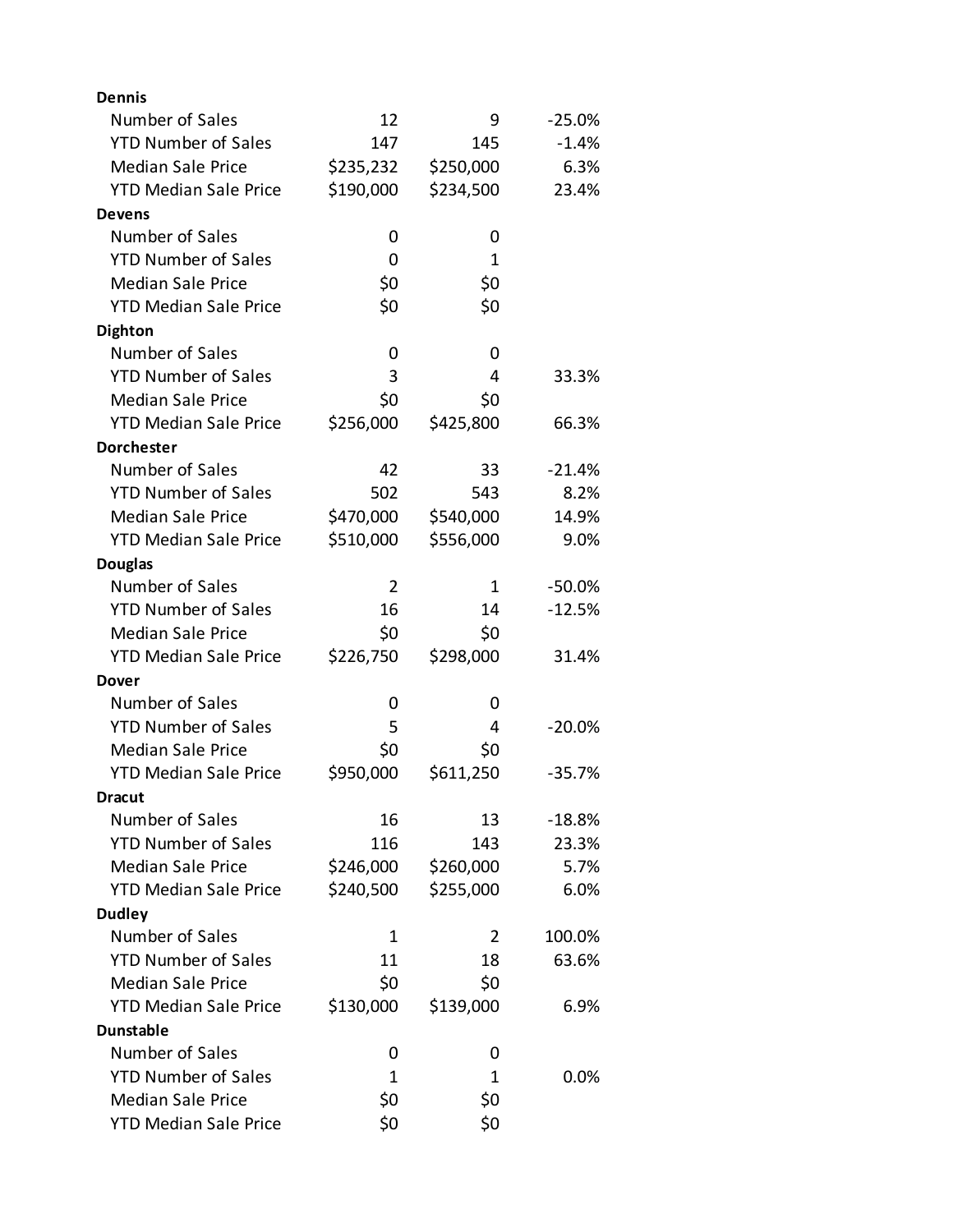| <b>Dennis</b>                |           |           |          |
|------------------------------|-----------|-----------|----------|
| Number of Sales              | 12        | 9         | $-25.0%$ |
| <b>YTD Number of Sales</b>   | 147       | 145       | $-1.4%$  |
| <b>Median Sale Price</b>     | \$235,232 | \$250,000 | 6.3%     |
| <b>YTD Median Sale Price</b> | \$190,000 | \$234,500 | 23.4%    |
| Devens                       |           |           |          |
| Number of Sales              | 0         | 0         |          |
| <b>YTD Number of Sales</b>   | 0         | 1         |          |
| <b>Median Sale Price</b>     | \$0       | \$0       |          |
| <b>YTD Median Sale Price</b> | \$0       | \$0       |          |
| <b>Dighton</b>               |           |           |          |
| Number of Sales              | 0         | 0         |          |
| <b>YTD Number of Sales</b>   | 3         | 4         | 33.3%    |
| <b>Median Sale Price</b>     | \$0       | \$0       |          |
| <b>YTD Median Sale Price</b> | \$256,000 | \$425,800 | 66.3%    |
| <b>Dorchester</b>            |           |           |          |
| Number of Sales              | 42        | 33        | $-21.4%$ |
| <b>YTD Number of Sales</b>   | 502       | 543       | 8.2%     |
| <b>Median Sale Price</b>     | \$470,000 | \$540,000 | 14.9%    |
| <b>YTD Median Sale Price</b> | \$510,000 | \$556,000 | 9.0%     |
| <b>Douglas</b>               |           |           |          |
| Number of Sales              | 2         | 1         | $-50.0%$ |
| <b>YTD Number of Sales</b>   | 16        | 14        | $-12.5%$ |
| <b>Median Sale Price</b>     | \$0       | \$0       |          |
| <b>YTD Median Sale Price</b> | \$226,750 | \$298,000 | 31.4%    |
| Dover                        |           |           |          |
| Number of Sales              | 0         | 0         |          |
| <b>YTD Number of Sales</b>   | 5         | 4         | $-20.0%$ |
| <b>Median Sale Price</b>     | \$0       | \$0       |          |
| <b>YTD Median Sale Price</b> | \$950,000 | \$611,250 | $-35.7%$ |
| <b>Dracut</b>                |           |           |          |
| Number of Sales              | 16        | 13        | $-18.8%$ |
| <b>YTD Number of Sales</b>   | 116       | 143       | 23.3%    |
| <b>Median Sale Price</b>     | \$246,000 | \$260,000 | 5.7%     |
| <b>YTD Median Sale Price</b> | \$240,500 | \$255,000 | 6.0%     |
| <b>Dudley</b>                |           |           |          |
| Number of Sales              | 1         | 2         | 100.0%   |
| <b>YTD Number of Sales</b>   | 11        | 18        | 63.6%    |
| <b>Median Sale Price</b>     | \$0       | \$0       |          |
| <b>YTD Median Sale Price</b> | \$130,000 | \$139,000 | 6.9%     |
| <b>Dunstable</b>             |           |           |          |
| Number of Sales              | 0         | 0         |          |
| <b>YTD Number of Sales</b>   | 1         | 1         | $0.0\%$  |
| <b>Median Sale Price</b>     | \$0       | \$0       |          |
| <b>YTD Median Sale Price</b> | \$0       | \$0       |          |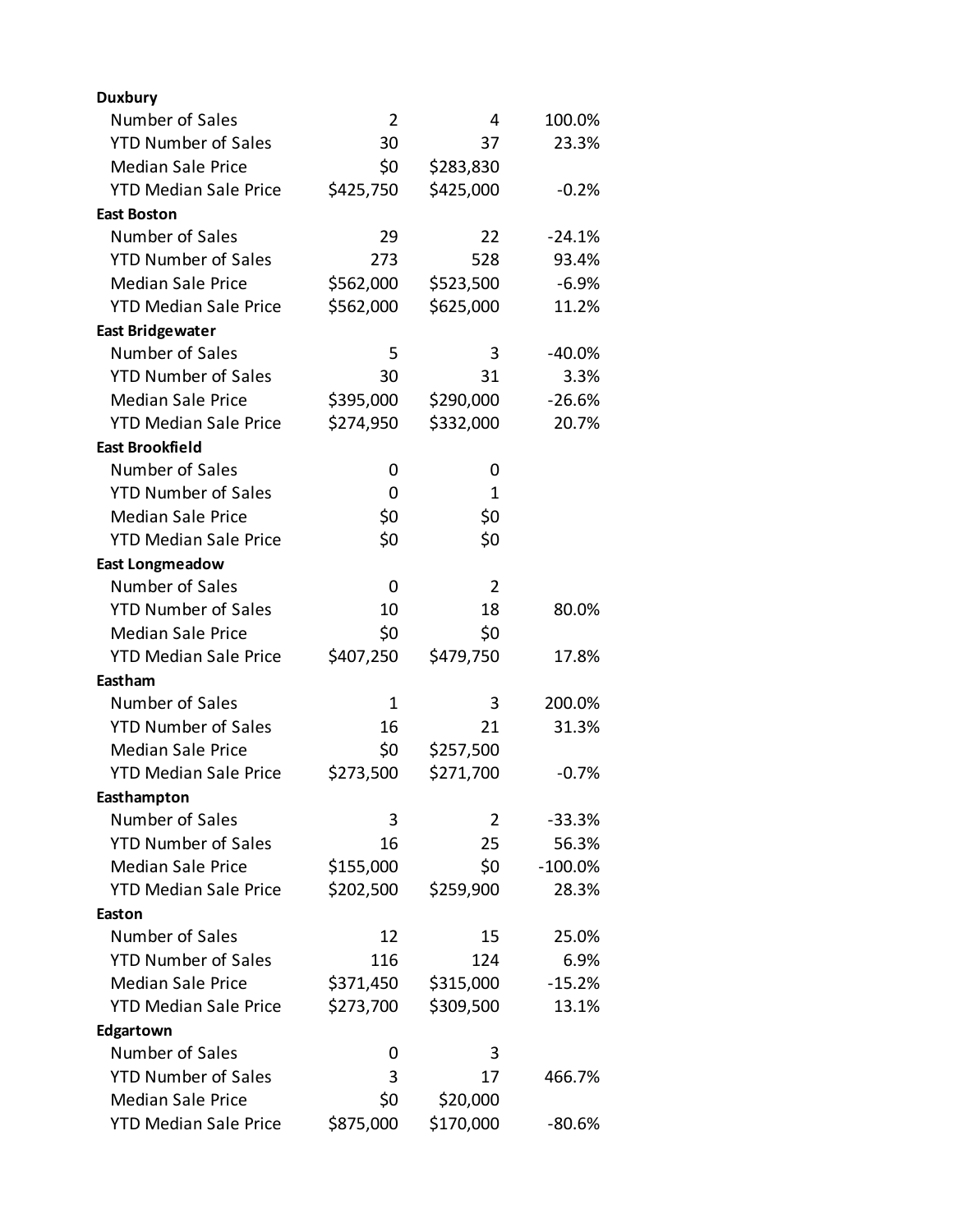| <b>Duxbury</b>               |                |           |           |
|------------------------------|----------------|-----------|-----------|
| Number of Sales              | $\overline{2}$ | 4         | 100.0%    |
| <b>YTD Number of Sales</b>   | 30             | 37        | 23.3%     |
| <b>Median Sale Price</b>     | \$0            | \$283,830 |           |
| <b>YTD Median Sale Price</b> | \$425,750      | \$425,000 | $-0.2%$   |
| <b>East Boston</b>           |                |           |           |
| Number of Sales              | 29             | 22        | $-24.1%$  |
| <b>YTD Number of Sales</b>   | 273            | 528       | 93.4%     |
| <b>Median Sale Price</b>     | \$562,000      | \$523,500 | $-6.9%$   |
| <b>YTD Median Sale Price</b> | \$562,000      | \$625,000 | 11.2%     |
| <b>East Bridgewater</b>      |                |           |           |
| Number of Sales              | 5              | 3         | $-40.0%$  |
| <b>YTD Number of Sales</b>   | 30             | 31        | 3.3%      |
| <b>Median Sale Price</b>     | \$395,000      | \$290,000 | $-26.6%$  |
| <b>YTD Median Sale Price</b> | \$274,950      | \$332,000 | 20.7%     |
| <b>East Brookfield</b>       |                |           |           |
| Number of Sales              | 0              | 0         |           |
| <b>YTD Number of Sales</b>   | 0              | 1         |           |
| <b>Median Sale Price</b>     | \$0            | \$0       |           |
| <b>YTD Median Sale Price</b> | \$0            | \$0       |           |
| <b>East Longmeadow</b>       |                |           |           |
| Number of Sales              | 0              | 2         |           |
| <b>YTD Number of Sales</b>   | 10             | 18        | 80.0%     |
| <b>Median Sale Price</b>     | \$0            | \$0       |           |
| <b>YTD Median Sale Price</b> | \$407,250      | \$479,750 | 17.8%     |
| Eastham                      |                |           |           |
| Number of Sales              | 1              | 3         | 200.0%    |
| <b>YTD Number of Sales</b>   | 16             | 21        | 31.3%     |
| <b>Median Sale Price</b>     | \$0            | \$257,500 |           |
| <b>YTD Median Sale Price</b> | \$273,500      | \$271,700 | $-0.7%$   |
| Easthampton                  |                |           |           |
| Number of Sales              | 3              | 2         | $-33.3%$  |
| <b>YTD Number of Sales</b>   | 16             | 25        | 56.3%     |
| <b>Median Sale Price</b>     | \$155,000      | \$0       | $-100.0%$ |
| <b>YTD Median Sale Price</b> | \$202,500      | \$259,900 | 28.3%     |
| Easton                       |                |           |           |
| Number of Sales              | 12             | 15        | 25.0%     |
| <b>YTD Number of Sales</b>   | 116            | 124       | 6.9%      |
| <b>Median Sale Price</b>     | \$371,450      | \$315,000 | $-15.2%$  |
| <b>YTD Median Sale Price</b> | \$273,700      | \$309,500 | 13.1%     |
| Edgartown                    |                |           |           |
| Number of Sales              | 0              | 3         |           |
| <b>YTD Number of Sales</b>   | 3              | 17        | 466.7%    |
| <b>Median Sale Price</b>     | \$0            | \$20,000  |           |
| <b>YTD Median Sale Price</b> | \$875,000      | \$170,000 | $-80.6%$  |
|                              |                |           |           |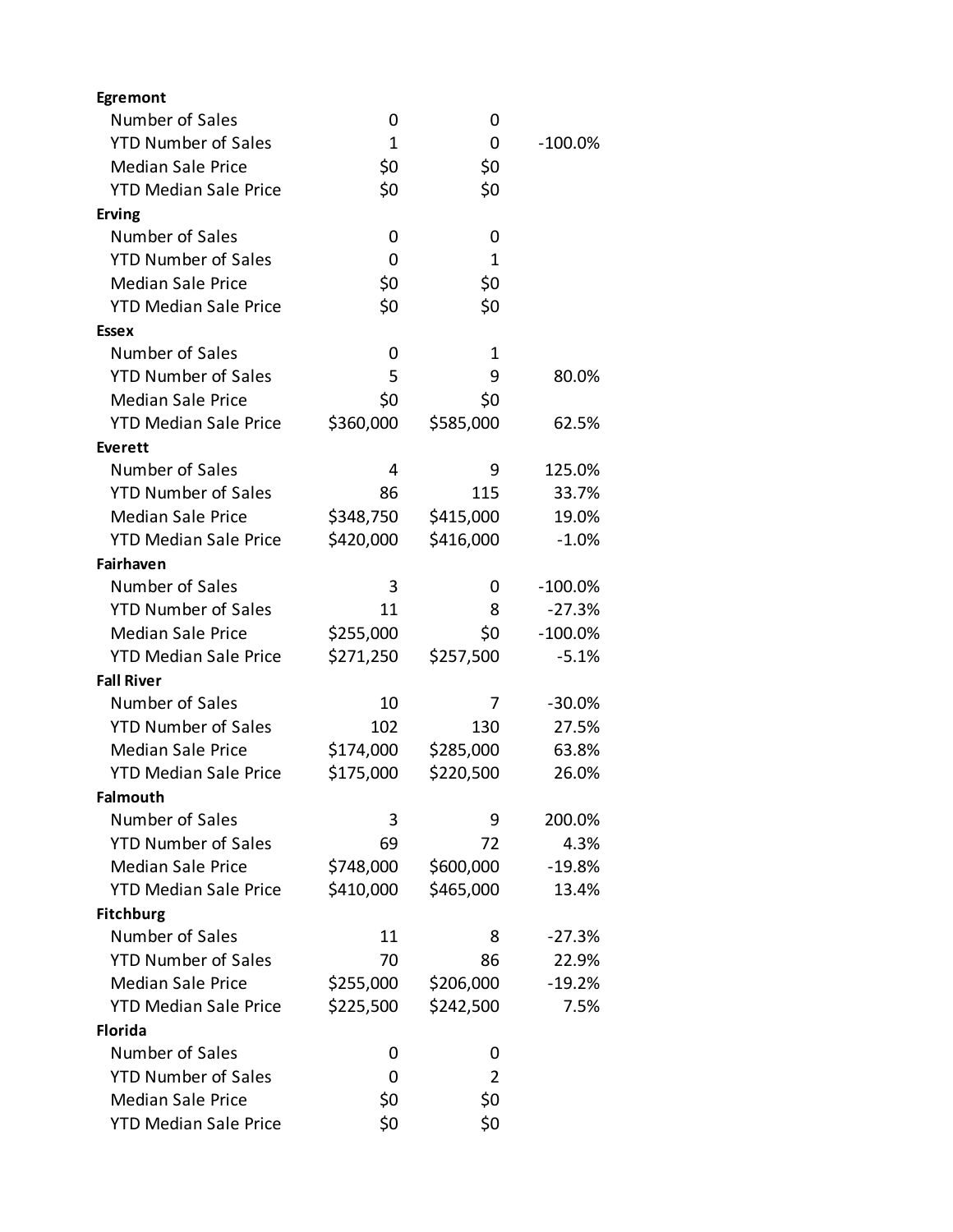| Egremont                     |              |           |           |
|------------------------------|--------------|-----------|-----------|
| Number of Sales              | 0            | 0         |           |
| <b>YTD Number of Sales</b>   | $\mathbf{1}$ | 0         | $-100.0%$ |
| <b>Median Sale Price</b>     | \$0          | \$0       |           |
| <b>YTD Median Sale Price</b> | \$0          | \$0       |           |
| <b>Erving</b>                |              |           |           |
| Number of Sales              | 0            | 0         |           |
| <b>YTD Number of Sales</b>   | 0            | 1         |           |
| <b>Median Sale Price</b>     | \$0          | \$0       |           |
| <b>YTD Median Sale Price</b> | \$0          | \$0       |           |
| <b>Essex</b>                 |              |           |           |
| Number of Sales              | 0            | 1         |           |
| <b>YTD Number of Sales</b>   | 5            | 9         | 80.0%     |
| <b>Median Sale Price</b>     | \$0          | \$0       |           |
| <b>YTD Median Sale Price</b> | \$360,000    | \$585,000 | 62.5%     |
| Everett                      |              |           |           |
| Number of Sales              | 4            | 9         | 125.0%    |
| <b>YTD Number of Sales</b>   | 86           | 115       | 33.7%     |
| <b>Median Sale Price</b>     | \$348,750    | \$415,000 | 19.0%     |
| <b>YTD Median Sale Price</b> | \$420,000    | \$416,000 | $-1.0%$   |
| <b>Fairhaven</b>             |              |           |           |
| Number of Sales              | 3            | 0         | $-100.0%$ |
| <b>YTD Number of Sales</b>   | 11           | 8         | $-27.3%$  |
| <b>Median Sale Price</b>     | \$255,000    | \$0       | $-100.0%$ |
| <b>YTD Median Sale Price</b> | \$271,250    | \$257,500 | $-5.1%$   |
| <b>Fall River</b>            |              |           |           |
| Number of Sales              | 10           | 7         | $-30.0%$  |
| <b>YTD Number of Sales</b>   | 102          | 130       | 27.5%     |
| <b>Median Sale Price</b>     | \$174,000    | \$285,000 | 63.8%     |
| <b>YTD Median Sale Price</b> | \$175,000    | \$220,500 | 26.0%     |
| <b>Falmouth</b>              |              |           |           |
| Number of Sales              | 3            | 9         | 200.0%    |
| <b>YTD Number of Sales</b>   | 69           | 72        | 4.3%      |
| <b>Median Sale Price</b>     | \$748,000    | \$600,000 | $-19.8%$  |
| <b>YTD Median Sale Price</b> | \$410,000    | \$465,000 | 13.4%     |
| <b>Fitchburg</b>             |              |           |           |
| Number of Sales              | 11           | 8         | $-27.3%$  |
| <b>YTD Number of Sales</b>   | 70           | 86        | 22.9%     |
| <b>Median Sale Price</b>     | \$255,000    | \$206,000 | $-19.2%$  |
| <b>YTD Median Sale Price</b> | \$225,500    | \$242,500 | 7.5%      |
| <b>Florida</b>               |              |           |           |
| Number of Sales              | 0            | 0         |           |
| <b>YTD Number of Sales</b>   | 0            | 2         |           |
| <b>Median Sale Price</b>     | \$0          | \$0       |           |
| <b>YTD Median Sale Price</b> | \$0          | \$0       |           |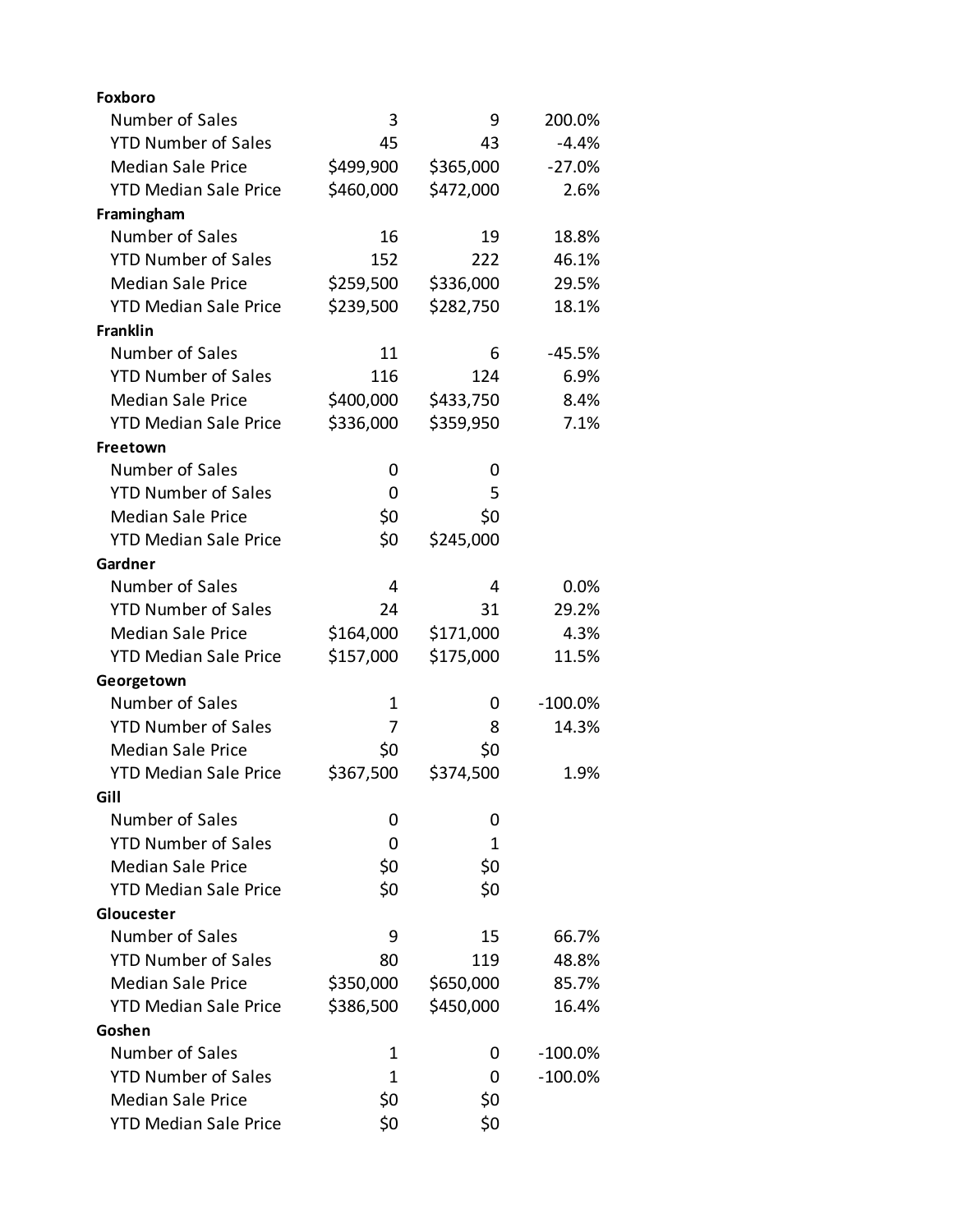| <b>Foxboro</b>               |           |           |            |
|------------------------------|-----------|-----------|------------|
| Number of Sales              | 3         | 9         | 200.0%     |
| <b>YTD Number of Sales</b>   | 45        | 43        | $-4.4%$    |
| <b>Median Sale Price</b>     | \$499,900 | \$365,000 | $-27.0%$   |
| <b>YTD Median Sale Price</b> | \$460,000 | \$472,000 | 2.6%       |
| Framingham                   |           |           |            |
| Number of Sales              | 16        | 19        | 18.8%      |
| <b>YTD Number of Sales</b>   | 152       | 222       | 46.1%      |
| <b>Median Sale Price</b>     | \$259,500 | \$336,000 | 29.5%      |
| <b>YTD Median Sale Price</b> | \$239,500 | \$282,750 | 18.1%      |
| <b>Franklin</b>              |           |           |            |
| Number of Sales              | 11        | 6         | $-45.5%$   |
| <b>YTD Number of Sales</b>   | 116       | 124       | 6.9%       |
| <b>Median Sale Price</b>     | \$400,000 | \$433,750 | 8.4%       |
| <b>YTD Median Sale Price</b> | \$336,000 | \$359,950 | 7.1%       |
| Freetown                     |           |           |            |
| Number of Sales              | 0         | 0         |            |
| <b>YTD Number of Sales</b>   | 0         | 5         |            |
| <b>Median Sale Price</b>     | \$0       | \$0       |            |
| <b>YTD Median Sale Price</b> | \$0       | \$245,000 |            |
| Gardner                      |           |           |            |
| Number of Sales              | 4         | 4         | $0.0\%$    |
| <b>YTD Number of Sales</b>   | 24        | 31        | 29.2%      |
| <b>Median Sale Price</b>     | \$164,000 | \$171,000 | 4.3%       |
| <b>YTD Median Sale Price</b> | \$157,000 | \$175,000 | 11.5%      |
| Georgetown                   |           |           |            |
| Number of Sales              | 1         | 0         | $-100.0%$  |
| <b>YTD Number of Sales</b>   | 7         | 8         | 14.3%      |
| <b>Median Sale Price</b>     | \$0       | \$0       |            |
| <b>YTD Median Sale Price</b> | \$367,500 | \$374,500 | 1.9%       |
| Gill                         |           |           |            |
| Number of Sales              | 0         | 0         |            |
| <b>YTD Number of Sales</b>   | 0         | 1         |            |
| <b>Median Sale Price</b>     | \$0       | \$0       |            |
| <b>YTD Median Sale Price</b> | \$0       | \$0       |            |
| Gloucester                   |           |           |            |
| Number of Sales              | 9         | 15        | 66.7%      |
| <b>YTD Number of Sales</b>   | 80        | 119       | 48.8%      |
| <b>Median Sale Price</b>     | \$350,000 | \$650,000 | 85.7%      |
| <b>YTD Median Sale Price</b> | \$386,500 | \$450,000 | 16.4%      |
| Goshen                       |           |           |            |
| Number of Sales              | 1         | 0         | $-100.0%$  |
| <b>YTD Number of Sales</b>   | 1         | 0         | $-100.0\%$ |
| <b>Median Sale Price</b>     | \$0       | \$0       |            |
| <b>YTD Median Sale Price</b> | \$0       | \$0       |            |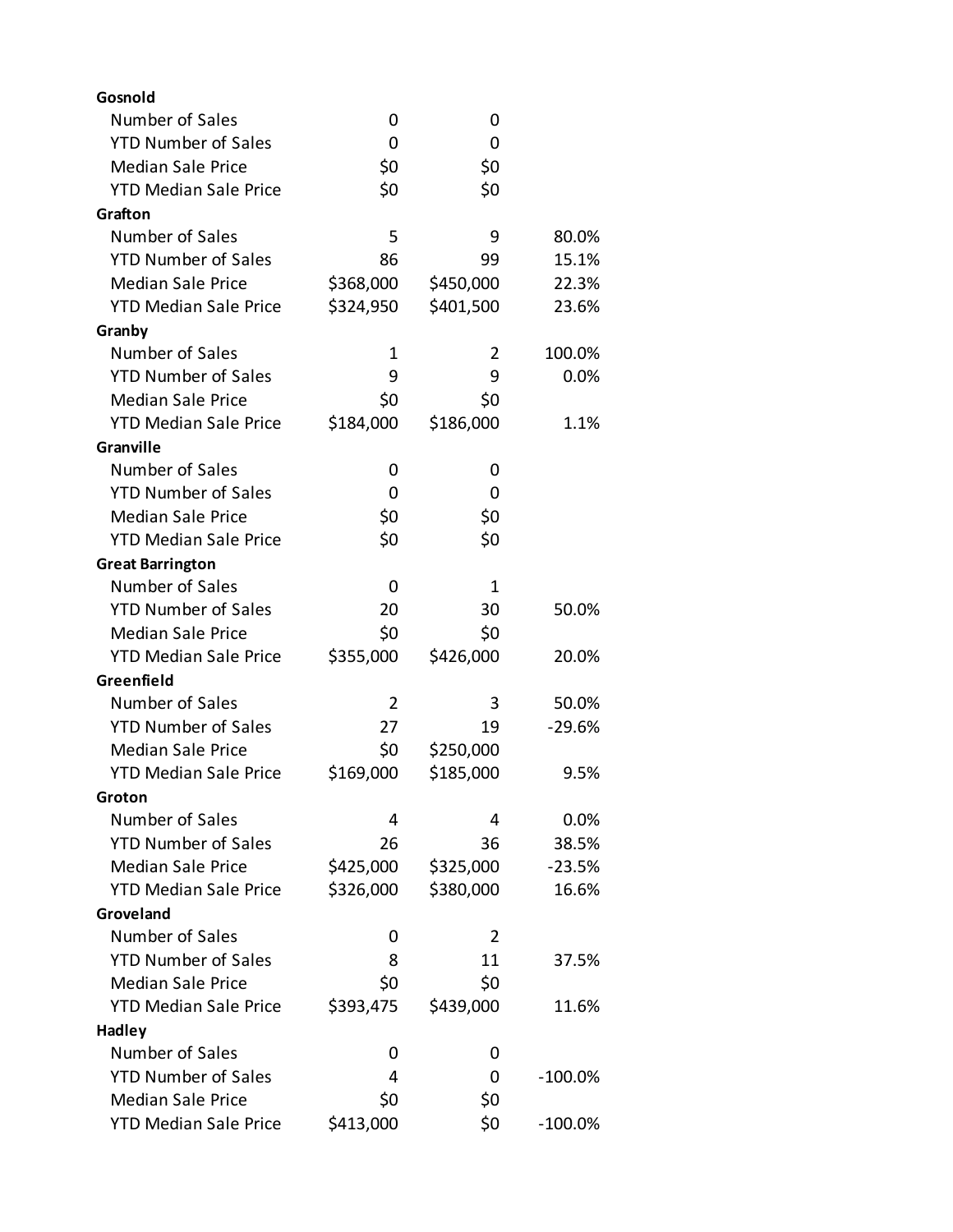| Gosnold                      |           |           |            |
|------------------------------|-----------|-----------|------------|
| Number of Sales              | 0         | 0         |            |
| <b>YTD Number of Sales</b>   | 0         | 0         |            |
| <b>Median Sale Price</b>     | \$0       | \$0       |            |
| <b>YTD Median Sale Price</b> | \$0       | \$0       |            |
| Grafton                      |           |           |            |
| Number of Sales              | 5         | 9         | 80.0%      |
| <b>YTD Number of Sales</b>   | 86        | 99        | 15.1%      |
| <b>Median Sale Price</b>     | \$368,000 | \$450,000 | 22.3%      |
| <b>YTD Median Sale Price</b> | \$324,950 | \$401,500 | 23.6%      |
| Granby                       |           |           |            |
| Number of Sales              | 1         | 2         | 100.0%     |
| <b>YTD Number of Sales</b>   | 9         | 9         | 0.0%       |
| <b>Median Sale Price</b>     | \$0       | \$0       |            |
| <b>YTD Median Sale Price</b> | \$184,000 | \$186,000 | 1.1%       |
| Granville                    |           |           |            |
| Number of Sales              | 0         | 0         |            |
| <b>YTD Number of Sales</b>   | 0         | 0         |            |
| <b>Median Sale Price</b>     | \$0       | \$0       |            |
| <b>YTD Median Sale Price</b> | \$0       | \$0       |            |
| <b>Great Barrington</b>      |           |           |            |
| Number of Sales              | 0         | 1         |            |
| <b>YTD Number of Sales</b>   | 20        | 30        | 50.0%      |
| <b>Median Sale Price</b>     | \$0       | \$0       |            |
| <b>YTD Median Sale Price</b> | \$355,000 | \$426,000 | 20.0%      |
| Greenfield                   |           |           |            |
| Number of Sales              | 2         | 3         | 50.0%      |
| <b>YTD Number of Sales</b>   | 27        | 19        | $-29.6%$   |
| <b>Median Sale Price</b>     | \$0       | \$250,000 |            |
| <b>YTD Median Sale Price</b> | \$169,000 | \$185,000 | 9.5%       |
| Groton                       |           |           |            |
| Number of Sales              | 4         | 4         | 0.0%       |
| <b>YTD Number of Sales</b>   | 26        | 36        | 38.5%      |
| <b>Median Sale Price</b>     | \$425,000 | \$325,000 | $-23.5%$   |
| <b>YTD Median Sale Price</b> | \$326,000 | \$380,000 | 16.6%      |
| Groveland                    |           |           |            |
| Number of Sales              | 0         | 2         |            |
| <b>YTD Number of Sales</b>   | 8         | 11        | 37.5%      |
| <b>Median Sale Price</b>     | \$0       | \$0       |            |
| <b>YTD Median Sale Price</b> | \$393,475 | \$439,000 | 11.6%      |
| <b>Hadley</b>                |           |           |            |
| Number of Sales              | 0         | 0         |            |
| <b>YTD Number of Sales</b>   | 4         | 0         | $-100.0\%$ |
| <b>Median Sale Price</b>     | \$0       | \$0       |            |
| <b>YTD Median Sale Price</b> | \$413,000 | \$0       | $-100.0\%$ |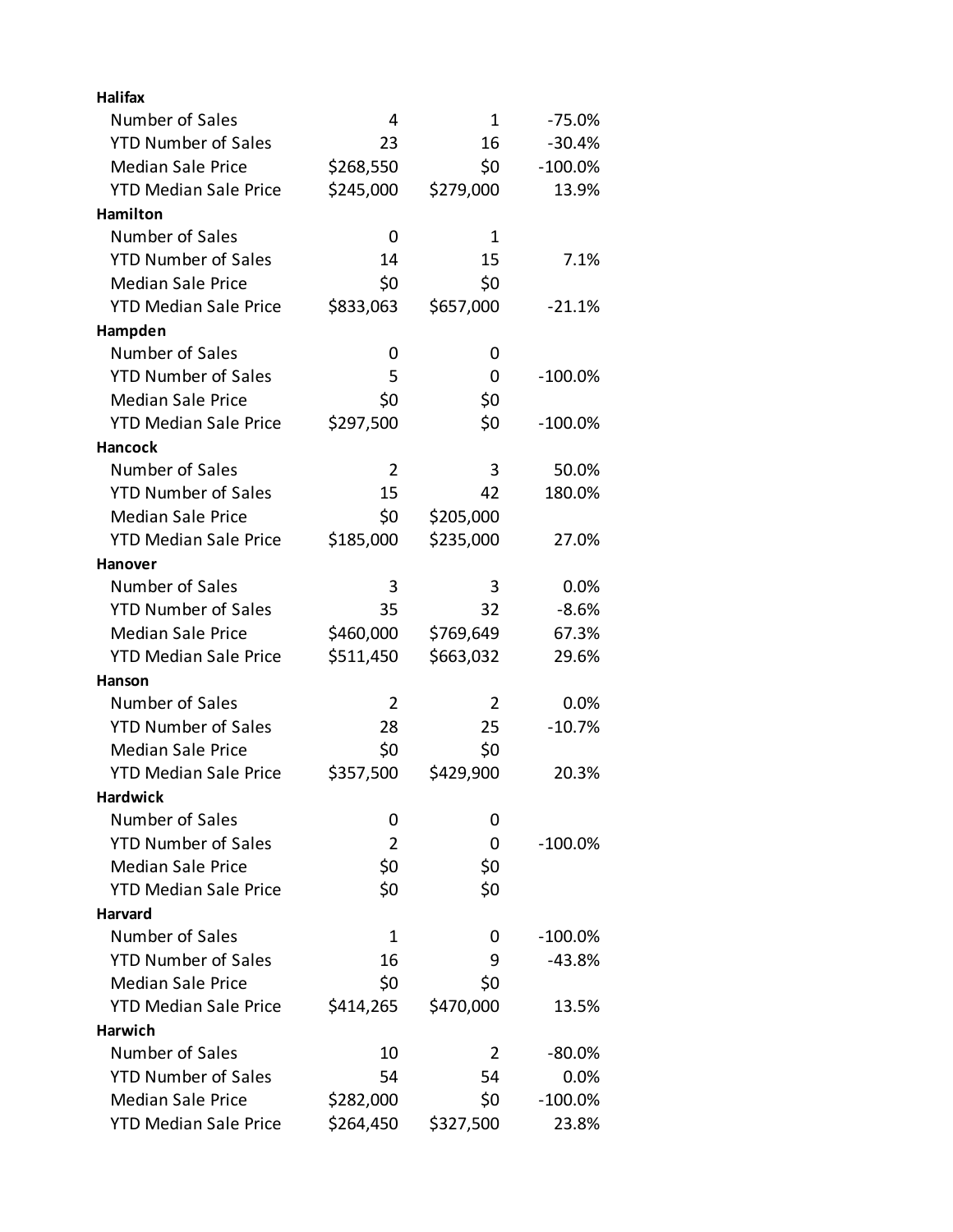| <b>Halifax</b>               |           |           |            |
|------------------------------|-----------|-----------|------------|
| Number of Sales              | 4         | 1         | $-75.0%$   |
| <b>YTD Number of Sales</b>   | 23        | 16        | $-30.4%$   |
| <b>Median Sale Price</b>     | \$268,550 | \$0       | $-100.0%$  |
| <b>YTD Median Sale Price</b> | \$245,000 | \$279,000 | 13.9%      |
| Hamilton                     |           |           |            |
| Number of Sales              | 0         | 1         |            |
| <b>YTD Number of Sales</b>   | 14        | 15        | 7.1%       |
| <b>Median Sale Price</b>     | \$0       | \$0       |            |
| <b>YTD Median Sale Price</b> | \$833,063 | \$657,000 | $-21.1%$   |
| Hampden                      |           |           |            |
| Number of Sales              | 0         | 0         |            |
| <b>YTD Number of Sales</b>   | 5         | 0         | $-100.0\%$ |
| <b>Median Sale Price</b>     | \$0       | \$0       |            |
| <b>YTD Median Sale Price</b> | \$297,500 | \$0       | $-100.0%$  |
| <b>Hancock</b>               |           |           |            |
| Number of Sales              | 2         | 3         | 50.0%      |
| <b>YTD Number of Sales</b>   | 15        | 42        | 180.0%     |
| <b>Median Sale Price</b>     | \$0       | \$205,000 |            |
| <b>YTD Median Sale Price</b> | \$185,000 | \$235,000 | 27.0%      |
| Hanover                      |           |           |            |
| Number of Sales              | 3         | 3         | $0.0\%$    |
| <b>YTD Number of Sales</b>   | 35        | 32        | $-8.6%$    |
| <b>Median Sale Price</b>     | \$460,000 | \$769,649 | 67.3%      |
| <b>YTD Median Sale Price</b> | \$511,450 | \$663,032 | 29.6%      |
| Hanson                       |           |           |            |
| Number of Sales              | 2         | 2         | $0.0\%$    |
| <b>YTD Number of Sales</b>   | 28        | 25        | $-10.7%$   |
| <b>Median Sale Price</b>     | \$0       | \$0       |            |
| <b>YTD Median Sale Price</b> | \$357,500 | \$429,900 | 20.3%      |
| <b>Hardwick</b>              |           |           |            |
| Number of Sales              | 0         | 0         |            |
| <b>YTD Number of Sales</b>   | 2         | 0         | $-100.0%$  |
| <b>Median Sale Price</b>     | \$0       | \$0       |            |
| <b>YTD Median Sale Price</b> | \$0       | \$0       |            |
| Harvard                      |           |           |            |
| Number of Sales              | 1         | 0         | $-100.0%$  |
| <b>YTD Number of Sales</b>   | 16        | 9         | -43.8%     |
| <b>Median Sale Price</b>     | \$0       | \$0       |            |
| <b>YTD Median Sale Price</b> | \$414,265 | \$470,000 | 13.5%      |
| Harwich                      |           |           |            |
| Number of Sales              | 10        | 2         | -80.0%     |
| <b>YTD Number of Sales</b>   | 54        | 54        | 0.0%       |
| <b>Median Sale Price</b>     | \$282,000 | \$0       | $-100.0%$  |
| <b>YTD Median Sale Price</b> | \$264,450 | \$327,500 | 23.8%      |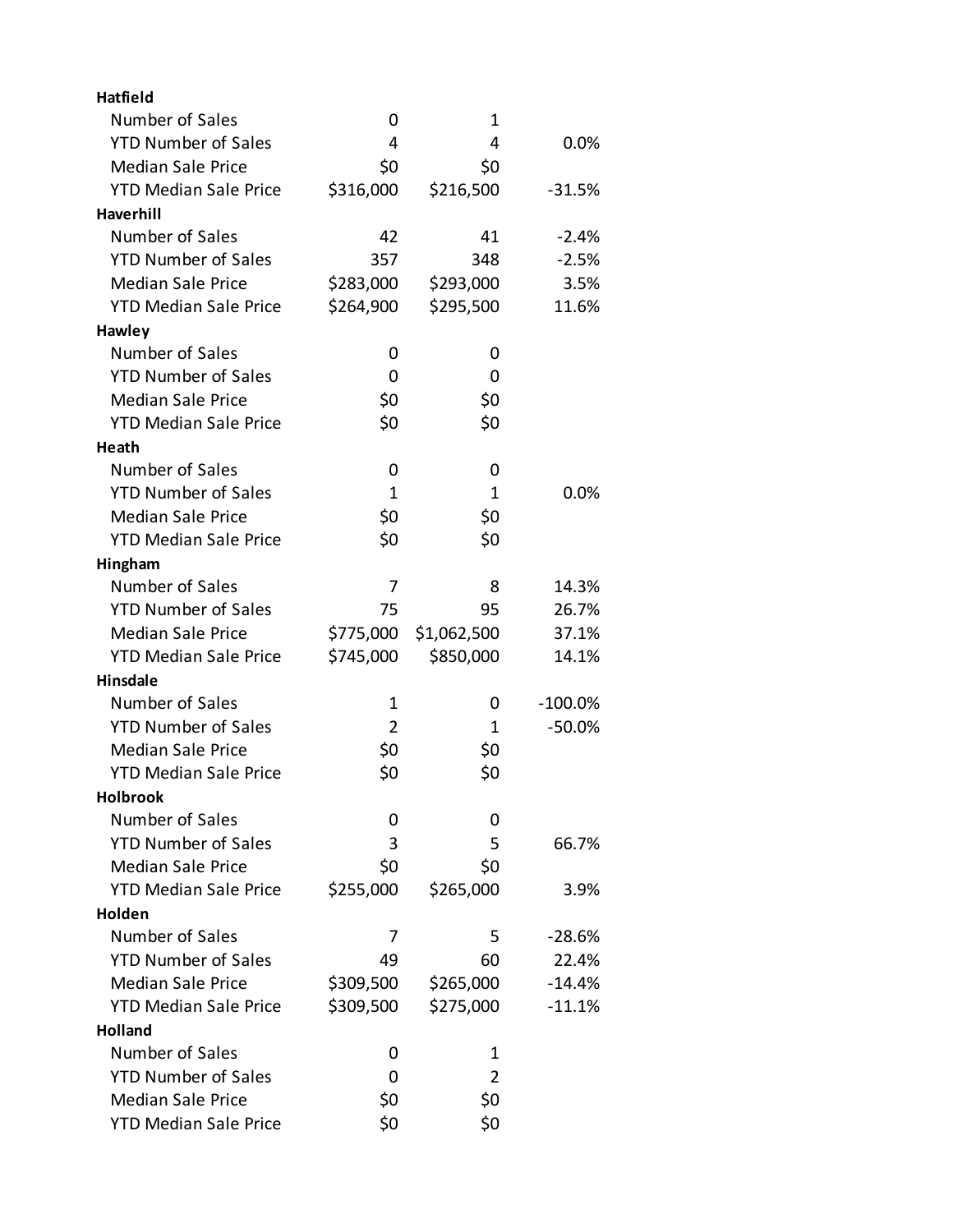| <b>Hatfield</b>              |           |             |           |
|------------------------------|-----------|-------------|-----------|
| Number of Sales              | 0         | 1           |           |
| <b>YTD Number of Sales</b>   | 4         | 4           | 0.0%      |
| <b>Median Sale Price</b>     | \$0       | \$0         |           |
| <b>YTD Median Sale Price</b> | \$316,000 | \$216,500   | $-31.5%$  |
| Haverhill                    |           |             |           |
| Number of Sales              | 42        | 41          | $-2.4%$   |
| <b>YTD Number of Sales</b>   | 357       | 348         | $-2.5%$   |
| <b>Median Sale Price</b>     | \$283,000 | \$293,000   | 3.5%      |
| <b>YTD Median Sale Price</b> | \$264,900 | \$295,500   | 11.6%     |
| Hawley                       |           |             |           |
| Number of Sales              | 0         | 0           |           |
| <b>YTD Number of Sales</b>   | 0         | 0           |           |
| <b>Median Sale Price</b>     | \$0       | \$0         |           |
| <b>YTD Median Sale Price</b> | \$0       | \$0         |           |
| Heath                        |           |             |           |
| Number of Sales              | 0         | 0           |           |
| <b>YTD Number of Sales</b>   | 1         | 1           | $0.0\%$   |
| <b>Median Sale Price</b>     | \$0       | \$0         |           |
| <b>YTD Median Sale Price</b> | \$0       | \$0         |           |
| Hingham                      |           |             |           |
| Number of Sales              | 7         | 8           | 14.3%     |
| <b>YTD Number of Sales</b>   | 75        | 95          | 26.7%     |
| <b>Median Sale Price</b>     | \$775,000 | \$1,062,500 | 37.1%     |
| <b>YTD Median Sale Price</b> | \$745,000 | \$850,000   | 14.1%     |
| <b>Hinsdale</b>              |           |             |           |
| Number of Sales              | 1         | 0           | $-100.0%$ |
| <b>YTD Number of Sales</b>   | 2         | 1           | $-50.0%$  |
| <b>Median Sale Price</b>     | \$0       | \$0         |           |
| <b>YTD Median Sale Price</b> | \$0       | \$0         |           |
| <b>Holbrook</b>              |           |             |           |
| Number of Sales              | 0         | 0           |           |
| <b>YTD Number of Sales</b>   | 3         | 5           | 66.7%     |
| <b>Median Sale Price</b>     | \$0       | \$0         |           |
| <b>YTD Median Sale Price</b> | \$255,000 | \$265,000   | 3.9%      |
| Holden                       |           |             |           |
| Number of Sales              | 7         | 5           | $-28.6%$  |
| <b>YTD Number of Sales</b>   | 49        | 60          | 22.4%     |
| <b>Median Sale Price</b>     | \$309,500 | \$265,000   | $-14.4%$  |
| <b>YTD Median Sale Price</b> | \$309,500 | \$275,000   | $-11.1%$  |
| <b>Holland</b>               |           |             |           |
| <b>Number of Sales</b>       | 0         | 1           |           |
| <b>YTD Number of Sales</b>   | 0         | 2           |           |
| <b>Median Sale Price</b>     | \$0       | \$0         |           |
| <b>YTD Median Sale Price</b> | \$0       | \$0         |           |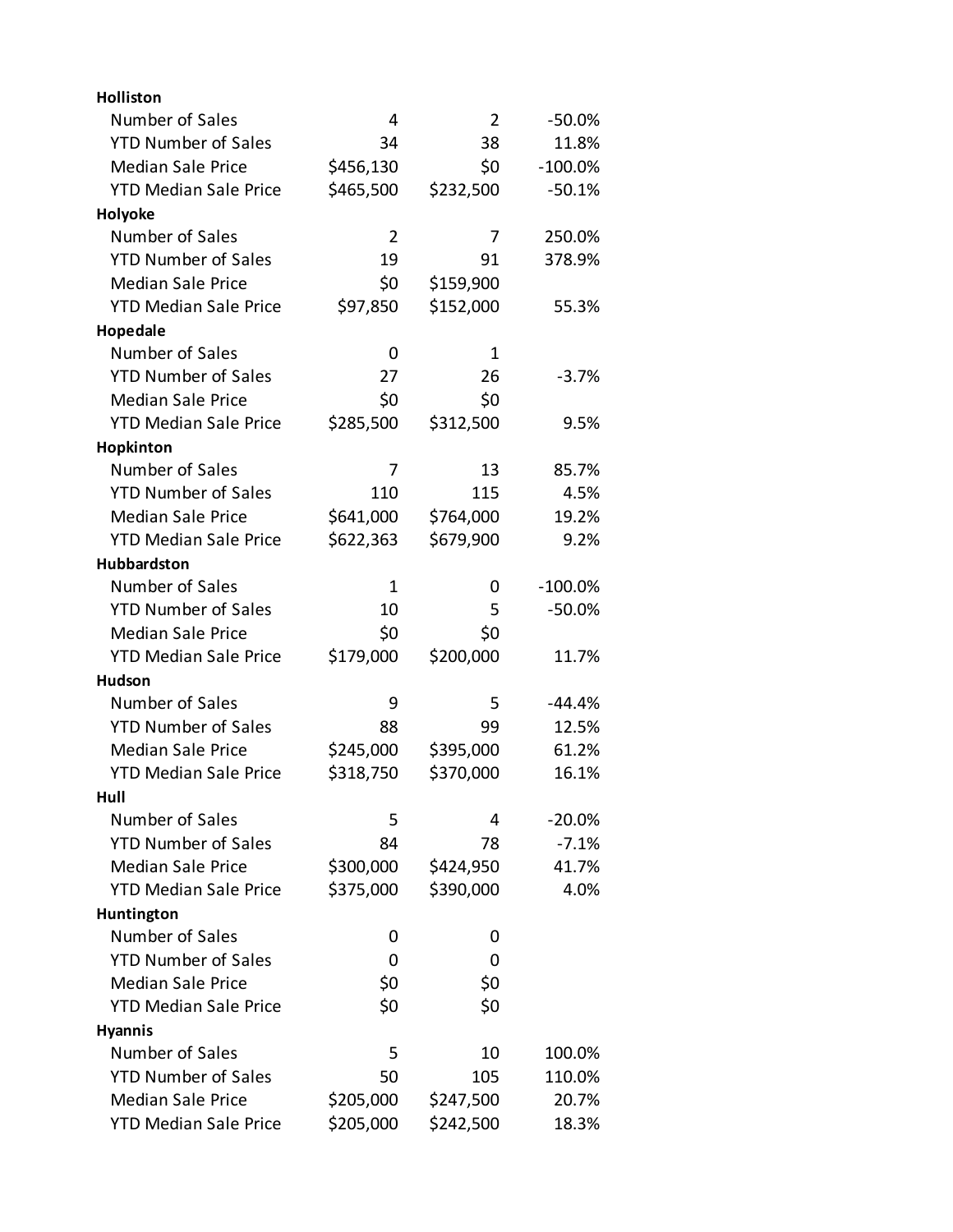| <b>Holliston</b>             |           |           |           |
|------------------------------|-----------|-----------|-----------|
| Number of Sales              | 4         | 2         | $-50.0%$  |
| <b>YTD Number of Sales</b>   | 34        | 38        | 11.8%     |
| <b>Median Sale Price</b>     | \$456,130 | \$0       | $-100.0%$ |
| <b>YTD Median Sale Price</b> | \$465,500 | \$232,500 | $-50.1%$  |
| Holyoke                      |           |           |           |
| Number of Sales              | 2         | 7         | 250.0%    |
| <b>YTD Number of Sales</b>   | 19        | 91        | 378.9%    |
| <b>Median Sale Price</b>     | \$0       | \$159,900 |           |
| <b>YTD Median Sale Price</b> | \$97,850  | \$152,000 | 55.3%     |
| Hopedale                     |           |           |           |
| Number of Sales              | 0         | 1         |           |
| <b>YTD Number of Sales</b>   | 27        | 26        | $-3.7%$   |
| <b>Median Sale Price</b>     | \$0       | \$0       |           |
| <b>YTD Median Sale Price</b> | \$285,500 | \$312,500 | 9.5%      |
| Hopkinton                    |           |           |           |
| Number of Sales              | 7         | 13        | 85.7%     |
| <b>YTD Number of Sales</b>   | 110       | 115       | 4.5%      |
| <b>Median Sale Price</b>     | \$641,000 | \$764,000 | 19.2%     |
| <b>YTD Median Sale Price</b> | \$622,363 | \$679,900 | 9.2%      |
| Hubbardston                  |           |           |           |
| Number of Sales              | 1         | 0         | $-100.0%$ |
| <b>YTD Number of Sales</b>   | 10        | 5         | $-50.0%$  |
| <b>Median Sale Price</b>     | \$0       | \$0       |           |
| <b>YTD Median Sale Price</b> | \$179,000 | \$200,000 | 11.7%     |
| <b>Hudson</b>                |           |           |           |
| Number of Sales              | 9         | 5         | $-44.4%$  |
| <b>YTD Number of Sales</b>   | 88        | 99        | 12.5%     |
| <b>Median Sale Price</b>     | \$245,000 | \$395,000 | 61.2%     |
| <b>YTD Median Sale Price</b> | \$318,750 | \$370,000 | 16.1%     |
| Hull                         |           |           |           |
| Number of Sales              | 5         | 4         | $-20.0\%$ |
| <b>YTD Number of Sales</b>   | 84        | 78        | $-7.1%$   |
| <b>Median Sale Price</b>     | \$300,000 | \$424,950 | 41.7%     |
| <b>YTD Median Sale Price</b> | \$375,000 | \$390,000 | 4.0%      |
| Huntington                   |           |           |           |
| Number of Sales              | 0         | 0         |           |
| <b>YTD Number of Sales</b>   | 0         | 0         |           |
| <b>Median Sale Price</b>     | \$0       | \$0       |           |
| <b>YTD Median Sale Price</b> | \$0       | \$0       |           |
| <b>Hyannis</b>               |           |           |           |
| Number of Sales              | 5         | 10        | 100.0%    |
| <b>YTD Number of Sales</b>   | 50        | 105       | 110.0%    |
| <b>Median Sale Price</b>     | \$205,000 | \$247,500 | 20.7%     |
| <b>YTD Median Sale Price</b> | \$205,000 | \$242,500 | 18.3%     |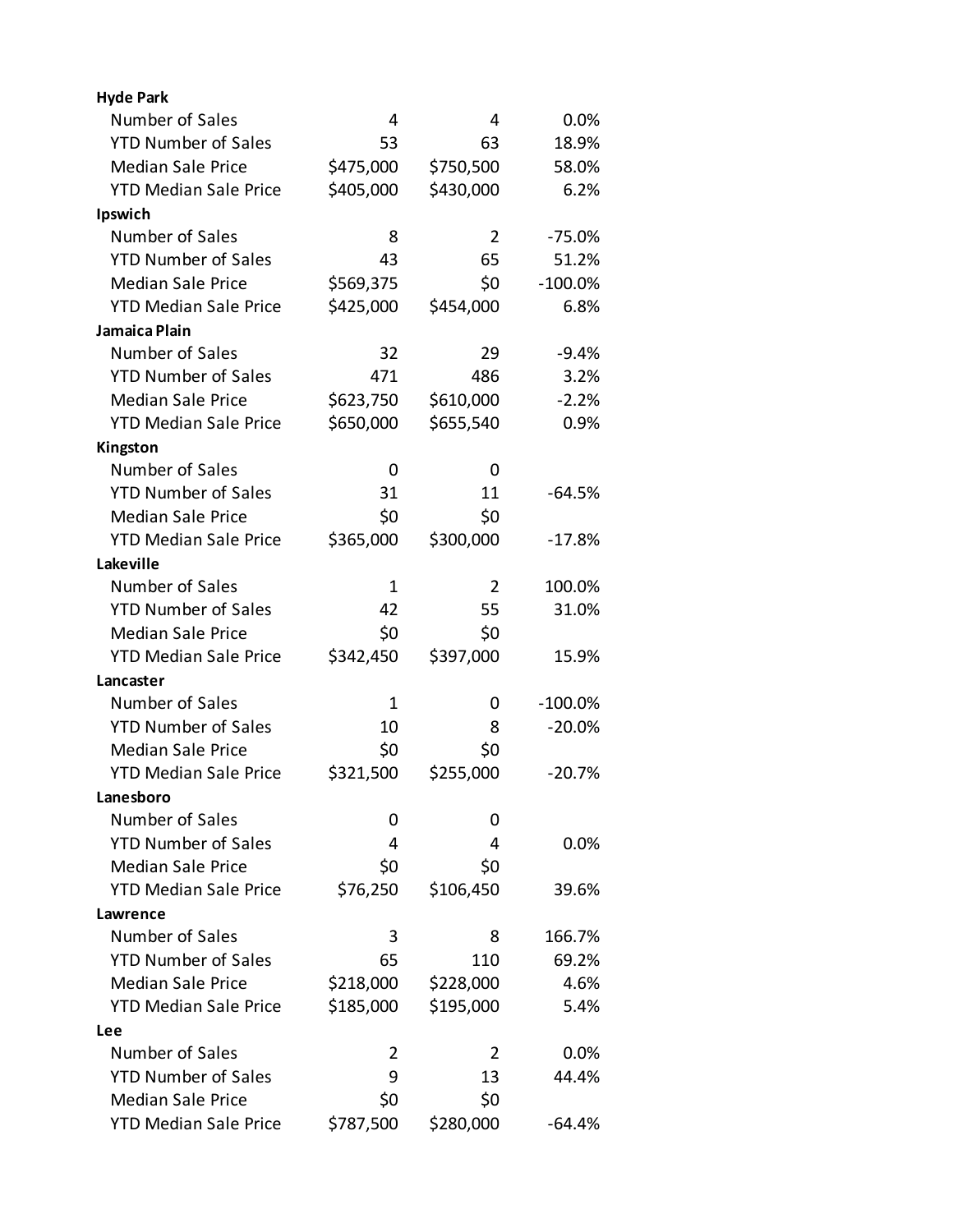| <b>Hyde Park</b>             |           |           |           |
|------------------------------|-----------|-----------|-----------|
| Number of Sales              | 4         | 4         | 0.0%      |
| <b>YTD Number of Sales</b>   | 53        | 63        | 18.9%     |
| <b>Median Sale Price</b>     | \$475,000 | \$750,500 | 58.0%     |
| <b>YTD Median Sale Price</b> | \$405,000 | \$430,000 | 6.2%      |
| Ipswich                      |           |           |           |
| Number of Sales              | 8         | 2         | $-75.0%$  |
| <b>YTD Number of Sales</b>   | 43        | 65        | 51.2%     |
| <b>Median Sale Price</b>     | \$569,375 | \$0       | $-100.0%$ |
| <b>YTD Median Sale Price</b> | \$425,000 | \$454,000 | 6.8%      |
| Jamaica Plain                |           |           |           |
| Number of Sales              | 32        | 29        | $-9.4%$   |
| <b>YTD Number of Sales</b>   | 471       | 486       | 3.2%      |
| <b>Median Sale Price</b>     | \$623,750 | \$610,000 | $-2.2%$   |
| <b>YTD Median Sale Price</b> | \$650,000 | \$655,540 | 0.9%      |
| Kingston                     |           |           |           |
| Number of Sales              | 0         | 0         |           |
| <b>YTD Number of Sales</b>   | 31        | 11        | $-64.5%$  |
| <b>Median Sale Price</b>     | \$0       | \$0       |           |
| <b>YTD Median Sale Price</b> | \$365,000 | \$300,000 | $-17.8%$  |
| Lakeville                    |           |           |           |
| Number of Sales              | 1         | 2         | 100.0%    |
| <b>YTD Number of Sales</b>   | 42        | 55        | 31.0%     |
| <b>Median Sale Price</b>     | \$0       | \$0       |           |
| <b>YTD Median Sale Price</b> | \$342,450 | \$397,000 | 15.9%     |
| Lancaster                    |           |           |           |
| Number of Sales              | 1         | 0         | $-100.0%$ |
| <b>YTD Number of Sales</b>   | 10        | 8         | $-20.0%$  |
| <b>Median Sale Price</b>     | \$0       | \$0       |           |
| <b>YTD Median Sale Price</b> | \$321,500 | \$255,000 | $-20.7%$  |
| Lanesboro                    |           |           |           |
| Number of Sales              | 0         | 0         |           |
| <b>YTD Number of Sales</b>   | 4         | 4         | 0.0%      |
| <b>Median Sale Price</b>     | \$0       | \$0       |           |
| <b>YTD Median Sale Price</b> | \$76,250  | \$106,450 | 39.6%     |
| Lawrence                     |           |           |           |
| Number of Sales              | 3         | 8         | 166.7%    |
| <b>YTD Number of Sales</b>   | 65        | 110       | 69.2%     |
| <b>Median Sale Price</b>     | \$218,000 | \$228,000 | 4.6%      |
| <b>YTD Median Sale Price</b> | \$185,000 | \$195,000 | 5.4%      |
| <b>Lee</b>                   |           |           |           |
| Number of Sales              | 2         | 2         | 0.0%      |
| <b>YTD Number of Sales</b>   | 9         | 13        | 44.4%     |
| <b>Median Sale Price</b>     | \$0       | \$0       |           |
| <b>YTD Median Sale Price</b> | \$787,500 | \$280,000 | $-64.4%$  |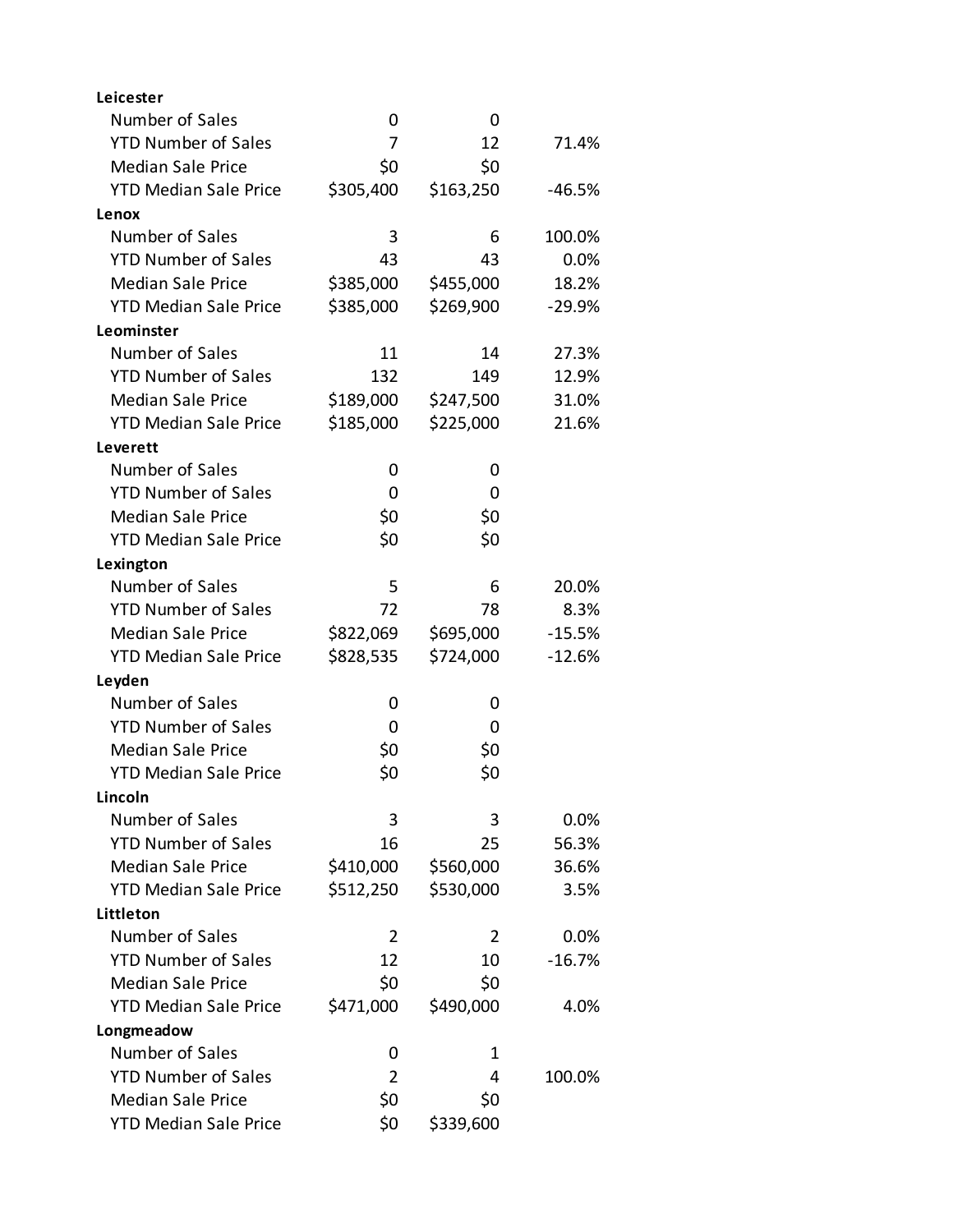| Leicester                    |                |           |          |
|------------------------------|----------------|-----------|----------|
| Number of Sales              | 0              | 0         |          |
| <b>YTD Number of Sales</b>   | 7              | 12        | 71.4%    |
| <b>Median Sale Price</b>     | \$0            | \$0       |          |
| <b>YTD Median Sale Price</b> | \$305,400      | \$163,250 | $-46.5%$ |
| Lenox                        |                |           |          |
| Number of Sales              | 3              | 6         | 100.0%   |
| <b>YTD Number of Sales</b>   | 43             | 43        | 0.0%     |
| <b>Median Sale Price</b>     | \$385,000      | \$455,000 | 18.2%    |
| <b>YTD Median Sale Price</b> | \$385,000      | \$269,900 | $-29.9%$ |
| Leominster                   |                |           |          |
| Number of Sales              | 11             | 14        | 27.3%    |
| <b>YTD Number of Sales</b>   | 132            | 149       | 12.9%    |
| <b>Median Sale Price</b>     | \$189,000      | \$247,500 | 31.0%    |
| <b>YTD Median Sale Price</b> | \$185,000      | \$225,000 | 21.6%    |
| Leverett                     |                |           |          |
| Number of Sales              | 0              | 0         |          |
| <b>YTD Number of Sales</b>   | 0              | 0         |          |
| <b>Median Sale Price</b>     | \$0            | \$0       |          |
| <b>YTD Median Sale Price</b> | \$0            | \$0       |          |
| Lexington                    |                |           |          |
| Number of Sales              | 5              | 6         | 20.0%    |
| <b>YTD Number of Sales</b>   | 72             | 78        | 8.3%     |
| <b>Median Sale Price</b>     | \$822,069      | \$695,000 | $-15.5%$ |
| <b>YTD Median Sale Price</b> | \$828,535      | \$724,000 | $-12.6%$ |
| Leyden                       |                |           |          |
| Number of Sales              | 0              | 0         |          |
| <b>YTD Number of Sales</b>   | 0              | 0         |          |
| <b>Median Sale Price</b>     | \$0            | \$0       |          |
| <b>YTD Median Sale Price</b> | \$0            | \$0       |          |
| Lincoln                      |                |           |          |
| Number of Sales              | 3              | 3         | 0.0%     |
| <b>YTD Number of Sales</b>   | 16             | 25        | 56.3%    |
| <b>Median Sale Price</b>     | \$410,000      | \$560,000 | 36.6%    |
| <b>YTD Median Sale Price</b> | \$512,250      | \$530,000 | 3.5%     |
| Littleton                    |                |           |          |
| Number of Sales              | 2              | 2         | 0.0%     |
| <b>YTD Number of Sales</b>   | 12             | 10        | $-16.7%$ |
| <b>Median Sale Price</b>     | \$0            | \$0       |          |
| <b>YTD Median Sale Price</b> | \$471,000      | \$490,000 | 4.0%     |
| Longmeadow                   |                |           |          |
| Number of Sales              | 0              | 1         |          |
| <b>YTD Number of Sales</b>   | $\overline{2}$ | 4         | 100.0%   |
| <b>Median Sale Price</b>     | \$0            | \$0       |          |
| <b>YTD Median Sale Price</b> | \$0            | \$339,600 |          |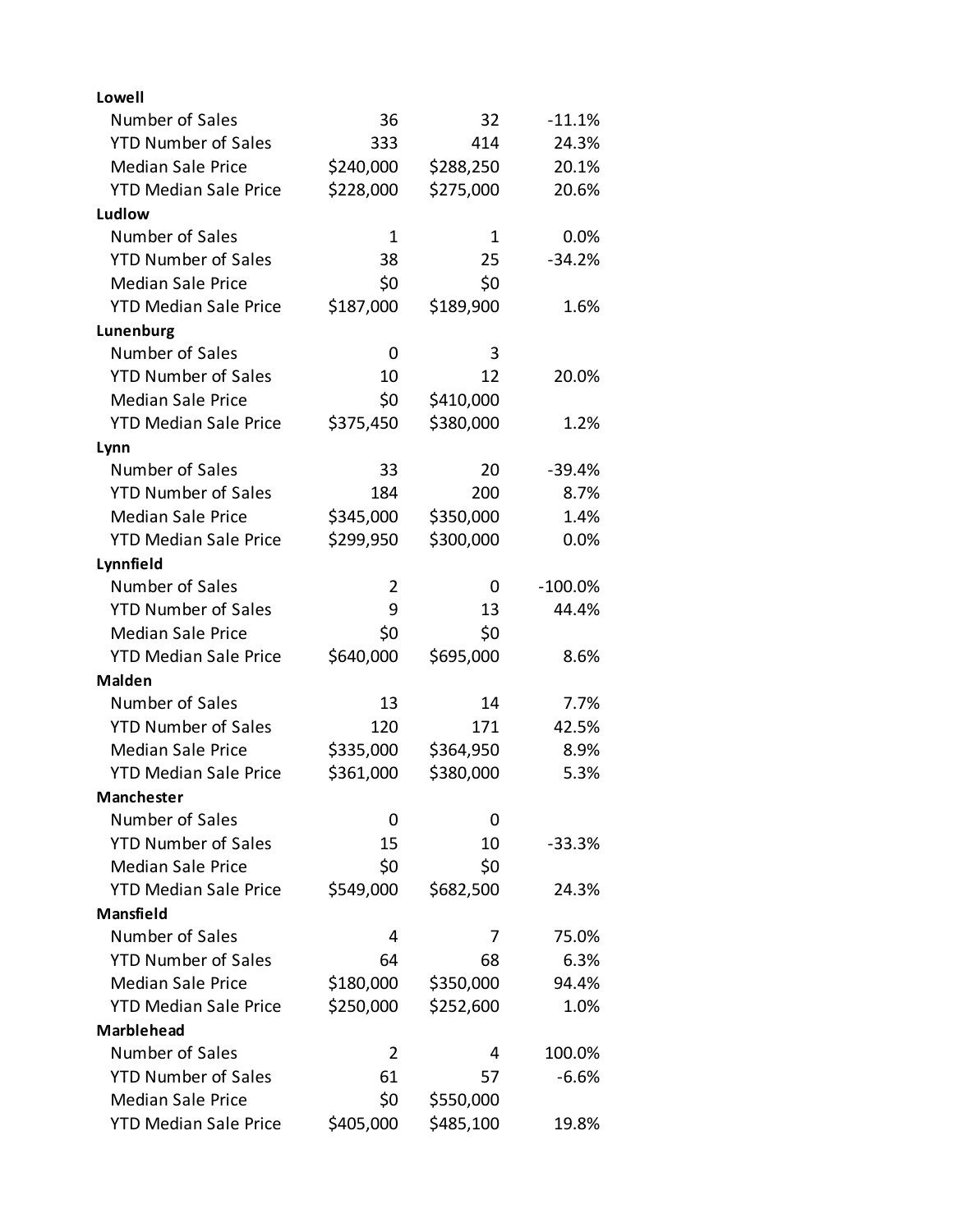| Lowell                       |                |           |           |
|------------------------------|----------------|-----------|-----------|
| Number of Sales              | 36             | 32        | $-11.1%$  |
| <b>YTD Number of Sales</b>   | 333            | 414       | 24.3%     |
| <b>Median Sale Price</b>     | \$240,000      | \$288,250 | 20.1%     |
| <b>YTD Median Sale Price</b> | \$228,000      | \$275,000 | 20.6%     |
| Ludlow                       |                |           |           |
| Number of Sales              | 1              | 1         | 0.0%      |
| <b>YTD Number of Sales</b>   | 38             | 25        | $-34.2%$  |
| <b>Median Sale Price</b>     | \$0            | \$0       |           |
| <b>YTD Median Sale Price</b> | \$187,000      | \$189,900 | 1.6%      |
| Lunenburg                    |                |           |           |
| Number of Sales              | 0              | 3         |           |
| <b>YTD Number of Sales</b>   | 10             | 12        | 20.0%     |
| <b>Median Sale Price</b>     | \$0            | \$410,000 |           |
| <b>YTD Median Sale Price</b> | \$375,450      | \$380,000 | 1.2%      |
| Lynn                         |                |           |           |
| Number of Sales              | 33             | 20        | $-39.4%$  |
| <b>YTD Number of Sales</b>   | 184            | 200       | 8.7%      |
| <b>Median Sale Price</b>     | \$345,000      | \$350,000 | 1.4%      |
| <b>YTD Median Sale Price</b> | \$299,950      | \$300,000 | 0.0%      |
| Lynnfield                    |                |           |           |
| Number of Sales              | 2              | 0         | $-100.0%$ |
| <b>YTD Number of Sales</b>   | 9              | 13        | 44.4%     |
| <b>Median Sale Price</b>     | \$0            | \$0       |           |
| <b>YTD Median Sale Price</b> | \$640,000      | \$695,000 | 8.6%      |
| Malden                       |                |           |           |
| Number of Sales              | 13             | 14        | 7.7%      |
| <b>YTD Number of Sales</b>   | 120            | 171       | 42.5%     |
| <b>Median Sale Price</b>     | \$335,000      | \$364,950 | 8.9%      |
| <b>YTD Median Sale Price</b> | \$361,000      | \$380,000 | 5.3%      |
| <b>Manchester</b>            |                |           |           |
| Number of Sales              | 0              | 0         |           |
| <b>YTD Number of Sales</b>   | 15             | 10        | $-33.3%$  |
| <b>Median Sale Price</b>     | \$0            | \$0       |           |
| <b>YTD Median Sale Price</b> | \$549,000      | \$682,500 | 24.3%     |
| <b>Mansfield</b>             |                |           |           |
| Number of Sales              | 4              | 7         | 75.0%     |
| <b>YTD Number of Sales</b>   | 64             | 68        | 6.3%      |
| <b>Median Sale Price</b>     | \$180,000      | \$350,000 | 94.4%     |
| <b>YTD Median Sale Price</b> | \$250,000      | \$252,600 | 1.0%      |
| <b>Marblehead</b>            |                |           |           |
| Number of Sales              | $\overline{2}$ | 4         | 100.0%    |
| <b>YTD Number of Sales</b>   | 61             | 57        | $-6.6%$   |
| <b>Median Sale Price</b>     | \$0            | \$550,000 |           |
| <b>YTD Median Sale Price</b> | \$405,000      | \$485,100 | 19.8%     |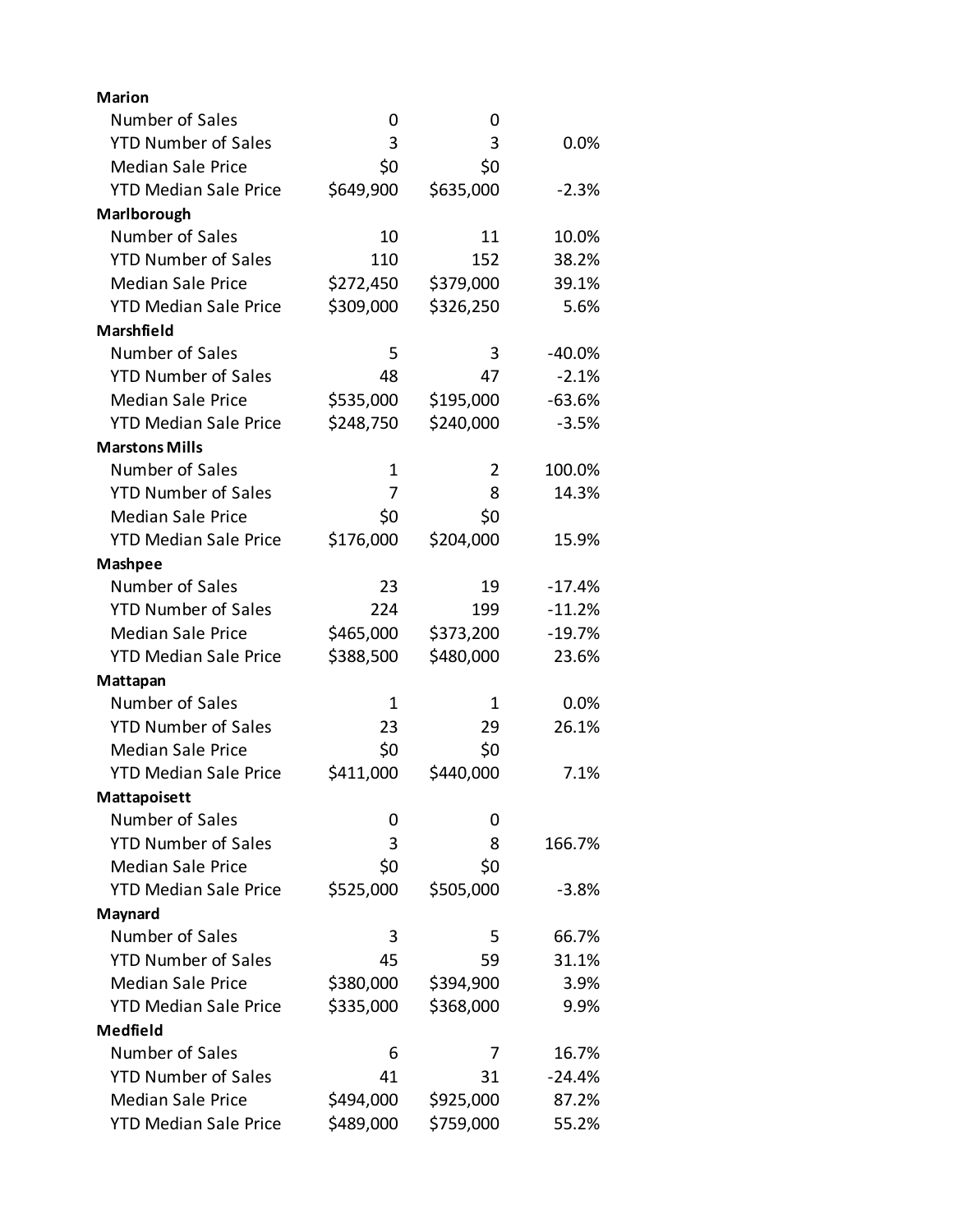| <b>Marion</b>                |           |           |          |
|------------------------------|-----------|-----------|----------|
| Number of Sales              | 0         | 0         |          |
| <b>YTD Number of Sales</b>   | 3         | 3         | 0.0%     |
| <b>Median Sale Price</b>     | \$0       | \$0       |          |
| <b>YTD Median Sale Price</b> | \$649,900 | \$635,000 | $-2.3%$  |
| Marlborough                  |           |           |          |
| Number of Sales              | 10        | 11        | 10.0%    |
| <b>YTD Number of Sales</b>   | 110       | 152       | 38.2%    |
| <b>Median Sale Price</b>     | \$272,450 | \$379,000 | 39.1%    |
| <b>YTD Median Sale Price</b> | \$309,000 | \$326,250 | 5.6%     |
| Marshfield                   |           |           |          |
| Number of Sales              | 5         | 3         | $-40.0%$ |
| <b>YTD Number of Sales</b>   | 48        | 47        | $-2.1%$  |
| <b>Median Sale Price</b>     | \$535,000 | \$195,000 | $-63.6%$ |
| <b>YTD Median Sale Price</b> | \$248,750 | \$240,000 | $-3.5%$  |
| <b>Marstons Mills</b>        |           |           |          |
| Number of Sales              | 1         | 2         | 100.0%   |
| <b>YTD Number of Sales</b>   | 7         | 8         | 14.3%    |
| <b>Median Sale Price</b>     | \$0       | \$0       |          |
| <b>YTD Median Sale Price</b> | \$176,000 | \$204,000 | 15.9%    |
| <b>Mashpee</b>               |           |           |          |
| Number of Sales              | 23        | 19        | $-17.4%$ |
| <b>YTD Number of Sales</b>   | 224       | 199       | $-11.2%$ |
| <b>Median Sale Price</b>     | \$465,000 | \$373,200 | $-19.7%$ |
| <b>YTD Median Sale Price</b> | \$388,500 | \$480,000 | 23.6%    |
| Mattapan                     |           |           |          |
| Number of Sales              | 1         | 1         | 0.0%     |
| <b>YTD Number of Sales</b>   | 23        | 29        | 26.1%    |
| <b>Median Sale Price</b>     | \$0       | \$0       |          |
| <b>YTD Median Sale Price</b> | \$411,000 | \$440,000 | 7.1%     |
| Mattapoisett                 |           |           |          |
| Number of Sales              | 0         | 0         |          |
| <b>YTD Number of Sales</b>   | 3         | 8         | 166.7%   |
| <b>Median Sale Price</b>     | \$0       | \$0       |          |
| <b>YTD Median Sale Price</b> | \$525,000 | \$505,000 | $-3.8%$  |
| Maynard                      |           |           |          |
| Number of Sales              | 3         | 5         | 66.7%    |
| <b>YTD Number of Sales</b>   | 45        | 59        | 31.1%    |
| <b>Median Sale Price</b>     | \$380,000 | \$394,900 | 3.9%     |
| <b>YTD Median Sale Price</b> | \$335,000 | \$368,000 | 9.9%     |
| Medfield                     |           |           |          |
| Number of Sales              | 6         | 7         | 16.7%    |
| <b>YTD Number of Sales</b>   | 41        | 31        | $-24.4%$ |
| <b>Median Sale Price</b>     | \$494,000 | \$925,000 | 87.2%    |
| <b>YTD Median Sale Price</b> | \$489,000 | \$759,000 | 55.2%    |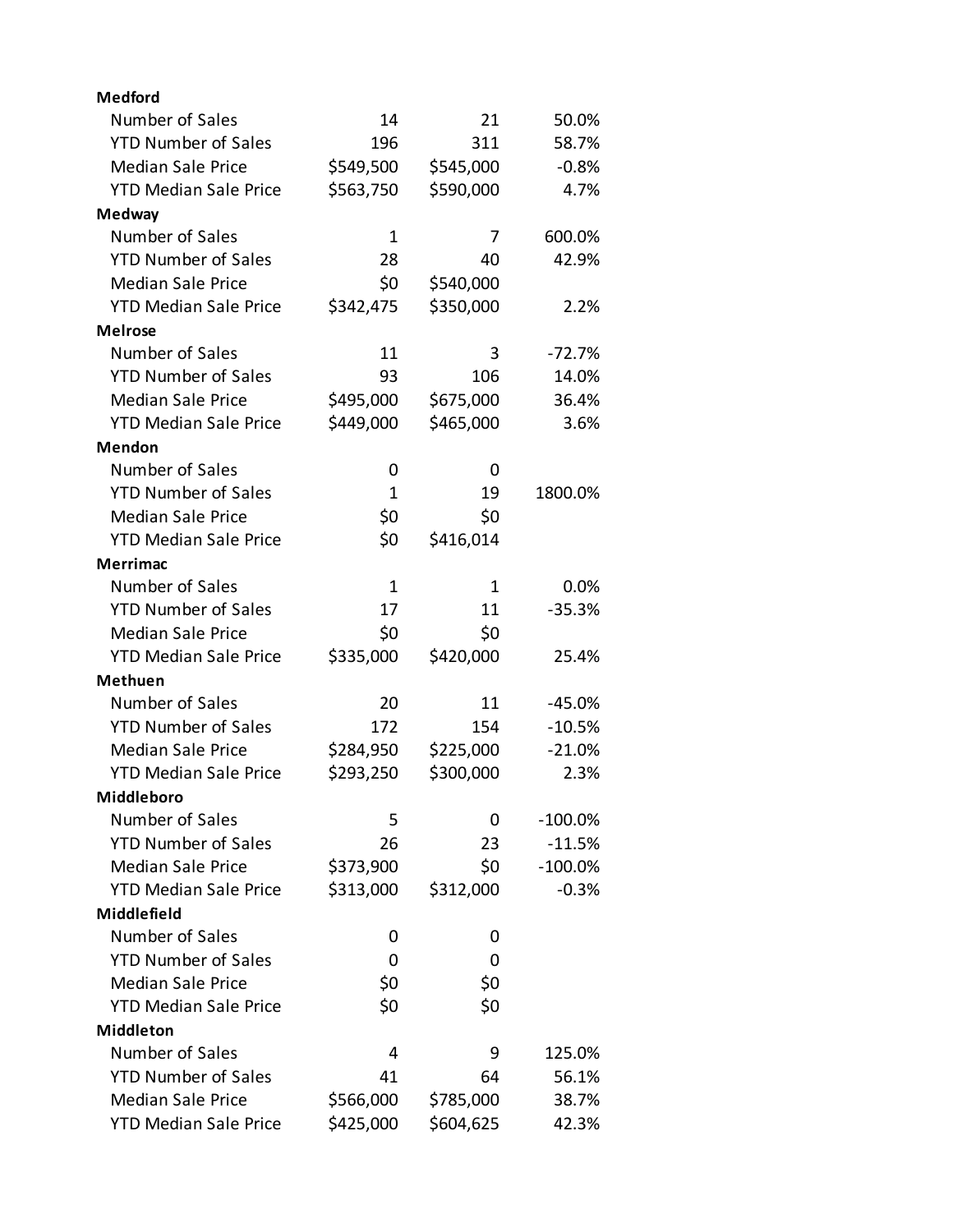| <b>Medford</b>               |              |           |            |
|------------------------------|--------------|-----------|------------|
| Number of Sales              | 14           | 21        | 50.0%      |
| <b>YTD Number of Sales</b>   | 196          | 311       | 58.7%      |
| <b>Median Sale Price</b>     | \$549,500    | \$545,000 | $-0.8%$    |
| <b>YTD Median Sale Price</b> | \$563,750    | \$590,000 | 4.7%       |
| <b>Medway</b>                |              |           |            |
| Number of Sales              | $\mathbf{1}$ | 7         | 600.0%     |
| <b>YTD Number of Sales</b>   | 28           | 40        | 42.9%      |
| <b>Median Sale Price</b>     | \$0          | \$540,000 |            |
| <b>YTD Median Sale Price</b> | \$342,475    | \$350,000 | 2.2%       |
| <b>Melrose</b>               |              |           |            |
| Number of Sales              | 11           | 3         | $-72.7%$   |
| <b>YTD Number of Sales</b>   | 93           | 106       | 14.0%      |
| <b>Median Sale Price</b>     | \$495,000    | \$675,000 | 36.4%      |
| <b>YTD Median Sale Price</b> | \$449,000    | \$465,000 | 3.6%       |
| <b>Mendon</b>                |              |           |            |
| Number of Sales              | 0            | 0         |            |
| <b>YTD Number of Sales</b>   | 1            | 19        | 1800.0%    |
| <b>Median Sale Price</b>     | \$0          | \$0       |            |
| <b>YTD Median Sale Price</b> | \$0          | \$416,014 |            |
| <b>Merrimac</b>              |              |           |            |
| Number of Sales              | 1            | 1         | $0.0\%$    |
| <b>YTD Number of Sales</b>   | 17           | 11        | $-35.3%$   |
| <b>Median Sale Price</b>     | \$0          | \$0       |            |
| <b>YTD Median Sale Price</b> | \$335,000    | \$420,000 | 25.4%      |
| <b>Methuen</b>               |              |           |            |
| Number of Sales              | 20           | 11        | $-45.0%$   |
| <b>YTD Number of Sales</b>   | 172          | 154       | $-10.5%$   |
| <b>Median Sale Price</b>     | \$284,950    | \$225,000 | $-21.0%$   |
| <b>YTD Median Sale Price</b> | \$293,250    | \$300,000 | 2.3%       |
| Middleboro                   |              |           |            |
| Number of Sales              | 5            | 0         | $-100.0\%$ |
| <b>YTD Number of Sales</b>   | 26           | 23        | $-11.5%$   |
| <b>Median Sale Price</b>     | \$373,900    | \$0       | $-100.0%$  |
| <b>YTD Median Sale Price</b> | \$313,000    | \$312,000 | $-0.3%$    |
| <b>Middlefield</b>           |              |           |            |
| Number of Sales              | 0            | 0         |            |
| <b>YTD Number of Sales</b>   | 0            | 0         |            |
| <b>Median Sale Price</b>     | \$0          | \$0       |            |
| <b>YTD Median Sale Price</b> | \$0          | \$0       |            |
| <b>Middleton</b>             |              |           |            |
| Number of Sales              | 4            | 9         | 125.0%     |
| <b>YTD Number of Sales</b>   | 41           | 64        | 56.1%      |
| <b>Median Sale Price</b>     | \$566,000    | \$785,000 | 38.7%      |
| <b>YTD Median Sale Price</b> | \$425,000    | \$604,625 | 42.3%      |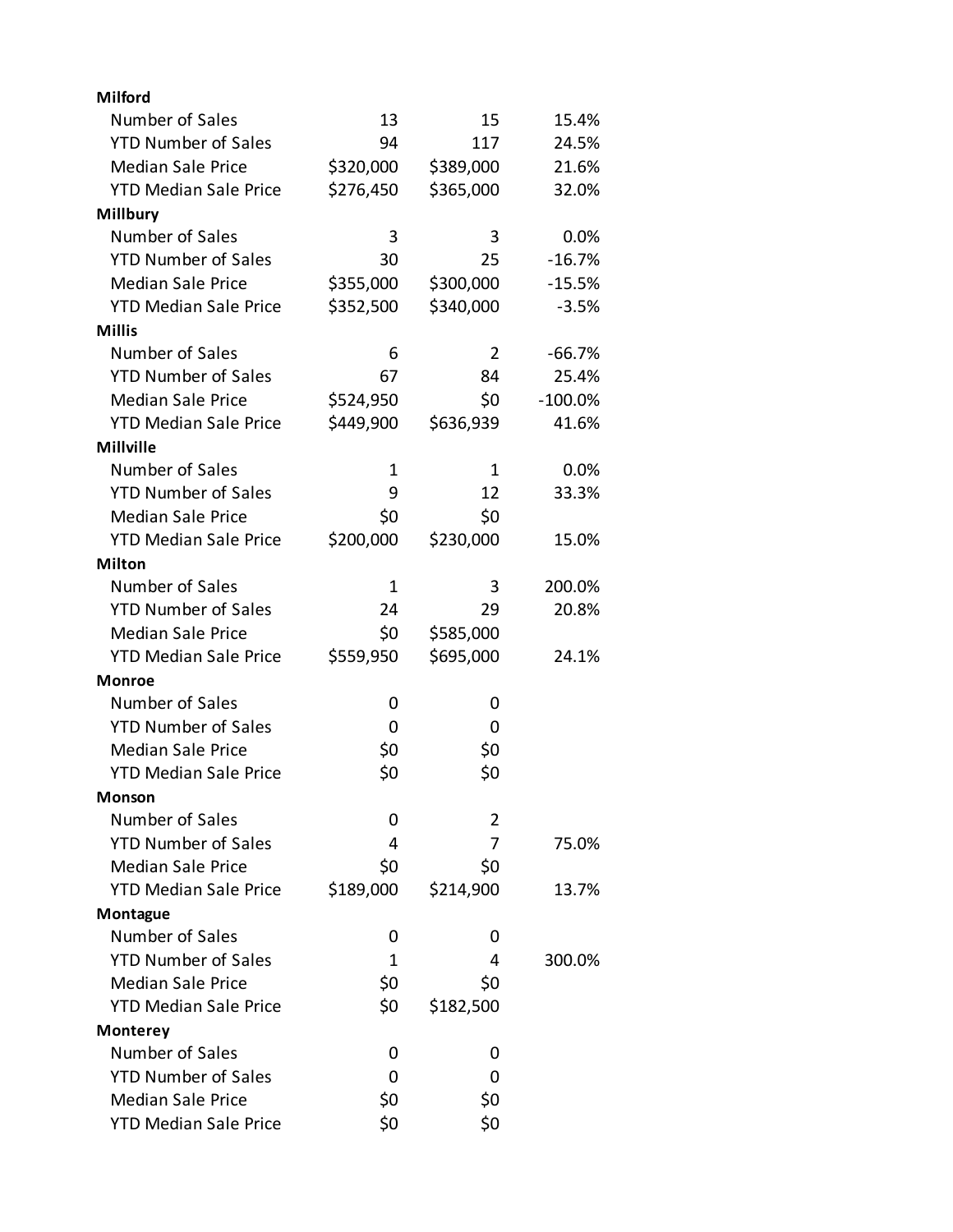| <b>Milford</b>               |           |              |           |
|------------------------------|-----------|--------------|-----------|
| Number of Sales              | 13        | 15           | 15.4%     |
| <b>YTD Number of Sales</b>   | 94        | 117          | 24.5%     |
| <b>Median Sale Price</b>     | \$320,000 | \$389,000    | 21.6%     |
| <b>YTD Median Sale Price</b> | \$276,450 | \$365,000    | 32.0%     |
| <b>Millbury</b>              |           |              |           |
| Number of Sales              | 3         | 3            | 0.0%      |
| <b>YTD Number of Sales</b>   | 30        | 25           | $-16.7%$  |
| <b>Median Sale Price</b>     | \$355,000 | \$300,000    | $-15.5%$  |
| <b>YTD Median Sale Price</b> | \$352,500 | \$340,000    | $-3.5%$   |
| <b>Millis</b>                |           |              |           |
| Number of Sales              | 6         | 2            | $-66.7%$  |
| <b>YTD Number of Sales</b>   | 67        | 84           | 25.4%     |
| <b>Median Sale Price</b>     | \$524,950 | \$0          | $-100.0%$ |
| <b>YTD Median Sale Price</b> | \$449,900 | \$636,939    | 41.6%     |
| <b>Millville</b>             |           |              |           |
| Number of Sales              | 1         | $\mathbf{1}$ | 0.0%      |
| <b>YTD Number of Sales</b>   | 9         | 12           | 33.3%     |
| <b>Median Sale Price</b>     | \$0       | \$0          |           |
| <b>YTD Median Sale Price</b> | \$200,000 | \$230,000    | 15.0%     |
| <b>Milton</b>                |           |              |           |
| Number of Sales              | 1         | 3            | 200.0%    |
| <b>YTD Number of Sales</b>   | 24        | 29           | 20.8%     |
| <b>Median Sale Price</b>     | \$0       | \$585,000    |           |
| <b>YTD Median Sale Price</b> | \$559,950 | \$695,000    | 24.1%     |
| <b>Monroe</b>                |           |              |           |
| Number of Sales              | 0         | 0            |           |
| <b>YTD Number of Sales</b>   | 0         | 0            |           |
| <b>Median Sale Price</b>     | \$0       | \$0          |           |
| <b>YTD Median Sale Price</b> | \$0       | \$0          |           |
| Monson                       |           |              |           |
| Number of Sales              | 0         | 2            |           |
| <b>YTD Number of Sales</b>   | 4         | 7            | 75.0%     |
| <b>Median Sale Price</b>     | \$0       | \$0          |           |
| <b>YTD Median Sale Price</b> | \$189,000 | \$214,900    | 13.7%     |
| Montague                     |           |              |           |
| Number of Sales              | 0         | 0            |           |
| <b>YTD Number of Sales</b>   | 1         | 4            | 300.0%    |
| <b>Median Sale Price</b>     | \$0       | \$0          |           |
| <b>YTD Median Sale Price</b> | \$0       | \$182,500    |           |
| <b>Monterey</b>              |           |              |           |
| Number of Sales              | 0         | 0            |           |
| <b>YTD Number of Sales</b>   | 0         | 0            |           |
| <b>Median Sale Price</b>     | \$0       | \$0          |           |
| <b>YTD Median Sale Price</b> | \$0       | \$0          |           |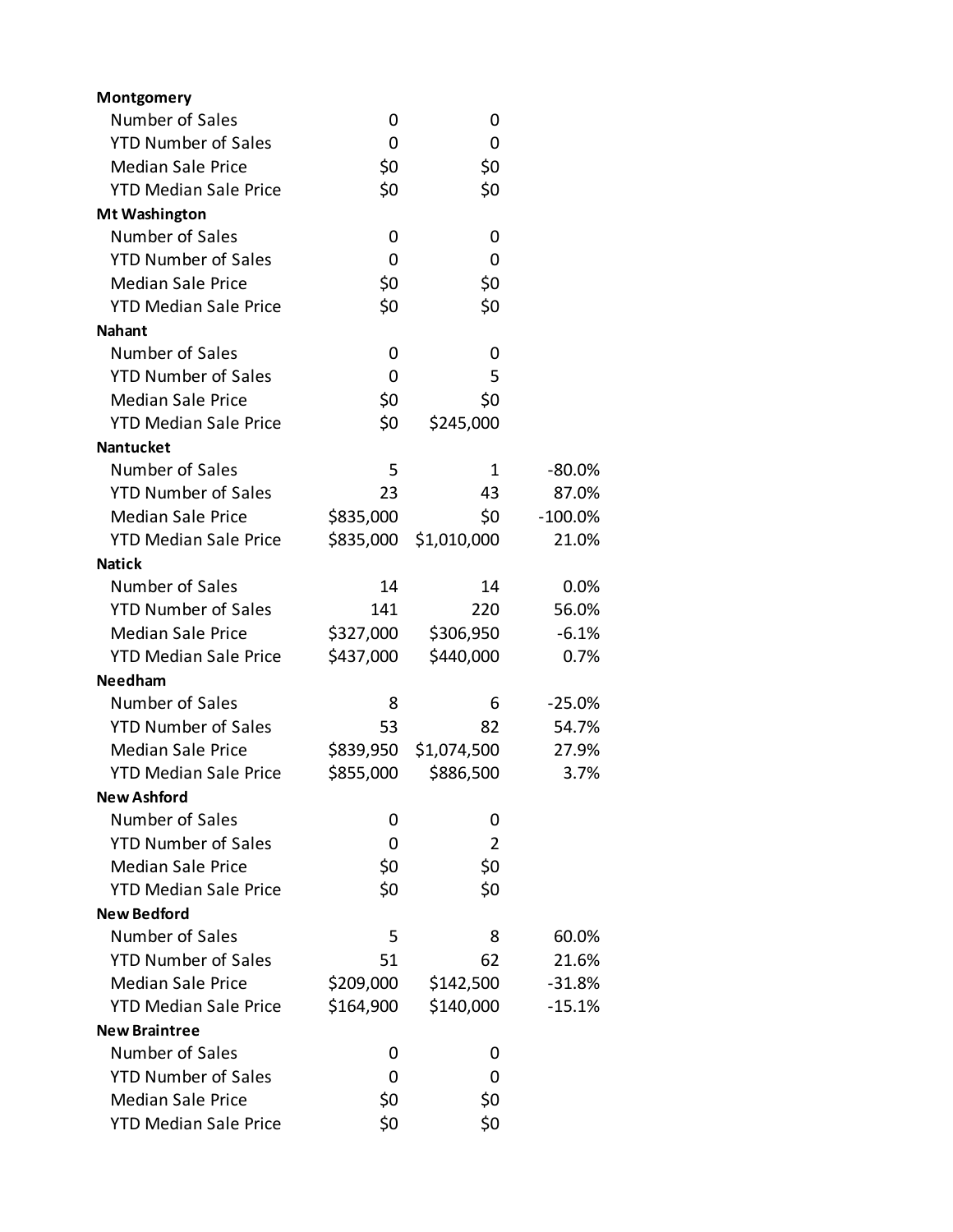| Montgomery                   |           |             |            |
|------------------------------|-----------|-------------|------------|
| Number of Sales              | 0         | 0           |            |
| <b>YTD Number of Sales</b>   | 0         | 0           |            |
| <b>Median Sale Price</b>     | \$0       | \$0         |            |
| <b>YTD Median Sale Price</b> | \$0       | \$0         |            |
| <b>Mt Washington</b>         |           |             |            |
| Number of Sales              | 0         | 0           |            |
| <b>YTD Number of Sales</b>   | 0         | 0           |            |
| <b>Median Sale Price</b>     | \$0       | \$0         |            |
| <b>YTD Median Sale Price</b> | \$0       | \$0         |            |
| <b>Nahant</b>                |           |             |            |
| Number of Sales              | 0         | 0           |            |
| <b>YTD Number of Sales</b>   | 0         | 5           |            |
| <b>Median Sale Price</b>     | \$0       | \$0         |            |
| <b>YTD Median Sale Price</b> | \$0       | \$245,000   |            |
| <b>Nantucket</b>             |           |             |            |
| Number of Sales              | 5         | 1           | $-80.0\%$  |
| <b>YTD Number of Sales</b>   | 23        | 43          | 87.0%      |
| <b>Median Sale Price</b>     | \$835,000 | \$0         | $-100.0\%$ |
| <b>YTD Median Sale Price</b> | \$835,000 | \$1,010,000 | 21.0%      |
| <b>Natick</b>                |           |             |            |
| Number of Sales              | 14        | 14          | 0.0%       |
| <b>YTD Number of Sales</b>   | 141       | 220         | 56.0%      |
| <b>Median Sale Price</b>     | \$327,000 | \$306,950   | $-6.1%$    |
| <b>YTD Median Sale Price</b> | \$437,000 | \$440,000   | 0.7%       |
| <b>Needham</b>               |           |             |            |
| Number of Sales              | 8         | 6           | $-25.0%$   |
| <b>YTD Number of Sales</b>   | 53        | 82          | 54.7%      |
| <b>Median Sale Price</b>     | \$839,950 | \$1,074,500 | 27.9%      |
| <b>YTD Median Sale Price</b> | \$855,000 | \$886,500   | 3.7%       |
| <b>New Ashford</b>           |           |             |            |
| Number of Sales              | 0         | 0           |            |
| <b>YTD Number of Sales</b>   | 0         | 2           |            |
| <b>Median Sale Price</b>     | \$0       | \$0         |            |
| <b>YTD Median Sale Price</b> | \$0       | \$0         |            |
| <b>New Bedford</b>           |           |             |            |
| Number of Sales              | 5         | 8           | 60.0%      |
| <b>YTD Number of Sales</b>   | 51        | 62          | 21.6%      |
| <b>Median Sale Price</b>     | \$209,000 | \$142,500   | $-31.8%$   |
| <b>YTD Median Sale Price</b> | \$164,900 | \$140,000   | $-15.1%$   |
| <b>New Braintree</b>         |           |             |            |
| Number of Sales              | 0         | 0           |            |
| <b>YTD Number of Sales</b>   | 0         | 0           |            |
| <b>Median Sale Price</b>     | \$0       | \$0         |            |
| <b>YTD Median Sale Price</b> | \$0       | \$0         |            |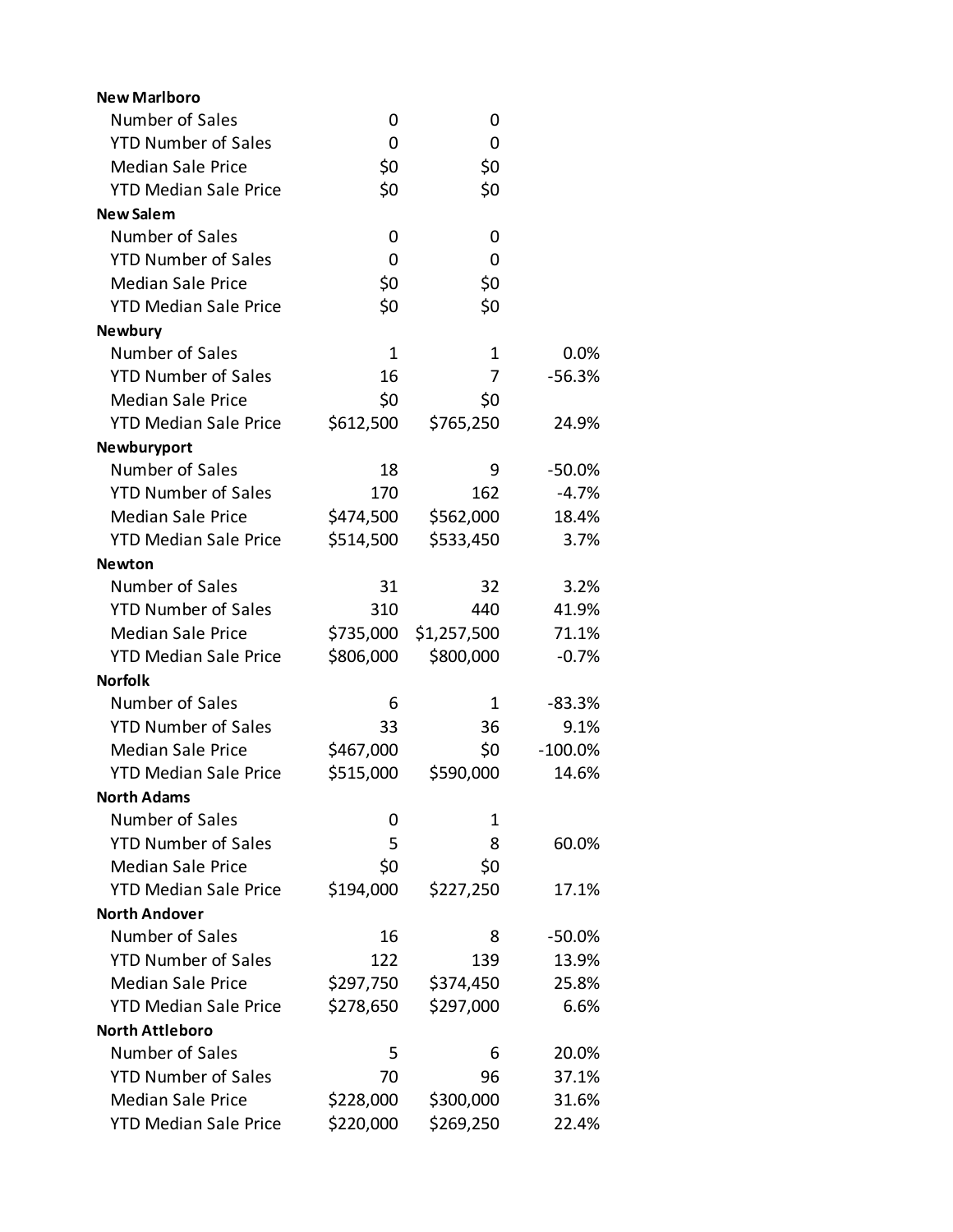| <b>New Marlboro</b>          |             |             |           |
|------------------------------|-------------|-------------|-----------|
| Number of Sales              | 0           | 0           |           |
| <b>YTD Number of Sales</b>   | 0           | 0           |           |
| <b>Median Sale Price</b>     | \$0         | \$0         |           |
| <b>YTD Median Sale Price</b> | \$0         | \$0         |           |
| <b>New Salem</b>             |             |             |           |
| Number of Sales              | 0           | 0           |           |
| <b>YTD Number of Sales</b>   | 0           | 0           |           |
| <b>Median Sale Price</b>     | \$0         | \$0         |           |
| <b>YTD Median Sale Price</b> | \$0         | \$0         |           |
| <b>Newbury</b>               |             |             |           |
| Number of Sales              | $\mathbf 1$ | 1           | 0.0%      |
| <b>YTD Number of Sales</b>   | 16          | 7           | $-56.3%$  |
| <b>Median Sale Price</b>     | \$0         | \$0         |           |
| <b>YTD Median Sale Price</b> | \$612,500   | \$765,250   | 24.9%     |
| Newburyport                  |             |             |           |
| Number of Sales              | 18          | 9           | $-50.0%$  |
| <b>YTD Number of Sales</b>   | 170         | 162         | $-4.7%$   |
| <b>Median Sale Price</b>     | \$474,500   | \$562,000   | 18.4%     |
| <b>YTD Median Sale Price</b> | \$514,500   | \$533,450   | 3.7%      |
| <b>Newton</b>                |             |             |           |
| Number of Sales              | 31          | 32          | 3.2%      |
| <b>YTD Number of Sales</b>   | 310         | 440         | 41.9%     |
| <b>Median Sale Price</b>     | \$735,000   | \$1,257,500 | 71.1%     |
| <b>YTD Median Sale Price</b> | \$806,000   | \$800,000   | $-0.7%$   |
| <b>Norfolk</b>               |             |             |           |
| Number of Sales              | 6           | 1           | $-83.3%$  |
| <b>YTD Number of Sales</b>   | 33          | 36          | 9.1%      |
| <b>Median Sale Price</b>     | \$467,000   | \$0         | $-100.0%$ |
| <b>YTD Median Sale Price</b> | \$515,000   | \$590,000   | 14.6%     |
| <b>North Adams</b>           |             |             |           |
| Number of Sales              | 0           | 1           |           |
| <b>YTD Number of Sales</b>   | 5           | 8           | 60.0%     |
| <b>Median Sale Price</b>     | \$0         | \$0         |           |
| <b>YTD Median Sale Price</b> | \$194,000   | \$227,250   | 17.1%     |
| <b>North Andover</b>         |             |             |           |
| Number of Sales              | 16          | 8           | $-50.0%$  |
| <b>YTD Number of Sales</b>   | 122         | 139         | 13.9%     |
| <b>Median Sale Price</b>     | \$297,750   | \$374,450   | 25.8%     |
| <b>YTD Median Sale Price</b> | \$278,650   | \$297,000   | 6.6%      |
| <b>North Attleboro</b>       |             |             |           |
| Number of Sales              | 5           | 6           | 20.0%     |
| <b>YTD Number of Sales</b>   | 70          | 96          | 37.1%     |
| <b>Median Sale Price</b>     | \$228,000   | \$300,000   | 31.6%     |
| <b>YTD Median Sale Price</b> | \$220,000   | \$269,250   | 22.4%     |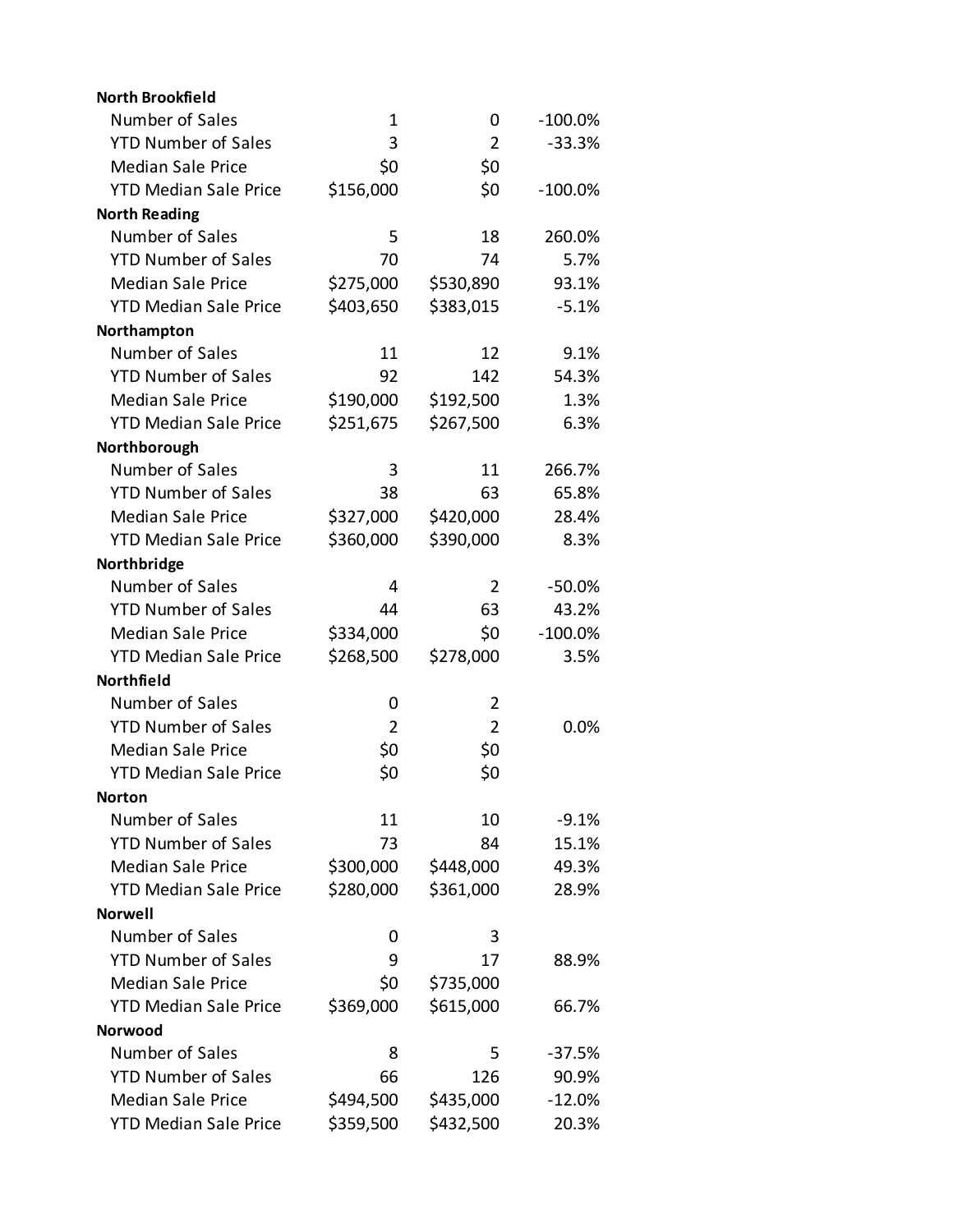| <b>North Brookfield</b>      |                |                |            |
|------------------------------|----------------|----------------|------------|
| Number of Sales              | 1              | 0              | $-100.0\%$ |
| <b>YTD Number of Sales</b>   | 3              | $\overline{2}$ | $-33.3%$   |
| <b>Median Sale Price</b>     | \$0            | \$0            |            |
| <b>YTD Median Sale Price</b> | \$156,000      | \$0            | $-100.0%$  |
| <b>North Reading</b>         |                |                |            |
| Number of Sales              | 5              | 18             | 260.0%     |
| <b>YTD Number of Sales</b>   | 70             | 74             | 5.7%       |
| <b>Median Sale Price</b>     | \$275,000      | \$530,890      | 93.1%      |
| <b>YTD Median Sale Price</b> | \$403,650      | \$383,015      | $-5.1%$    |
| Northampton                  |                |                |            |
| Number of Sales              | 11             | 12             | 9.1%       |
| <b>YTD Number of Sales</b>   | 92             | 142            | 54.3%      |
| <b>Median Sale Price</b>     | \$190,000      | \$192,500      | 1.3%       |
| <b>YTD Median Sale Price</b> | \$251,675      | \$267,500      | 6.3%       |
| Northborough                 |                |                |            |
| Number of Sales              | 3              | 11             | 266.7%     |
| <b>YTD Number of Sales</b>   | 38             | 63             | 65.8%      |
| <b>Median Sale Price</b>     | \$327,000      | \$420,000      | 28.4%      |
| <b>YTD Median Sale Price</b> | \$360,000      | \$390,000      | 8.3%       |
| Northbridge                  |                |                |            |
| Number of Sales              | 4              | 2              | $-50.0%$   |
| <b>YTD Number of Sales</b>   | 44             | 63             | 43.2%      |
| <b>Median Sale Price</b>     | \$334,000      | \$0            | $-100.0%$  |
| <b>YTD Median Sale Price</b> | \$268,500      | \$278,000      | 3.5%       |
| Northfield                   |                |                |            |
| Number of Sales              | 0              | 2              |            |
| <b>YTD Number of Sales</b>   | $\overline{2}$ | $\overline{2}$ | 0.0%       |
| <b>Median Sale Price</b>     | \$0            | \$0            |            |
| <b>YTD Median Sale Price</b> | \$0            | \$0            |            |
| Norton                       |                |                |            |
| Number of Sales              | 11             | 10             | $-9.1%$    |
| <b>YTD Number of Sales</b>   | 73             | 84             | 15.1%      |
| <b>Median Sale Price</b>     | \$300,000      | \$448,000      | 49.3%      |
| <b>YTD Median Sale Price</b> | \$280,000      | \$361,000      | 28.9%      |
| <b>Norwell</b>               |                |                |            |
| Number of Sales              | 0              | 3              |            |
| <b>YTD Number of Sales</b>   | 9              | 17             | 88.9%      |
| <b>Median Sale Price</b>     | \$0            | \$735,000      |            |
| <b>YTD Median Sale Price</b> | \$369,000      | \$615,000      | 66.7%      |
| <b>Norwood</b>               |                |                |            |
| Number of Sales              | 8              | 5              | $-37.5%$   |
| <b>YTD Number of Sales</b>   | 66             | 126            | 90.9%      |
| <b>Median Sale Price</b>     | \$494,500      | \$435,000      | $-12.0%$   |
| <b>YTD Median Sale Price</b> | \$359,500      | \$432,500      | 20.3%      |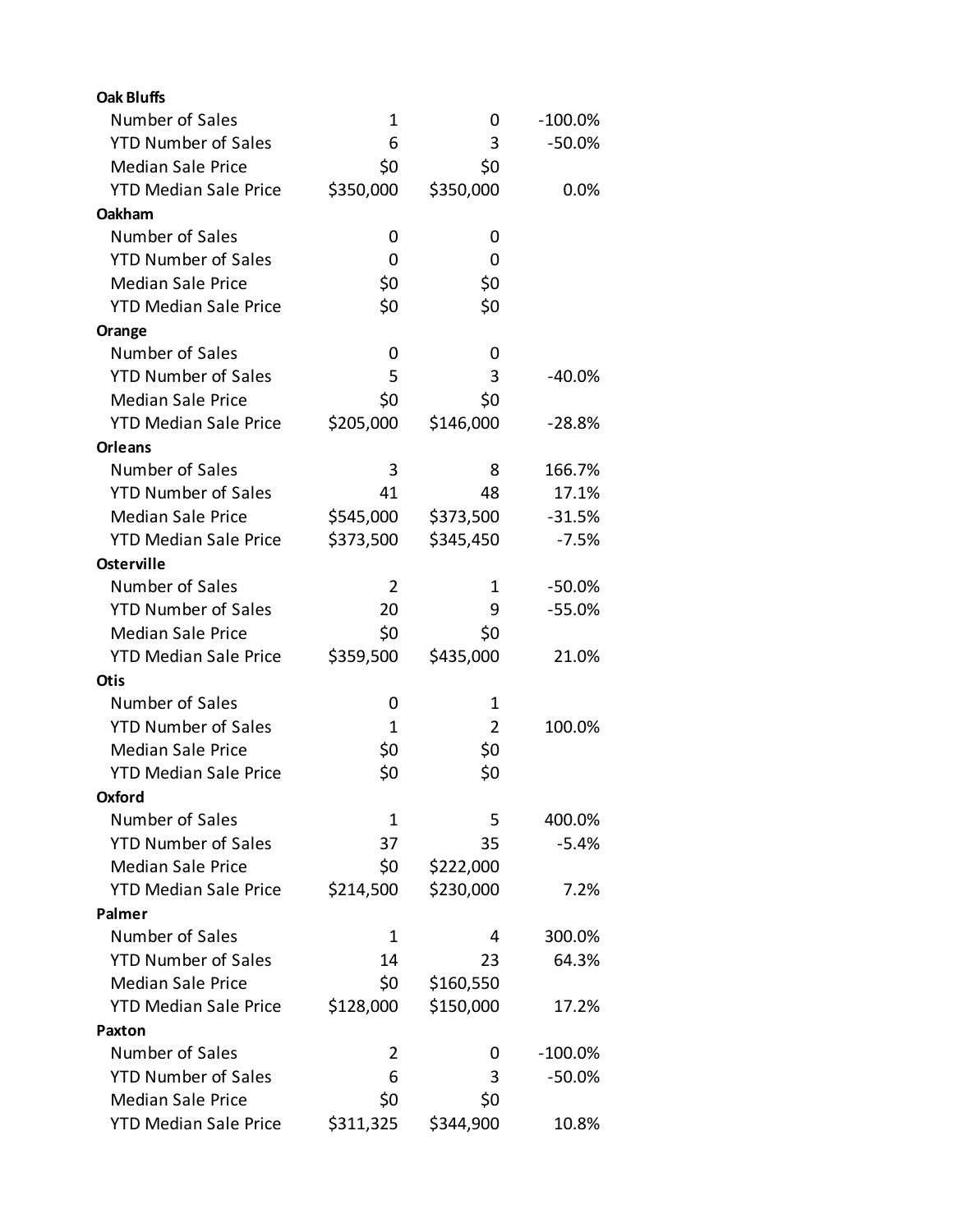| <b>Oak Bluffs</b>            |           |           |            |
|------------------------------|-----------|-----------|------------|
| Number of Sales              | 1         | 0         | $-100.0\%$ |
| <b>YTD Number of Sales</b>   | 6         | 3         | $-50.0%$   |
| <b>Median Sale Price</b>     | \$0       | \$0       |            |
| <b>YTD Median Sale Price</b> | \$350,000 | \$350,000 | 0.0%       |
| Oakham                       |           |           |            |
| Number of Sales              | 0         | 0         |            |
| <b>YTD Number of Sales</b>   | 0         | 0         |            |
| <b>Median Sale Price</b>     | \$0       | \$0       |            |
| <b>YTD Median Sale Price</b> | \$0       | \$0       |            |
| Orange                       |           |           |            |
| Number of Sales              | 0         | 0         |            |
| <b>YTD Number of Sales</b>   | 5         | 3         | $-40.0%$   |
| <b>Median Sale Price</b>     | \$0       | \$0       |            |
| <b>YTD Median Sale Price</b> | \$205,000 | \$146,000 | $-28.8%$   |
| Orleans                      |           |           |            |
| Number of Sales              | 3         | 8         | 166.7%     |
| <b>YTD Number of Sales</b>   | 41        | 48        | 17.1%      |
| <b>Median Sale Price</b>     | \$545,000 | \$373,500 | $-31.5%$   |
| <b>YTD Median Sale Price</b> | \$373,500 | \$345,450 | $-7.5%$    |
| <b>Osterville</b>            |           |           |            |
| Number of Sales              | 2         | 1         | $-50.0%$   |
| <b>YTD Number of Sales</b>   | 20        | 9         | $-55.0%$   |
| <b>Median Sale Price</b>     | \$0       | \$0       |            |
| <b>YTD Median Sale Price</b> | \$359,500 | \$435,000 | 21.0%      |
| <b>Otis</b>                  |           |           |            |
| Number of Sales              | 0         | 1         |            |
| <b>YTD Number of Sales</b>   | 1         | 2         | 100.0%     |
| <b>Median Sale Price</b>     | \$0       | \$0       |            |
| <b>YTD Median Sale Price</b> | \$0       | \$0       |            |
| Oxford                       |           |           |            |
| Number of Sales              | 1         | 5         | 400.0%     |
| <b>YTD Number of Sales</b>   | 37        | 35        | $-5.4%$    |
| <b>Median Sale Price</b>     | \$0       | \$222,000 |            |
| <b>YTD Median Sale Price</b> | \$214,500 | \$230,000 | 7.2%       |
| Palmer                       |           |           |            |
| Number of Sales              | 1         | 4         | 300.0%     |
| <b>YTD Number of Sales</b>   | 14        | 23        | 64.3%      |
| <b>Median Sale Price</b>     | \$0       | \$160,550 |            |
| <b>YTD Median Sale Price</b> | \$128,000 | \$150,000 | 17.2%      |
| Paxton                       |           |           |            |
| Number of Sales              | 2         | 0         | $-100.0%$  |
| <b>YTD Number of Sales</b>   | 6         | 3         | -50.0%     |
| <b>Median Sale Price</b>     | \$0       | \$0       |            |
| <b>YTD Median Sale Price</b> | \$311,325 | \$344,900 | 10.8%      |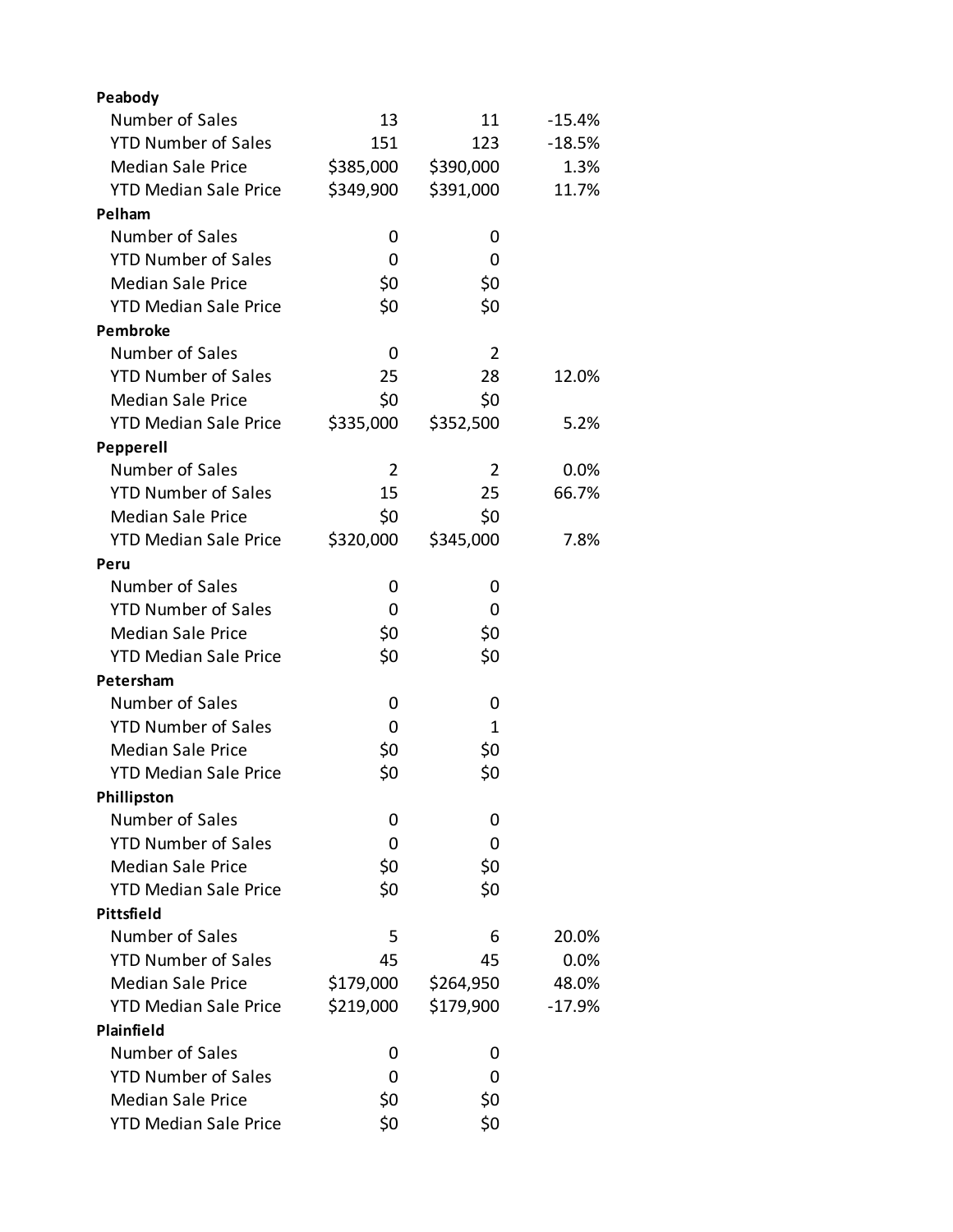| Peabody                      |           |              |          |
|------------------------------|-----------|--------------|----------|
| Number of Sales              | 13        | 11           | $-15.4%$ |
| <b>YTD Number of Sales</b>   | 151       | 123          | $-18.5%$ |
| <b>Median Sale Price</b>     | \$385,000 | \$390,000    | 1.3%     |
| <b>YTD Median Sale Price</b> | \$349,900 | \$391,000    | 11.7%    |
| Pelham                       |           |              |          |
| Number of Sales              | 0         | 0            |          |
| <b>YTD Number of Sales</b>   | 0         | 0            |          |
| <b>Median Sale Price</b>     | \$0       | \$0          |          |
| <b>YTD Median Sale Price</b> | \$0       | \$0          |          |
| <b>Pembroke</b>              |           |              |          |
| Number of Sales              | 0         | 2            |          |
| <b>YTD Number of Sales</b>   | 25        | 28           | 12.0%    |
| <b>Median Sale Price</b>     | \$0       | \$0          |          |
| <b>YTD Median Sale Price</b> | \$335,000 | \$352,500    | 5.2%     |
| Pepperell                    |           |              |          |
| Number of Sales              | 2         | 2            | 0.0%     |
| <b>YTD Number of Sales</b>   | 15        | 25           | 66.7%    |
| <b>Median Sale Price</b>     | \$0       | \$0          |          |
| <b>YTD Median Sale Price</b> | \$320,000 | \$345,000    | 7.8%     |
| Peru                         |           |              |          |
| Number of Sales              | 0         | 0            |          |
| <b>YTD Number of Sales</b>   | 0         | 0            |          |
| <b>Median Sale Price</b>     | \$0       | \$0          |          |
| <b>YTD Median Sale Price</b> | \$0       | \$0          |          |
| Petersham                    |           |              |          |
| Number of Sales              | 0         | 0            |          |
| <b>YTD Number of Sales</b>   | 0         | $\mathbf{1}$ |          |
| <b>Median Sale Price</b>     | \$0       | \$0          |          |
| <b>YTD Median Sale Price</b> | \$0       | \$0          |          |
| Phillipston                  |           |              |          |
| Number of Sales              | 0         | 0            |          |
| <b>YTD Number of Sales</b>   | 0         | 0            |          |
| <b>Median Sale Price</b>     | \$0       | \$0          |          |
| <b>YTD Median Sale Price</b> | \$0       | \$0          |          |
| Pittsfield                   |           |              |          |
| Number of Sales              | 5         | 6            | 20.0%    |
| <b>YTD Number of Sales</b>   | 45        | 45           | 0.0%     |
| <b>Median Sale Price</b>     | \$179,000 | \$264,950    | 48.0%    |
| <b>YTD Median Sale Price</b> | \$219,000 | \$179,900    | $-17.9%$ |
| Plainfield                   |           |              |          |
| Number of Sales              | 0         | 0            |          |
| <b>YTD Number of Sales</b>   | 0         | 0            |          |
| <b>Median Sale Price</b>     | \$0       | \$0          |          |
| <b>YTD Median Sale Price</b> | \$0       | \$0          |          |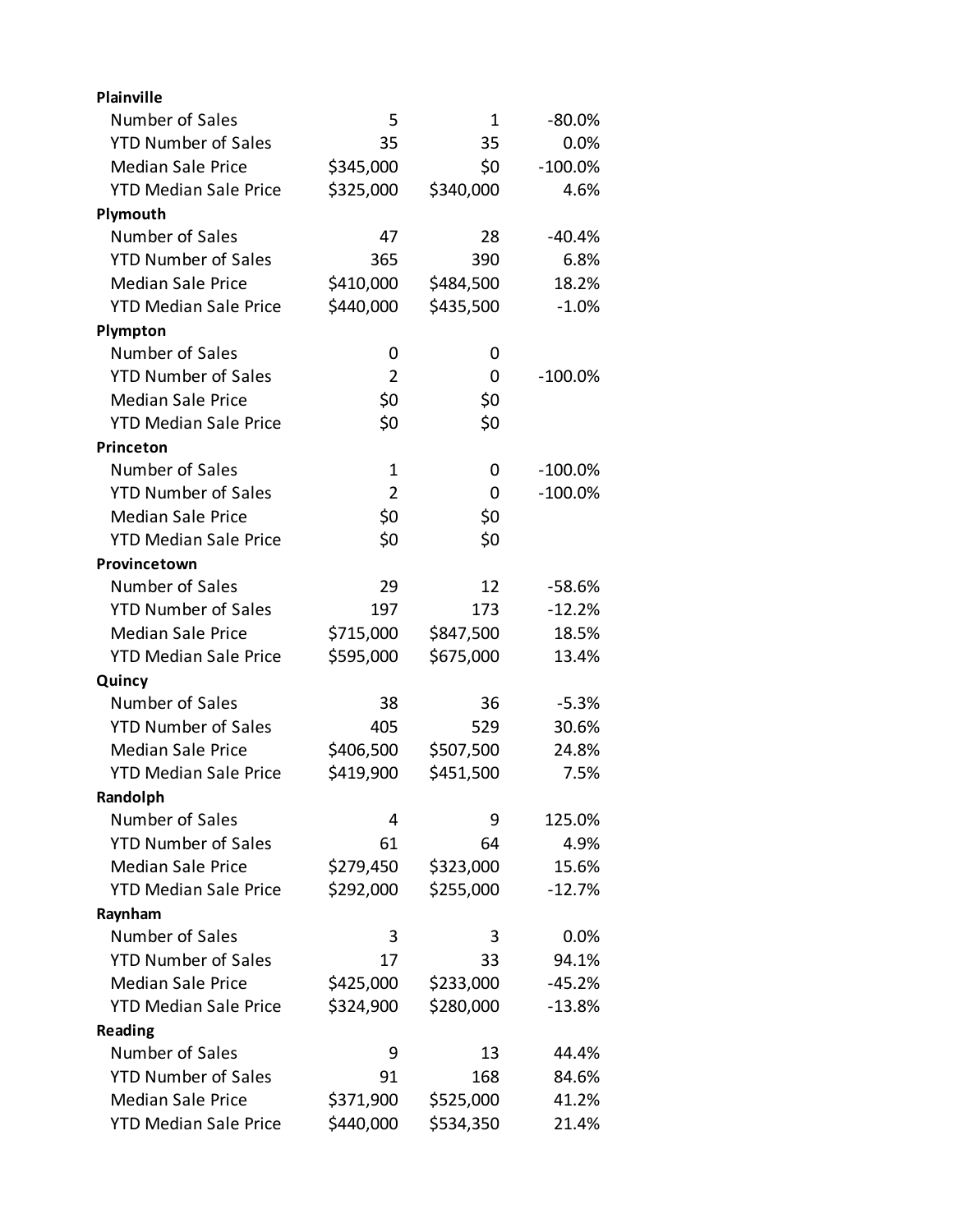| <b>Plainville</b>            |                |           |            |
|------------------------------|----------------|-----------|------------|
| Number of Sales              | 5              | 1         | -80.0%     |
| <b>YTD Number of Sales</b>   | 35             | 35        | 0.0%       |
| <b>Median Sale Price</b>     | \$345,000      | \$0       | $-100.0%$  |
| <b>YTD Median Sale Price</b> | \$325,000      | \$340,000 | 4.6%       |
| Plymouth                     |                |           |            |
| Number of Sales              | 47             | 28        | $-40.4%$   |
| <b>YTD Number of Sales</b>   | 365            | 390       | 6.8%       |
| <b>Median Sale Price</b>     | \$410,000      | \$484,500 | 18.2%      |
| <b>YTD Median Sale Price</b> | \$440,000      | \$435,500 | $-1.0%$    |
| Plympton                     |                |           |            |
| Number of Sales              | 0              | 0         |            |
| <b>YTD Number of Sales</b>   | $\overline{2}$ | 0         | $-100.0%$  |
| <b>Median Sale Price</b>     | \$0            | \$0       |            |
| <b>YTD Median Sale Price</b> | \$0            | \$0       |            |
| Princeton                    |                |           |            |
| Number of Sales              | 1              | 0         | $-100.0\%$ |
| <b>YTD Number of Sales</b>   | 2              | 0         | $-100.0%$  |
| <b>Median Sale Price</b>     | \$0            | \$0       |            |
| <b>YTD Median Sale Price</b> | \$0            | \$0       |            |
| Provincetown                 |                |           |            |
| Number of Sales              | 29             | 12        | $-58.6%$   |
| <b>YTD Number of Sales</b>   | 197            | 173       | $-12.2%$   |
| <b>Median Sale Price</b>     | \$715,000      | \$847,500 | 18.5%      |
| <b>YTD Median Sale Price</b> | \$595,000      | \$675,000 | 13.4%      |
| Quincy                       |                |           |            |
| Number of Sales              | 38             | 36        | $-5.3%$    |
| <b>YTD Number of Sales</b>   | 405            | 529       | 30.6%      |
| <b>Median Sale Price</b>     | \$406,500      | \$507,500 | 24.8%      |
| <b>YTD Median Sale Price</b> | \$419,900      | \$451,500 | 7.5%       |
| Randolph                     |                |           |            |
| Number of Sales              | 4              | 9         | 125.0%     |
| <b>YTD Number of Sales</b>   | 61             | 64        | 4.9%       |
| <b>Median Sale Price</b>     | \$279,450      | \$323,000 | 15.6%      |
| <b>YTD Median Sale Price</b> | \$292,000      | \$255,000 | $-12.7%$   |
| Raynham                      |                |           |            |
| Number of Sales              | 3              | 3         | 0.0%       |
| <b>YTD Number of Sales</b>   | 17             | 33        | 94.1%      |
| <b>Median Sale Price</b>     | \$425,000      | \$233,000 | $-45.2%$   |
| <b>YTD Median Sale Price</b> | \$324,900      | \$280,000 | $-13.8%$   |
| Reading                      |                |           |            |
| Number of Sales              | 9              | 13        | 44.4%      |
| <b>YTD Number of Sales</b>   | 91             | 168       | 84.6%      |
| <b>Median Sale Price</b>     | \$371,900      | \$525,000 | 41.2%      |
| <b>YTD Median Sale Price</b> | \$440,000      | \$534,350 | 21.4%      |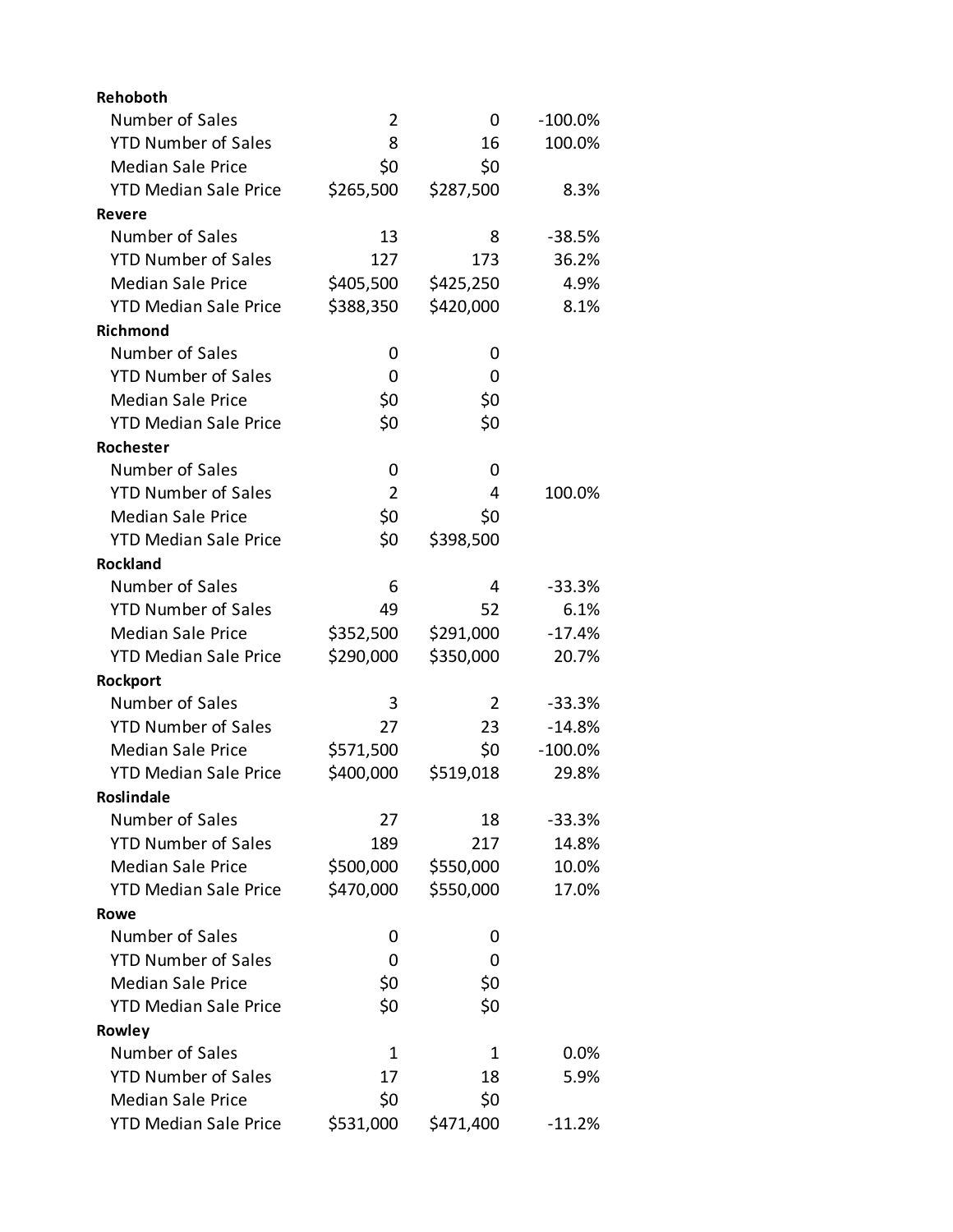| Rehoboth                     |           |           |           |
|------------------------------|-----------|-----------|-----------|
| Number of Sales              | 2         | 0         | $-100.0%$ |
| <b>YTD Number of Sales</b>   | 8         | 16        | 100.0%    |
| <b>Median Sale Price</b>     | \$0       | \$0       |           |
| <b>YTD Median Sale Price</b> | \$265,500 | \$287,500 | 8.3%      |
| <b>Revere</b>                |           |           |           |
| Number of Sales              | 13        | 8         | $-38.5%$  |
| <b>YTD Number of Sales</b>   | 127       | 173       | 36.2%     |
| <b>Median Sale Price</b>     | \$405,500 | \$425,250 | 4.9%      |
| <b>YTD Median Sale Price</b> | \$388,350 | \$420,000 | 8.1%      |
| <b>Richmond</b>              |           |           |           |
| Number of Sales              | 0         | 0         |           |
| <b>YTD Number of Sales</b>   | 0         | 0         |           |
| <b>Median Sale Price</b>     | \$0       | \$0       |           |
| <b>YTD Median Sale Price</b> | \$0       | \$0       |           |
| Rochester                    |           |           |           |
| Number of Sales              | 0         | 0         |           |
| <b>YTD Number of Sales</b>   | 2         | 4         | 100.0%    |
| <b>Median Sale Price</b>     | \$0       | \$0       |           |
| <b>YTD Median Sale Price</b> | \$0       | \$398,500 |           |
| <b>Rockland</b>              |           |           |           |
| Number of Sales              | 6         | 4         | $-33.3%$  |
| <b>YTD Number of Sales</b>   | 49        | 52        | 6.1%      |
| <b>Median Sale Price</b>     | \$352,500 | \$291,000 | $-17.4%$  |
| <b>YTD Median Sale Price</b> | \$290,000 | \$350,000 | 20.7%     |
| Rockport                     |           |           |           |
| Number of Sales              | 3         | 2         | $-33.3%$  |
| <b>YTD Number of Sales</b>   | 27        | 23        | $-14.8%$  |
| <b>Median Sale Price</b>     | \$571,500 | \$0       | $-100.0%$ |
| <b>YTD Median Sale Price</b> | \$400,000 | \$519,018 | 29.8%     |
| Roslindale                   |           |           |           |
| Number of Sales              | 27        | 18        | $-33.3%$  |
| <b>YTD Number of Sales</b>   | 189       | 217       | 14.8%     |
| <b>Median Sale Price</b>     | \$500,000 | \$550,000 | 10.0%     |
| <b>YTD Median Sale Price</b> | \$470,000 | \$550,000 | 17.0%     |
| Rowe                         |           |           |           |
| Number of Sales              | 0         | 0         |           |
| <b>YTD Number of Sales</b>   | 0         | 0         |           |
| <b>Median Sale Price</b>     | \$0       | \$0       |           |
| <b>YTD Median Sale Price</b> | \$0       | \$0       |           |
| Rowley                       |           |           |           |
| Number of Sales              | 1         | 1         | 0.0%      |
| <b>YTD Number of Sales</b>   | 17        | 18        | 5.9%      |
| <b>Median Sale Price</b>     | \$0       | \$0       |           |
| <b>YTD Median Sale Price</b> | \$531,000 | \$471,400 | $-11.2%$  |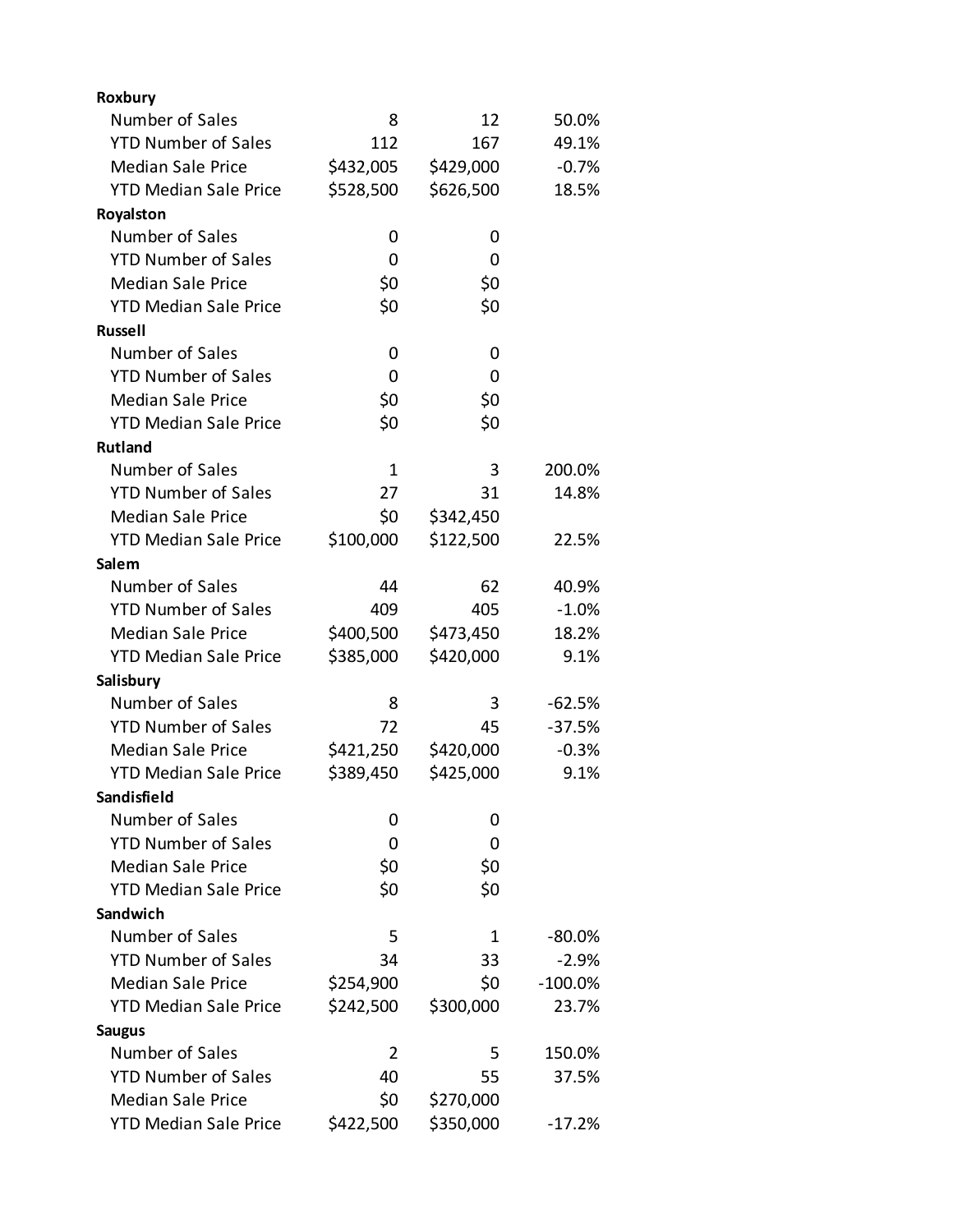| Roxbury                      |                |           |           |
|------------------------------|----------------|-----------|-----------|
| Number of Sales              | 8              | 12        | 50.0%     |
| <b>YTD Number of Sales</b>   | 112            | 167       | 49.1%     |
| <b>Median Sale Price</b>     | \$432,005      | \$429,000 | $-0.7%$   |
| <b>YTD Median Sale Price</b> | \$528,500      | \$626,500 | 18.5%     |
| Royalston                    |                |           |           |
| Number of Sales              | 0              | 0         |           |
| <b>YTD Number of Sales</b>   | 0              | 0         |           |
| <b>Median Sale Price</b>     | \$0            | \$0       |           |
| <b>YTD Median Sale Price</b> | \$0            | \$0       |           |
| <b>Russell</b>               |                |           |           |
| Number of Sales              | 0              | 0         |           |
| <b>YTD Number of Sales</b>   | 0              | 0         |           |
| <b>Median Sale Price</b>     | \$0            | \$0       |           |
| <b>YTD Median Sale Price</b> | \$0            | \$0       |           |
| <b>Rutland</b>               |                |           |           |
| Number of Sales              | $\mathbf 1$    | 3         | 200.0%    |
| <b>YTD Number of Sales</b>   | 27             | 31        | 14.8%     |
| <b>Median Sale Price</b>     | \$0            | \$342,450 |           |
| <b>YTD Median Sale Price</b> | \$100,000      | \$122,500 | 22.5%     |
| Salem                        |                |           |           |
| Number of Sales              | 44             | 62        | 40.9%     |
| <b>YTD Number of Sales</b>   | 409            | 405       | $-1.0%$   |
| <b>Median Sale Price</b>     | \$400,500      | \$473,450 | 18.2%     |
| <b>YTD Median Sale Price</b> | \$385,000      | \$420,000 | 9.1%      |
| Salisbury                    |                |           |           |
| Number of Sales              | 8              | 3         | $-62.5%$  |
| <b>YTD Number of Sales</b>   | 72             | 45        | $-37.5%$  |
| <b>Median Sale Price</b>     | \$421,250      | \$420,000 | $-0.3%$   |
| <b>YTD Median Sale Price</b> | \$389,450      | \$425,000 | 9.1%      |
| Sandisfield                  |                |           |           |
| Number of Sales              | 0              | 0         |           |
| <b>YTD Number of Sales</b>   | 0              | 0         |           |
| <b>Median Sale Price</b>     | \$0            | \$0       |           |
| <b>YTD Median Sale Price</b> | \$0            | \$0       |           |
| <b>Sandwich</b>              |                |           |           |
| Number of Sales              | 5              | 1         | $-80.0%$  |
| <b>YTD Number of Sales</b>   | 34             | 33        | $-2.9%$   |
| <b>Median Sale Price</b>     | \$254,900      | \$0       | $-100.0%$ |
| <b>YTD Median Sale Price</b> | \$242,500      | \$300,000 | 23.7%     |
| <b>Saugus</b>                |                |           |           |
| Number of Sales              | $\overline{2}$ | 5         | 150.0%    |
| <b>YTD Number of Sales</b>   | 40             | 55        | 37.5%     |
| <b>Median Sale Price</b>     | \$0            | \$270,000 |           |
| <b>YTD Median Sale Price</b> | \$422,500      | \$350,000 | $-17.2%$  |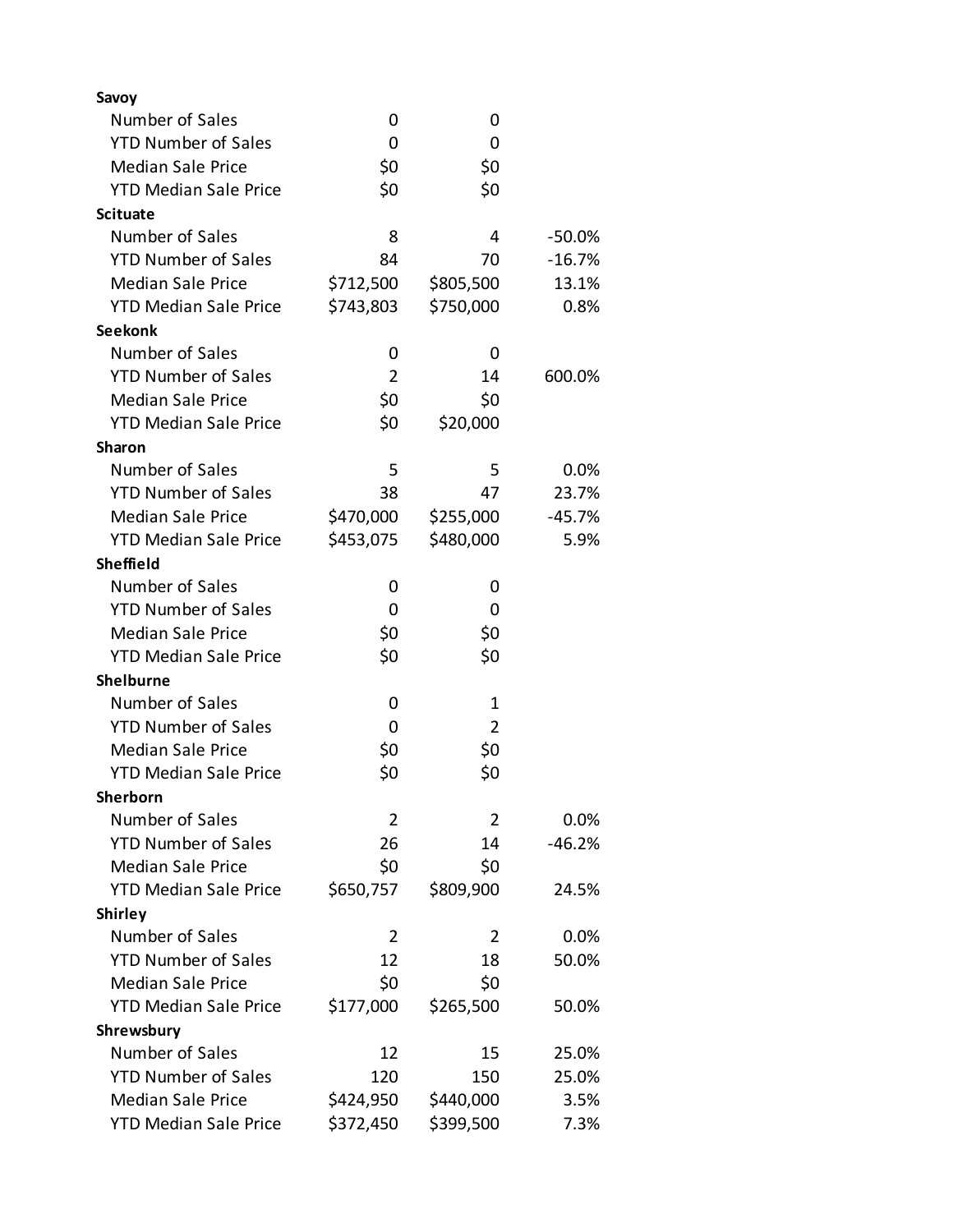| Savoy                        |                |           |          |
|------------------------------|----------------|-----------|----------|
| Number of Sales              | 0              | 0         |          |
| <b>YTD Number of Sales</b>   | 0              | 0         |          |
| <b>Median Sale Price</b>     | \$0            | \$0       |          |
| <b>YTD Median Sale Price</b> | \$0            | \$0       |          |
| <b>Scituate</b>              |                |           |          |
| Number of Sales              | 8              | 4         | $-50.0%$ |
| <b>YTD Number of Sales</b>   | 84             | 70        | $-16.7%$ |
| <b>Median Sale Price</b>     | \$712,500      | \$805,500 | 13.1%    |
| <b>YTD Median Sale Price</b> | \$743,803      | \$750,000 | 0.8%     |
| <b>Seekonk</b>               |                |           |          |
| Number of Sales              | 0              | 0         |          |
| <b>YTD Number of Sales</b>   | $\overline{2}$ | 14        | 600.0%   |
| <b>Median Sale Price</b>     | \$0            | \$0       |          |
| <b>YTD Median Sale Price</b> | \$0            | \$20,000  |          |
| <b>Sharon</b>                |                |           |          |
| Number of Sales              | 5              | 5         | 0.0%     |
| <b>YTD Number of Sales</b>   | 38             | 47        | 23.7%    |
| <b>Median Sale Price</b>     | \$470,000      | \$255,000 | $-45.7%$ |
| <b>YTD Median Sale Price</b> | \$453,075      | \$480,000 | 5.9%     |
| <b>Sheffield</b>             |                |           |          |
| Number of Sales              | 0              | O         |          |
| <b>YTD Number of Sales</b>   | 0              | 0         |          |
| <b>Median Sale Price</b>     | \$0            | \$0       |          |
| <b>YTD Median Sale Price</b> | \$0            | \$0       |          |
| Shelburne                    |                |           |          |
| Number of Sales              | 0              | 1         |          |
| <b>YTD Number of Sales</b>   | 0              | 2         |          |
| <b>Median Sale Price</b>     | \$0            | \$0       |          |
| <b>YTD Median Sale Price</b> | \$0            | \$0       |          |
| <b>Sherborn</b>              |                |           |          |
| Number of Sales              | $\overline{2}$ | 2         | 0.0%     |
| <b>YTD Number of Sales</b>   | 26             | 14        | $-46.2%$ |
| <b>Median Sale Price</b>     | \$0            | \$0       |          |
| <b>YTD Median Sale Price</b> | \$650,757      | \$809,900 | 24.5%    |
| <b>Shirley</b>               |                |           |          |
| Number of Sales              | 2              | 2         | 0.0%     |
| <b>YTD Number of Sales</b>   | 12             | 18        | 50.0%    |
| <b>Median Sale Price</b>     | \$0            | \$0       |          |
| <b>YTD Median Sale Price</b> | \$177,000      | \$265,500 | 50.0%    |
| Shrewsbury                   |                |           |          |
| Number of Sales              | 12             | 15        | 25.0%    |
| <b>YTD Number of Sales</b>   | 120            | 150       | 25.0%    |
| <b>Median Sale Price</b>     | \$424,950      | \$440,000 | 3.5%     |
| <b>YTD Median Sale Price</b> | \$372,450      | \$399,500 | 7.3%     |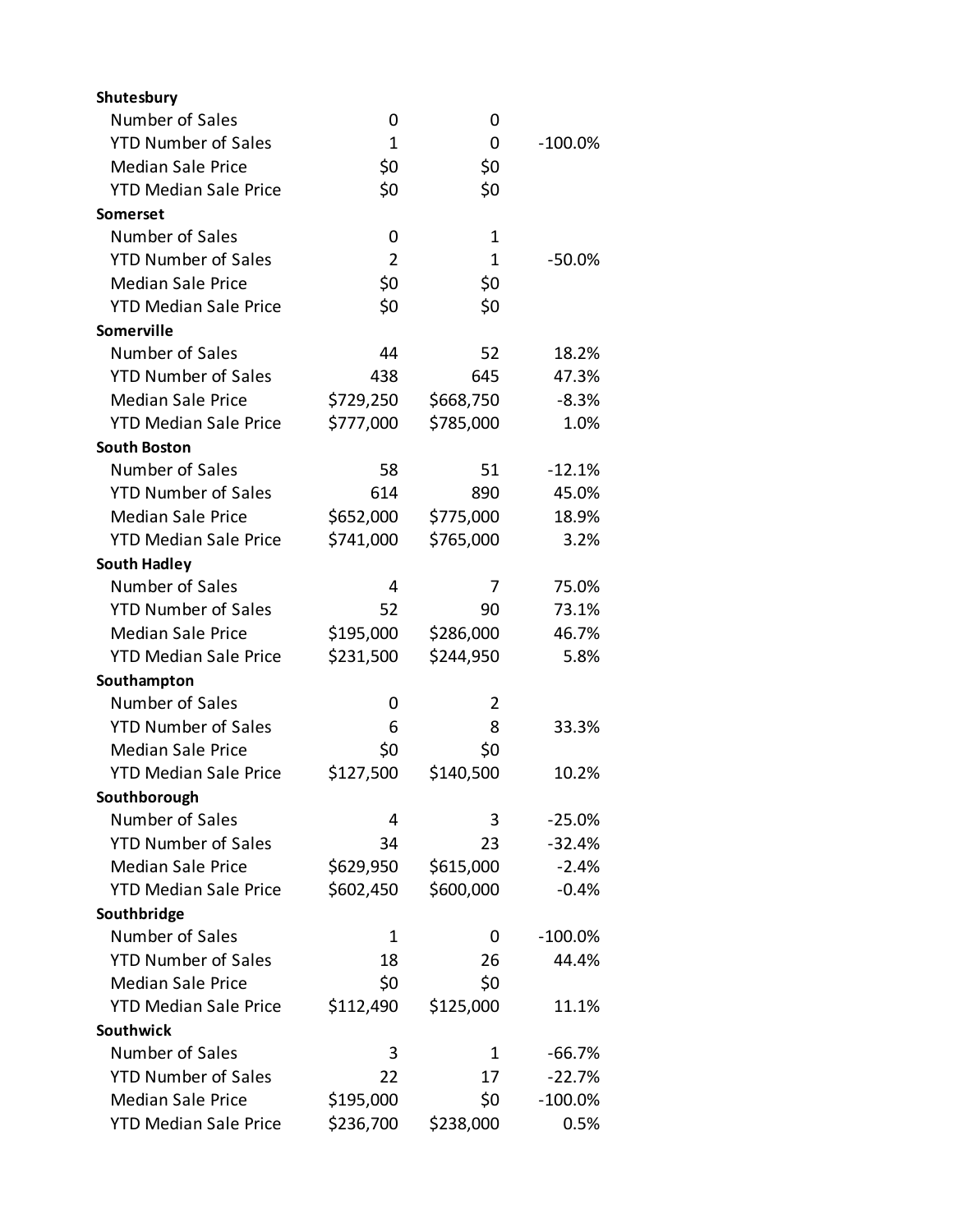| Shutesbury                   |                |           |           |
|------------------------------|----------------|-----------|-----------|
| Number of Sales              | 0              | 0         |           |
| <b>YTD Number of Sales</b>   | $\mathbf{1}$   | 0         | $-100.0%$ |
| <b>Median Sale Price</b>     | \$0            | \$0       |           |
| <b>YTD Median Sale Price</b> | \$0            | \$0       |           |
| Somerset                     |                |           |           |
| Number of Sales              | 0              | 1         |           |
| <b>YTD Number of Sales</b>   | $\overline{2}$ | 1         | $-50.0%$  |
| <b>Median Sale Price</b>     | \$0            | \$0       |           |
| <b>YTD Median Sale Price</b> | \$0            | \$0       |           |
| Somerville                   |                |           |           |
| Number of Sales              | 44             | 52        | 18.2%     |
| <b>YTD Number of Sales</b>   | 438            | 645       | 47.3%     |
| <b>Median Sale Price</b>     | \$729,250      | \$668,750 | $-8.3%$   |
| <b>YTD Median Sale Price</b> | \$777,000      | \$785,000 | 1.0%      |
| <b>South Boston</b>          |                |           |           |
| Number of Sales              | 58             | 51        | $-12.1%$  |
| <b>YTD Number of Sales</b>   | 614            | 890       | 45.0%     |
| <b>Median Sale Price</b>     | \$652,000      | \$775,000 | 18.9%     |
| <b>YTD Median Sale Price</b> | \$741,000      | \$765,000 | 3.2%      |
| <b>South Hadley</b>          |                |           |           |
| Number of Sales              | 4              | 7         | 75.0%     |
| <b>YTD Number of Sales</b>   | 52             | 90        | 73.1%     |
| <b>Median Sale Price</b>     | \$195,000      | \$286,000 | 46.7%     |
| <b>YTD Median Sale Price</b> | \$231,500      | \$244,950 | 5.8%      |
| Southampton                  |                |           |           |
| Number of Sales              | 0              | 2         |           |
| <b>YTD Number of Sales</b>   | 6              | 8         | 33.3%     |
| <b>Median Sale Price</b>     | \$0            | \$0       |           |
| <b>YTD Median Sale Price</b> | \$127,500      | \$140,500 | 10.2%     |
| Southborough                 |                |           |           |
| Number of Sales              | 4              | 3         | $-25.0%$  |
| <b>YTD Number of Sales</b>   | 34             | 23        | $-32.4%$  |
| <b>Median Sale Price</b>     | \$629,950      | \$615,000 | $-2.4%$   |
| <b>YTD Median Sale Price</b> | \$602,450      | \$600,000 | $-0.4%$   |
| Southbridge                  |                |           |           |
| Number of Sales              | 1              | 0         | $-100.0%$ |
| <b>YTD Number of Sales</b>   | 18             | 26        | 44.4%     |
| <b>Median Sale Price</b>     | \$0            | \$0       |           |
| <b>YTD Median Sale Price</b> | \$112,490      | \$125,000 | 11.1%     |
| <b>Southwick</b>             |                |           |           |
| Number of Sales              | 3              | 1         | $-66.7%$  |
| <b>YTD Number of Sales</b>   | 22             | 17        | $-22.7%$  |
| <b>Median Sale Price</b>     | \$195,000      | \$0       | $-100.0%$ |
| <b>YTD Median Sale Price</b> | \$236,700      | \$238,000 | 0.5%      |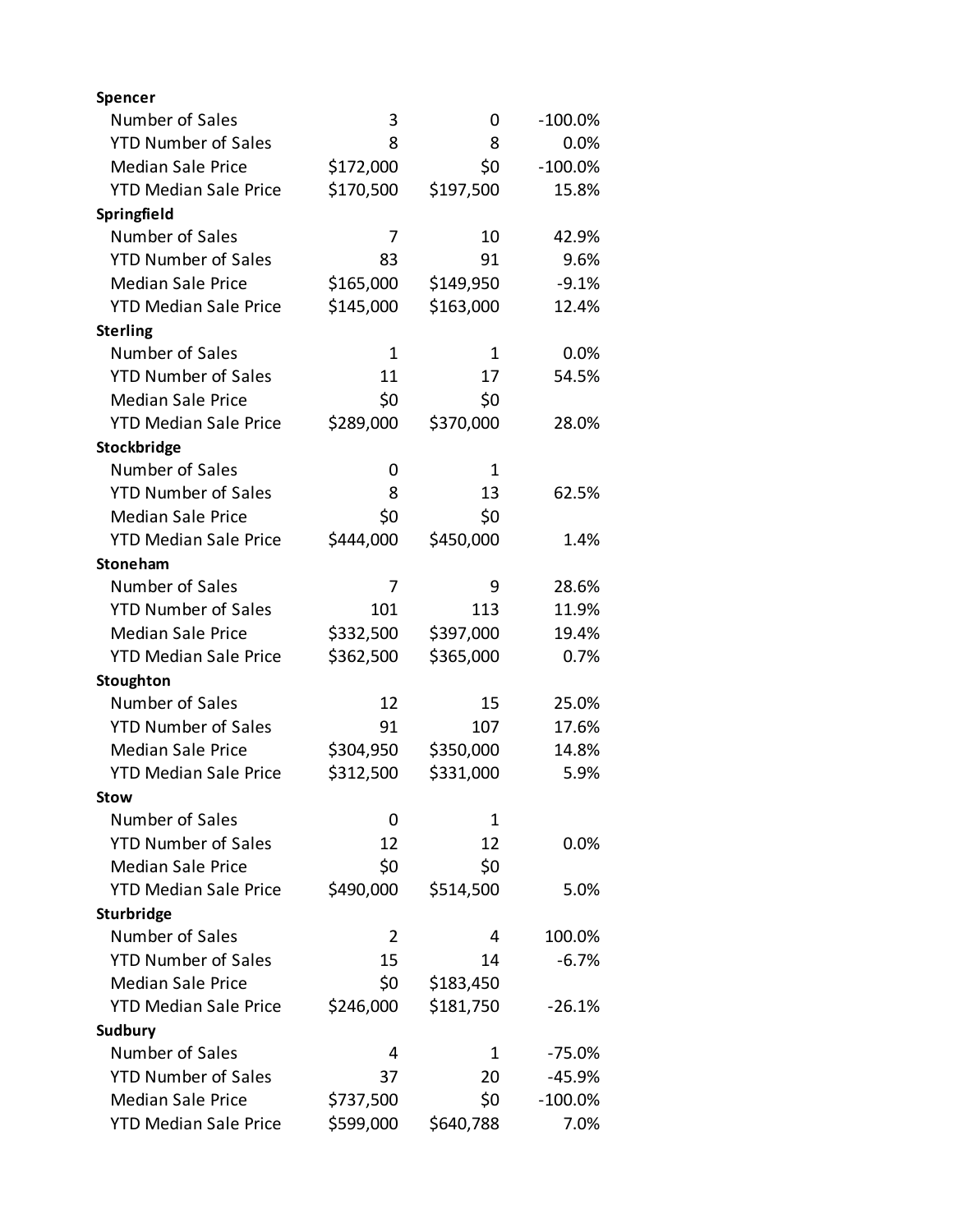| Spencer                      |           |              |           |
|------------------------------|-----------|--------------|-----------|
| Number of Sales              | 3         | 0            | $-100.0%$ |
| <b>YTD Number of Sales</b>   | 8         | 8            | 0.0%      |
| <b>Median Sale Price</b>     | \$172,000 | \$0          | $-100.0%$ |
| <b>YTD Median Sale Price</b> | \$170,500 | \$197,500    | 15.8%     |
| Springfield                  |           |              |           |
| Number of Sales              | 7         | 10           | 42.9%     |
| <b>YTD Number of Sales</b>   | 83        | 91           | 9.6%      |
| <b>Median Sale Price</b>     | \$165,000 | \$149,950    | $-9.1%$   |
| <b>YTD Median Sale Price</b> | \$145,000 | \$163,000    | 12.4%     |
| <b>Sterling</b>              |           |              |           |
| Number of Sales              | 1         | 1            | 0.0%      |
| <b>YTD Number of Sales</b>   | 11        | 17           | 54.5%     |
| <b>Median Sale Price</b>     | \$0       | \$0          |           |
| <b>YTD Median Sale Price</b> | \$289,000 | \$370,000    | 28.0%     |
| Stockbridge                  |           |              |           |
| Number of Sales              | 0         | $\mathbf{1}$ |           |
| <b>YTD Number of Sales</b>   | 8         | 13           | 62.5%     |
| <b>Median Sale Price</b>     | \$0       | \$0          |           |
| <b>YTD Median Sale Price</b> | \$444,000 | \$450,000    | 1.4%      |
| Stoneham                     |           |              |           |
| Number of Sales              | 7         | 9            | 28.6%     |
| <b>YTD Number of Sales</b>   | 101       | 113          | 11.9%     |
| <b>Median Sale Price</b>     | \$332,500 | \$397,000    | 19.4%     |
| <b>YTD Median Sale Price</b> | \$362,500 | \$365,000    | 0.7%      |
| Stoughton                    |           |              |           |
| Number of Sales              | 12        | 15           | 25.0%     |
| <b>YTD Number of Sales</b>   | 91        | 107          | 17.6%     |
| <b>Median Sale Price</b>     | \$304,950 | \$350,000    | 14.8%     |
| <b>YTD Median Sale Price</b> | \$312,500 | \$331,000    | 5.9%      |
| <b>Stow</b>                  |           |              |           |
| Number of Sales              | 0         | 1            |           |
| <b>YTD Number of Sales</b>   | 12        | 12           | 0.0%      |
| <b>Median Sale Price</b>     | \$0       | \$0          |           |
| <b>YTD Median Sale Price</b> | \$490,000 | \$514,500    | 5.0%      |
| Sturbridge                   |           |              |           |
| Number of Sales              | 2         | 4            | 100.0%    |
| <b>YTD Number of Sales</b>   | 15        | 14           | $-6.7%$   |
| <b>Median Sale Price</b>     | \$0       | \$183,450    |           |
| <b>YTD Median Sale Price</b> | \$246,000 | \$181,750    | $-26.1%$  |
| Sudbury                      |           |              |           |
| Number of Sales              | 4         | 1            | -75.0%    |
| <b>YTD Number of Sales</b>   | 37        | 20           | $-45.9%$  |
| <b>Median Sale Price</b>     | \$737,500 | \$0          | $-100.0%$ |
| <b>YTD Median Sale Price</b> | \$599,000 | \$640,788    | 7.0%      |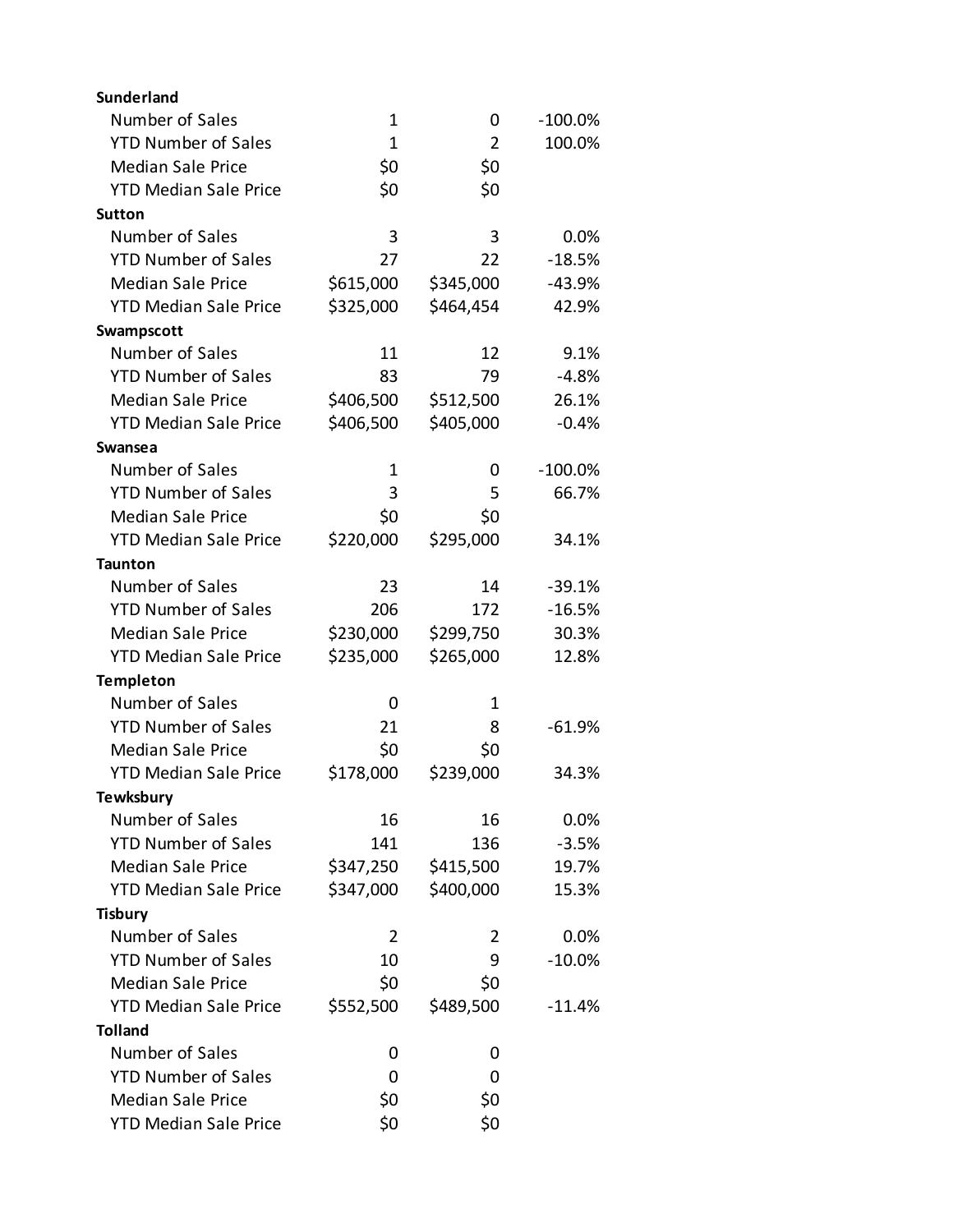| <b>Sunderland</b>            |              |                |           |
|------------------------------|--------------|----------------|-----------|
| Number of Sales              | $\mathbf 1$  | 0              | $-100.0%$ |
| <b>YTD Number of Sales</b>   | $\mathbf{1}$ | $\overline{2}$ | 100.0%    |
| <b>Median Sale Price</b>     | \$0          | \$0            |           |
| <b>YTD Median Sale Price</b> | \$0          | \$0            |           |
| <b>Sutton</b>                |              |                |           |
| Number of Sales              | 3            | 3              | 0.0%      |
| <b>YTD Number of Sales</b>   | 27           | 22             | $-18.5%$  |
| <b>Median Sale Price</b>     | \$615,000    | \$345,000      | $-43.9%$  |
| <b>YTD Median Sale Price</b> | \$325,000    | \$464,454      | 42.9%     |
| Swampscott                   |              |                |           |
| Number of Sales              | 11           | 12             | 9.1%      |
| <b>YTD Number of Sales</b>   | 83           | 79             | $-4.8%$   |
| <b>Median Sale Price</b>     | \$406,500    | \$512,500      | 26.1%     |
| <b>YTD Median Sale Price</b> | \$406,500    | \$405,000      | $-0.4%$   |
| Swansea                      |              |                |           |
| Number of Sales              | 1            | 0              | $-100.0%$ |
| <b>YTD Number of Sales</b>   | 3            | 5              | 66.7%     |
| <b>Median Sale Price</b>     | \$0          | \$0            |           |
| <b>YTD Median Sale Price</b> | \$220,000    | \$295,000      | 34.1%     |
| <b>Taunton</b>               |              |                |           |
| Number of Sales              | 23           | 14             | $-39.1%$  |
| <b>YTD Number of Sales</b>   | 206          | 172            | $-16.5%$  |
| <b>Median Sale Price</b>     | \$230,000    | \$299,750      | 30.3%     |
| <b>YTD Median Sale Price</b> | \$235,000    | \$265,000      | 12.8%     |
| <b>Templeton</b>             |              |                |           |
| Number of Sales              | 0            | 1              |           |
| <b>YTD Number of Sales</b>   | 21           | 8              | $-61.9%$  |
| <b>Median Sale Price</b>     | \$0          | \$0            |           |
| <b>YTD Median Sale Price</b> | \$178,000    | \$239,000      | 34.3%     |
| <b>Tewksbury</b>             |              |                |           |
| Number of Sales              | 16           | 16             | 0.0%      |
| <b>YTD Number of Sales</b>   | 141          | 136            | $-3.5%$   |
| <b>Median Sale Price</b>     | \$347,250    | \$415,500      | 19.7%     |
| <b>YTD Median Sale Price</b> | \$347,000    | \$400,000      | 15.3%     |
| <b>Tisbury</b>               |              |                |           |
| Number of Sales              | 2            | 2              | 0.0%      |
| <b>YTD Number of Sales</b>   | 10           | 9              | $-10.0%$  |
| <b>Median Sale Price</b>     | \$0          | \$0            |           |
| <b>YTD Median Sale Price</b> | \$552,500    | \$489,500      | -11.4%    |
| <b>Tolland</b>               |              |                |           |
| Number of Sales              | 0            | 0              |           |
| <b>YTD Number of Sales</b>   | 0            | 0              |           |
| <b>Median Sale Price</b>     | \$0          | \$0            |           |
| <b>YTD Median Sale Price</b> | \$0          | \$0            |           |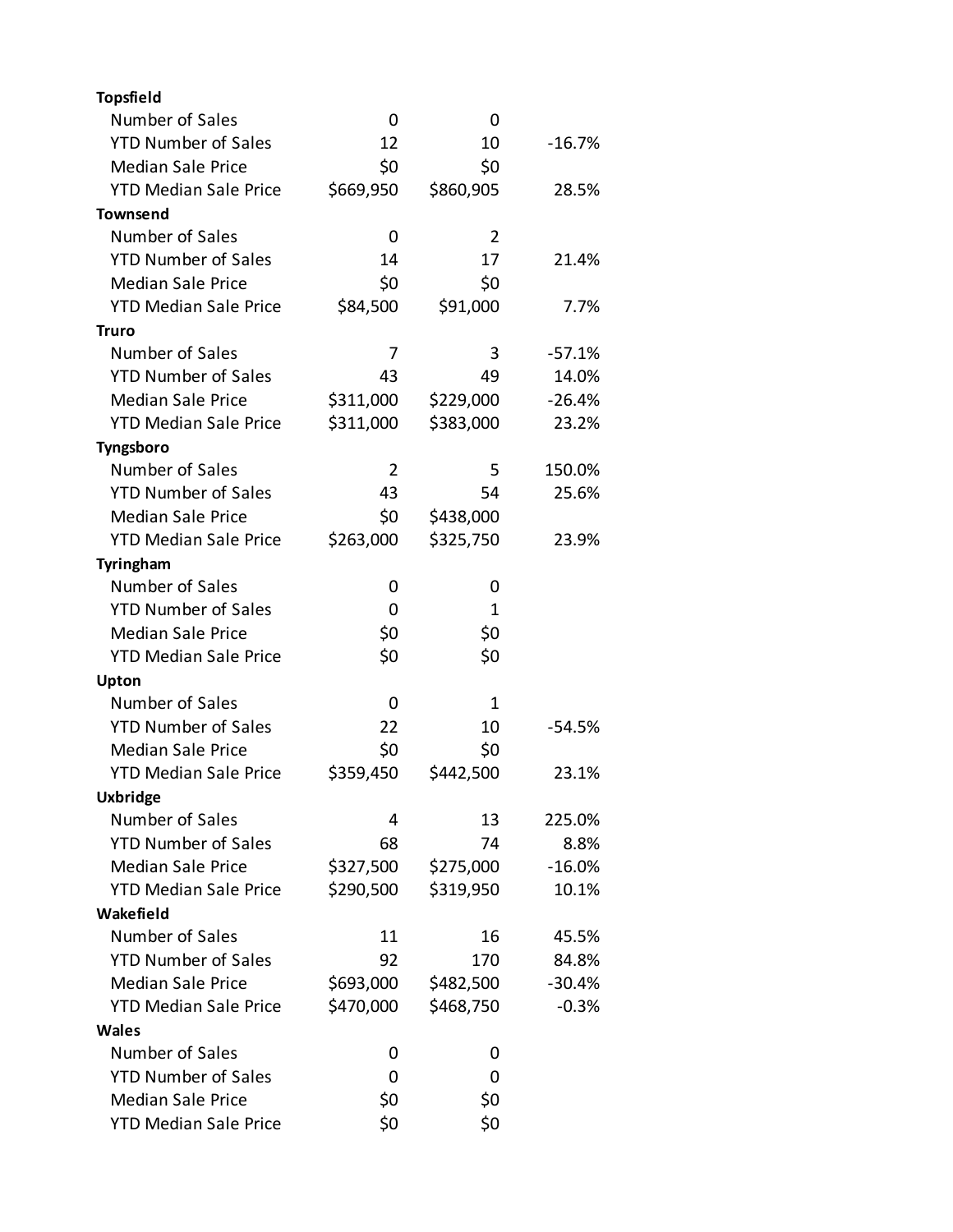| <b>Topsfield</b>             |           |           |          |
|------------------------------|-----------|-----------|----------|
| Number of Sales              | 0         | 0         |          |
| <b>YTD Number of Sales</b>   | 12        | 10        | $-16.7%$ |
| <b>Median Sale Price</b>     | \$0       | \$0       |          |
| <b>YTD Median Sale Price</b> | \$669,950 | \$860,905 | 28.5%    |
| <b>Townsend</b>              |           |           |          |
| Number of Sales              | 0         | 2         |          |
| <b>YTD Number of Sales</b>   | 14        | 17        | 21.4%    |
| <b>Median Sale Price</b>     | \$0       | \$0       |          |
| <b>YTD Median Sale Price</b> | \$84,500  | \$91,000  | 7.7%     |
| <b>Truro</b>                 |           |           |          |
| Number of Sales              | 7         | 3         | $-57.1%$ |
| <b>YTD Number of Sales</b>   | 43        | 49        | 14.0%    |
| <b>Median Sale Price</b>     | \$311,000 | \$229,000 | $-26.4%$ |
| <b>YTD Median Sale Price</b> | \$311,000 | \$383,000 | 23.2%    |
| Tyngsboro                    |           |           |          |
| Number of Sales              | 2         | 5         | 150.0%   |
| <b>YTD Number of Sales</b>   | 43        | 54        | 25.6%    |
| <b>Median Sale Price</b>     | \$0       | \$438,000 |          |
| <b>YTD Median Sale Price</b> | \$263,000 | \$325,750 | 23.9%    |
| Tyringham                    |           |           |          |
| Number of Sales              | 0         | 0         |          |
| <b>YTD Number of Sales</b>   | 0         | 1         |          |
| <b>Median Sale Price</b>     | \$0       | \$0       |          |
| <b>YTD Median Sale Price</b> | \$0       | \$0       |          |
| Upton                        |           |           |          |
| Number of Sales              | 0         | 1         |          |
| <b>YTD Number of Sales</b>   | 22        | 10        | $-54.5%$ |
| <b>Median Sale Price</b>     | \$0       | \$0       |          |
| <b>YTD Median Sale Price</b> | \$359,450 | \$442,500 | 23.1%    |
| <b>Uxbridge</b>              |           |           |          |
| Number of Sales              | 4         | 13        | 225.0%   |
| <b>YTD Number of Sales</b>   | 68        | 74        | 8.8%     |
| <b>Median Sale Price</b>     | \$327,500 | \$275,000 | $-16.0%$ |
| <b>YTD Median Sale Price</b> | \$290,500 | \$319,950 | 10.1%    |
| Wakefield                    |           |           |          |
| Number of Sales              | 11        | 16        | 45.5%    |
| <b>YTD Number of Sales</b>   | 92        | 170       | 84.8%    |
| <b>Median Sale Price</b>     | \$693,000 | \$482,500 | $-30.4%$ |
| <b>YTD Median Sale Price</b> | \$470,000 | \$468,750 | $-0.3%$  |
| Wales                        |           |           |          |
| Number of Sales              | 0         | 0         |          |
| <b>YTD Number of Sales</b>   | 0         | 0         |          |
| <b>Median Sale Price</b>     | \$0       | \$0       |          |
| <b>YTD Median Sale Price</b> | \$0       | \$0       |          |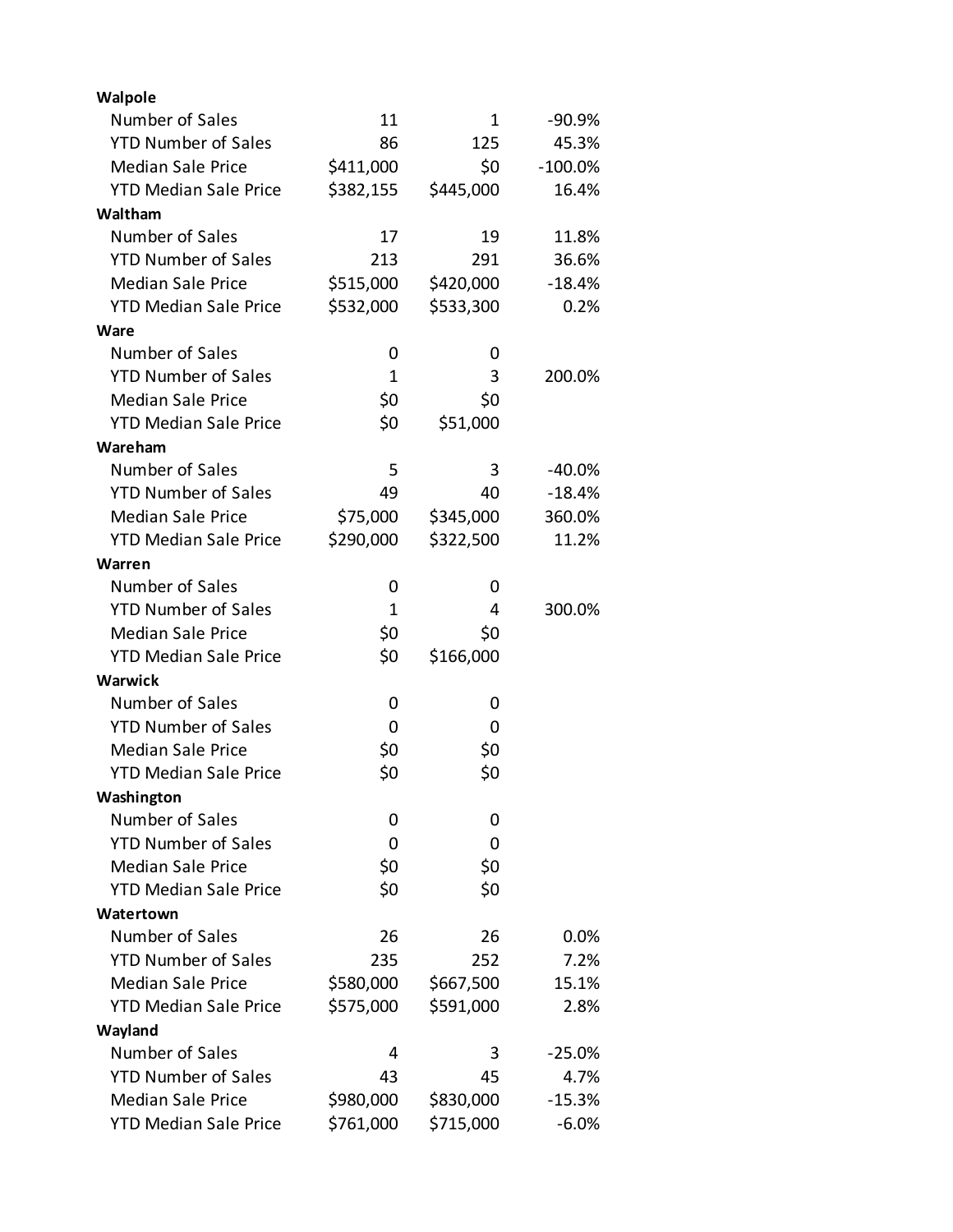| Walpole                      |              |           |           |
|------------------------------|--------------|-----------|-----------|
| Number of Sales              | 11           | 1         | $-90.9%$  |
| <b>YTD Number of Sales</b>   | 86           | 125       | 45.3%     |
| <b>Median Sale Price</b>     | \$411,000    | \$0       | $-100.0%$ |
| <b>YTD Median Sale Price</b> | \$382,155    | \$445,000 | 16.4%     |
| Waltham                      |              |           |           |
| Number of Sales              | 17           | 19        | 11.8%     |
| <b>YTD Number of Sales</b>   | 213          | 291       | 36.6%     |
| <b>Median Sale Price</b>     | \$515,000    | \$420,000 | $-18.4%$  |
| <b>YTD Median Sale Price</b> | \$532,000    | \$533,300 | 0.2%      |
| Ware                         |              |           |           |
| Number of Sales              | 0            | 0         |           |
| <b>YTD Number of Sales</b>   | $\mathbf{1}$ | 3         | 200.0%    |
| <b>Median Sale Price</b>     | \$0          | \$0       |           |
| <b>YTD Median Sale Price</b> | \$0          | \$51,000  |           |
| Wareham                      |              |           |           |
| Number of Sales              | 5            | 3         | $-40.0%$  |
| <b>YTD Number of Sales</b>   | 49           | 40        | $-18.4%$  |
| <b>Median Sale Price</b>     | \$75,000     | \$345,000 | 360.0%    |
| <b>YTD Median Sale Price</b> | \$290,000    | \$322,500 | 11.2%     |
| Warren                       |              |           |           |
| Number of Sales              | 0            | 0         |           |
| <b>YTD Number of Sales</b>   | $\mathbf{1}$ | 4         | 300.0%    |
| <b>Median Sale Price</b>     | \$0          | \$0       |           |
| <b>YTD Median Sale Price</b> | \$0          | \$166,000 |           |
| Warwick                      |              |           |           |
| Number of Sales              | 0            | 0         |           |
| <b>YTD Number of Sales</b>   | 0            | 0         |           |
| <b>Median Sale Price</b>     | \$0          | \$0       |           |
| <b>YTD Median Sale Price</b> | \$0          | \$0       |           |
| Washington                   |              |           |           |
| Number of Sales              | 0            | 0         |           |
| <b>YTD Number of Sales</b>   | 0            | 0         |           |
| <b>Median Sale Price</b>     | \$0          | \$0       |           |
| <b>YTD Median Sale Price</b> | \$0          | \$0       |           |
| Watertown                    |              |           |           |
| Number of Sales              | 26           | 26        | 0.0%      |
| <b>YTD Number of Sales</b>   | 235          | 252       | 7.2%      |
| <b>Median Sale Price</b>     | \$580,000    | \$667,500 | 15.1%     |
| <b>YTD Median Sale Price</b> | \$575,000    | \$591,000 | 2.8%      |
| Wayland                      |              |           |           |
| Number of Sales              | 4            | 3         | $-25.0%$  |
| <b>YTD Number of Sales</b>   | 43           | 45        | 4.7%      |
| <b>Median Sale Price</b>     | \$980,000    | \$830,000 | $-15.3%$  |
| <b>YTD Median Sale Price</b> | \$761,000    | \$715,000 | $-6.0%$   |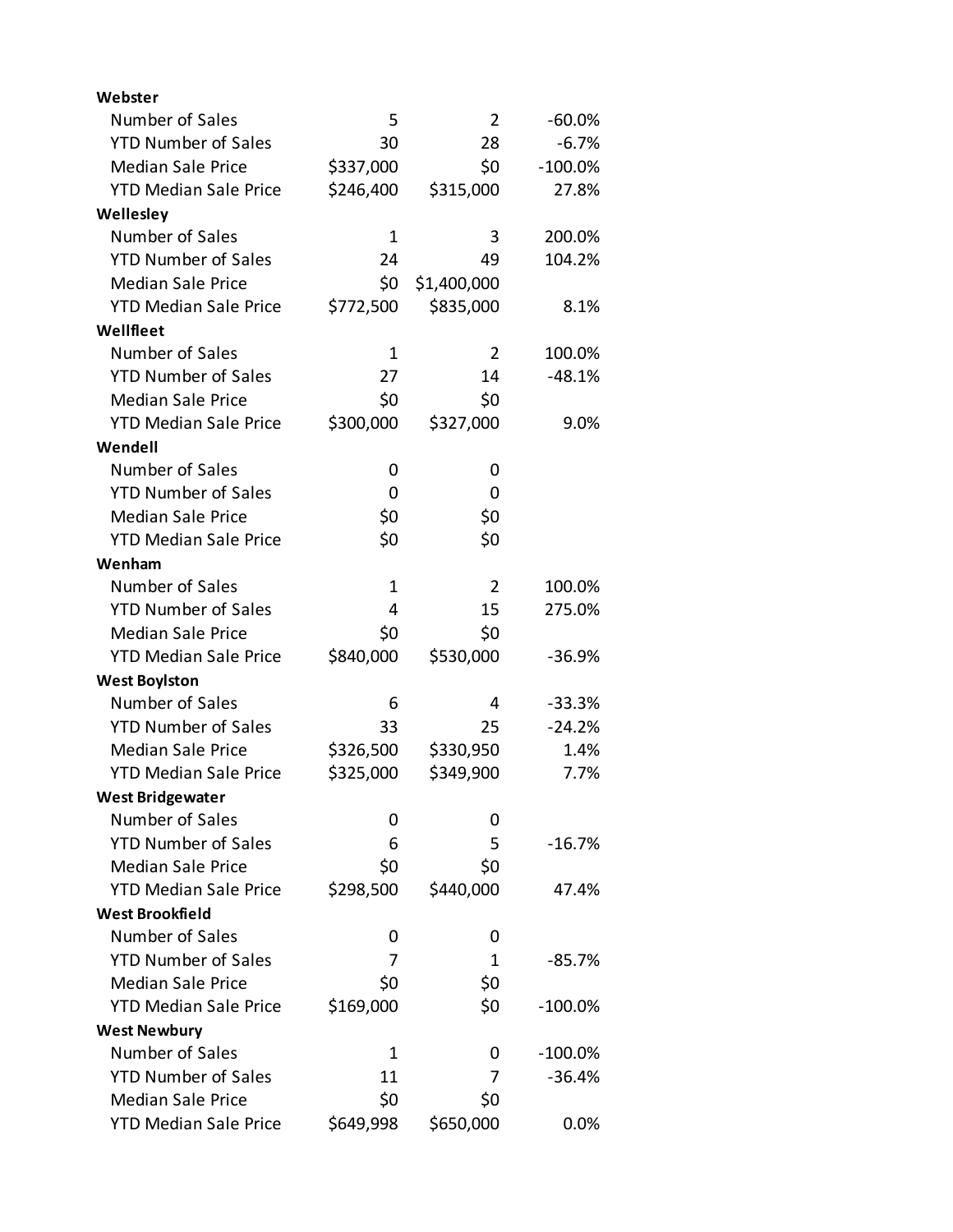| Webster                      |           |             |           |
|------------------------------|-----------|-------------|-----------|
| Number of Sales              | 5         | 2           | $-60.0%$  |
| <b>YTD Number of Sales</b>   | 30        | 28          | $-6.7%$   |
| <b>Median Sale Price</b>     | \$337,000 | \$0         | $-100.0%$ |
| <b>YTD Median Sale Price</b> | \$246,400 | \$315,000   | 27.8%     |
| Wellesley                    |           |             |           |
| Number of Sales              | 1         | 3           | 200.0%    |
| <b>YTD Number of Sales</b>   | 24        | 49          | 104.2%    |
| <b>Median Sale Price</b>     | \$0       | \$1,400,000 |           |
| <b>YTD Median Sale Price</b> | \$772,500 | \$835,000   | 8.1%      |
| Wellfleet                    |           |             |           |
| Number of Sales              | 1         | 2           | 100.0%    |
| <b>YTD Number of Sales</b>   | 27        | 14          | $-48.1%$  |
| <b>Median Sale Price</b>     | \$0       | \$0         |           |
| <b>YTD Median Sale Price</b> | \$300,000 | \$327,000   | 9.0%      |
| Wendell                      |           |             |           |
| Number of Sales              | 0         | 0           |           |
| <b>YTD Number of Sales</b>   | 0         | 0           |           |
| <b>Median Sale Price</b>     | \$0       | \$0         |           |
| <b>YTD Median Sale Price</b> | \$0       | \$0         |           |
| Wenham                       |           |             |           |
| Number of Sales              | 1         | 2           | 100.0%    |
| <b>YTD Number of Sales</b>   | 4         | 15          | 275.0%    |
| <b>Median Sale Price</b>     | \$0       | \$0         |           |
| <b>YTD Median Sale Price</b> | \$840,000 | \$530,000   | $-36.9%$  |
| <b>West Boylston</b>         |           |             |           |
| Number of Sales              | 6         | 4           | $-33.3%$  |
| <b>YTD Number of Sales</b>   | 33        | 25          | $-24.2%$  |
| <b>Median Sale Price</b>     | \$326,500 | \$330,950   | 1.4%      |
| <b>YTD Median Sale Price</b> | \$325,000 | \$349,900   | 7.7%      |
| <b>West Bridgewater</b>      |           |             |           |
| Number of Sales              | 0         | 0           |           |
| <b>YTD Number of Sales</b>   | 6         | 5           | $-16.7%$  |
| <b>Median Sale Price</b>     | \$0       | \$0         |           |
| <b>YTD Median Sale Price</b> | \$298,500 | \$440,000   | 47.4%     |
| <b>West Brookfield</b>       |           |             |           |
| Number of Sales              | 0         | 0           |           |
| <b>YTD Number of Sales</b>   | 7         | 1           | $-85.7%$  |
| <b>Median Sale Price</b>     | \$0       | \$0         |           |
| <b>YTD Median Sale Price</b> | \$169,000 | \$0         | $-100.0%$ |
| <b>West Newbury</b>          |           |             |           |
| Number of Sales              | 1         | 0           | $-100.0%$ |
| <b>YTD Number of Sales</b>   | 11        | 7           | $-36.4%$  |
| <b>Median Sale Price</b>     | \$0       | \$0         |           |
| <b>YTD Median Sale Price</b> | \$649,998 | \$650,000   | 0.0%      |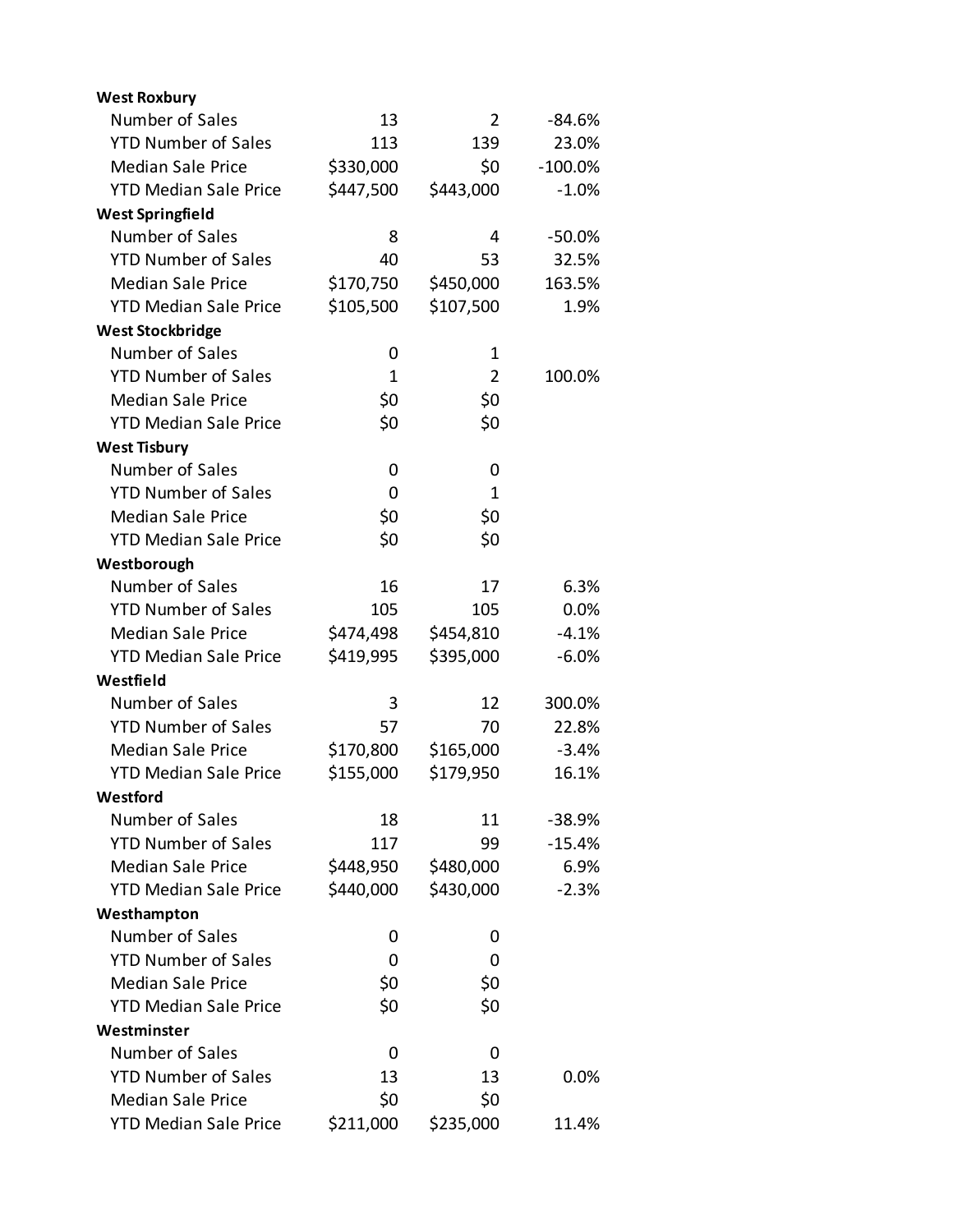| <b>West Roxbury</b>          |              |           |           |
|------------------------------|--------------|-----------|-----------|
| Number of Sales              | 13           | 2         | -84.6%    |
| <b>YTD Number of Sales</b>   | 113          | 139       | 23.0%     |
| <b>Median Sale Price</b>     | \$330,000    | \$0       | $-100.0%$ |
| <b>YTD Median Sale Price</b> | \$447,500    | \$443,000 | $-1.0%$   |
| <b>West Springfield</b>      |              |           |           |
| Number of Sales              | 8            | 4         | $-50.0%$  |
| <b>YTD Number of Sales</b>   | 40           | 53        | 32.5%     |
| <b>Median Sale Price</b>     | \$170,750    | \$450,000 | 163.5%    |
| <b>YTD Median Sale Price</b> | \$105,500    | \$107,500 | 1.9%      |
| <b>West Stockbridge</b>      |              |           |           |
| Number of Sales              | 0            | 1         |           |
| <b>YTD Number of Sales</b>   | $\mathbf{1}$ | 2         | 100.0%    |
| <b>Median Sale Price</b>     | \$0          | \$0       |           |
| <b>YTD Median Sale Price</b> | \$0          | \$0       |           |
| <b>West Tisbury</b>          |              |           |           |
| Number of Sales              | 0            | 0         |           |
| <b>YTD Number of Sales</b>   | 0            | 1         |           |
| <b>Median Sale Price</b>     | \$0          | \$0       |           |
| <b>YTD Median Sale Price</b> | \$0          | \$0       |           |
| Westborough                  |              |           |           |
| Number of Sales              | 16           | 17        | 6.3%      |
| <b>YTD Number of Sales</b>   | 105          | 105       | 0.0%      |
| <b>Median Sale Price</b>     | \$474,498    | \$454,810 | $-4.1%$   |
| <b>YTD Median Sale Price</b> | \$419,995    | \$395,000 | $-6.0%$   |
| Westfield                    |              |           |           |
| Number of Sales              | 3            | 12        | 300.0%    |
| <b>YTD Number of Sales</b>   | 57           | 70        | 22.8%     |
| <b>Median Sale Price</b>     | \$170,800    | \$165,000 | $-3.4%$   |
| <b>YTD Median Sale Price</b> | \$155,000    | \$179,950 | 16.1%     |
| Westford                     |              |           |           |
| Number of Sales              | 18           | 11        | $-38.9%$  |
| <b>YTD Number of Sales</b>   | 117          | 99        | $-15.4%$  |
| <b>Median Sale Price</b>     | \$448,950    | \$480,000 | 6.9%      |
| <b>YTD Median Sale Price</b> | \$440,000    | \$430,000 | $-2.3%$   |
| Westhampton                  |              |           |           |
| Number of Sales              | 0            | 0         |           |
| <b>YTD Number of Sales</b>   | 0            | 0         |           |
| <b>Median Sale Price</b>     | \$0          | \$0       |           |
| <b>YTD Median Sale Price</b> | \$0          | \$0       |           |
| Westminster                  |              |           |           |
| Number of Sales              | 0            | 0         |           |
| <b>YTD Number of Sales</b>   | 13           | 13        | 0.0%      |
| <b>Median Sale Price</b>     | \$0          | \$0       |           |
| <b>YTD Median Sale Price</b> | \$211,000    | \$235,000 | 11.4%     |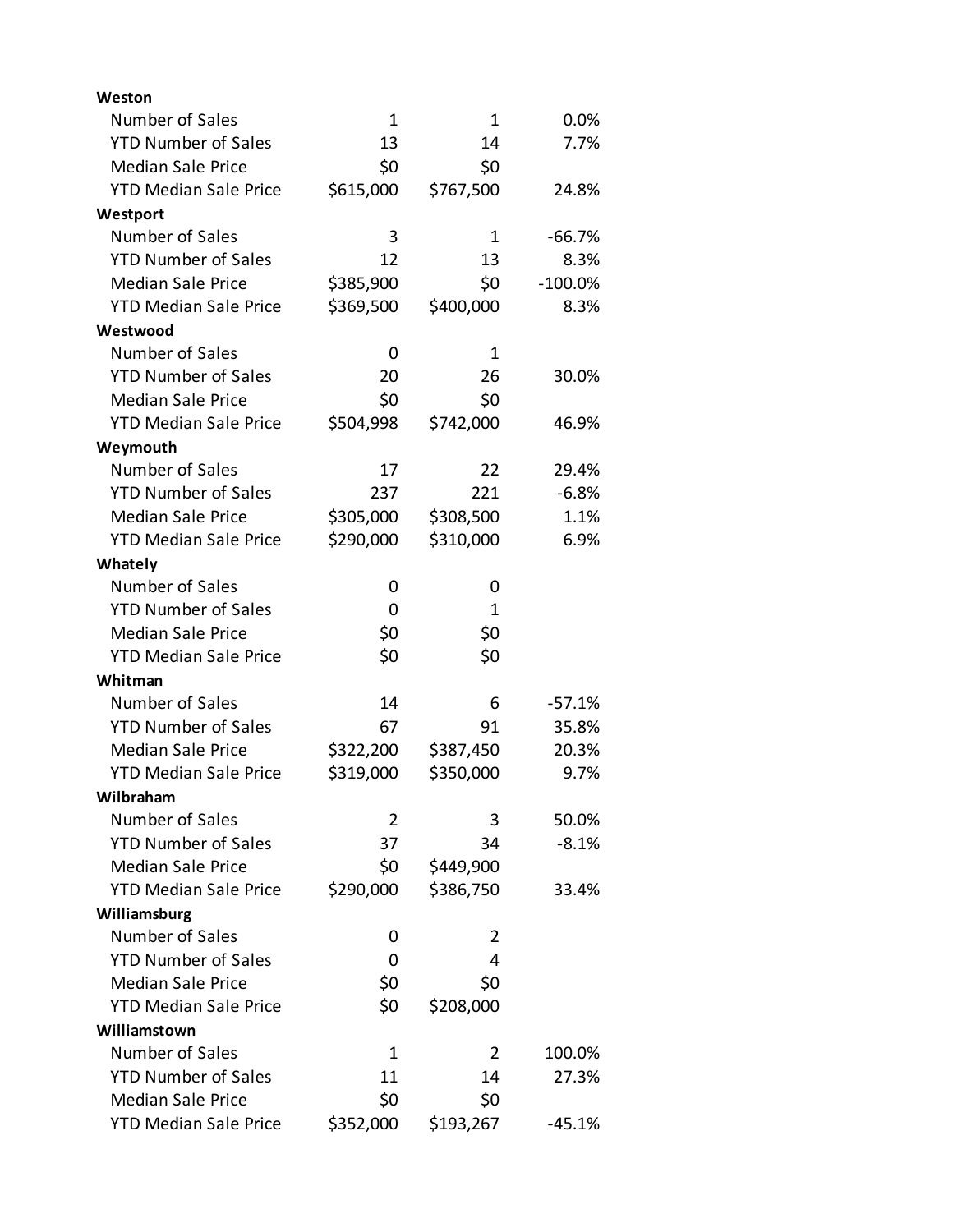| Weston                       |                |           |           |
|------------------------------|----------------|-----------|-----------|
| Number of Sales              | 1              | 1         | 0.0%      |
| <b>YTD Number of Sales</b>   | 13             | 14        | 7.7%      |
| <b>Median Sale Price</b>     | \$0            | \$0       |           |
| <b>YTD Median Sale Price</b> | \$615,000      | \$767,500 | 24.8%     |
| Westport                     |                |           |           |
| Number of Sales              | 3              | 1         | $-66.7%$  |
| <b>YTD Number of Sales</b>   | 12             | 13        | 8.3%      |
| <b>Median Sale Price</b>     | \$385,900      | \$0       | $-100.0%$ |
| <b>YTD Median Sale Price</b> | \$369,500      | \$400,000 | 8.3%      |
| Westwood                     |                |           |           |
| Number of Sales              | 0              | 1         |           |
| <b>YTD Number of Sales</b>   | 20             | 26        | 30.0%     |
| <b>Median Sale Price</b>     | \$0            | \$0       |           |
| <b>YTD Median Sale Price</b> | \$504,998      | \$742,000 | 46.9%     |
| Weymouth                     |                |           |           |
| Number of Sales              | 17             | 22        | 29.4%     |
| <b>YTD Number of Sales</b>   | 237            | 221       | $-6.8%$   |
| <b>Median Sale Price</b>     | \$305,000      | \$308,500 | 1.1%      |
| <b>YTD Median Sale Price</b> | \$290,000      | \$310,000 | 6.9%      |
| Whately                      |                |           |           |
| Number of Sales              | 0              | 0         |           |
| <b>YTD Number of Sales</b>   | 0              | 1         |           |
| <b>Median Sale Price</b>     | \$0            | \$0       |           |
| <b>YTD Median Sale Price</b> | \$0            | \$0       |           |
| Whitman                      |                |           |           |
| Number of Sales              | 14             | 6         | $-57.1%$  |
| <b>YTD Number of Sales</b>   | 67             | 91        | 35.8%     |
| <b>Median Sale Price</b>     | \$322,200      | \$387,450 | 20.3%     |
| <b>YTD Median Sale Price</b> | \$319,000      | \$350,000 | 9.7%      |
| Wilbraham                    |                |           |           |
| Number of Sales              | $\overline{2}$ | 3         | 50.0%     |
| <b>YTD Number of Sales</b>   | 37             | 34        | $-8.1%$   |
| <b>Median Sale Price</b>     | \$0            | \$449,900 |           |
| <b>YTD Median Sale Price</b> | \$290,000      | \$386,750 | 33.4%     |
| Williamsburg                 |                |           |           |
| Number of Sales              | 0              | 2         |           |
| <b>YTD Number of Sales</b>   | 0              | 4         |           |
| <b>Median Sale Price</b>     | \$0            | \$0       |           |
| <b>YTD Median Sale Price</b> | \$0            | \$208,000 |           |
| Williamstown                 |                |           |           |
| Number of Sales              | 1              | 2         | 100.0%    |
| <b>YTD Number of Sales</b>   | 11             | 14        | 27.3%     |
| <b>Median Sale Price</b>     | \$0            | \$0       |           |
| <b>YTD Median Sale Price</b> | \$352,000      | \$193,267 | $-45.1%$  |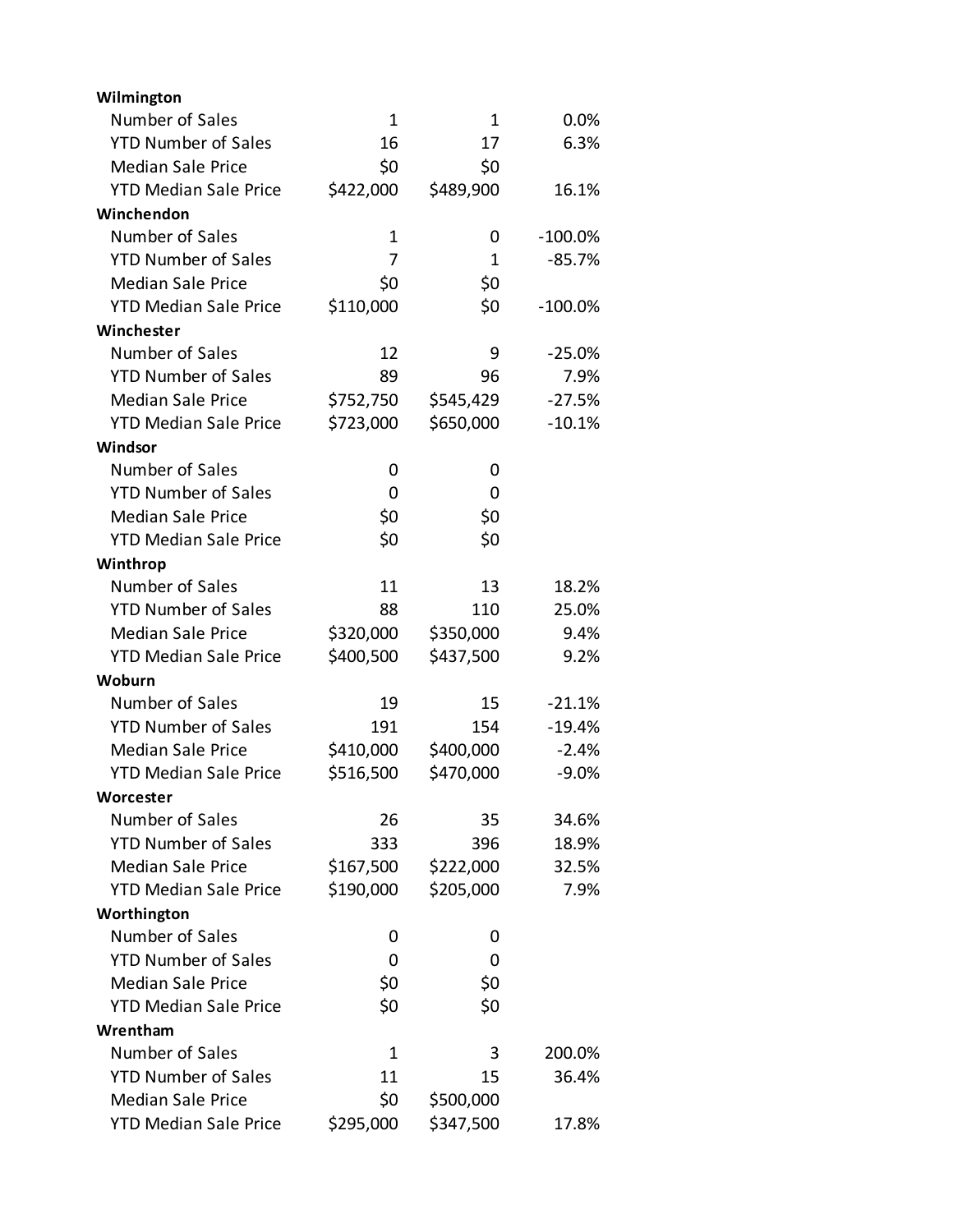| Wilmington                   |             |           |           |
|------------------------------|-------------|-----------|-----------|
| Number of Sales              | $\mathbf 1$ | 1         | 0.0%      |
| <b>YTD Number of Sales</b>   | 16          | 17        | 6.3%      |
| <b>Median Sale Price</b>     | \$0         | \$0       |           |
| <b>YTD Median Sale Price</b> | \$422,000   | \$489,900 | 16.1%     |
| Winchendon                   |             |           |           |
| Number of Sales              | 1           | 0         | $-100.0%$ |
| <b>YTD Number of Sales</b>   | 7           | 1         | $-85.7%$  |
| <b>Median Sale Price</b>     | \$0         | \$0       |           |
| <b>YTD Median Sale Price</b> | \$110,000   | \$0       | $-100.0%$ |
| Winchester                   |             |           |           |
| Number of Sales              | 12          | 9         | $-25.0%$  |
| <b>YTD Number of Sales</b>   | 89          | 96        | 7.9%      |
| <b>Median Sale Price</b>     | \$752,750   | \$545,429 | $-27.5%$  |
| <b>YTD Median Sale Price</b> | \$723,000   | \$650,000 | $-10.1%$  |
| Windsor                      |             |           |           |
| Number of Sales              | 0           | 0         |           |
| <b>YTD Number of Sales</b>   | 0           | 0         |           |
| <b>Median Sale Price</b>     | \$0         | \$0       |           |
| <b>YTD Median Sale Price</b> | \$0         | \$0       |           |
| Winthrop                     |             |           |           |
| Number of Sales              | 11          | 13        | 18.2%     |
| <b>YTD Number of Sales</b>   | 88          | 110       | 25.0%     |
| <b>Median Sale Price</b>     | \$320,000   | \$350,000 | 9.4%      |
| <b>YTD Median Sale Price</b> | \$400,500   | \$437,500 | 9.2%      |
| Woburn                       |             |           |           |
| Number of Sales              | 19          | 15        | $-21.1%$  |
| <b>YTD Number of Sales</b>   | 191         | 154       | $-19.4%$  |
| <b>Median Sale Price</b>     | \$410,000   | \$400,000 | $-2.4%$   |
| <b>YTD Median Sale Price</b> | \$516,500   | \$470,000 | $-9.0%$   |
| Worcester                    |             |           |           |
| Number of Sales              | 26          | 35        | 34.6%     |
| <b>YTD Number of Sales</b>   | 333         | 396       | 18.9%     |
| <b>Median Sale Price</b>     | \$167,500   | \$222,000 | 32.5%     |
| <b>YTD Median Sale Price</b> | \$190,000   | \$205,000 | 7.9%      |
| Worthington                  |             |           |           |
| Number of Sales              | 0           | 0         |           |
| <b>YTD Number of Sales</b>   | 0           | 0         |           |
| <b>Median Sale Price</b>     | \$0         | \$0       |           |
| <b>YTD Median Sale Price</b> | \$0         | \$0       |           |
| Wrentham                     |             |           |           |
| Number of Sales              | 1           | 3         | 200.0%    |
| <b>YTD Number of Sales</b>   | 11          | 15        | 36.4%     |
| <b>Median Sale Price</b>     | \$0         | \$500,000 |           |
| <b>YTD Median Sale Price</b> | \$295,000   | \$347,500 | 17.8%     |